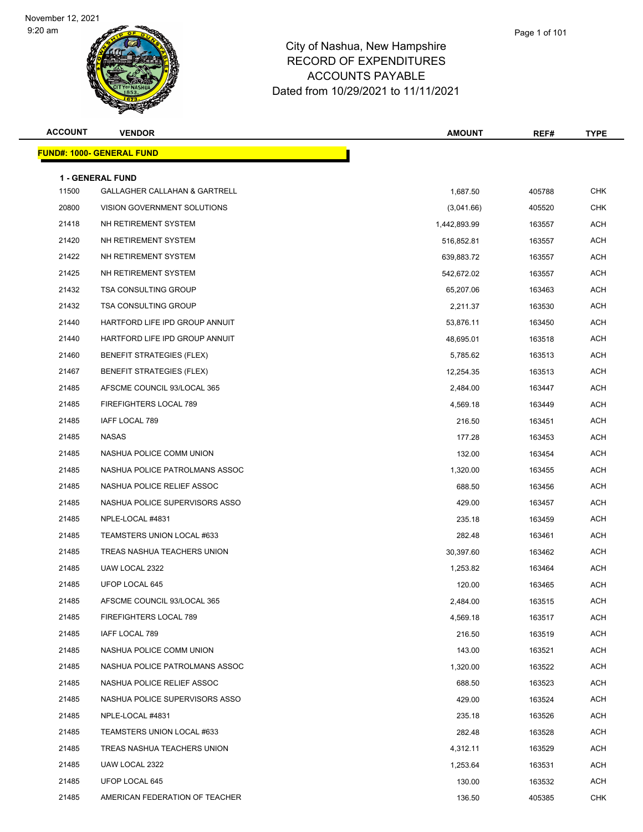

| Page 1 of 101 |  |
|---------------|--|
|               |  |

| <b>ACCOUNT</b> | <b>VENDOR</b>                                                       | <b>AMOUNT</b> | REF#   | <b>TYPE</b> |
|----------------|---------------------------------------------------------------------|---------------|--------|-------------|
|                | <u> FUND#: 1000- GENERAL FUND</u>                                   |               |        |             |
|                |                                                                     |               |        |             |
| 11500          | <b>1 - GENERAL FUND</b><br><b>GALLAGHER CALLAHAN &amp; GARTRELL</b> | 1,687.50      | 405788 | <b>CHK</b>  |
| 20800          | VISION GOVERNMENT SOLUTIONS                                         | (3,041.66)    | 405520 | <b>CHK</b>  |
| 21418          | NH RETIREMENT SYSTEM                                                | 1,442,893.99  | 163557 | ACH         |
| 21420          | NH RETIREMENT SYSTEM                                                | 516,852.81    | 163557 | <b>ACH</b>  |
| 21422          | NH RETIREMENT SYSTEM                                                | 639,883.72    | 163557 | <b>ACH</b>  |
| 21425          | NH RETIREMENT SYSTEM                                                | 542,672.02    | 163557 | ACH         |
| 21432          | <b>TSA CONSULTING GROUP</b>                                         | 65,207.06     | 163463 | <b>ACH</b>  |
| 21432          | <b>TSA CONSULTING GROUP</b>                                         | 2,211.37      | 163530 | ACH         |
| 21440          | HARTFORD LIFE IPD GROUP ANNUIT                                      | 53,876.11     | 163450 | <b>ACH</b>  |
| 21440          | HARTFORD LIFE IPD GROUP ANNUIT                                      | 48,695.01     | 163518 | <b>ACH</b>  |
| 21460          | <b>BENEFIT STRATEGIES (FLEX)</b>                                    | 5,785.62      | 163513 | ACH         |
| 21467          | <b>BENEFIT STRATEGIES (FLEX)</b>                                    | 12,254.35     | 163513 | ACH         |
| 21485          | AFSCME COUNCIL 93/LOCAL 365                                         | 2,484.00      | 163447 | ACH         |
| 21485          | FIREFIGHTERS LOCAL 789                                              | 4,569.18      | 163449 | <b>ACH</b>  |
| 21485          | IAFF LOCAL 789                                                      | 216.50        | 163451 | <b>ACH</b>  |
| 21485          | NASAS                                                               | 177.28        | 163453 | ACH         |
| 21485          | NASHUA POLICE COMM UNION                                            | 132.00        | 163454 | <b>ACH</b>  |
| 21485          | NASHUA POLICE PATROLMANS ASSOC                                      | 1,320.00      | 163455 | ACH         |
| 21485          | NASHUA POLICE RELIEF ASSOC                                          | 688.50        | 163456 | <b>ACH</b>  |
| 21485          | NASHUA POLICE SUPERVISORS ASSO                                      | 429.00        | 163457 | <b>ACH</b>  |
| 21485          | NPLE-LOCAL #4831                                                    | 235.18        | 163459 | ACH         |
| 21485          | TEAMSTERS UNION LOCAL #633                                          | 282.48        | 163461 | ACH         |
| 21485          | TREAS NASHUA TEACHERS UNION                                         | 30,397.60     | 163462 | ACH         |
| 21485          | UAW LOCAL 2322                                                      | 1,253.82      | 163464 | <b>ACH</b>  |
| 21485          | UFOP LOCAL 645                                                      | 120.00        | 163465 | <b>ACH</b>  |
| 21485          | AFSCME COUNCIL 93/LOCAL 365                                         | 2,484.00      | 163515 | ACH         |
| 21485          | FIREFIGHTERS LOCAL 789                                              | 4,569.18      | 163517 | <b>ACH</b>  |
| 21485          | IAFF LOCAL 789                                                      | 216.50        | 163519 | ACH         |
| 21485          | NASHUA POLICE COMM UNION                                            | 143.00        | 163521 | <b>ACH</b>  |
| 21485          | NASHUA POLICE PATROLMANS ASSOC                                      | 1,320.00      | 163522 | <b>ACH</b>  |
| 21485          | NASHUA POLICE RELIEF ASSOC                                          | 688.50        | 163523 | ACH         |
| 21485          | NASHUA POLICE SUPERVISORS ASSO                                      | 429.00        | 163524 | ACH         |
| 21485          | NPLE-LOCAL #4831                                                    | 235.18        | 163526 | ACH         |
| 21485          | TEAMSTERS UNION LOCAL #633                                          | 282.48        | 163528 | ACH         |
| 21485          | TREAS NASHUA TEACHERS UNION                                         | 4,312.11      | 163529 | ACH         |
| 21485          | UAW LOCAL 2322                                                      | 1,253.64      | 163531 | ACH         |
| 21485          | UFOP LOCAL 645                                                      | 130.00        | 163532 | ACH         |
| 21485          | AMERICAN FEDERATION OF TEACHER                                      | 136.50        | 405385 | <b>CHK</b>  |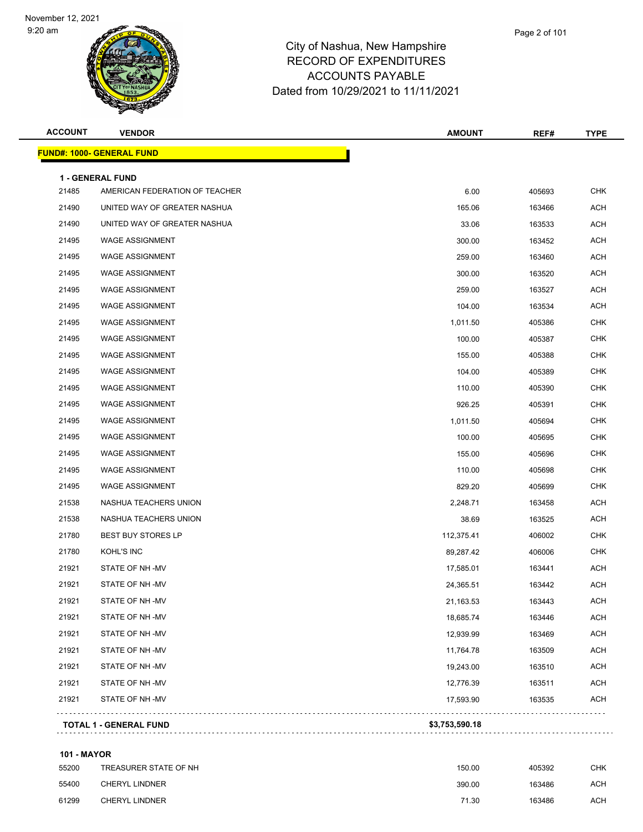

#### City of Nashua, New Hampshire RECORD OF EXPENDITURES ACCOUNTS PAYABLE Dated from 10/29/2021 to 11/11/2021

| <b>ACCOUNT</b> | <b>VENDOR</b>                    | <b>AMOUNT</b> | REF#   | <b>TYPE</b> |
|----------------|----------------------------------|---------------|--------|-------------|
|                | <b>FUND#: 1000- GENERAL FUND</b> |               |        |             |
|                | <b>1 - GENERAL FUND</b>          |               |        |             |
| 21485          | AMERICAN FEDERATION OF TEACHER   | 6.00          | 405693 | <b>CHK</b>  |
| 21490          | UNITED WAY OF GREATER NASHUA     | 165.06        | 163466 | ACH         |
| 21490          | UNITED WAY OF GREATER NASHUA     | 33.06         | 163533 | <b>ACH</b>  |
| 21495          | <b>WAGE ASSIGNMENT</b>           | 300.00        | 163452 | ACH         |
| 21495          | <b>WAGE ASSIGNMENT</b>           | 259.00        | 163460 | <b>ACH</b>  |
| 21495          | <b>WAGE ASSIGNMENT</b>           | 300.00        | 163520 | ACH         |
| 21495          | <b>WAGE ASSIGNMENT</b>           | 259.00        | 163527 | ACH         |
| 21495          | <b>WAGE ASSIGNMENT</b>           | 104.00        | 163534 | <b>ACH</b>  |
| 21495          | <b>WAGE ASSIGNMENT</b>           | 1,011.50      | 405386 | <b>CHK</b>  |
| 21495          | <b>WAGE ASSIGNMENT</b>           | 100.00        | 405387 | CHK         |
| 21495          | <b>WAGE ASSIGNMENT</b>           | 155.00        | 405388 | <b>CHK</b>  |
| 21495          | <b>WAGE ASSIGNMENT</b>           | 104.00        | 405389 | <b>CHK</b>  |
| 21495          | <b>WAGE ASSIGNMENT</b>           | 110.00        | 405390 | <b>CHK</b>  |
| 21495          | <b>WAGE ASSIGNMENT</b>           | 926.25        | 405391 | <b>CHK</b>  |
| 21495          | <b>WAGE ASSIGNMENT</b>           | 1,011.50      | 405694 | <b>CHK</b>  |
| 21495          | <b>WAGE ASSIGNMENT</b>           | 100.00        | 405695 | <b>CHK</b>  |
| 21495          | <b>WAGE ASSIGNMENT</b>           | 155.00        | 405696 | <b>CHK</b>  |
| 21495          | <b>WAGE ASSIGNMENT</b>           | 110.00        | 405698 | <b>CHK</b>  |
| 21495          | <b>WAGE ASSIGNMENT</b>           | 829.20        | 405699 | <b>CHK</b>  |
| 21538          | NASHUA TEACHERS UNION            | 2,248.71      | 163458 | ACH         |
| 21538          | NASHUA TEACHERS UNION            | 38.69         | 163525 | ACH         |
| 21780          | <b>BEST BUY STORES LP</b>        | 112,375.41    | 406002 | <b>CHK</b>  |
| 21780          | KOHL'S INC                       | 89,287.42     | 406006 | <b>CHK</b>  |
| 21921          | STATE OF NH-MV                   | 17,585.01     | 163441 | ACH         |
| 21921          | STATE OF NH-MV                   | 24,365.51     | 163442 | ACH         |
| 21921          | STATE OF NH-MV                   | 21,163.53     | 163443 | <b>ACH</b>  |
| 21921          | STATE OF NH-MV                   | 18,685.74     | 163446 | ACH         |
| 21921          | STATE OF NH-MV                   | 12,939.99     | 163469 | <b>ACH</b>  |
| 21921          | STATE OF NH-MV                   | 11,764.78     | 163509 | <b>ACH</b>  |
| 21921          | STATE OF NH-MV                   | 19,243.00     | 163510 | <b>ACH</b>  |
| 21921          | STATE OF NH-MV                   | 12,776.39     | 163511 | <b>ACH</b>  |
| 21921          | STATE OF NH-MV                   | 17,593.90     | 163535 | <b>ACH</b>  |

**TOTAL 1 - GENERAL FUND \$3,753,590.18**

#### **101 - MAYOR**

| 55200 | TREASURER STATE OF NH | 150.00 | 405392 | CHK |
|-------|-----------------------|--------|--------|-----|
| 55400 | CHERYL LINDNER        | 390.00 | 163486 | ACH |
| 61299 | CHERYL LINDNER        | 71.30  | 163486 | ACH |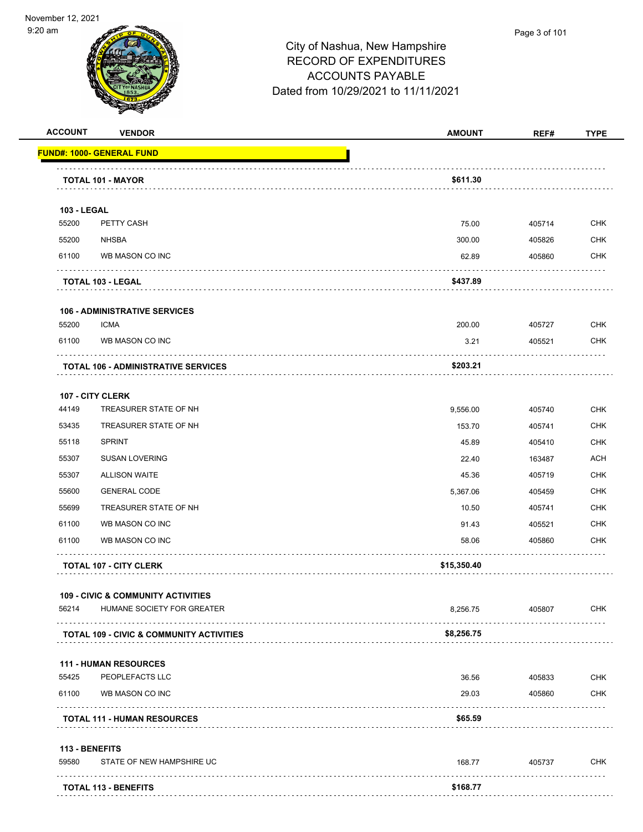

| <b>ACCOUNT</b>     | <b>VENDOR</b>                                       | <b>AMOUNT</b> | REF#   | <b>TYPE</b> |
|--------------------|-----------------------------------------------------|---------------|--------|-------------|
|                    | <u> FUND#: 1000- GENERAL FUND</u>                   |               |        |             |
|                    | <b>TOTAL 101 - MAYOR</b>                            | \$611.30      |        |             |
|                    |                                                     |               |        |             |
| <b>103 - LEGAL</b> |                                                     |               |        |             |
| 55200              | PETTY CASH                                          | 75.00         | 405714 | <b>CHK</b>  |
| 55200              | <b>NHSBA</b>                                        | 300.00        | 405826 | <b>CHK</b>  |
| 61100              | WB MASON CO INC                                     | 62.89         | 405860 | <b>CHK</b>  |
|                    | TOTAL 103 - LEGAL                                   | \$437.89      |        |             |
|                    | <b>106 - ADMINISTRATIVE SERVICES</b>                |               |        |             |
| 55200              | <b>ICMA</b>                                         | 200.00        | 405727 | <b>CHK</b>  |
| 61100              | WB MASON CO INC                                     | 3.21          | 405521 | <b>CHK</b>  |
|                    | <b>TOTAL 106 - ADMINISTRATIVE SERVICES</b>          | \$203.21      |        |             |
|                    | 107 - CITY CLERK                                    |               |        |             |
| 44149              | TREASURER STATE OF NH                               | 9,556.00      | 405740 | <b>CHK</b>  |
| 53435              | TREASURER STATE OF NH                               | 153.70        | 405741 | <b>CHK</b>  |
| 55118              | <b>SPRINT</b>                                       | 45.89         | 405410 | <b>CHK</b>  |
| 55307              | <b>SUSAN LOVERING</b>                               | 22.40         | 163487 | <b>ACH</b>  |
| 55307              | <b>ALLISON WAITE</b>                                | 45.36         | 405719 | <b>CHK</b>  |
| 55600              | <b>GENERAL CODE</b>                                 | 5,367.06      | 405459 | <b>CHK</b>  |
| 55699              | TREASURER STATE OF NH                               | 10.50         | 405741 | <b>CHK</b>  |
| 61100              | WB MASON CO INC                                     | 91.43         | 405521 | <b>CHK</b>  |
| 61100              | WB MASON CO INC                                     | 58.06         | 405860 | <b>CHK</b>  |
|                    | <b>TOTAL 107 - CITY CLERK</b>                       | \$15,350.40   |        |             |
|                    | <b>109 - CIVIC &amp; COMMUNITY ACTIVITIES</b>       |               |        |             |
| 56214              | HUMANE SOCIETY FOR GREATER                          | 8,256.75      | 405807 | <b>CHK</b>  |
|                    | <b>TOTAL 109 - CIVIC &amp; COMMUNITY ACTIVITIES</b> | \$8,256.75    |        |             |
|                    | <b>111 - HUMAN RESOURCES</b>                        |               |        |             |
| 55425              | PEOPLEFACTS LLC                                     | 36.56         | 405833 | <b>CHK</b>  |
| 61100              | WB MASON CO INC                                     | 29.03         | 405860 | <b>CHK</b>  |
|                    | <b>TOTAL 111 - HUMAN RESOURCES</b>                  | \$65.59       |        |             |
| 113 - BENEFITS     |                                                     |               |        |             |
| 59580              | STATE OF NEW HAMPSHIRE UC                           | 168.77        | 405737 | CHK         |
|                    |                                                     |               |        |             |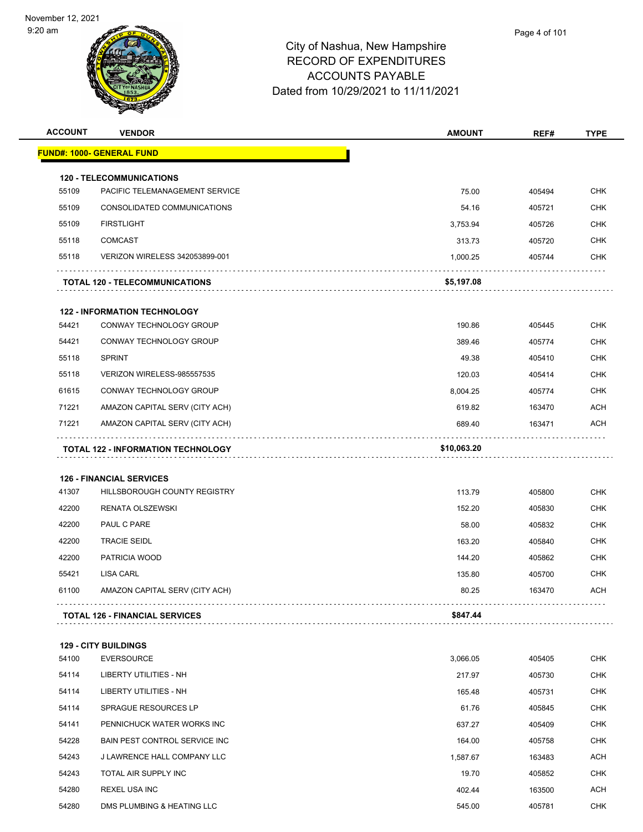| <b>ACCOUNT</b> | <b>VENDOR</b>                             | <b>AMOUNT</b> | REF#   | <b>TYPE</b> |
|----------------|-------------------------------------------|---------------|--------|-------------|
|                | <u> FUND#: 1000- GENERAL FUND</u>         |               |        |             |
|                | <b>120 - TELECOMMUNICATIONS</b>           |               |        |             |
| 55109          | PACIFIC TELEMANAGEMENT SERVICE            | 75.00         | 405494 | <b>CHK</b>  |
| 55109          | CONSOLIDATED COMMUNICATIONS               | 54.16         | 405721 | <b>CHK</b>  |
| 55109          | <b>FIRSTLIGHT</b>                         | 3,753.94      | 405726 | <b>CHK</b>  |
| 55118          | <b>COMCAST</b>                            | 313.73        | 405720 | <b>CHK</b>  |
| 55118          | VERIZON WIRELESS 342053899-001            | 1,000.25      | 405744 | CHK         |
|                | <b>TOTAL 120 - TELECOMMUNICATIONS</b>     | \$5,197.08    |        |             |
|                | <b>122 - INFORMATION TECHNOLOGY</b>       |               |        |             |
| 54421          | CONWAY TECHNOLOGY GROUP                   | 190.86        | 405445 | <b>CHK</b>  |
| 54421          | CONWAY TECHNOLOGY GROUP                   | 389.46        | 405774 | <b>CHK</b>  |
| 55118          | <b>SPRINT</b>                             | 49.38         | 405410 | <b>CHK</b>  |
| 55118          | VERIZON WIRELESS-985557535                | 120.03        | 405414 | <b>CHK</b>  |
| 61615          | CONWAY TECHNOLOGY GROUP                   | 8,004.25      | 405774 | <b>CHK</b>  |
| 71221          | AMAZON CAPITAL SERV (CITY ACH)            | 619.82        | 163470 | <b>ACH</b>  |
| 71221          | AMAZON CAPITAL SERV (CITY ACH)            | 689.40        | 163471 | ACH         |
|                |                                           |               |        |             |
|                | <b>TOTAL 122 - INFORMATION TECHNOLOGY</b> | \$10,063.20   |        |             |
|                | <b>126 - FINANCIAL SERVICES</b>           |               |        |             |
| 41307          | HILLSBOROUGH COUNTY REGISTRY              | 113.79        | 405800 | <b>CHK</b>  |
| 42200          | RENATA OLSZEWSKI                          | 152.20        | 405830 | <b>CHK</b>  |
| 42200          | PAUL C PARE                               | 58.00         | 405832 | CHK         |
| 42200          | <b>TRACIE SEIDL</b>                       | 163.20        | 405840 | <b>CHK</b>  |
| 42200          | PATRICIA WOOD                             | 144.20        | 405862 | <b>CHK</b>  |
| 55421          | <b>LISA CARL</b>                          | 135.80        | 405700 | <b>CHK</b>  |
| 61100          | AMAZON CAPITAL SERV (CITY ACH)            | 80.25         | 163470 | <b>ACH</b>  |
|                | <b>TOTAL 126 - FINANCIAL SERVICES</b>     | \$847.44      |        |             |
|                | <b>129 - CITY BUILDINGS</b>               |               |        |             |
| 54100          | <b>EVERSOURCE</b>                         | 3,066.05      | 405405 | <b>CHK</b>  |
| 54114          | LIBERTY UTILITIES - NH                    | 217.97        | 405730 | <b>CHK</b>  |
| 54114          | LIBERTY UTILITIES - NH                    | 165.48        | 405731 | <b>CHK</b>  |
| 54114          | <b>SPRAGUE RESOURCES LP</b>               | 61.76         | 405845 | <b>CHK</b>  |
| 54141          | PENNICHUCK WATER WORKS INC                | 637.27        | 405409 | <b>CHK</b>  |
| 54228          | BAIN PEST CONTROL SERVICE INC             | 164.00        | 405758 | <b>CHK</b>  |
| 54243          | J LAWRENCE HALL COMPANY LLC               | 1,587.67      | 163483 | <b>ACH</b>  |
| 54243          | TOTAL AIR SUPPLY INC                      | 19.70         | 405852 | <b>CHK</b>  |
| 54280          | REXEL USA INC                             | 402.44        | 163500 | ACH         |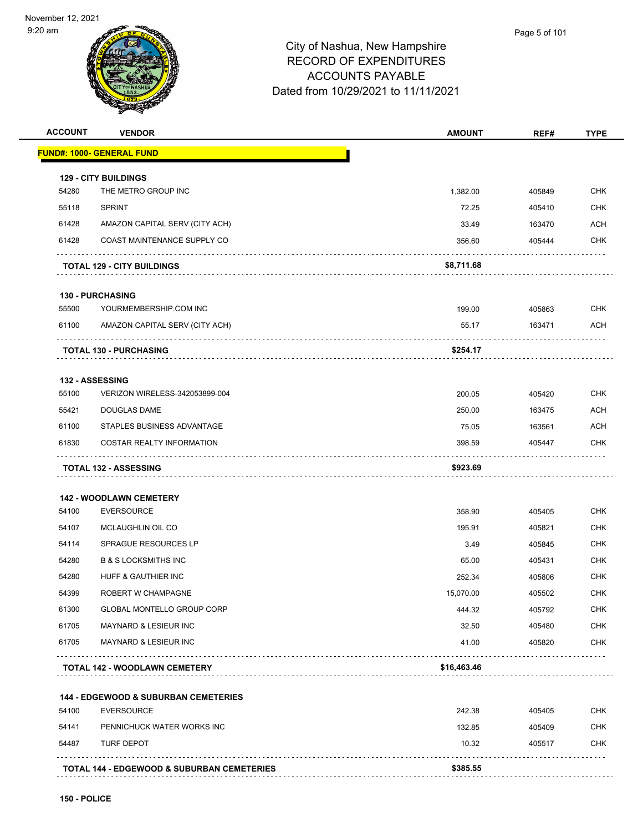

| <b>ACCOUNT</b> | <b>VENDOR</b>                                                  | <b>AMOUNT</b>   | REF#             | <b>TYPE</b>              |
|----------------|----------------------------------------------------------------|-----------------|------------------|--------------------------|
|                | <b>FUND#: 1000- GENERAL FUND</b>                               |                 |                  |                          |
|                | <b>129 - CITY BUILDINGS</b>                                    |                 |                  |                          |
| 54280          | THE METRO GROUP INC                                            | 1,382.00        | 405849           | <b>CHK</b>               |
| 55118          | <b>SPRINT</b>                                                  | 72.25           | 405410           | <b>CHK</b>               |
| 61428          | AMAZON CAPITAL SERV (CITY ACH)                                 | 33.49           | 163470           | <b>ACH</b>               |
| 61428          | COAST MAINTENANCE SUPPLY CO                                    | 356.60          | 405444           | <b>CHK</b>               |
|                | <b>TOTAL 129 - CITY BUILDINGS</b>                              | \$8,711.68      |                  |                          |
|                | <b>130 - PURCHASING</b>                                        |                 |                  |                          |
| 55500          | YOURMEMBERSHIP.COM INC                                         | 199.00          | 405863           | <b>CHK</b>               |
| 61100          | AMAZON CAPITAL SERV (CITY ACH)                                 | 55.17           | 163471           | ACH                      |
|                | <b>TOTAL 130 - PURCHASING</b>                                  | \$254.17        |                  |                          |
|                |                                                                |                 |                  |                          |
|                | <b>132 - ASSESSING</b>                                         |                 |                  |                          |
| 55100          | VERIZON WIRELESS-342053899-004                                 | 200.05          | 405420           | <b>CHK</b>               |
| 55421          | DOUGLAS DAME                                                   | 250.00          | 163475           | ACH                      |
| 61100<br>61830 | STAPLES BUSINESS ADVANTAGE<br><b>COSTAR REALTY INFORMATION</b> | 75.05<br>398.59 | 163561<br>405447 | <b>ACH</b><br><b>CHK</b> |
|                |                                                                |                 |                  |                          |
|                | <b>TOTAL 132 - ASSESSING</b>                                   | \$923.69        |                  |                          |
|                | <b>142 - WOODLAWN CEMETERY</b>                                 |                 |                  |                          |
| 54100          | <b>EVERSOURCE</b>                                              | 358.90          | 405405           | CHK                      |
| 54107          | MCLAUGHLIN OIL CO                                              | 195.91          | 405821           | <b>CHK</b>               |
| 54114          | SPRAGUE RESOURCES LP                                           | 3.49            | 405845           | <b>CHK</b>               |
| 54280          | <b>B &amp; S LOCKSMITHS INC</b>                                | 65.00           | 405431           | <b>CHK</b>               |
| 54280          | HUFF & GAUTHIER INC                                            | 252.34          | 405806           | <b>CHK</b>               |
| 54399          | ROBERT W CHAMPAGNE                                             | 15,070.00       | 405502           | <b>CHK</b>               |
| 61300          | GLOBAL MONTELLO GROUP CORP                                     | 444.32          | 405792           | <b>CHK</b>               |
| 61705          | MAYNARD & LESIEUR INC                                          | 32.50           | 405480           | <b>CHK</b>               |
| 61705          | MAYNARD & LESIEUR INC                                          | 41.00           | 405820           | <b>CHK</b>               |
|                | <b>TOTAL 142 - WOODLAWN CEMETERY</b>                           | \$16,463.46     |                  |                          |
|                | <b>144 - EDGEWOOD &amp; SUBURBAN CEMETERIES</b>                |                 |                  |                          |
| 54100          | <b>EVERSOURCE</b>                                              | 242.38          | 405405           | <b>CHK</b>               |
| 54141          | PENNICHUCK WATER WORKS INC                                     | 132.85          | 405409           | <b>CHK</b>               |
| 54487          | <b>TURF DEPOT</b>                                              | 10.32           | 405517           | <b>CHK</b>               |
|                | <b>TOTAL 144 - EDGEWOOD &amp; SUBURBAN CEMETERIES</b>          | \$385.55        |                  |                          |
|                |                                                                |                 |                  |                          |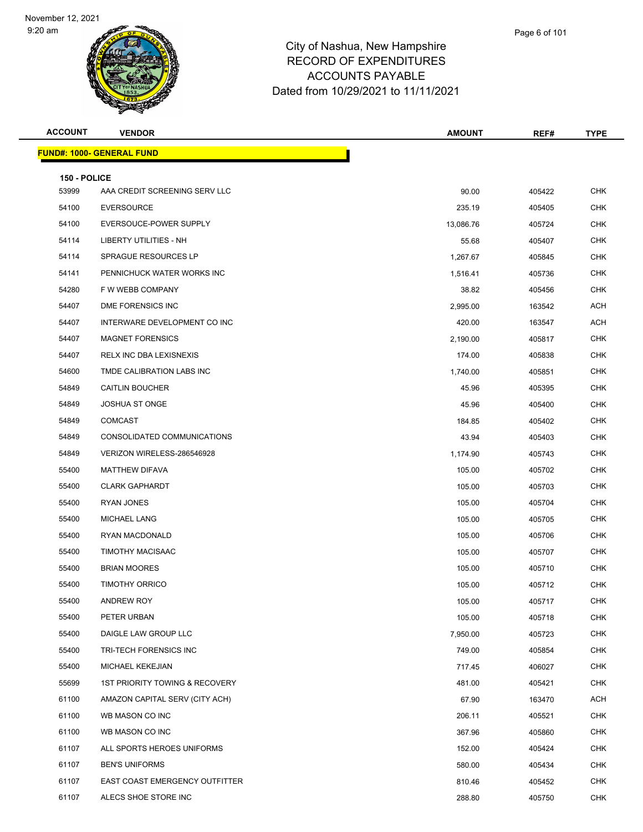

| Page 6 of 101 |  |
|---------------|--|
|               |  |
|               |  |

| <b>ACCOUNT</b> | <b>VENDOR</b>                             | <b>AMOUNT</b> | REF#   | <b>TYPE</b> |
|----------------|-------------------------------------------|---------------|--------|-------------|
|                | <b>FUND#: 1000- GENERAL FUND</b>          |               |        |             |
| 150 - POLICE   |                                           |               |        |             |
| 53999          | AAA CREDIT SCREENING SERV LLC             | 90.00         | 405422 | <b>CHK</b>  |
| 54100          | <b>EVERSOURCE</b>                         | 235.19        | 405405 | <b>CHK</b>  |
| 54100          | EVERSOUCE-POWER SUPPLY                    | 13,086.76     | 405724 | <b>CHK</b>  |
| 54114          | LIBERTY UTILITIES - NH                    | 55.68         | 405407 | <b>CHK</b>  |
| 54114          | <b>SPRAGUE RESOURCES LP</b>               | 1,267.67      | 405845 | <b>CHK</b>  |
| 54141          | PENNICHUCK WATER WORKS INC                | 1,516.41      | 405736 | CHK         |
| 54280          | F W WEBB COMPANY                          | 38.82         | 405456 | <b>CHK</b>  |
| 54407          | DME FORENSICS INC                         | 2,995.00      | 163542 | <b>ACH</b>  |
| 54407          | INTERWARE DEVELOPMENT CO INC              | 420.00        | 163547 | <b>ACH</b>  |
| 54407          | <b>MAGNET FORENSICS</b>                   | 2,190.00      | 405817 | <b>CHK</b>  |
| 54407          | RELX INC DBA LEXISNEXIS                   | 174.00        | 405838 | <b>CHK</b>  |
| 54600          | TMDE CALIBRATION LABS INC                 | 1,740.00      | 405851 | <b>CHK</b>  |
| 54849          | <b>CAITLIN BOUCHER</b>                    | 45.96         | 405395 | <b>CHK</b>  |
| 54849          | <b>JOSHUA ST ONGE</b>                     | 45.96         | 405400 | <b>CHK</b>  |
| 54849          | <b>COMCAST</b>                            | 184.85        | 405402 | CHK         |
| 54849          | CONSOLIDATED COMMUNICATIONS               | 43.94         | 405403 | CHK         |
| 54849          | VERIZON WIRELESS-286546928                | 1,174.90      | 405743 | <b>CHK</b>  |
| 55400          | <b>MATTHEW DIFAVA</b>                     | 105.00        | 405702 | <b>CHK</b>  |
| 55400          | <b>CLARK GAPHARDT</b>                     | 105.00        | 405703 | CHK         |
| 55400          | RYAN JONES                                | 105.00        | 405704 | <b>CHK</b>  |
| 55400          | MICHAEL LANG                              | 105.00        | 405705 | <b>CHK</b>  |
| 55400          | RYAN MACDONALD                            | 105.00        | 405706 | CHK         |
| 55400          | <b>TIMOTHY MACISAAC</b>                   | 105.00        | 405707 | <b>CHK</b>  |
| 55400          | <b>BRIAN MOORES</b>                       | 105.00        | 405710 | <b>CHK</b>  |
| 55400          | <b>TIMOTHY ORRICO</b>                     | 105.00        | 405712 | <b>CHK</b>  |
| 55400          | ANDREW ROY                                | 105.00        | 405717 | <b>CHK</b>  |
| 55400          | PETER URBAN                               | 105.00        | 405718 | <b>CHK</b>  |
| 55400          | DAIGLE LAW GROUP LLC                      | 7,950.00      | 405723 | <b>CHK</b>  |
| 55400          | TRI-TECH FORENSICS INC                    | 749.00        | 405854 | <b>CHK</b>  |
| 55400          | MICHAEL KEKEJIAN                          | 717.45        | 406027 | <b>CHK</b>  |
| 55699          | <b>1ST PRIORITY TOWING &amp; RECOVERY</b> | 481.00        | 405421 | <b>CHK</b>  |
| 61100          | AMAZON CAPITAL SERV (CITY ACH)            | 67.90         | 163470 | <b>ACH</b>  |
| 61100          | WB MASON CO INC                           | 206.11        | 405521 | <b>CHK</b>  |
| 61100          | WB MASON CO INC                           | 367.96        | 405860 | <b>CHK</b>  |
| 61107          | ALL SPORTS HEROES UNIFORMS                | 152.00        | 405424 | <b>CHK</b>  |
| 61107          | <b>BEN'S UNIFORMS</b>                     | 580.00        | 405434 | <b>CHK</b>  |
| 61107          | EAST COAST EMERGENCY OUTFITTER            | 810.46        | 405452 | <b>CHK</b>  |
| 61107          | ALECS SHOE STORE INC                      | 288.80        | 405750 | <b>CHK</b>  |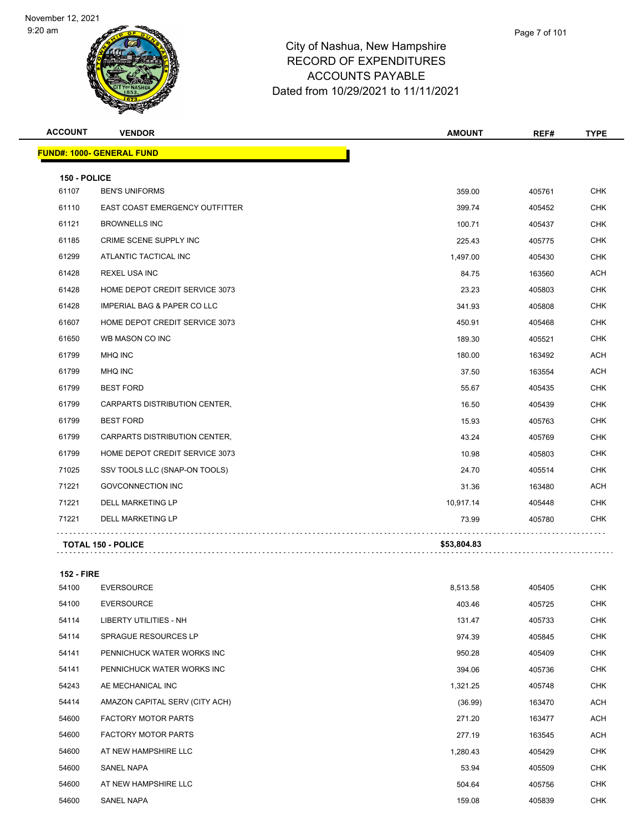

#### City of Nashua, New Hampshire RECORD OF EXPENDITURES ACCOUNTS PAYABLE Dated from 10/29/2021 to 11/11/2021

| <b>ACCOUNT</b> | <b>VENDOR</b>                          | <b>AMOUNT</b> | REF#   | <b>TYPE</b> |
|----------------|----------------------------------------|---------------|--------|-------------|
|                | <b>FUND#: 1000- GENERAL FUND</b>       |               |        |             |
| 150 - POLICE   |                                        |               |        |             |
| 61107          | <b>BEN'S UNIFORMS</b>                  | 359.00        | 405761 | <b>CHK</b>  |
| 61110          | <b>EAST COAST EMERGENCY OUTFITTER</b>  | 399.74        | 405452 | <b>CHK</b>  |
| 61121          | <b>BROWNELLS INC</b>                   | 100.71        | 405437 | <b>CHK</b>  |
| 61185          | CRIME SCENE SUPPLY INC                 | 225.43        | 405775 | <b>CHK</b>  |
| 61299          | ATLANTIC TACTICAL INC                  | 1,497.00      | 405430 | CHK         |
| 61428          | <b>REXEL USA INC</b>                   | 84.75         | 163560 | <b>ACH</b>  |
| 61428          | HOME DEPOT CREDIT SERVICE 3073         | 23.23         | 405803 | CHK         |
| 61428          | <b>IMPERIAL BAG &amp; PAPER CO LLC</b> | 341.93        | 405808 | <b>CHK</b>  |
| 61607          | HOME DEPOT CREDIT SERVICE 3073         | 450.91        | 405468 | <b>CHK</b>  |
| 61650          | WB MASON CO INC                        | 189.30        | 405521 | <b>CHK</b>  |
| 61799          | MHQ INC                                | 180.00        | 163492 | <b>ACH</b>  |
| 61799          | MHQ INC                                | 37.50         | 163554 | <b>ACH</b>  |
| 61799          | <b>BEST FORD</b>                       | 55.67         | 405435 | <b>CHK</b>  |
| 61799          | CARPARTS DISTRIBUTION CENTER,          | 16.50         | 405439 | <b>CHK</b>  |
| 61799          | <b>BEST FORD</b>                       | 15.93         | 405763 | <b>CHK</b>  |
| 61799          | CARPARTS DISTRIBUTION CENTER,          | 43.24         | 405769 | <b>CHK</b>  |
| 61799          | HOME DEPOT CREDIT SERVICE 3073         | 10.98         | 405803 | <b>CHK</b>  |
| 71025          | SSV TOOLS LLC (SNAP-ON TOOLS)          | 24.70         | 405514 | CHK         |
| 71221          | <b>GOVCONNECTION INC</b>               | 31.36         | 163480 | <b>ACH</b>  |
| 71221          | <b>DELL MARKETING LP</b>               | 10,917.14     | 405448 | <b>CHK</b>  |
| 71221          | <b>DELL MARKETING LP</b>               | 73.99         | 405780 | <b>CHK</b>  |
|                | <b>TOTAL 150 - POLICE</b>              | \$53,804.83   |        |             |

**152 - FIRE** EVERSOURCE 8,513.58 405405 CHK EVERSOURCE 403.46 405725 CHK LIBERTY UTILITIES - NH 131.47 405733 CHK SPRAGUE RESOURCES LP 974.39 405845 CHK PENNICHUCK WATER WORKS INC 950.28 405409 CHK PENNICHUCK WATER WORKS INC 394.06 405736 CHK AE MECHANICAL INC 1,321.25 405748 CHK AMAZON CAPITAL SERV (CITY ACH) (36.99) 163470 ACH 54600 FACTORY MOTOR PARTS 271.20 163477 ACH 54600 FACTORY MOTOR PARTS 277.19 163545 ACH AT NEW HAMPSHIRE LLC 1,280.43 405429 CHK SANEL NAPA 53.94 405509 CHK AT NEW HAMPSHIRE LLC 504.64 405756 CHK

SANEL NAPA 159.08 405839 CHK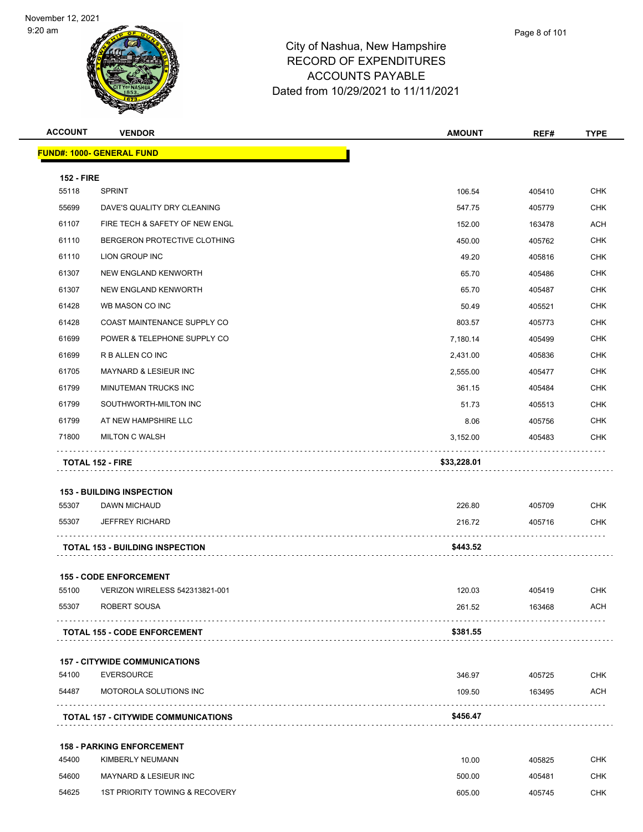

| <b>ACCOUNT</b>    | <b>VENDOR</b>                              | <b>AMOUNT</b> | REF#   | <b>TYPE</b> |
|-------------------|--------------------------------------------|---------------|--------|-------------|
|                   | <b>FUND#: 1000- GENERAL FUND</b>           |               |        |             |
| <b>152 - FIRE</b> |                                            |               |        |             |
| 55118             | <b>SPRINT</b>                              | 106.54        | 405410 | <b>CHK</b>  |
| 55699             | DAVE'S QUALITY DRY CLEANING                | 547.75        | 405779 | CHK         |
| 61107             | FIRE TECH & SAFETY OF NEW ENGL             | 152.00        | 163478 | <b>ACH</b>  |
| 61110             | BERGERON PROTECTIVE CLOTHING               | 450.00        | 405762 | <b>CHK</b>  |
| 61110             | LION GROUP INC                             | 49.20         | 405816 | CHK         |
| 61307             | NEW ENGLAND KENWORTH                       | 65.70         | 405486 | <b>CHK</b>  |
| 61307             | NEW ENGLAND KENWORTH                       | 65.70         | 405487 | CHK         |
| 61428             | WB MASON CO INC                            | 50.49         | 405521 | <b>CHK</b>  |
| 61428             | COAST MAINTENANCE SUPPLY CO                | 803.57        | 405773 | <b>CHK</b>  |
| 61699             | POWER & TELEPHONE SUPPLY CO                | 7,180.14      | 405499 | CHK         |
| 61699             | R B ALLEN CO INC                           | 2,431.00      | 405836 | <b>CHK</b>  |
| 61705             | <b>MAYNARD &amp; LESIEUR INC</b>           | 2,555.00      | 405477 | CHK         |
| 61799             | MINUTEMAN TRUCKS INC                       | 361.15        | 405484 | <b>CHK</b>  |
| 61799             | SOUTHWORTH-MILTON INC                      | 51.73         | 405513 | <b>CHK</b>  |
| 61799             | AT NEW HAMPSHIRE LLC                       | 8.06          | 405756 | CHK         |
| 71800             | <b>MILTON C WALSH</b>                      | 3,152.00      | 405483 | CHK         |
|                   | TOTAL 152 - FIRE                           | \$33,228.01   |        |             |
|                   |                                            |               |        |             |
|                   | <b>153 - BUILDING INSPECTION</b>           |               |        |             |
| 55307             | DAWN MICHAUD                               | 226.80        | 405709 | CHK         |
| 55307             | <b>JEFFREY RICHARD</b>                     | 216.72        | 405716 | CHK         |
|                   |                                            | \$443.52      |        |             |
|                   | <b>TOTAL 153 - BUILDING INSPECTION</b>     |               |        |             |
|                   | <b>155 - CODE ENFORCEMENT</b>              |               |        |             |
| 55100             | VERIZON WIRELESS 542313821-001             | 120.03        | 405419 | CHK         |
| 55307             | ROBERT SOUSA                               | 261.52        | 163468 | ACH         |
|                   |                                            |               |        |             |
|                   | <b>TOTAL 155 - CODE ENFORCEMENT</b>        | \$381.55      |        |             |
|                   | <b>157 - CITYWIDE COMMUNICATIONS</b>       |               |        |             |
| 54100             | <b>EVERSOURCE</b>                          | 346.97        | 405725 | <b>CHK</b>  |
| 54487             | MOTOROLA SOLUTIONS INC                     | 109.50        | 163495 | ACH         |
|                   |                                            |               |        |             |
|                   | <b>TOTAL 157 - CITYWIDE COMMUNICATIONS</b> | \$456.47      |        |             |
|                   | <b>158 - PARKING ENFORCEMENT</b>           |               |        |             |
| 45400             | KIMBERLY NEUMANN                           | 10.00         | 405825 | CHK         |
| 54600             | <b>MAYNARD &amp; LESIEUR INC</b>           | 500.00        | 405481 | CHK         |
| 54625             | 1ST PRIORITY TOWING & RECOVERY             | 605.00        | 405745 | CHK         |
|                   |                                            |               |        |             |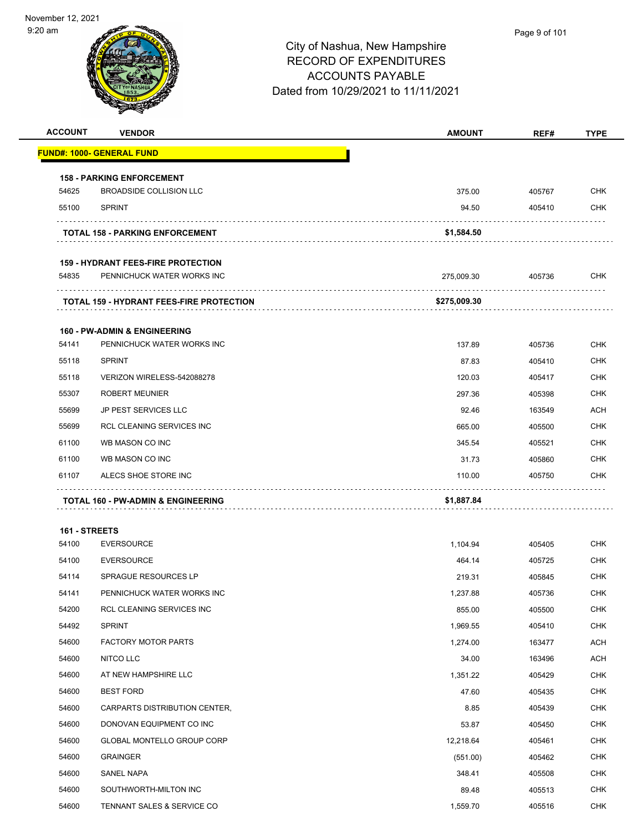

| <b>ACCOUNT</b> | <b>VENDOR</b>                                   | <b>AMOUNT</b> | REF#   | <b>TYPE</b> |
|----------------|-------------------------------------------------|---------------|--------|-------------|
|                | <b>FUND#: 1000- GENERAL FUND</b>                |               |        |             |
|                | <b>158 - PARKING ENFORCEMENT</b>                |               |        |             |
| 54625          | <b>BROADSIDE COLLISION LLC</b>                  | 375.00        | 405767 | <b>CHK</b>  |
| 55100          | <b>SPRINT</b>                                   | 94.50         | 405410 | <b>CHK</b>  |
|                | <b>TOTAL 158 - PARKING ENFORCEMENT</b>          | \$1,584.50    |        |             |
|                | <b>159 - HYDRANT FEES-FIRE PROTECTION</b>       |               |        |             |
| 54835          | PENNICHUCK WATER WORKS INC                      | 275,009.30    | 405736 | <b>CHK</b>  |
|                | <b>TOTAL 159 - HYDRANT FEES-FIRE PROTECTION</b> | \$275,009.30  |        |             |
|                | <b>160 - PW-ADMIN &amp; ENGINEERING</b>         |               |        |             |
| 54141          | PENNICHUCK WATER WORKS INC                      | 137.89        | 405736 | <b>CHK</b>  |
| 55118          | <b>SPRINT</b>                                   | 87.83         | 405410 | <b>CHK</b>  |
| 55118          | VERIZON WIRELESS-542088278                      | 120.03        | 405417 | <b>CHK</b>  |
| 55307          | <b>ROBERT MEUNIER</b>                           | 297.36        | 405398 | <b>CHK</b>  |
| 55699          | <b>JP PEST SERVICES LLC</b>                     | 92.46         | 163549 | <b>ACH</b>  |
| 55699          | <b>RCL CLEANING SERVICES INC</b>                | 665.00        | 405500 | <b>CHK</b>  |
| 61100          | WB MASON CO INC                                 | 345.54        | 405521 | <b>CHK</b>  |
| 61100          | WB MASON CO INC                                 | 31.73         | 405860 | <b>CHK</b>  |
| 61107          | ALECS SHOE STORE INC                            | 110.00        | 405750 | <b>CHK</b>  |
|                | TOTAL 160 - PW-ADMIN & ENGINEERING              | \$1,887.84    |        |             |
| 161 - STREETS  |                                                 |               |        |             |
| 54100          | <b>EVERSOURCE</b>                               | 1,104.94      | 405405 | <b>CHK</b>  |
| 54100          | <b>EVERSOURCE</b>                               | 464.14        | 405725 | <b>CHK</b>  |
| 54114          | <b>SPRAGUE RESOURCES LP</b>                     | 219.31        | 405845 | <b>CHK</b>  |
| 54141          | PENNICHUCK WATER WORKS INC                      | 1,237.88      | 405736 | <b>CHK</b>  |
| 54200          | RCL CLEANING SERVICES INC                       | 855.00        | 405500 | <b>CHK</b>  |
| 54492          | <b>SPRINT</b>                                   | 1,969.55      | 405410 | <b>CHK</b>  |
| 54600          | <b>FACTORY MOTOR PARTS</b>                      | 1,274.00      | 163477 | <b>ACH</b>  |
| 54600          | NITCO LLC                                       | 34.00         | 163496 | <b>ACH</b>  |
| 54600          | AT NEW HAMPSHIRE LLC                            | 1,351.22      | 405429 | <b>CHK</b>  |
| 54600          | <b>BEST FORD</b>                                | 47.60         | 405435 | <b>CHK</b>  |
| 54600          | CARPARTS DISTRIBUTION CENTER,                   | 8.85          | 405439 | <b>CHK</b>  |
| 54600          | DONOVAN EQUIPMENT CO INC                        | 53.87         | 405450 | <b>CHK</b>  |
| 54600          | GLOBAL MONTELLO GROUP CORP                      | 12,218.64     | 405461 | <b>CHK</b>  |
| 54600          | <b>GRAINGER</b>                                 | (551.00)      | 405462 | <b>CHK</b>  |
| 54600          | SANEL NAPA                                      | 348.41        | 405508 | <b>CHK</b>  |
| 54600          | SOUTHWORTH-MILTON INC                           | 89.48         | 405513 | <b>CHK</b>  |
| 54600          | TENNANT SALES & SERVICE CO                      | 1,559.70      | 405516 | <b>CHK</b>  |
|                |                                                 |               |        |             |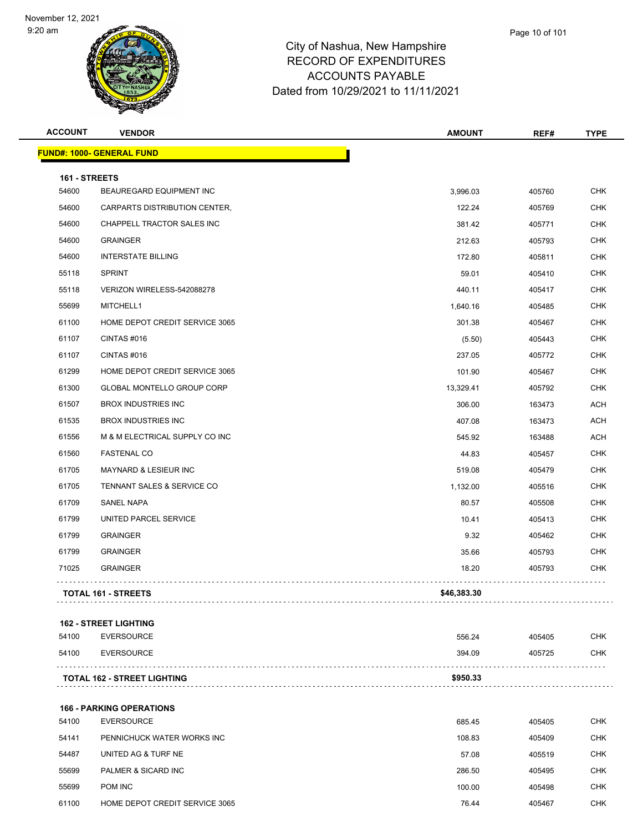

#### City of Nashua, New Hampshire RECORD OF EXPENDITURES ACCOUNTS PAYABLE Dated from 10/29/2021 to 11/11/2021

| Page 10 of 101 |
|----------------|
|                |

| <b>ACCOUNT</b> | <b>VENDOR</b>                    | <b>AMOUNT</b> | REF#   | <b>TYPE</b> |
|----------------|----------------------------------|---------------|--------|-------------|
|                | <b>FUND#: 1000- GENERAL FUND</b> |               |        |             |
| 161 - STREETS  |                                  |               |        |             |
| 54600          | BEAUREGARD EQUIPMENT INC         | 3,996.03      | 405760 | <b>CHK</b>  |
| 54600          | CARPARTS DISTRIBUTION CENTER,    | 122.24        | 405769 | <b>CHK</b>  |
| 54600          | CHAPPELL TRACTOR SALES INC       | 381.42        | 405771 | <b>CHK</b>  |
| 54600          | <b>GRAINGER</b>                  | 212.63        | 405793 | <b>CHK</b>  |
| 54600          | <b>INTERSTATE BILLING</b>        | 172.80        | 405811 | <b>CHK</b>  |
| 55118          | <b>SPRINT</b>                    | 59.01         | 405410 | <b>CHK</b>  |
| 55118          | VERIZON WIRELESS-542088278       | 440.11        | 405417 | <b>CHK</b>  |
| 55699          | MITCHELL1                        | 1,640.16      | 405485 | <b>CHK</b>  |
| 61100          | HOME DEPOT CREDIT SERVICE 3065   | 301.38        | 405467 | <b>CHK</b>  |
| 61107          | CINTAS#016                       | (5.50)        | 405443 | <b>CHK</b>  |
| 61107          | CINTAS #016                      | 237.05        | 405772 | <b>CHK</b>  |
| 61299          | HOME DEPOT CREDIT SERVICE 3065   | 101.90        | 405467 | <b>CHK</b>  |
| 61300          | GLOBAL MONTELLO GROUP CORP       | 13,329.41     | 405792 | <b>CHK</b>  |
| 61507          | <b>BROX INDUSTRIES INC</b>       | 306.00        | 163473 | <b>ACH</b>  |
| 61535          | <b>BROX INDUSTRIES INC</b>       | 407.08        | 163473 | <b>ACH</b>  |
| 61556          | M & M ELECTRICAL SUPPLY CO INC   | 545.92        | 163488 | <b>ACH</b>  |
| 61560          | <b>FASTENAL CO</b>               | 44.83         | 405457 | <b>CHK</b>  |
| 61705          | MAYNARD & LESIEUR INC            | 519.08        | 405479 | <b>CHK</b>  |
| 61705          | TENNANT SALES & SERVICE CO       | 1,132.00      | 405516 | <b>CHK</b>  |
| 61709          | <b>SANEL NAPA</b>                | 80.57         | 405508 | <b>CHK</b>  |
| 61799          | UNITED PARCEL SERVICE            | 10.41         | 405413 | <b>CHK</b>  |
| 61799          | <b>GRAINGER</b>                  | 9.32          | 405462 | <b>CHK</b>  |
| 61799          | <b>GRAINGER</b>                  | 35.66         | 405793 | <b>CHK</b>  |
| 71025          | <b>GRAINGER</b>                  | 18.20         | 405793 | <b>CHK</b>  |
|                | <b>TOTAL 161 - STREETS</b>       | \$46,383.30   |        |             |
|                |                                  |               |        |             |

| \$950.33<br><b>TOTAL 162 - STREET LIGHTING</b> |            |
|------------------------------------------------|------------|
| 54100<br>EVERSOURCE<br>394.09<br>405725        | <b>CHK</b> |
| 54100<br>EVERSOURCE<br>405405<br>556.24        | CHK.       |

## **166 - PARKING OPERATIONS** EVERSOURCE 685.45 405405 CHK PENNICHUCK WATER WORKS INC 108.83 405409 CHK UNITED AG & TURF NE 57.08 405519 CHK PALMER & SICARD INC 286.50 405495 CHK POM INC 100.00 405498 CHK 61100 HOME DEPOT CREDIT SERVICE 3065 **120 AU 2010 120 AU 2010 120 AU 2010 130 AU 2010** 10:44 405467 CHK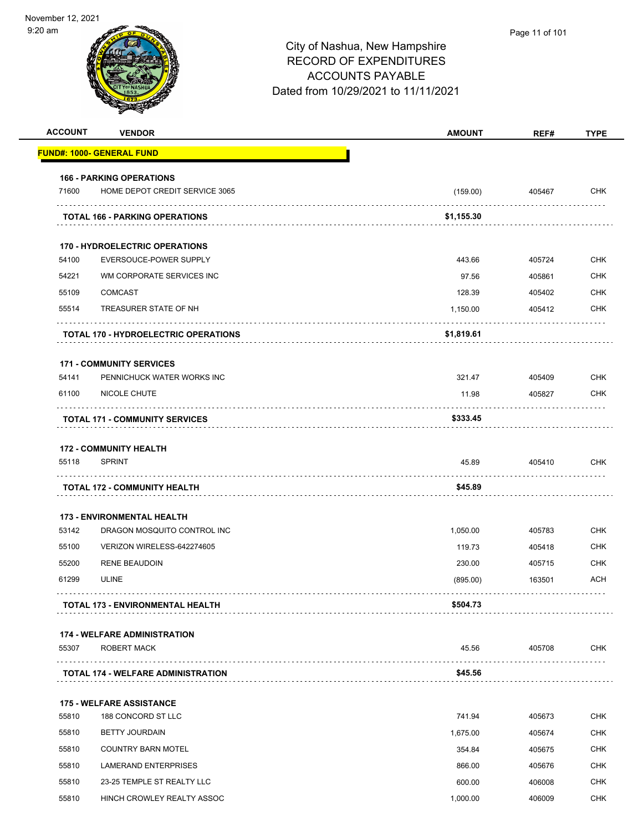| <b>ACCOUNT</b> | <b>VENDOR</b>                                         | <b>AMOUNT</b>      | REF#             | <b>TYPE</b>              |
|----------------|-------------------------------------------------------|--------------------|------------------|--------------------------|
|                | <u> FUND#: 1000- GENERAL FUND</u>                     |                    |                  |                          |
|                | <b>166 - PARKING OPERATIONS</b>                       |                    |                  |                          |
| 71600          | HOME DEPOT CREDIT SERVICE 3065                        | (159.00)           | 405467           | <b>CHK</b>               |
|                | <b>TOTAL 166 - PARKING OPERATIONS</b>                 | \$1,155.30         |                  |                          |
|                |                                                       |                    |                  |                          |
|                | <b>170 - HYDROELECTRIC OPERATIONS</b>                 |                    |                  |                          |
| 54100<br>54221 | EVERSOUCE-POWER SUPPLY                                | 443.66             | 405724           | <b>CHK</b><br><b>CHK</b> |
| 55109          | WM CORPORATE SERVICES INC<br><b>COMCAST</b>           | 97.56              | 405861           | <b>CHK</b>               |
| 55514          | TREASURER STATE OF NH                                 | 128.39<br>1,150.00 | 405402<br>405412 | <b>CHK</b>               |
|                |                                                       |                    |                  |                          |
|                | <b>TOTAL 170 - HYDROELECTRIC OPERATIONS</b>           | \$1,819.61         |                  |                          |
|                | <b>171 - COMMUNITY SERVICES</b>                       |                    |                  |                          |
| 54141          | PENNICHUCK WATER WORKS INC                            | 321.47             | 405409           | <b>CHK</b>               |
| 61100          | NICOLE CHUTE                                          | 11.98              | 405827           | <b>CHK</b>               |
|                | <b>TOTAL 171 - COMMUNITY SERVICES</b>                 | \$333.45           |                  |                          |
|                | <b>172 - COMMUNITY HEALTH</b>                         |                    |                  |                          |
| 55118          | <b>SPRINT</b>                                         | 45.89              | 405410           | <b>CHK</b>               |
|                | <b>TOTAL 172 - COMMUNITY HEALTH</b>                   | \$45.89            |                  |                          |
|                | <b>173 - ENVIRONMENTAL HEALTH</b>                     |                    |                  |                          |
| 53142          | DRAGON MOSQUITO CONTROL INC                           | 1,050.00           | 405783           | <b>CHK</b>               |
| 55100          | VERIZON WIRELESS-642274605                            | 119.73             | 405418           | <b>CHK</b>               |
| 55200          | <b>RENE BEAUDOIN</b>                                  | 230.00             | 405715           | <b>CHK</b>               |
| 61299          | <b>ULINE</b>                                          | (895.00)           | 163501           | <b>ACH</b>               |
|                | <b>TOTAL 173 - ENVIRONMENTAL HEALTH</b>               | \$504.73           |                  |                          |
|                | <b>174 - WELFARE ADMINISTRATION</b>                   |                    |                  |                          |
| 55307          | <b>ROBERT MACK</b>                                    | 45.56              | 405708           | <b>CHK</b>               |
|                | <b>TOTAL 174 - WELFARE ADMINISTRATION</b>             | \$45.56            |                  |                          |
|                |                                                       |                    |                  |                          |
| 55810          | <b>175 - WELFARE ASSISTANCE</b><br>188 CONCORD ST LLC | 741.94             | 405673           | <b>CHK</b>               |
| 55810          | <b>BETTY JOURDAIN</b>                                 | 1,675.00           | 405674           | <b>CHK</b>               |
| 55810          | <b>COUNTRY BARN MOTEL</b>                             | 354.84             | 405675           | <b>CHK</b>               |
| 55810          | LAMERAND ENTERPRISES                                  | 866.00             | 405676           | <b>CHK</b>               |
| 55810          | 23-25 TEMPLE ST REALTY LLC                            | 600.00             | 406008           | <b>CHK</b>               |
| 55810          | HINCH CROWLEY REALTY ASSOC                            | 1,000.00           | 406009           | <b>CHK</b>               |
|                |                                                       |                    |                  |                          |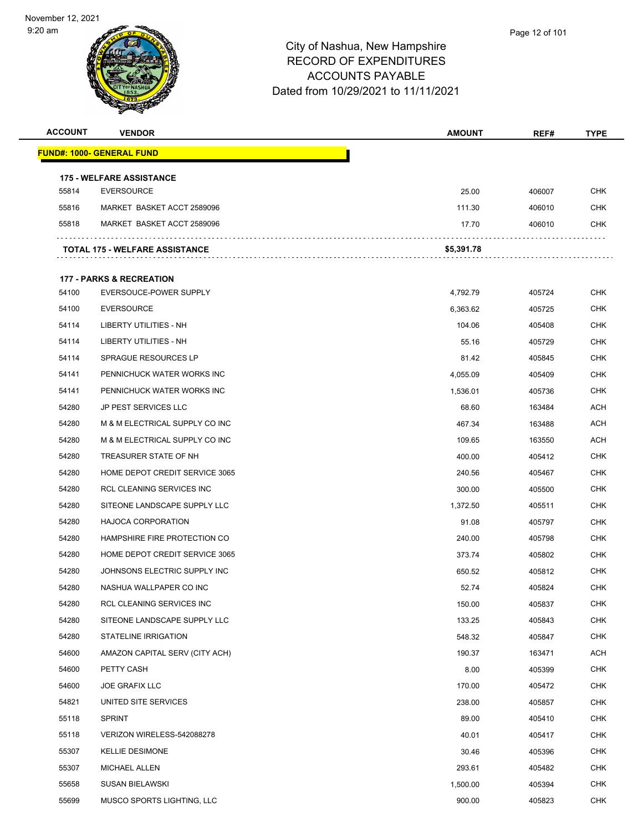

| <b>ACCOUNT</b> | <b>VENDOR</b>                                                 | <b>AMOUNT</b> | REF#   | <b>TYPE</b> |
|----------------|---------------------------------------------------------------|---------------|--------|-------------|
|                | <u> FUND#: 1000- GENERAL FUND</u>                             |               |        |             |
|                |                                                               |               |        |             |
| 55814          | <b>175 - WELFARE ASSISTANCE</b><br><b>EVERSOURCE</b>          | 25.00         | 406007 | <b>CHK</b>  |
| 55816          | MARKET BASKET ACCT 2589096                                    | 111.30        | 406010 | <b>CHK</b>  |
| 55818          | MARKET BASKET ACCT 2589096                                    | 17.70         | 406010 | <b>CHK</b>  |
|                |                                                               |               |        |             |
|                | <b>TOTAL 175 - WELFARE ASSISTANCE</b>                         | \$5,391.78    |        |             |
|                |                                                               |               |        |             |
| 54100          | <b>177 - PARKS &amp; RECREATION</b><br>EVERSOUCE-POWER SUPPLY | 4,792.79      | 405724 | CHK         |
| 54100          | <b>EVERSOURCE</b>                                             | 6,363.62      | 405725 | CHK         |
| 54114          | LIBERTY UTILITIES - NH                                        | 104.06        | 405408 | CHK         |
| 54114          | LIBERTY UTILITIES - NH                                        | 55.16         | 405729 | <b>CHK</b>  |
| 54114          | <b>SPRAGUE RESOURCES LP</b>                                   | 81.42         | 405845 | <b>CHK</b>  |
| 54141          | PENNICHUCK WATER WORKS INC                                    | 4,055.09      | 405409 | CHK         |
| 54141          | PENNICHUCK WATER WORKS INC                                    | 1,536.01      | 405736 | CHK         |
| 54280          | <b>JP PEST SERVICES LLC</b>                                   | 68.60         | 163484 | ACH         |
| 54280          | M & M ELECTRICAL SUPPLY CO INC                                | 467.34        | 163488 | ACH         |
| 54280          | M & M ELECTRICAL SUPPLY CO INC                                | 109.65        | 163550 | <b>ACH</b>  |
| 54280          | TREASURER STATE OF NH                                         | 400.00        | 405412 | CHK         |
| 54280          | HOME DEPOT CREDIT SERVICE 3065                                | 240.56        | 405467 | CHK         |
| 54280          | RCL CLEANING SERVICES INC                                     | 300.00        | 405500 | CHK         |
| 54280          | SITEONE LANDSCAPE SUPPLY LLC                                  | 1,372.50      | 405511 | <b>CHK</b>  |
| 54280          | <b>HAJOCA CORPORATION</b>                                     | 91.08         | 405797 | <b>CHK</b>  |
| 54280          | HAMPSHIRE FIRE PROTECTION CO                                  | 240.00        | 405798 | CHK         |
| 54280          | HOME DEPOT CREDIT SERVICE 3065                                | 373.74        | 405802 | CHK         |
| 54280          | JOHNSONS ELECTRIC SUPPLY INC                                  | 650.52        | 405812 | CHK         |
| 54280          | NASHUA WALLPAPER CO INC                                       | 52.74         | 405824 | <b>CHK</b>  |
| 54280          | RCL CLEANING SERVICES INC                                     | 150.00        | 405837 | <b>CHK</b>  |
| 54280          | SITEONE LANDSCAPE SUPPLY LLC                                  | 133.25        | 405843 | <b>CHK</b>  |
| 54280          | <b>STATELINE IRRIGATION</b>                                   | 548.32        | 405847 | <b>CHK</b>  |
| 54600          | AMAZON CAPITAL SERV (CITY ACH)                                | 190.37        | 163471 | <b>ACH</b>  |
| 54600          | PETTY CASH                                                    | 8.00          | 405399 | <b>CHK</b>  |
| 54600          | <b>JOE GRAFIX LLC</b>                                         | 170.00        | 405472 | <b>CHK</b>  |
| 54821          | UNITED SITE SERVICES                                          | 238.00        | 405857 | <b>CHK</b>  |
| 55118          | <b>SPRINT</b>                                                 | 89.00         | 405410 | <b>CHK</b>  |
| 55118          | VERIZON WIRELESS-542088278                                    | 40.01         | 405417 | <b>CHK</b>  |
| 55307          | <b>KELLIE DESIMONE</b>                                        | 30.46         | 405396 | <b>CHK</b>  |
| 55307          | MICHAEL ALLEN                                                 | 293.61        | 405482 | <b>CHK</b>  |
| 55658          | <b>SUSAN BIELAWSKI</b>                                        | 1,500.00      | 405394 | <b>CHK</b>  |
| 55699          | MUSCO SPORTS LIGHTING, LLC                                    | 900.00        | 405823 | <b>CHK</b>  |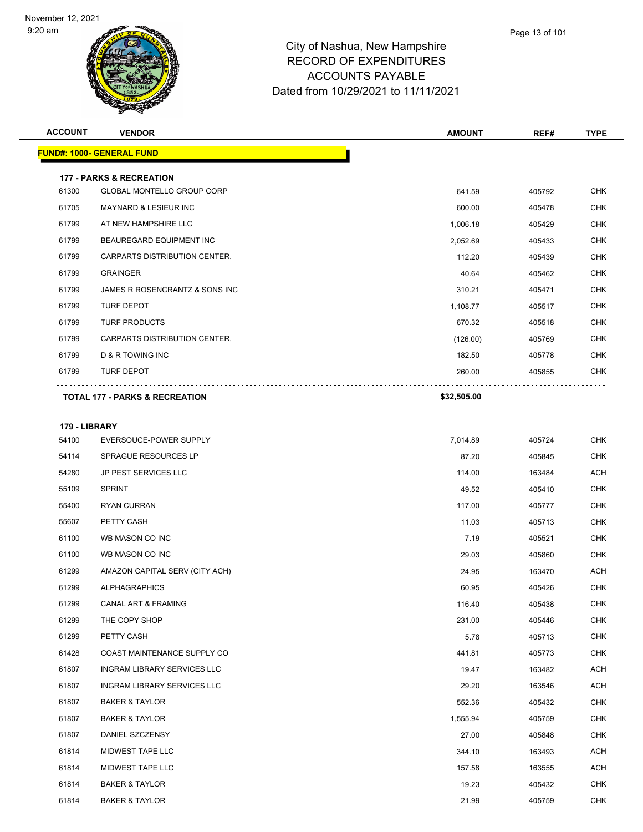

| <b>ACCOUNT</b> | <b>VENDOR</b>                             | <b>AMOUNT</b> | REF#   | <b>TYPE</b> |
|----------------|-------------------------------------------|---------------|--------|-------------|
|                | <b>FUND#: 1000- GENERAL FUND</b>          |               |        |             |
|                | <b>177 - PARKS &amp; RECREATION</b>       |               |        |             |
| 61300          | GLOBAL MONTELLO GROUP CORP                | 641.59        | 405792 | <b>CHK</b>  |
| 61705          | MAYNARD & LESIEUR INC                     | 600.00        | 405478 | <b>CHK</b>  |
| 61799          | AT NEW HAMPSHIRE LLC                      | 1,006.18      | 405429 | <b>CHK</b>  |
| 61799          | <b>BEAUREGARD EQUIPMENT INC</b>           | 2,052.69      | 405433 | <b>CHK</b>  |
| 61799          | CARPARTS DISTRIBUTION CENTER,             | 112.20        | 405439 | <b>CHK</b>  |
| 61799          | <b>GRAINGER</b>                           | 40.64         | 405462 | <b>CHK</b>  |
| 61799          | JAMES R ROSENCRANTZ & SONS INC            | 310.21        | 405471 | <b>CHK</b>  |
| 61799          | <b>TURF DEPOT</b>                         | 1,108.77      | 405517 | <b>CHK</b>  |
| 61799          | <b>TURF PRODUCTS</b>                      | 670.32        | 405518 | <b>CHK</b>  |
| 61799          | CARPARTS DISTRIBUTION CENTER,             | (126.00)      | 405769 | <b>CHK</b>  |
| 61799          | D & R TOWING INC                          | 182.50        | 405778 | <b>CHK</b>  |
| 61799          | <b>TURF DEPOT</b>                         | 260.00        | 405855 | <b>CHK</b>  |
|                | <b>TOTAL 177 - PARKS &amp; RECREATION</b> | \$32,505.00   |        |             |
| 179 - LIBRARY  |                                           |               |        |             |
| 54100          | EVERSOUCE-POWER SUPPLY                    | 7,014.89      | 405724 | <b>CHK</b>  |
| 54114          | SPRAGUE RESOURCES LP                      | 87.20         | 405845 | <b>CHK</b>  |
| 54280          | JP PEST SERVICES LLC                      | 114.00        | 163484 | <b>ACH</b>  |
| 55109          | <b>SPRINT</b>                             | 49.52         | 405410 | <b>CHK</b>  |
| 55400          | <b>RYAN CURRAN</b>                        | 117.00        | 405777 | <b>CHK</b>  |
| 55607          | PETTY CASH                                | 11.03         | 405713 | <b>CHK</b>  |
| 61100          | WB MASON CO INC                           | 7.19          | 405521 | <b>CHK</b>  |
| 61100          | WR MASON CO INC.                          | 29 U.S        | 405860 | CHK.        |

| 55109 | <b>SPRINT</b>                      | 49.52    | 405410 | <b>CHK</b> |
|-------|------------------------------------|----------|--------|------------|
| 55400 | <b>RYAN CURRAN</b>                 | 117.00   | 405777 | <b>CHK</b> |
| 55607 | PETTY CASH                         | 11.03    | 405713 | <b>CHK</b> |
| 61100 | WB MASON CO INC                    | 7.19     | 405521 | <b>CHK</b> |
| 61100 | WB MASON CO INC                    | 29.03    | 405860 | <b>CHK</b> |
| 61299 | AMAZON CAPITAL SERV (CITY ACH)     | 24.95    | 163470 | <b>ACH</b> |
| 61299 | <b>ALPHAGRAPHICS</b>               | 60.95    | 405426 | <b>CHK</b> |
| 61299 | <b>CANAL ART &amp; FRAMING</b>     | 116.40   | 405438 | <b>CHK</b> |
| 61299 | THE COPY SHOP                      | 231.00   | 405446 | <b>CHK</b> |
| 61299 | PETTY CASH                         | 5.78     | 405713 | <b>CHK</b> |
| 61428 | COAST MAINTENANCE SUPPLY CO        | 441.81   | 405773 | <b>CHK</b> |
| 61807 | <b>INGRAM LIBRARY SERVICES LLC</b> | 19.47    | 163482 | <b>ACH</b> |
| 61807 | <b>INGRAM LIBRARY SERVICES LLC</b> | 29.20    | 163546 | <b>ACH</b> |
| 61807 | <b>BAKER &amp; TAYLOR</b>          | 552.36   | 405432 | <b>CHK</b> |
| 61807 | <b>BAKER &amp; TAYLOR</b>          | 1,555.94 | 405759 | <b>CHK</b> |
| 61807 | DANIEL SZCZENSY                    | 27.00    | 405848 | <b>CHK</b> |
| 61814 | <b>MIDWEST TAPE LLC</b>            | 344.10   | 163493 | <b>ACH</b> |
| 61814 | <b>MIDWEST TAPE LLC</b>            | 157.58   | 163555 | <b>ACH</b> |
| 61814 | <b>BAKER &amp; TAYLOR</b>          | 19.23    | 405432 | <b>CHK</b> |
| 61814 | <b>BAKER &amp; TAYLOR</b>          | 21.99    | 405759 | <b>CHK</b> |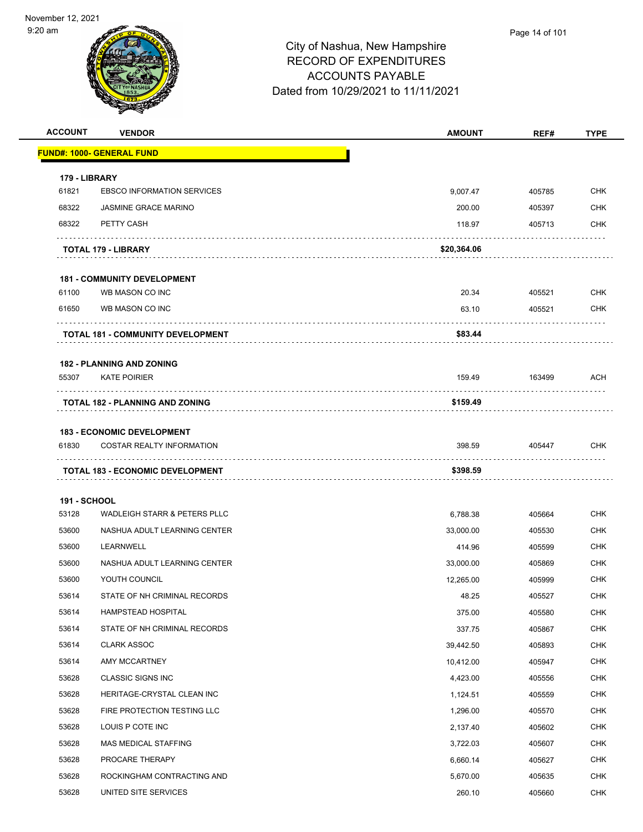

| <b>ACCOUNT</b>         | <b>VENDOR</b>                            | <b>AMOUNT</b> | REF#   | <b>TYPE</b> |
|------------------------|------------------------------------------|---------------|--------|-------------|
|                        | <b>FUND#: 1000- GENERAL FUND</b>         |               |        |             |
|                        |                                          |               |        |             |
| 179 - LIBRARY<br>61821 | <b>EBSCO INFORMATION SERVICES</b>        | 9,007.47      | 405785 | <b>CHK</b>  |
| 68322                  | <b>JASMINE GRACE MARINO</b>              | 200.00        | 405397 | <b>CHK</b>  |
| 68322                  | PETTY CASH                               | 118.97        | 405713 | <b>CHK</b>  |
|                        |                                          |               |        |             |
|                        | TOTAL 179 - LIBRARY                      | \$20,364.06   |        |             |
|                        | <b>181 - COMMUNITY DEVELOPMENT</b>       |               |        |             |
| 61100                  | WB MASON CO INC                          | 20.34         | 405521 | <b>CHK</b>  |
| 61650                  | WB MASON CO INC                          | 63.10         | 405521 | <b>CHK</b>  |
|                        |                                          |               |        |             |
|                        | <b>TOTAL 181 - COMMUNITY DEVELOPMENT</b> | \$83.44       |        |             |
|                        | <b>182 - PLANNING AND ZONING</b>         |               |        |             |
| 55307                  | <b>KATE POIRIER</b>                      | 159.49        | 163499 | <b>ACH</b>  |
|                        |                                          |               |        |             |
|                        | <b>TOTAL 182 - PLANNING AND ZONING</b>   | \$159.49      |        |             |
|                        | <b>183 - ECONOMIC DEVELOPMENT</b>        |               |        |             |
| 61830                  | <b>COSTAR REALTY INFORMATION</b>         | 398.59        | 405447 | <b>CHK</b>  |
|                        | <b>TOTAL 183 - ECONOMIC DEVELOPMENT</b>  | \$398.59      |        |             |
|                        |                                          |               |        |             |
| <b>191 - SCHOOL</b>    |                                          |               |        |             |
| 53128                  | WADLEIGH STARR & PETERS PLLC             | 6,788.38      | 405664 | <b>CHK</b>  |
| 53600                  | NASHUA ADULT LEARNING CENTER             | 33,000.00     | 405530 | <b>CHK</b>  |
| 53600                  | LEARNWELL                                | 414.96        | 405599 | <b>CHK</b>  |
| 53600                  | NASHUA ADULT LEARNING CENTER             | 33,000.00     | 405869 | <b>CHK</b>  |
| 53600                  | YOUTH COUNCIL                            | 12,265.00     | 405999 | <b>CHK</b>  |
| 53614                  | STATE OF NH CRIMINAL RECORDS             | 48.25         | 405527 | <b>CHK</b>  |
| 53614                  | HAMPSTEAD HOSPITAL                       | 375.00        | 405580 | <b>CHK</b>  |
| 53614                  | STATE OF NH CRIMINAL RECORDS             | 337.75        | 405867 | <b>CHK</b>  |
| 53614                  | <b>CLARK ASSOC</b>                       | 39,442.50     | 405893 | <b>CHK</b>  |
| 53614                  | AMY MCCARTNEY                            | 10,412.00     | 405947 | <b>CHK</b>  |
| 53628                  | <b>CLASSIC SIGNS INC</b>                 | 4,423.00      | 405556 | <b>CHK</b>  |
| 53628                  | HERITAGE-CRYSTAL CLEAN INC               | 1,124.51      | 405559 | <b>CHK</b>  |
| 53628                  | FIRE PROTECTION TESTING LLC              | 1,296.00      | 405570 | <b>CHK</b>  |
| 53628                  | LOUIS P COTE INC                         | 2,137.40      | 405602 | <b>CHK</b>  |
| 53628                  | MAS MEDICAL STAFFING                     | 3,722.03      | 405607 | <b>CHK</b>  |
| 53628                  | PROCARE THERAPY                          | 6,660.14      | 405627 | <b>CHK</b>  |
| 53628                  | ROCKINGHAM CONTRACTING AND               | 5,670.00      | 405635 | <b>CHK</b>  |
| 53628                  | UNITED SITE SERVICES                     | 260.10        | 405660 | <b>CHK</b>  |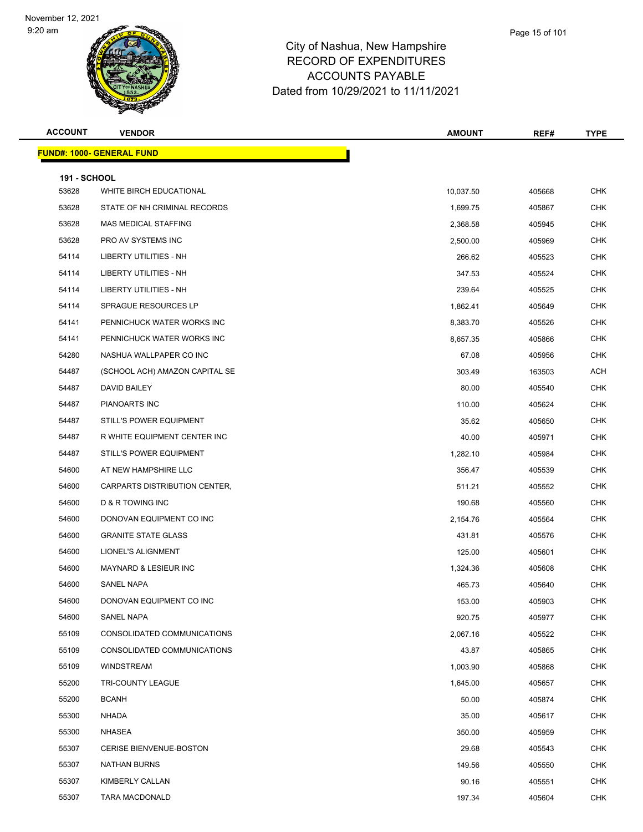

#### City of Nashua, New Hampshire RECORD OF EXPENDITURES ACCOUNTS PAYABLE Dated from 10/29/2021 to 11/11/2021

**ACCOUNT VENDOR AMOUNT REF# TYPE FUND#: 1000- GENERAL FUND 191 - SCHOOL** WHITE BIRCH EDUCATIONAL 10,037.50 405668 CHK STATE OF NH CRIMINAL RECORDS 1,699.75 405867 CHK MAS MEDICAL STAFFING 2,368.58 405945 CHK PRO AV SYSTEMS INC 2,500.00 405969 CHK LIBERTY UTILITIES - NH 266.62 405523 CHK 54114 LIBERTY UTILITIES - NH 347.53 405524 CHK LIBERTY UTILITIES - NH 239.64 405525 CHK SPRAGUE RESOURCES LP 1,862.41 405649 CHK PENNICHUCK WATER WORKS INC 8,383.70 405526 CHK 54141 PENNICHUCK WATER WORKS INC CHANNEL SEE AND RESERVE THE RESERVE OF BUILDING AND RESERVE THE SEE AND RESERVE THE NASHUA WALLPAPER CO INC 67.08 405956 CHK 54487 (SCHOOL ACH) AMAZON CAPITAL SE 303.49 303.49 163503 ACH DAVID BAILEY 80.00 405540 CHK PIANOARTS INC 110.00 405624 CHK STILL'S POWER EQUIPMENT 35.62 405650 CHK R WHITE EQUIPMENT CENTER INC 40.00 405971 CHK 54487 STILL'S POWER EQUIPMENT STRANGER AND THE STRANGER OF THE STRANGER OF THE STRANGER OF THE STRANGER OF THE AT NEW HAMPSHIRE LLC 356.47 405539 CHK CARPARTS DISTRIBUTION CENTER, 511.21 405552 CHK D & R TOWING INC 190.68 405560 CHK DONOVAN EQUIPMENT CO INC 2,154.76 405564 CHK GRANITE STATE GLASS 431.81 405576 CHK LIONEL'S ALIGNMENT 125.00 405601 CHK MAYNARD & LESIEUR INC 1,324.36 405608 CHK SANEL NAPA 465.73 405640 CHK DONOVAN EQUIPMENT CO INC 153.00 405903 CHK SANEL NAPA 920.75 405977 CHK CONSOLIDATED COMMUNICATIONS 2,067.16 405522 CHK CONSOLIDATED COMMUNICATIONS 43.87 405865 CHK WINDSTREAM 1,003.90 405868 CHK TRI-COUNTY LEAGUE 1,645.00 405657 CHK BCANH 50.00 405874 CHK NHADA 35.00 405617 CHK NHASEA 350.00 405959 CHK CERISE BIENVENUE-BOSTON 29.68 405543 CHK NATHAN BURNS 149.56 405550 CHK KIMBERLY CALLAN 90.16 405551 CHK TARA MACDONALD 197.34 405604 CHK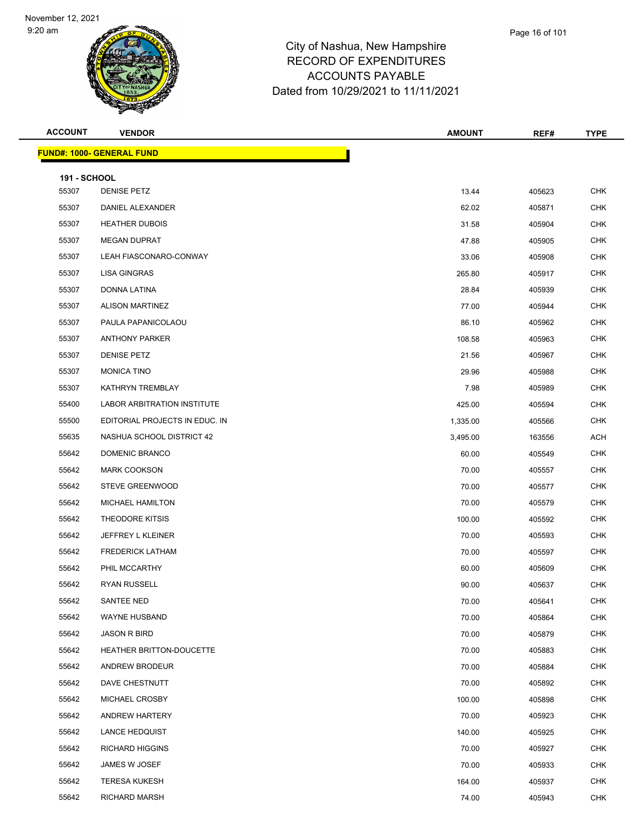

|         | Page 16 of 101 |
|---------|----------------|
| nire.   |                |
| $ \sim$ |                |

| <b>ACCOUNT</b>               | <b>VENDOR</b>                      | <b>AMOUNT</b> | REF#   | <b>TYPE</b> |
|------------------------------|------------------------------------|---------------|--------|-------------|
|                              | <b>FUND#: 1000- GENERAL FUND</b>   |               |        |             |
|                              |                                    |               |        |             |
| <b>191 - SCHOOL</b><br>55307 | <b>DENISE PETZ</b>                 | 13.44         | 405623 | <b>CHK</b>  |
| 55307                        | DANIEL ALEXANDER                   | 62.02         | 405871 | <b>CHK</b>  |
| 55307                        | <b>HEATHER DUBOIS</b>              | 31.58         | 405904 | <b>CHK</b>  |
| 55307                        | <b>MEGAN DUPRAT</b>                | 47.88         | 405905 | <b>CHK</b>  |
| 55307                        | LEAH FIASCONARO-CONWAY             | 33.06         | 405908 | <b>CHK</b>  |
| 55307                        | LISA GINGRAS                       | 265.80        | 405917 | <b>CHK</b>  |
| 55307                        | DONNA LATINA                       | 28.84         | 405939 | <b>CHK</b>  |
| 55307                        | <b>ALISON MARTINEZ</b>             | 77.00         | 405944 | <b>CHK</b>  |
| 55307                        | PAULA PAPANICOLAOU                 | 86.10         | 405962 | <b>CHK</b>  |
| 55307                        | <b>ANTHONY PARKER</b>              | 108.58        | 405963 | <b>CHK</b>  |
| 55307                        | <b>DENISE PETZ</b>                 | 21.56         | 405967 | <b>CHK</b>  |
| 55307                        | <b>MONICA TINO</b>                 | 29.96         | 405988 | <b>CHK</b>  |
| 55307                        | KATHRYN TREMBLAY                   | 7.98          | 405989 | <b>CHK</b>  |
| 55400                        | <b>LABOR ARBITRATION INSTITUTE</b> | 425.00        | 405594 | <b>CHK</b>  |
| 55500                        | EDITORIAL PROJECTS IN EDUC. IN     | 1,335.00      | 405566 | <b>CHK</b>  |
| 55635                        | NASHUA SCHOOL DISTRICT 42          | 3,495.00      | 163556 | ACH         |
| 55642                        | DOMENIC BRANCO                     | 60.00         | 405549 | <b>CHK</b>  |
| 55642                        | <b>MARK COOKSON</b>                | 70.00         | 405557 | <b>CHK</b>  |
| 55642                        | <b>STEVE GREENWOOD</b>             | 70.00         | 405577 | <b>CHK</b>  |
| 55642                        | <b>MICHAEL HAMILTON</b>            | 70.00         | 405579 | <b>CHK</b>  |
| 55642                        | THEODORE KITSIS                    | 100.00        | 405592 | CHK         |
| 55642                        | JEFFREY L KLEINER                  | 70.00         | 405593 | <b>CHK</b>  |
| 55642                        | <b>FREDERICK LATHAM</b>            | 70.00         | 405597 | <b>CHK</b>  |
| 55642                        | PHIL MCCARTHY                      | 60.00         | 405609 | <b>CHK</b>  |
| 55642                        | <b>RYAN RUSSELL</b>                | 90.00         | 405637 | <b>CHK</b>  |
| 55642                        | SANTEE NED                         | 70.00         | 405641 | <b>CHK</b>  |
| 55642                        | WAYNE HUSBAND                      | 70.00         | 405864 | <b>CHK</b>  |
| 55642                        | <b>JASON R BIRD</b>                | 70.00         | 405879 | <b>CHK</b>  |
| 55642                        | HEATHER BRITTON-DOUCETTE           | 70.00         | 405883 | <b>CHK</b>  |
| 55642                        | ANDREW BRODEUR                     | 70.00         | 405884 | <b>CHK</b>  |
| 55642                        | DAVE CHESTNUTT                     | 70.00         | 405892 | <b>CHK</b>  |
| 55642                        | MICHAEL CROSBY                     | 100.00        | 405898 | <b>CHK</b>  |
| 55642                        | ANDREW HARTERY                     | 70.00         | 405923 | <b>CHK</b>  |
| 55642                        | <b>LANCE HEDQUIST</b>              | 140.00        | 405925 | <b>CHK</b>  |
| 55642                        | <b>RICHARD HIGGINS</b>             | 70.00         | 405927 | <b>CHK</b>  |
| 55642                        | JAMES W JOSEF                      | 70.00         | 405933 | <b>CHK</b>  |
| 55642                        | <b>TERESA KUKESH</b>               | 164.00        | 405937 | <b>CHK</b>  |
| 55642                        | <b>RICHARD MARSH</b>               | 74.00         | 405943 | <b>CHK</b>  |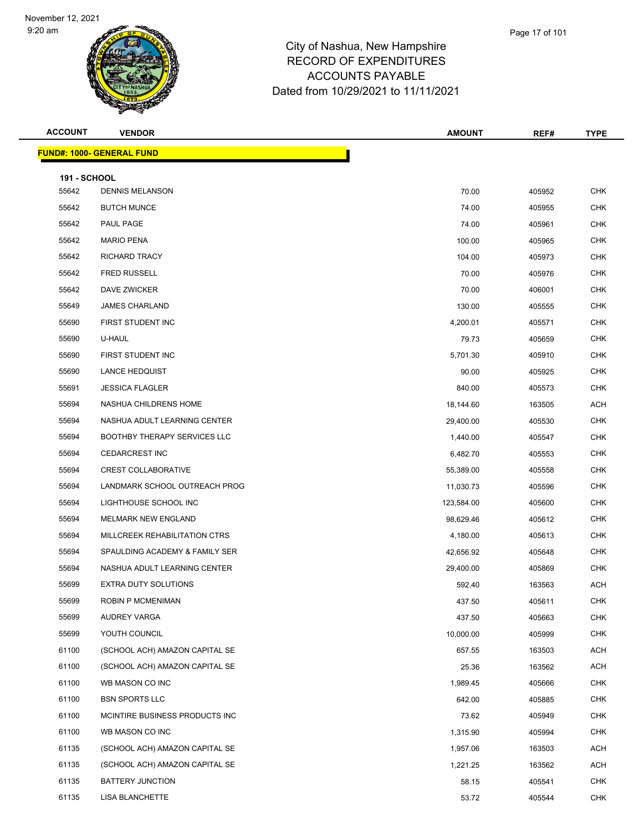

|   | Page 17 of 101 |  |
|---|----------------|--|
| e |                |  |
|   |                |  |

| <b>ACCOUNT</b>               | <b>VENDOR</b>                       | <b>AMOUNT</b> | REF#   | <b>TYPE</b> |
|------------------------------|-------------------------------------|---------------|--------|-------------|
|                              | <b>FUND#: 1000- GENERAL FUND</b>    |               |        |             |
|                              |                                     |               |        |             |
| <b>191 - SCHOOL</b><br>55642 | <b>DENNIS MELANSON</b>              | 70.00         | 405952 | <b>CHK</b>  |
| 55642                        | <b>BUTCH MUNCE</b>                  | 74.00         | 405955 | CHK         |
| 55642                        | PAUL PAGE                           | 74.00         | 405961 | <b>CHK</b>  |
| 55642                        | <b>MARIO PENA</b>                   | 100.00        | 405965 | <b>CHK</b>  |
| 55642                        | RICHARD TRACY                       | 104.00        | 405973 | <b>CHK</b>  |
| 55642                        | <b>FRED RUSSELL</b>                 | 70.00         | 405976 | <b>CHK</b>  |
| 55642                        | DAVE ZWICKER                        | 70.00         | 406001 | CHK         |
| 55649                        | <b>JAMES CHARLAND</b>               | 130.00        | 405555 | <b>CHK</b>  |
| 55690                        | FIRST STUDENT INC                   | 4,200.01      | 405571 | <b>CHK</b>  |
| 55690                        | U-HAUL                              | 79.73         | 405659 | <b>CHK</b>  |
| 55690                        | FIRST STUDENT INC                   | 5,701.30      | 405910 | <b>CHK</b>  |
| 55690                        | <b>LANCE HEDQUIST</b>               | 90.00         | 405925 | CHK         |
| 55691                        | <b>JESSICA FLAGLER</b>              | 840.00        | 405573 | <b>CHK</b>  |
| 55694                        | NASHUA CHILDRENS HOME               | 18,144.60     | 163505 | <b>ACH</b>  |
| 55694                        | NASHUA ADULT LEARNING CENTER        | 29,400.00     | 405530 | <b>CHK</b>  |
| 55694                        | <b>BOOTHBY THERAPY SERVICES LLC</b> | 1,440.00      | 405547 | <b>CHK</b>  |
| 55694                        | <b>CEDARCREST INC</b>               | 6,482.70      | 405553 | CHK         |
| 55694                        | <b>CREST COLLABORATIVE</b>          | 55,389.00     | 405558 | <b>CHK</b>  |
| 55694                        | LANDMARK SCHOOL OUTREACH PROG       | 11,030.73     | 405596 | <b>CHK</b>  |
| 55694                        | LIGHTHOUSE SCHOOL INC               | 123,584.00    | 405600 | <b>CHK</b>  |
| 55694                        | <b>MELMARK NEW ENGLAND</b>          | 98,629.46     | 405612 | <b>CHK</b>  |
| 55694                        | MILLCREEK REHABILITATION CTRS       | 4,180.00      | 405613 | CHK         |
| 55694                        | SPAULDING ACADEMY & FAMILY SER      | 42,656.92     | 405648 | <b>CHK</b>  |
| 55694                        | NASHUA ADULT LEARNING CENTER        | 29,400.00     | 405869 | <b>CHK</b>  |
| 55699                        | EXTRA DUTY SOLUTIONS                | 592.40        | 163563 | ACH         |
| 55699                        | ROBIN P MCMENIMAN                   | 437.50        | 405611 | <b>CHK</b>  |
| 55699                        | AUDREY VARGA                        | 437.50        | 405663 | <b>CHK</b>  |
| 55699                        | YOUTH COUNCIL                       | 10,000.00     | 405999 | <b>CHK</b>  |
| 61100                        | (SCHOOL ACH) AMAZON CAPITAL SE      | 657.55        | 163503 | ACH         |
| 61100                        | (SCHOOL ACH) AMAZON CAPITAL SE      | 25.36         | 163562 | ACH         |
| 61100                        | WB MASON CO INC                     | 1,989.45      | 405666 | <b>CHK</b>  |
| 61100                        | <b>BSN SPORTS LLC</b>               | 642.00        | 405885 | CHK         |
| 61100                        | MCINTIRE BUSINESS PRODUCTS INC      | 73.62         | 405949 | <b>CHK</b>  |
| 61100                        | WB MASON CO INC                     | 1,315.90      | 405994 | <b>CHK</b>  |
| 61135                        | (SCHOOL ACH) AMAZON CAPITAL SE      | 1,957.06      | 163503 | ACH         |
| 61135                        | (SCHOOL ACH) AMAZON CAPITAL SE      | 1,221.25      | 163562 | ACH         |
| 61135                        | BATTERY JUNCTION                    | 58.15         | 405541 | CHK         |
| 61135                        | <b>LISA BLANCHETTE</b>              | 53.72         | 405544 | <b>CHK</b>  |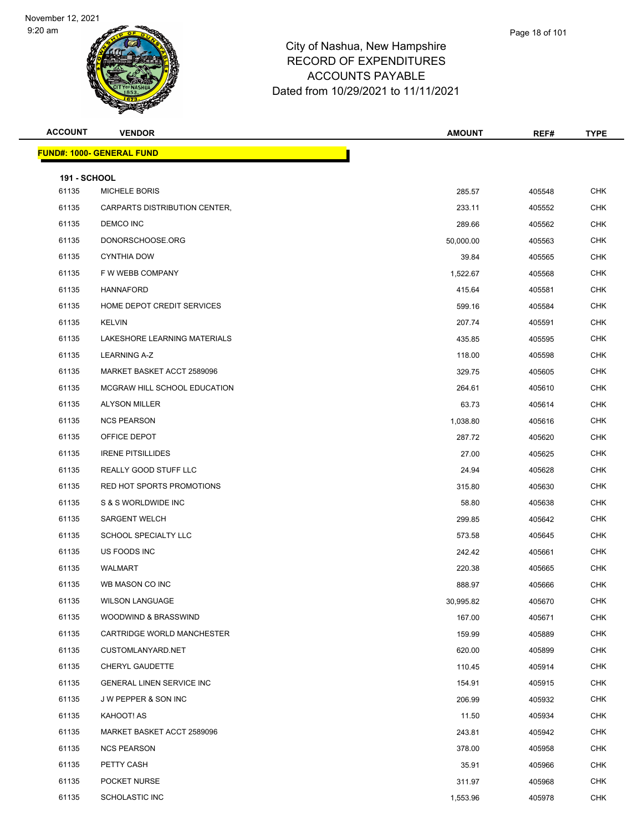

| <b>ACCOUNT</b>               | <b>VENDOR</b>                                              | <b>AMOUNT</b>    | REF#             | <b>TYPE</b> |
|------------------------------|------------------------------------------------------------|------------------|------------------|-------------|
|                              | <b>FUND#: 1000- GENERAL FUND</b>                           |                  |                  |             |
|                              |                                                            |                  |                  |             |
| <b>191 - SCHOOL</b><br>61135 | <b>MICHELE BORIS</b>                                       | 285.57           | 405548           | <b>CHK</b>  |
| 61135                        | CARPARTS DISTRIBUTION CENTER,                              | 233.11           | 405552           | <b>CHK</b>  |
| 61135                        | DEMCO INC                                                  | 289.66           | 405562           | <b>CHK</b>  |
| 61135                        | DONORSCHOOSE.ORG                                           | 50,000.00        | 405563           | <b>CHK</b>  |
| 61135                        | <b>CYNTHIA DOW</b>                                         | 39.84            |                  | <b>CHK</b>  |
| 61135                        | F W WEBB COMPANY                                           | 1,522.67         | 405565<br>405568 | <b>CHK</b>  |
| 61135                        | <b>HANNAFORD</b>                                           | 415.64           | 405581           | <b>CHK</b>  |
| 61135                        | HOME DEPOT CREDIT SERVICES                                 |                  |                  | <b>CHK</b>  |
| 61135                        | <b>KELVIN</b>                                              | 599.16           | 405584           | <b>CHK</b>  |
| 61135                        | LAKESHORE LEARNING MATERIALS                               | 207.74<br>435.85 | 405591           | <b>CHK</b>  |
|                              | <b>LEARNING A-Z</b>                                        |                  | 405595           |             |
| 61135                        |                                                            | 118.00           | 405598           | <b>CHK</b>  |
| 61135                        | MARKET BASKET ACCT 2589096<br>MCGRAW HILL SCHOOL EDUCATION | 329.75           | 405605           | <b>CHK</b>  |
| 61135                        |                                                            | 264.61           | 405610           | <b>CHK</b>  |
| 61135                        | <b>ALYSON MILLER</b>                                       | 63.73            | 405614           | <b>CHK</b>  |
| 61135                        | <b>NCS PEARSON</b>                                         | 1,038.80         | 405616           | <b>CHK</b>  |
| 61135                        | OFFICE DEPOT                                               | 287.72           | 405620           | <b>CHK</b>  |
| 61135                        | <b>IRENE PITSILLIDES</b>                                   | 27.00            | 405625           | <b>CHK</b>  |
| 61135                        | REALLY GOOD STUFF LLC                                      | 24.94            | 405628           | <b>CHK</b>  |
| 61135                        | RED HOT SPORTS PROMOTIONS                                  | 315.80           | 405630           | CHK         |
| 61135                        | S & S WORLDWIDE INC                                        | 58.80            | 405638           | <b>CHK</b>  |
| 61135                        | <b>SARGENT WELCH</b>                                       | 299.85           | 405642           | <b>CHK</b>  |
| 61135                        | SCHOOL SPECIALTY LLC                                       | 573.58           | 405645           | CHK         |
| 61135                        | US FOODS INC                                               | 242.42           | 405661           | <b>CHK</b>  |
| 61135                        | WALMART                                                    | 220.38           | 405665           | <b>CHK</b>  |
| 61135                        | WB MASON CO INC                                            | 888.97           | 405666           | <b>CHK</b>  |
| 61135                        | <b>WILSON LANGUAGE</b>                                     | 30,995.82        | 405670           | <b>CHK</b>  |
| 61135                        | WOODWIND & BRASSWIND                                       | 167.00           | 405671           | <b>CHK</b>  |
| 61135                        | CARTRIDGE WORLD MANCHESTER                                 | 159.99           | 405889           | <b>CHK</b>  |
| 61135                        | CUSTOMLANYARD.NET                                          | 620.00           | 405899           | <b>CHK</b>  |
| 61135                        | CHERYL GAUDETTE                                            | 110.45           | 405914           | <b>CHK</b>  |
| 61135                        | <b>GENERAL LINEN SERVICE INC</b>                           | 154.91           | 405915           | <b>CHK</b>  |
| 61135                        | J W PEPPER & SON INC                                       | 206.99           | 405932           | <b>CHK</b>  |
| 61135                        | KAHOOT! AS                                                 | 11.50            | 405934           | <b>CHK</b>  |
| 61135                        | MARKET BASKET ACCT 2589096                                 | 243.81           | 405942           | <b>CHK</b>  |
| 61135                        | <b>NCS PEARSON</b>                                         | 378.00           | 405958           | <b>CHK</b>  |
| 61135                        | PETTY CASH                                                 | 35.91            | 405966           | <b>CHK</b>  |
| 61135                        | POCKET NURSE                                               | 311.97           | 405968           | <b>CHK</b>  |
| 61135                        | <b>SCHOLASTIC INC</b>                                      | 1,553.96         | 405978           | <b>CHK</b>  |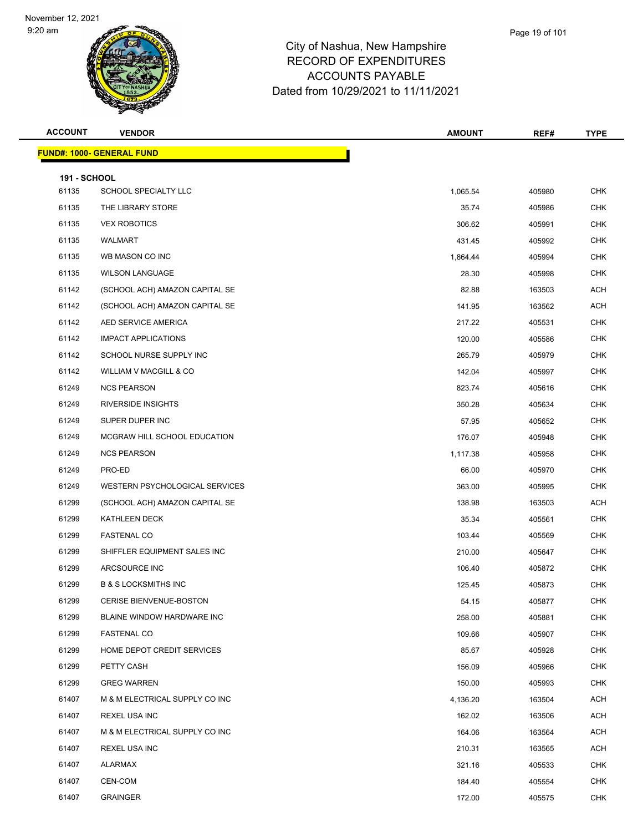

| <b>ACCOUNT</b>               | <b>VENDOR</b>                    | <b>AMOUNT</b>   | REF#   | <b>TYPE</b>              |
|------------------------------|----------------------------------|-----------------|--------|--------------------------|
|                              | <b>FUND#: 1000- GENERAL FUND</b> |                 |        |                          |
|                              |                                  |                 |        |                          |
| <b>191 - SCHOOL</b><br>61135 | SCHOOL SPECIALTY LLC             | 1,065.54        | 405980 | <b>CHK</b>               |
| 61135                        | THE LIBRARY STORE                | 35.74           | 405986 | <b>CHK</b>               |
| 61135                        | <b>VEX ROBOTICS</b>              | 306.62          | 405991 | <b>CHK</b>               |
| 61135                        | WALMART                          | 431.45          | 405992 | <b>CHK</b>               |
| 61135                        | WB MASON CO INC                  | 1,864.44        | 405994 | <b>CHK</b>               |
| 61135                        | <b>WILSON LANGUAGE</b>           | 28.30           | 405998 | <b>CHK</b>               |
| 61142                        | (SCHOOL ACH) AMAZON CAPITAL SE   | 82.88           | 163503 | <b>ACH</b>               |
| 61142                        | (SCHOOL ACH) AMAZON CAPITAL SE   | 141.95          | 163562 | <b>ACH</b>               |
| 61142                        | AED SERVICE AMERICA              | 217.22          | 405531 | <b>CHK</b>               |
| 61142                        | <b>IMPACT APPLICATIONS</b>       | 120.00          |        | <b>CHK</b>               |
| 61142                        | SCHOOL NURSE SUPPLY INC          | 265.79          | 405586 | <b>CHK</b>               |
| 61142                        | WILLIAM V MACGILL & CO           |                 | 405979 | <b>CHK</b>               |
| 61249                        | <b>NCS PEARSON</b>               | 142.04          | 405997 | <b>CHK</b>               |
| 61249                        | <b>RIVERSIDE INSIGHTS</b>        | 823.74          | 405616 |                          |
|                              |                                  | 350.28          | 405634 | <b>CHK</b><br><b>CHK</b> |
| 61249                        | SUPER DUPER INC                  | 57.95<br>176.07 | 405652 | <b>CHK</b>               |
| 61249                        | MCGRAW HILL SCHOOL EDUCATION     |                 | 405948 |                          |
| 61249                        | <b>NCS PEARSON</b>               | 1,117.38        | 405958 | <b>CHK</b>               |
| 61249                        | PRO-ED                           | 66.00           | 405970 | <b>CHK</b>               |
| 61249                        | WESTERN PSYCHOLOGICAL SERVICES   | 363.00          | 405995 | <b>CHK</b>               |
| 61299                        | (SCHOOL ACH) AMAZON CAPITAL SE   | 138.98          | 163503 | <b>ACH</b>               |
| 61299                        | KATHLEEN DECK                    | 35.34           | 405561 | <b>CHK</b>               |
| 61299                        | <b>FASTENAL CO</b>               | 103.44          | 405569 | <b>CHK</b>               |
| 61299                        | SHIFFLER EQUIPMENT SALES INC     | 210.00          | 405647 | <b>CHK</b>               |
| 61299                        | ARCSOURCE INC                    | 106.40          | 405872 | <b>CHK</b>               |
| 61299                        | <b>B &amp; S LOCKSMITHS INC</b>  | 125.45          | 405873 | <b>CHK</b>               |
| 61299                        | <b>CERISE BIENVENUE-BOSTON</b>   | 54.15           | 405877 | <b>CHK</b>               |
| 61299                        | BLAINE WINDOW HARDWARE INC       | 258.00          | 405881 | <b>CHK</b>               |
| 61299                        | <b>FASTENAL CO</b>               | 109.66          | 405907 | <b>CHK</b>               |
| 61299                        | HOME DEPOT CREDIT SERVICES       | 85.67           | 405928 | <b>CHK</b>               |
| 61299                        | PETTY CASH                       | 156.09          | 405966 | <b>CHK</b>               |
| 61299                        | <b>GREG WARREN</b>               | 150.00          | 405993 | <b>CHK</b>               |
| 61407                        | M & M ELECTRICAL SUPPLY CO INC   | 4,136.20        | 163504 | <b>ACH</b>               |
| 61407                        | REXEL USA INC                    | 162.02          | 163506 | <b>ACH</b>               |
| 61407                        | M & M ELECTRICAL SUPPLY CO INC   | 164.06          | 163564 | ACH                      |
| 61407                        | REXEL USA INC                    | 210.31          | 163565 | <b>ACH</b>               |
| 61407                        | ALARMAX                          | 321.16          | 405533 | <b>CHK</b>               |
| 61407                        | CEN-COM                          | 184.40          | 405554 | <b>CHK</b>               |
| 61407                        | <b>GRAINGER</b>                  | 172.00          | 405575 | <b>CHK</b>               |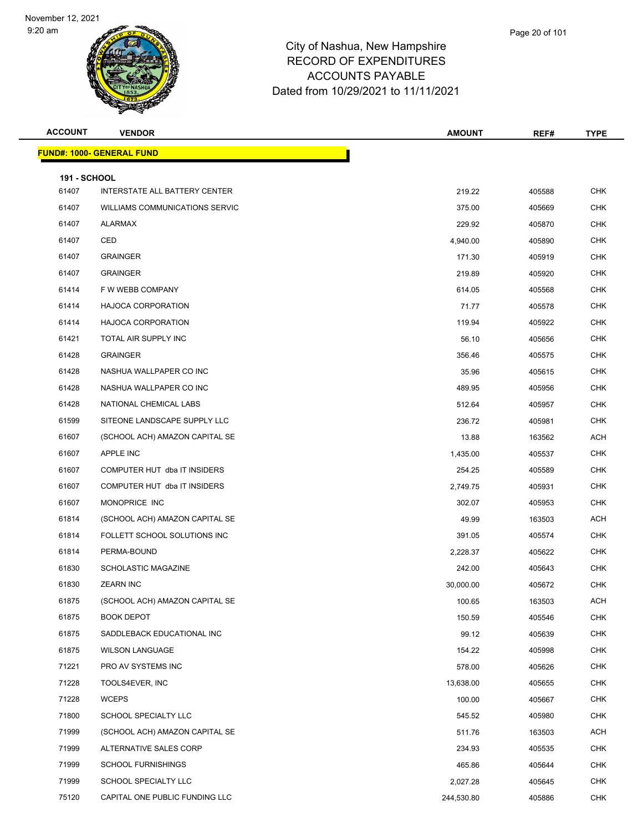

| Page 20 of 101 |
|----------------|
|                |

| <b>ACCOUNT</b>               | <b>VENDOR</b>                    | <b>AMOUNT</b> | REF#   | <b>TYPE</b> |
|------------------------------|----------------------------------|---------------|--------|-------------|
|                              | <b>FUND#: 1000- GENERAL FUND</b> |               |        |             |
|                              |                                  |               |        |             |
| <b>191 - SCHOOL</b><br>61407 | INTERSTATE ALL BATTERY CENTER    | 219.22        | 405588 | <b>CHK</b>  |
| 61407                        | WILLIAMS COMMUNICATIONS SERVIC   | 375.00        | 405669 | <b>CHK</b>  |
| 61407                        | ALARMAX                          | 229.92        | 405870 | <b>CHK</b>  |
| 61407                        | CED                              | 4,940.00      | 405890 | <b>CHK</b>  |
| 61407                        | <b>GRAINGER</b>                  | 171.30        | 405919 | <b>CHK</b>  |
| 61407                        | <b>GRAINGER</b>                  | 219.89        | 405920 | <b>CHK</b>  |
| 61414                        | F W WEBB COMPANY                 | 614.05        | 405568 | <b>CHK</b>  |
| 61414                        | HAJOCA CORPORATION               | 71.77         | 405578 | <b>CHK</b>  |
| 61414                        | HAJOCA CORPORATION               | 119.94        | 405922 | <b>CHK</b>  |
| 61421                        | TOTAL AIR SUPPLY INC             | 56.10         | 405656 | <b>CHK</b>  |
| 61428                        | <b>GRAINGER</b>                  | 356.46        | 405575 | <b>CHK</b>  |
| 61428                        | NASHUA WALLPAPER CO INC          | 35.96         | 405615 | <b>CHK</b>  |
| 61428                        | NASHUA WALLPAPER CO INC          | 489.95        | 405956 | <b>CHK</b>  |
| 61428                        | NATIONAL CHEMICAL LABS           | 512.64        | 405957 | <b>CHK</b>  |
| 61599                        | SITEONE LANDSCAPE SUPPLY LLC     | 236.72        | 405981 | <b>CHK</b>  |
| 61607                        | (SCHOOL ACH) AMAZON CAPITAL SE   | 13.88         | 163562 | <b>ACH</b>  |
| 61607                        | APPLE INC                        | 1,435.00      | 405537 | <b>CHK</b>  |
| 61607                        | COMPUTER HUT dba IT INSIDERS     | 254.25        | 405589 | <b>CHK</b>  |
| 61607                        | COMPUTER HUT dba IT INSIDERS     | 2,749.75      | 405931 | <b>CHK</b>  |
| 61607                        | MONOPRICE INC                    | 302.07        | 405953 | <b>CHK</b>  |
| 61814                        | (SCHOOL ACH) AMAZON CAPITAL SE   | 49.99         | 163503 | <b>ACH</b>  |
| 61814                        | FOLLETT SCHOOL SOLUTIONS INC     | 391.05        | 405574 | <b>CHK</b>  |
| 61814                        | PERMA-BOUND                      | 2,228.37      | 405622 | <b>CHK</b>  |
| 61830                        | <b>SCHOLASTIC MAGAZINE</b>       | 242.00        | 405643 | <b>CHK</b>  |
| 61830                        | <b>ZEARN INC</b>                 | 30,000.00     | 405672 | <b>CHK</b>  |
| 61875                        | (SCHOOL ACH) AMAZON CAPITAL SE   | 100.65        | 163503 | <b>ACH</b>  |
| 61875                        | <b>BOOK DEPOT</b>                | 150.59        | 405546 | <b>CHK</b>  |
| 61875                        | SADDLEBACK EDUCATIONAL INC       | 99.12         | 405639 | <b>CHK</b>  |
| 61875                        | <b>WILSON LANGUAGE</b>           | 154.22        | 405998 | <b>CHK</b>  |
| 71221                        | PRO AV SYSTEMS INC               | 578.00        | 405626 | <b>CHK</b>  |
| 71228                        | TOOLS4EVER, INC                  | 13,638.00     | 405655 | <b>CHK</b>  |
| 71228                        | <b>WCEPS</b>                     | 100.00        | 405667 | <b>CHK</b>  |
| 71800                        | SCHOOL SPECIALTY LLC             | 545.52        | 405980 | <b>CHK</b>  |
| 71999                        | (SCHOOL ACH) AMAZON CAPITAL SE   | 511.76        | 163503 | ACH         |
| 71999                        | ALTERNATIVE SALES CORP           | 234.93        | 405535 | <b>CHK</b>  |
| 71999                        | <b>SCHOOL FURNISHINGS</b>        | 465.86        | 405644 | <b>CHK</b>  |
| 71999                        | SCHOOL SPECIALTY LLC             | 2,027.28      | 405645 | <b>CHK</b>  |
| 75120                        | CAPITAL ONE PUBLIC FUNDING LLC   | 244,530.80    | 405886 | <b>CHK</b>  |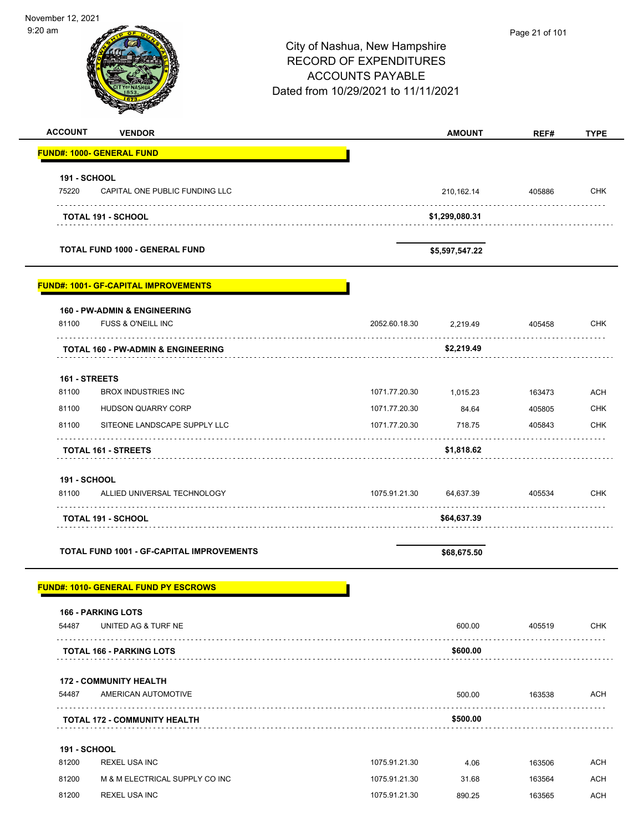| November 12, 2021<br>$9:20$ am |                                                               | City of Nashua, New Hampshire<br><b>RECORD OF EXPENDITURES</b><br><b>ACCOUNTS PAYABLE</b><br>Dated from 10/29/2021 to 11/11/2021 |               |                | Page 21 of 101 |             |
|--------------------------------|---------------------------------------------------------------|----------------------------------------------------------------------------------------------------------------------------------|---------------|----------------|----------------|-------------|
| <b>ACCOUNT</b>                 | <b>VENDOR</b>                                                 |                                                                                                                                  |               | <b>AMOUNT</b>  | REF#           | <b>TYPE</b> |
|                                | <b>FUND#: 1000- GENERAL FUND</b>                              |                                                                                                                                  |               |                |                |             |
| 191 - SCHOOL<br>75220          | CAPITAL ONE PUBLIC FUNDING LLC                                |                                                                                                                                  |               | 210,162.14     | 405886         | <b>CHK</b>  |
|                                | <b>TOTAL 191 - SCHOOL</b>                                     |                                                                                                                                  |               | \$1,299,080.31 |                |             |
|                                | <b>TOTAL FUND 1000 - GENERAL FUND</b>                         |                                                                                                                                  |               | \$5,597,547.22 |                |             |
|                                | <b>FUND#: 1001- GF-CAPITAL IMPROVEMENTS</b>                   |                                                                                                                                  |               |                |                |             |
| 81100                          | <b>160 - PW-ADMIN &amp; ENGINEERING</b><br>FUSS & O'NEILL INC |                                                                                                                                  | 2052.60.18.30 | 2,219.49       | 405458         | <b>CHK</b>  |
|                                | <b>TOTAL 160 - PW-ADMIN &amp; ENGINEERING</b>                 |                                                                                                                                  |               | \$2,219.49     |                |             |
| 161 - STREETS<br>81100         | <b>BROX INDUSTRIES INC</b>                                    |                                                                                                                                  | 1071.77.20.30 | 1,015.23       | 163473         | <b>ACH</b>  |
| 81100                          | HUDSON QUARRY CORP                                            |                                                                                                                                  | 1071.77.20.30 | 84.64          | 405805         | CHK         |
| 81100                          | SITEONE LANDSCAPE SUPPLY LLC                                  |                                                                                                                                  | 1071.77.20.30 | 718.75         | 405843         | <b>CHK</b>  |
|                                | <b>TOTAL 161 - STREETS</b>                                    |                                                                                                                                  |               | \$1,818.62     |                |             |
| 191 - SCHOOL<br>81100          | ALLIED UNIVERSAL TECHNOLOGY                                   |                                                                                                                                  | 1075.91.21.30 | 64,637.39      | 405534         | <b>CHK</b>  |
|                                | <b>TOTAL 191 - SCHOOL</b>                                     |                                                                                                                                  |               | \$64,637.39    |                |             |
|                                | TOTAL FUND 1001 - GF-CAPITAL IMPROVEMENTS                     |                                                                                                                                  |               | \$68,675.50    |                |             |
|                                | <b>FUND#: 1010- GENERAL FUND PY ESCROWS</b>                   |                                                                                                                                  |               |                |                |             |
| 54487                          | <b>166 - PARKING LOTS</b><br>UNITED AG & TURF NE              |                                                                                                                                  |               | 600.00         | 405519         | <b>CHK</b>  |
|                                | <b>TOTAL 166 - PARKING LOTS</b>                               |                                                                                                                                  |               | \$600.00       |                |             |
| 54487                          | <b>172 - COMMUNITY HEALTH</b><br>AMERICAN AUTOMOTIVE          |                                                                                                                                  |               | 500.00         | 163538         | ACH         |
|                                | <b>TOTAL 172 - COMMUNITY HEALTH</b>                           |                                                                                                                                  |               | \$500.00       |                |             |
|                                |                                                               |                                                                                                                                  |               |                |                |             |
| <b>191 - SCHOOL</b><br>81200   | <b>REXEL USA INC</b>                                          |                                                                                                                                  | 1075.91.21.30 | 4.06           | 163506         | <b>ACH</b>  |
| 81200                          | M & M ELECTRICAL SUPPLY CO INC                                |                                                                                                                                  | 1075.91.21.30 | 31.68          | 163564         | <b>ACH</b>  |
|                                | <b>REXEL USA INC</b>                                          |                                                                                                                                  | 1075.91.21.30 | 890.25         |                | <b>ACH</b>  |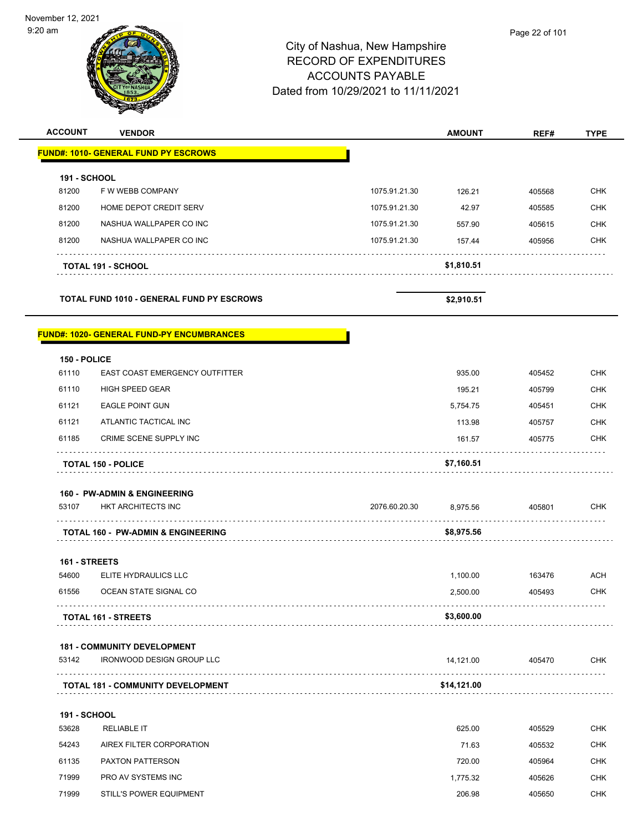| <b>ACCOUNT</b> | <b>VENDOR</b> | <b>AMOUNT</b>                                                                                                                    | REF#           | <b>TYPE</b> |
|----------------|---------------|----------------------------------------------------------------------------------------------------------------------------------|----------------|-------------|
|                |               | City of Nashua, New Hampshire<br><b>RECORD OF EXPENDITURES</b><br><b>ACCOUNTS PAYABLE</b><br>Dated from 10/29/2021 to 11/11/2021 |                |             |
| am             |               |                                                                                                                                  | Page 22 of 101 |             |

|                     | <b>FUND#: 1010- GENERAL FUND PY ESCROWS</b> |               |            |        |            |
|---------------------|---------------------------------------------|---------------|------------|--------|------------|
| <b>191 - SCHOOL</b> |                                             |               |            |        |            |
| 81200               | F W WEBB COMPANY                            | 1075.91.21.30 | 126.21     | 405568 | <b>CHK</b> |
| 81200               | HOME DEPOT CREDIT SERV                      | 1075.91.21.30 | 42.97      | 405585 | <b>CHK</b> |
| 81200               | NASHUA WALLPAPER CO INC                     | 1075.91.21.30 | 557.90     | 405615 | <b>CHK</b> |
| 81200               | NASHUA WALLPAPER CO INC                     | 1075.91.21.30 | 157.44     | 405956 | <b>CHK</b> |
|                     | <b>TOTAL 191 - SCHOOL</b>                   |               | \$1,810.51 |        |            |

**TOTAL FUND 1010 - GENERAL FUND PY ESCROWS \$2,910.51** 

#### **FUND#: 1020- GENERAL FUND-PY ENCUMBRANCES**

|              | <b>TOTAL 150 - POLICE</b>             | \$7,160.51 |        |            |
|--------------|---------------------------------------|------------|--------|------------|
| 61185        | CRIME SCENE SUPPLY INC                | 161.57     | 405775 | <b>CHK</b> |
| 61121        | ATLANTIC TACTICAL INC                 | 113.98     | 405757 | <b>CHK</b> |
| 61121        | <b>EAGLE POINT GUN</b>                | 5,754.75   | 405451 | <b>CHK</b> |
| 61110        | <b>HIGH SPEED GEAR</b>                | 195.21     | 405799 | <b>CHK</b> |
| 61110        | <b>EAST COAST EMERGENCY OUTFITTER</b> | 935.00     | 405452 | <b>CHK</b> |
| 150 - POLICE |                                       |            |        |            |

|  |  | <b>160 - PW-ADMIN &amp; ENGINEERING</b> |
|--|--|-----------------------------------------|
|--|--|-----------------------------------------|

| 53107 | <b>HKT ARCHITECTS INC</b>                     | 2076.60.20.30 | 8.975.56   | 405801 | CHK |
|-------|-----------------------------------------------|---------------|------------|--------|-----|
|       |                                               |               |            |        |     |
|       | <b>TOTAL 160 - PW-ADMIN &amp; ENGINEERING</b> |               | \$8.975.56 |        |     |

#### **161 - STREETS**

| <b>TOTAL 161 - STREETS</b> |                       | \$3,600.00 |        |     |
|----------------------------|-----------------------|------------|--------|-----|
| 61556                      | OCEAN STATE SIGNAL CO | 2.500.00   | 405493 | CHK |
| 54600                      | ELITE HYDRAULICS LLC  | 1.100.00   | 163476 | ACH |

#### **181 - COMMUNITY DEVELOPMENT**

| 53142 | IRONWOOD DESIGN GROUP LLC                | 14.121.00   | 405470 | <b>CHK</b> |
|-------|------------------------------------------|-------------|--------|------------|
|       | <b>TOTAL 181 - COMMUNITY DEVELOPMENT</b> | \$14.121.00 |        |            |

# **191 - SCHOOL** 53628 RELIABLE IT 625.00 405529 CHK 54243 AIREX FILTER CORPORATION 71.63 405532 CHK 61135 PAXTON PATTERSON 720.00 405964 CHK 71999 PRO AV SYSTEMS INC 1,775.32 405626 CHK 71999 STILL'S POWER EQUIPMENT 206.98 405650 CHK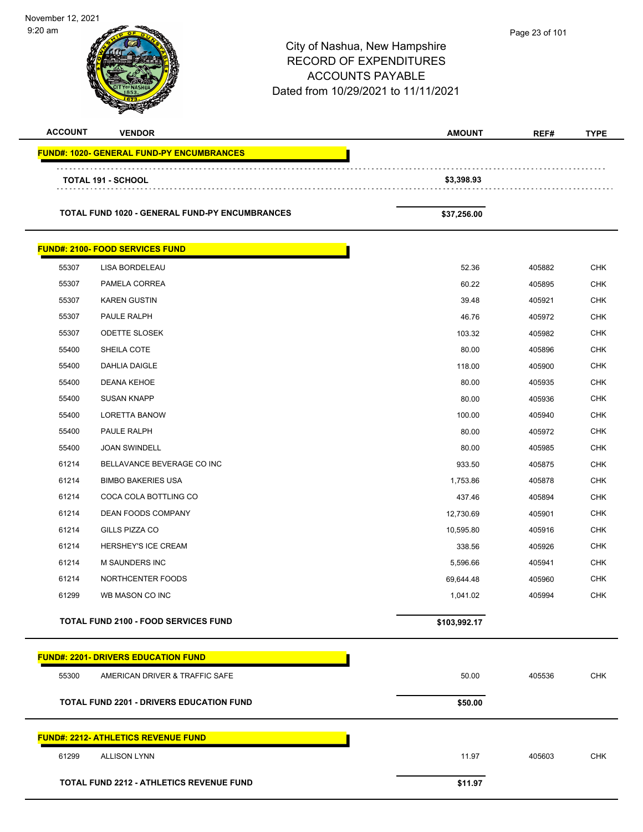| November 12, 2021<br>$9:20$ am |                                                       | City of Nashua, New Hampshire<br><b>RECORD OF EXPENDITURES</b><br><b>ACCOUNTS PAYABLE</b><br>Dated from 10/29/2021 to 11/11/2021 | Page 23 of 101 |        |             |
|--------------------------------|-------------------------------------------------------|----------------------------------------------------------------------------------------------------------------------------------|----------------|--------|-------------|
| <b>ACCOUNT</b>                 | <b>VENDOR</b>                                         |                                                                                                                                  | <b>AMOUNT</b>  | REF#   | <b>TYPE</b> |
|                                | <b>FUND#: 1020- GENERAL FUND-PY ENCUMBRANCES</b>      |                                                                                                                                  |                |        |             |
|                                | <b>TOTAL 191 - SCHOOL</b>                             |                                                                                                                                  | \$3,398.93     |        |             |
|                                |                                                       |                                                                                                                                  |                |        |             |
|                                | <b>TOTAL FUND 1020 - GENERAL FUND-PY ENCUMBRANCES</b> |                                                                                                                                  | \$37,256.00    |        |             |
|                                | <b>FUND#: 2100- FOOD SERVICES FUND</b>                |                                                                                                                                  |                |        |             |
| 55307                          | LISA BORDELEAU                                        |                                                                                                                                  | 52.36          | 405882 | <b>CHK</b>  |
| 55307                          | PAMELA CORREA                                         |                                                                                                                                  | 60.22          | 405895 | <b>CHK</b>  |
| 55307                          | <b>KAREN GUSTIN</b>                                   |                                                                                                                                  | 39.48          | 405921 | <b>CHK</b>  |
| 55307                          | PAULE RALPH                                           |                                                                                                                                  | 46.76          | 405972 | <b>CHK</b>  |
| 55307                          | <b>ODETTE SLOSEK</b>                                  |                                                                                                                                  | 103.32         | 405982 | <b>CHK</b>  |
| 55400                          | SHEILA COTE                                           |                                                                                                                                  | 80.00          | 405896 | <b>CHK</b>  |
| 55400                          | <b>DAHLIA DAIGLE</b>                                  |                                                                                                                                  | 118.00         | 405900 | <b>CHK</b>  |
| 55400                          | DEANA KEHOE                                           |                                                                                                                                  | 80.00          | 405935 | <b>CHK</b>  |
| 55400                          | <b>SUSAN KNAPP</b>                                    |                                                                                                                                  | 80.00          | 405936 | <b>CHK</b>  |
| 55400                          | <b>LORETTA BANOW</b>                                  |                                                                                                                                  | 100.00         | 405940 | <b>CHK</b>  |
| 55400                          | PAULE RALPH                                           |                                                                                                                                  | 80.00          | 405972 | <b>CHK</b>  |
| 55400                          | <b>JOAN SWINDELL</b>                                  |                                                                                                                                  | 80.00          | 405985 | <b>CHK</b>  |
| 61214                          | BELLAVANCE BEVERAGE CO INC                            |                                                                                                                                  | 933.50         | 405875 | <b>CHK</b>  |
| 61214                          | <b>BIMBO BAKERIES USA</b>                             |                                                                                                                                  | 1,753.86       | 405878 | <b>CHK</b>  |
| 61214                          | COCA COLA BOTTLING CO                                 |                                                                                                                                  | 437.46         | 405894 | <b>CHK</b>  |
| 61214                          | DEAN FOODS COMPANY                                    |                                                                                                                                  | 12,730.69      | 405901 | CHK         |
| 61214                          | GILLS PIZZA CO                                        |                                                                                                                                  | 10,595.80      | 405916 | <b>CHK</b>  |
| 61214                          | HERSHEY'S ICE CREAM                                   |                                                                                                                                  | 338.56         | 405926 | CHK         |
| 61214                          | M SAUNDERS INC                                        |                                                                                                                                  | 5,596.66       | 405941 | <b>CHK</b>  |
| 61214                          | NORTHCENTER FOODS                                     |                                                                                                                                  | 69,644.48      | 405960 | <b>CHK</b>  |
| 61299                          | WB MASON CO INC                                       |                                                                                                                                  | 1,041.02       | 405994 | CHK         |
|                                | <b>TOTAL FUND 2100 - FOOD SERVICES FUND</b>           |                                                                                                                                  | \$103,992.17   |        |             |
|                                | <b>FUND#: 2201- DRIVERS EDUCATION FUND</b>            |                                                                                                                                  |                |        |             |
| 55300                          | AMERICAN DRIVER & TRAFFIC SAFE                        |                                                                                                                                  | 50.00          | 405536 | <b>CHK</b>  |
|                                | <b>TOTAL FUND 2201 - DRIVERS EDUCATION FUND</b>       |                                                                                                                                  | \$50.00        |        |             |
|                                | <b>FUND#: 2212- ATHLETICS REVENUE FUND</b>            |                                                                                                                                  |                |        |             |
| 61299                          | <b>ALLISON LYNN</b>                                   |                                                                                                                                  | 11.97          | 405603 | <b>CHK</b>  |
|                                | <b>TOTAL FUND 2212 - ATHLETICS REVENUE FUND</b>       |                                                                                                                                  | \$11.97        |        |             |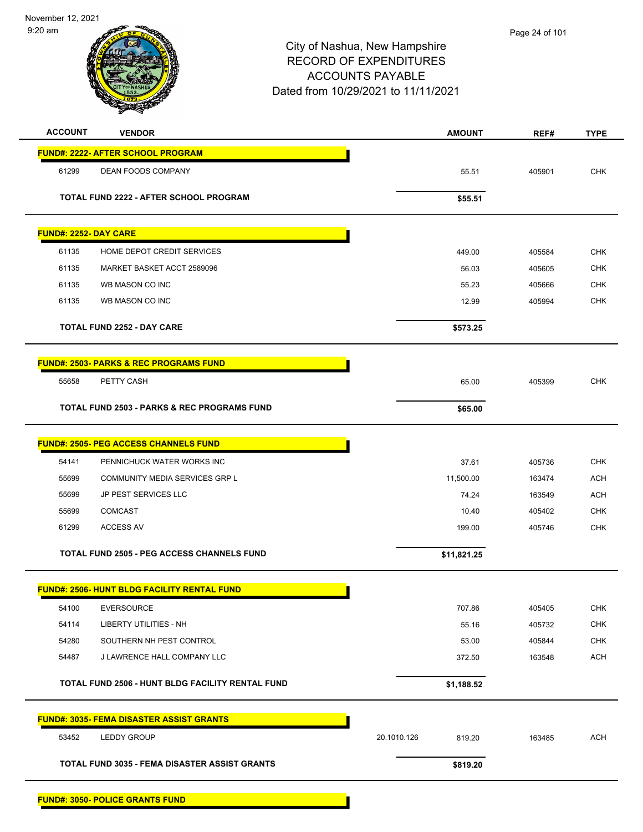November 12, 2021 9:20 am

| <b>ACCOUNT</b>               | <b>VENDOR</b>                                          | <b>AMOUNT</b>         | REF#   | <b>TYPE</b> |
|------------------------------|--------------------------------------------------------|-----------------------|--------|-------------|
|                              | <b>FUND#: 2222- AFTER SCHOOL PROGRAM</b>               |                       |        |             |
| 61299                        | DEAN FOODS COMPANY                                     | 55.51                 | 405901 | <b>CHK</b>  |
|                              | TOTAL FUND 2222 - AFTER SCHOOL PROGRAM                 |                       |        |             |
|                              |                                                        | \$55.51               |        |             |
| <b>FUND#: 2252- DAY CARE</b> |                                                        |                       |        |             |
| 61135                        | HOME DEPOT CREDIT SERVICES                             | 449.00                | 405584 | <b>CHK</b>  |
| 61135                        | MARKET BASKET ACCT 2589096                             | 56.03                 | 405605 | <b>CHK</b>  |
| 61135                        | WB MASON CO INC                                        | 55.23                 | 405666 | <b>CHK</b>  |
| 61135                        | WB MASON CO INC                                        | 12.99                 | 405994 | <b>CHK</b>  |
|                              | <b>TOTAL FUND 2252 - DAY CARE</b>                      | \$573.25              |        |             |
|                              | <b>FUND#: 2503- PARKS &amp; REC PROGRAMS FUND</b>      |                       |        |             |
| 55658                        | PETTY CASH                                             | 65.00                 | 405399 | <b>CHK</b>  |
|                              | <b>TOTAL FUND 2503 - PARKS &amp; REC PROGRAMS FUND</b> | \$65.00               |        |             |
|                              | <b>FUND#: 2505- PEG ACCESS CHANNELS FUND</b>           |                       |        |             |
| 54141                        | PENNICHUCK WATER WORKS INC                             | 37.61                 | 405736 | <b>CHK</b>  |
| 55699                        | COMMUNITY MEDIA SERVICES GRP L                         | 11,500.00             | 163474 | <b>ACH</b>  |
| 55699                        | JP PEST SERVICES LLC                                   | 74.24                 | 163549 | <b>ACH</b>  |
| 55699                        | <b>COMCAST</b>                                         | 10.40                 | 405402 | <b>CHK</b>  |
| 61299                        | <b>ACCESS AV</b>                                       | 199.00                | 405746 | <b>CHK</b>  |
|                              | <b>TOTAL FUND 2505 - PEG ACCESS CHANNELS FUND</b>      | \$11,821.25           |        |             |
|                              | <b>FUND#: 2506- HUNT BLDG FACILITY RENTAL FUND</b>     |                       |        |             |
| 54100                        | <b>EVERSOURCE</b>                                      | 707.86                | 405405 | <b>CHK</b>  |
| 54114                        | <b>LIBERTY UTILITIES - NH</b>                          | 55.16                 | 405732 | <b>CHK</b>  |
| 54280                        | SOUTHERN NH PEST CONTROL                               | 53.00                 | 405844 | <b>CHK</b>  |
| 54487                        | J LAWRENCE HALL COMPANY LLC                            | 372.50                | 163548 | <b>ACH</b>  |
|                              | TOTAL FUND 2506 - HUNT BLDG FACILITY RENTAL FUND       | \$1,188.52            |        |             |
|                              | <b>FUND#: 3035- FEMA DISASTER ASSIST GRANTS</b>        |                       |        |             |
| 53452                        | LEDDY GROUP                                            | 20.1010.126<br>819.20 | 163485 | <b>ACH</b>  |
|                              | <b>TOTAL FUND 3035 - FEMA DISASTER ASSIST GRANTS</b>   | \$819.20              |        |             |
|                              |                                                        |                       |        |             |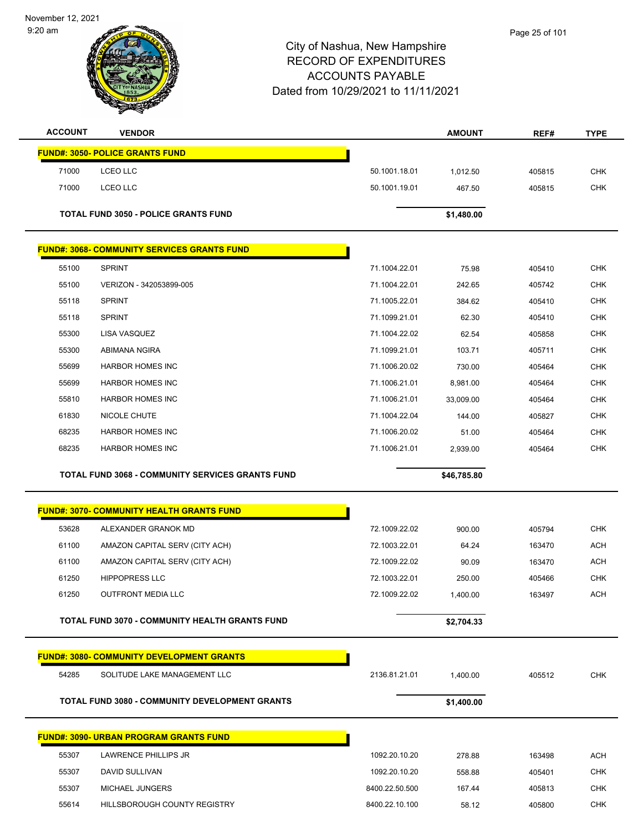November 12, 2021





| <b>ACCOUNT</b> | <b>VENDOR</b>                                           |                                  | <b>AMOUNT</b>   | REF#             | <b>TYPE</b>              |
|----------------|---------------------------------------------------------|----------------------------------|-----------------|------------------|--------------------------|
|                | <b>FUND#: 3050- POLICE GRANTS FUND</b>                  |                                  |                 |                  |                          |
| 71000          | LCEO LLC                                                | 50.1001.18.01                    | 1,012.50        | 405815           | <b>CHK</b>               |
| 71000          | LCEO LLC                                                | 50.1001.19.01                    | 467.50          | 405815           | <b>CHK</b>               |
|                |                                                         |                                  |                 |                  |                          |
|                | <b>TOTAL FUND 3050 - POLICE GRANTS FUND</b>             |                                  | \$1,480.00      |                  |                          |
|                | <b>FUND#: 3068- COMMUNITY SERVICES GRANTS FUND</b>      |                                  |                 |                  |                          |
| 55100          | <b>SPRINT</b>                                           | 71.1004.22.01                    | 75.98           | 405410           | <b>CHK</b>               |
| 55100          | VERIZON - 342053899-005                                 | 71.1004.22.01                    | 242.65          | 405742           | <b>CHK</b>               |
| 55118          | <b>SPRINT</b>                                           | 71.1005.22.01                    | 384.62          | 405410           | <b>CHK</b>               |
| 55118          | <b>SPRINT</b>                                           | 71.1099.21.01                    | 62.30           | 405410           | <b>CHK</b>               |
| 55300          | LISA VASQUEZ                                            | 71.1004.22.02                    | 62.54           | 405858           | <b>CHK</b>               |
| 55300          | ABIMANA NGIRA                                           | 71.1099.21.01                    | 103.71          | 405711           | <b>CHK</b>               |
| 55699          | <b>HARBOR HOMES INC</b>                                 | 71.1006.20.02                    | 730.00          | 405464           | <b>CHK</b>               |
| 55699          | <b>HARBOR HOMES INC</b>                                 | 71.1006.21.01                    | 8,981.00        | 405464           | <b>CHK</b>               |
| 55810          | <b>HARBOR HOMES INC</b>                                 | 71.1006.21.01                    | 33,009.00       | 405464           | <b>CHK</b>               |
| 61830          | NICOLE CHUTE                                            | 71.1004.22.04                    | 144.00          | 405827           | <b>CHK</b>               |
| 68235          | <b>HARBOR HOMES INC</b>                                 | 71.1006.20.02                    | 51.00           | 405464           | <b>CHK</b>               |
| 68235          | <b>HARBOR HOMES INC</b>                                 | 71.1006.21.01                    | 2,939.00        | 405464           | <b>CHK</b>               |
|                | <b>TOTAL FUND 3068 - COMMUNITY SERVICES GRANTS FUND</b> |                                  | \$46,785.80     |                  |                          |
|                | <b>FUND#: 3070- COMMUNITY HEALTH GRANTS FUND</b>        |                                  |                 |                  |                          |
| 53628          | ALEXANDER GRANOK MD                                     | 72.1009.22.02                    | 900.00          | 405794           | <b>CHK</b>               |
| 61100          | AMAZON CAPITAL SERV (CITY ACH)                          | 72.1003.22.01                    | 64.24           | 163470           | <b>ACH</b>               |
| 61100          | AMAZON CAPITAL SERV (CITY ACH)                          | 72.1009.22.02                    | 90.09           | 163470           | <b>ACH</b>               |
| 61250          | <b>HIPPOPRESS LLC</b>                                   | 72.1003.22.01                    | 250.00          | 405466           | <b>CHK</b>               |
| 61250          | OUTFRONT MEDIA LLC                                      | 72.1009.22.02                    | 1,400.00        | 163497           | <b>ACH</b>               |
|                |                                                         |                                  |                 |                  |                          |
|                | TOTAL FUND 3070 - COMMUNITY HEALTH GRANTS FUND          |                                  | \$2,704.33      |                  |                          |
|                | <b>FUND#: 3080- COMMUNITY DEVELOPMENT GRANTS</b>        |                                  |                 |                  |                          |
| 54285          | SOLITUDE LAKE MANAGEMENT LLC                            | 2136.81.21.01                    | 1,400.00        | 405512           | <b>CHK</b>               |
|                | TOTAL FUND 3080 - COMMUNITY DEVELOPMENT GRANTS          |                                  | \$1,400.00      |                  |                          |
|                |                                                         |                                  |                 |                  |                          |
|                | <b>FUND#: 3090- URBAN PROGRAM GRANTS FUND</b>           |                                  |                 |                  |                          |
| 55307          | LAWRENCE PHILLIPS JR                                    | 1092.20.10.20                    | 278.88          | 163498           | <b>ACH</b>               |
| 55307<br>55307 | DAVID SULLIVAN<br>MICHAEL JUNGERS                       | 1092.20.10.20                    | 558.88          | 405401           | <b>CHK</b>               |
| 55614          | HILLSBOROUGH COUNTY REGISTRY                            | 8400.22.50.500<br>8400.22.10.100 | 167.44<br>58.12 | 405813<br>405800 | <b>CHK</b><br><b>CHK</b> |
|                |                                                         |                                  |                 |                  |                          |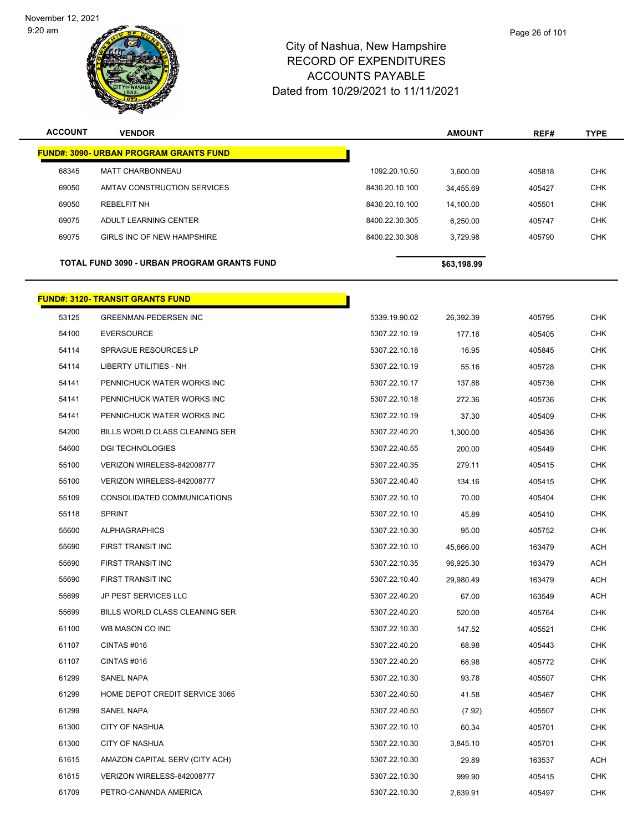

| <b>ACCOUNT</b> | <b>VENDOR</b>                                  |                | <b>AMOUNT</b> | REF#   | <b>TYPE</b> |
|----------------|------------------------------------------------|----------------|---------------|--------|-------------|
|                | <u> FUND#: 3090- URBAN PROGRAM GRANTS FUND</u> |                |               |        |             |
| 68345          | <b>MATT CHARBONNEAU</b>                        | 1092.20.10.50  | 3,600.00      | 405818 | <b>CHK</b>  |
| 69050          | AMTAV CONSTRUCTION SERVICES                    | 8430.20.10.100 | 34,455.69     | 405427 | <b>CHK</b>  |
| 69050          | <b>REBELFIT NH</b>                             | 8430.20.10.100 | 14,100.00     | 405501 | <b>CHK</b>  |
| 69075          | ADULT LEARNING CENTER                          | 8400.22.30.305 | 6,250.00      | 405747 | <b>CHK</b>  |
| 69075          | GIRLS INC OF NEW HAMPSHIRE                     | 8400.22.30.308 | 3,729.98      | 405790 | <b>CHK</b>  |
|                | TOTAL FUND 3090 - URBAN PROGRAM GRANTS FUND    |                | \$63,198.99   |        |             |
|                | <u> FUND#: 3120- TRANSIT GRANTS FUND</u>       |                |               |        |             |
| 53125          | <b>GREENMAN-PEDERSEN INC</b>                   | 5339.19.90.02  | 26,392.39     | 405795 | <b>CHK</b>  |
| 54100          | <b>EVERSOURCE</b>                              | 5307.22.10.19  | 177.18        | 405405 | <b>CHK</b>  |
| 54114          | <b>SPRAGUE RESOURCES LP</b>                    | 5307.22.10.18  | 16.95         | 405845 | <b>CHK</b>  |
| 54114          | <b>LIBERTY UTILITIES - NH</b>                  | 5307.22.10.19  | 55.16         | 405728 | CHK         |
| 54141          | PENNICHUCK WATER WORKS INC                     | 5307.22.10.17  | 137.88        | 405736 | <b>CHK</b>  |
| 54141          | PENNICHUCK WATER WORKS INC                     | 5307.22.10.18  | 272.36        | 405736 | <b>CHK</b>  |
| 54141          | PENNICHUCK WATER WORKS INC                     | 5307.22.10.19  | 37.30         | 405409 | <b>CHK</b>  |
| 54200          | BILLS WORLD CLASS CLEANING SER                 | 5307.22.40.20  | 1,300.00      | 405436 | <b>CHK</b>  |
| 54600          | <b>DGI TECHNOLOGIES</b>                        | 5307.22.40.55  | 200.00        | 405449 | CHK         |
| 55100          | VERIZON WIRELESS-842008777                     | 5307.22.40.35  | 279.11        | 405415 | <b>CHK</b>  |
| 55100          | VERIZON WIRELESS-842008777                     | 5307.22.40.40  | 134.16        | 405415 | <b>CHK</b>  |
| 55109          | CONSOLIDATED COMMUNICATIONS                    | 5307.22.10.10  | 70.00         | 405404 | <b>CHK</b>  |
| 55118          | <b>SPRINT</b>                                  | 5307.22.10.10  | 45.89         | 405410 | <b>CHK</b>  |
| 55600          | <b>ALPHAGRAPHICS</b>                           | 5307.22.10.30  | 95.00         | 405752 | CHK         |
| 55690          | FIRST TRANSIT INC                              | 5307.22.10.10  | 45,666.00     | 163479 | <b>ACH</b>  |
| 55690          | <b>FIRST TRANSIT INC</b>                       | 5307.22.10.35  | 96,925.30     | 163479 | ACH         |
| 55690          | FIRST TRANSIT INC                              | 5307.22.10.40  | 29,980.49     | 163479 | <b>ACH</b>  |
| 55699          | <b>JP PEST SERVICES LLC</b>                    | 5307.22.40.20  | 67.00         | 163549 | <b>ACH</b>  |
| 55699          | BILLS WORLD CLASS CLEANING SER                 | 5307.22.40.20  | 520.00        | 405764 | <b>CHK</b>  |
| 61100          | WB MASON CO INC                                | 5307.22.10.30  | 147.52        | 405521 | <b>CHK</b>  |
| 61107          | CINTAS #016                                    | 5307.22.40.20  | 68.98         | 405443 | <b>CHK</b>  |
| 61107          | CINTAS #016                                    | 5307.22.40.20  | 68.98         | 405772 | <b>CHK</b>  |
| 61299          | SANEL NAPA                                     | 5307.22.10.30  | 93.78         | 405507 | <b>CHK</b>  |
| 61299          | HOME DEPOT CREDIT SERVICE 3065                 | 5307.22.40.50  | 41.58         | 405467 | <b>CHK</b>  |
| 61299          | SANEL NAPA                                     | 5307.22.40.50  | (7.92)        | 405507 | <b>CHK</b>  |
| 61300          | <b>CITY OF NASHUA</b>                          | 5307.22.10.10  | 60.34         | 405701 | <b>CHK</b>  |
| 61300          | <b>CITY OF NASHUA</b>                          | 5307.22.10.30  | 3,845.10      | 405701 | <b>CHK</b>  |
| 61615          | AMAZON CAPITAL SERV (CITY ACH)                 | 5307.22.10.30  | 29.89         | 163537 | <b>ACH</b>  |
| 61615          | VERIZON WIRELESS-842008777                     | 5307.22.10.30  | 999.90        | 405415 | <b>CHK</b>  |
| 61709          | PETRO-CANANDA AMERICA                          | 5307.22.10.30  | 2,639.91      | 405497 | <b>CHK</b>  |
|                |                                                |                |               |        |             |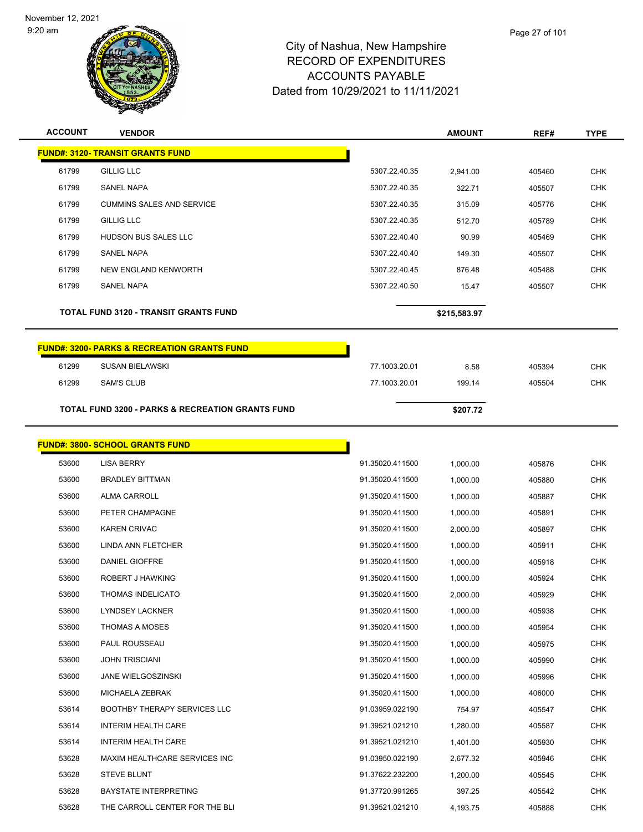



| <b>ACCOUNT</b> | <b>VENDOR</b>                                               |                 | <b>AMOUNT</b> | REF#   | TYPE       |
|----------------|-------------------------------------------------------------|-----------------|---------------|--------|------------|
|                | <b>FUND#: 3120- TRANSIT GRANTS FUND</b>                     |                 |               |        |            |
| 61799          | <b>GILLIG LLC</b>                                           | 5307.22.40.35   | 2,941.00      | 405460 | <b>CHK</b> |
| 61799          | <b>SANEL NAPA</b>                                           | 5307.22.40.35   | 322.71        | 405507 | <b>CHK</b> |
| 61799          | <b>CUMMINS SALES AND SERVICE</b>                            | 5307.22.40.35   | 315.09        | 405776 | <b>CHK</b> |
| 61799          | <b>GILLIG LLC</b>                                           | 5307.22.40.35   | 512.70        | 405789 | <b>CHK</b> |
| 61799          | HUDSON BUS SALES LLC                                        | 5307.22.40.40   | 90.99         | 405469 | <b>CHK</b> |
| 61799          | SANEL NAPA                                                  | 5307.22.40.40   | 149.30        | 405507 | <b>CHK</b> |
| 61799          | NEW ENGLAND KENWORTH                                        | 5307.22.40.45   | 876.48        | 405488 | <b>CHK</b> |
| 61799          | <b>SANEL NAPA</b>                                           | 5307.22.40.50   | 15.47         | 405507 | <b>CHK</b> |
|                | <b>TOTAL FUND 3120 - TRANSIT GRANTS FUND</b>                |                 | \$215,583.97  |        |            |
|                | <b>FUND#: 3200- PARKS &amp; RECREATION GRANTS FUND</b>      |                 |               |        |            |
| 61299          | <b>SUSAN BIELAWSKI</b>                                      | 77.1003.20.01   | 8.58          | 405394 | <b>CHK</b> |
| 61299          | <b>SAM'S CLUB</b>                                           | 77.1003.20.01   | 199.14        | 405504 | <b>CHK</b> |
|                | <b>TOTAL FUND 3200 - PARKS &amp; RECREATION GRANTS FUND</b> |                 | \$207.72      |        |            |
|                | <b>FUND#: 3800- SCHOOL GRANTS FUND</b>                      |                 |               |        |            |
| 53600          | <b>LISA BERRY</b>                                           | 91.35020.411500 | 1,000.00      | 405876 | <b>CHK</b> |
| 53600          | <b>BRADLEY BITTMAN</b>                                      | 91.35020.411500 | 1,000.00      | 405880 | <b>CHK</b> |
| 53600          | <b>ALMA CARROLL</b>                                         | 91.35020.411500 | 1,000.00      | 405887 | <b>CHK</b> |
| 53600          | PETER CHAMPAGNE                                             | 91.35020.411500 | 1,000.00      | 405891 | <b>CHK</b> |
| 53600          | <b>KAREN CRIVAC</b>                                         | 91.35020.411500 | 2,000.00      | 405897 | CHK        |
| 53600          | LINDA ANN FLETCHER                                          | 91.35020.411500 | 1,000.00      | 405911 | <b>CHK</b> |
| 53600          | DANIEL GIOFFRE                                              | 91.35020.411500 | 1,000.00      | 405918 | <b>CHK</b> |
| 53600          | ROBERT J HAWKING                                            | 91.35020.411500 | 1,000.00      | 405924 | <b>CHK</b> |
| 53600          | <b>THOMAS INDELICATO</b>                                    | 91.35020.411500 | 2.000.00      | 405929 | <b>CHK</b> |
| 53600          | <b>LYNDSEY LACKNER</b>                                      | 91.35020.411500 | 1,000.00      | 405938 | <b>CHK</b> |
| 53600          | <b>THOMAS A MOSES</b>                                       | 91.35020.411500 | 1,000.00      | 405954 | <b>CHK</b> |
| 53600          | PAUL ROUSSEAU                                               | 91.35020.411500 | 1,000.00      | 405975 | <b>CHK</b> |
| 53600          | <b>JOHN TRISCIANI</b>                                       | 91.35020.411500 | 1,000.00      | 405990 | <b>CHK</b> |
| 53600          | <b>JANE WIELGOSZINSKI</b>                                   | 91.35020.411500 | 1,000.00      | 405996 | <b>CHK</b> |
| 53600          | MICHAELA ZEBRAK                                             | 91.35020.411500 | 1.000.00      | 406000 | <b>CHK</b> |
| 53614          | <b>BOOTHBY THERAPY SERVICES LLC</b>                         | 91.03959.022190 | 754.97        | 405547 | <b>CHK</b> |
| 53614          | <b>INTERIM HEALTH CARE</b>                                  | 91.39521.021210 | 1,280.00      | 405587 | <b>CHK</b> |
| 53614          | <b>INTERIM HEALTH CARE</b>                                  | 91.39521.021210 | 1,401.00      | 405930 | <b>CHK</b> |
| 53628          | MAXIM HEALTHCARE SERVICES INC                               | 91.03950.022190 | 2,677.32      | 405946 | <b>CHK</b> |
| 53628          | <b>STEVE BLUNT</b>                                          | 91.37622.232200 | 1,200.00      | 405545 | CHK        |
| 53628          | <b>BAYSTATE INTERPRETING</b>                                | 91.37720.991265 | 397.25        | 405542 | <b>CHK</b> |
| 53628          | THE CARROLL CENTER FOR THE BLI                              | 91.39521.021210 | 4,193.75      | 405888 | <b>CHK</b> |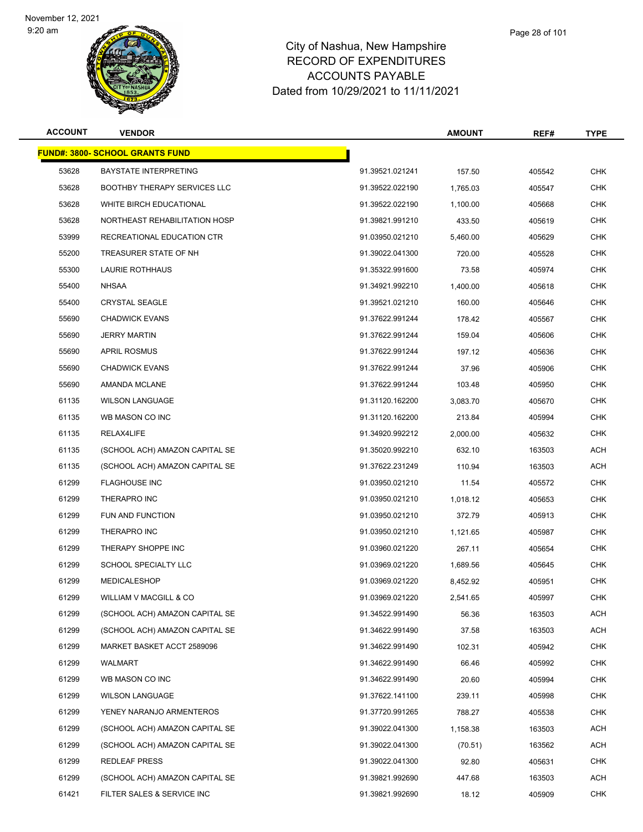

| <b>ACCOUNT</b> | <b>VENDOR</b>                           |                 | <b>AMOUNT</b> | REF#   | TYPE       |
|----------------|-----------------------------------------|-----------------|---------------|--------|------------|
|                | <u> FUND#: 3800- SCHOOL GRANTS FUND</u> |                 |               |        |            |
| 53628          | <b>BAYSTATE INTERPRETING</b>            | 91.39521.021241 | 157.50        | 405542 | <b>CHK</b> |
| 53628          | <b>BOOTHBY THERAPY SERVICES LLC</b>     | 91.39522.022190 | 1,765.03      | 405547 | <b>CHK</b> |
| 53628          | WHITE BIRCH EDUCATIONAL                 | 91.39522.022190 | 1,100.00      | 405668 | CHK        |
| 53628          | NORTHEAST REHABILITATION HOSP           | 91.39821.991210 | 433.50        | 405619 | <b>CHK</b> |
| 53999          | RECREATIONAL EDUCATION CTR              | 91.03950.021210 | 5,460.00      | 405629 | <b>CHK</b> |
| 55200          | TREASURER STATE OF NH                   | 91.39022.041300 | 720.00        | 405528 | CHK        |
| 55300          | LAURIE ROTHHAUS                         | 91.35322.991600 | 73.58         | 405974 | <b>CHK</b> |
| 55400          | <b>NHSAA</b>                            | 91.34921.992210 | 1,400.00      | 405618 | CHK        |
| 55400          | <b>CRYSTAL SEAGLE</b>                   | 91.39521.021210 | 160.00        | 405646 | <b>CHK</b> |
| 55690          | <b>CHADWICK EVANS</b>                   | 91.37622.991244 | 178.42        | 405567 | <b>CHK</b> |
| 55690          | <b>JERRY MARTIN</b>                     | 91.37622.991244 | 159.04        | 405606 | CHK        |
| 55690          | <b>APRIL ROSMUS</b>                     | 91.37622.991244 | 197.12        | 405636 | <b>CHK</b> |
| 55690          | <b>CHADWICK EVANS</b>                   | 91.37622.991244 | 37.96         | 405906 | CHK        |
| 55690          | AMANDA MCLANE                           | 91.37622.991244 | 103.48        | 405950 | <b>CHK</b> |
| 61135          | <b>WILSON LANGUAGE</b>                  | 91.31120.162200 | 3,083.70      | 405670 | <b>CHK</b> |
| 61135          | WB MASON CO INC                         | 91.31120.162200 | 213.84        | 405994 | CHK        |
| 61135          | RELAX4LIFE                              | 91.34920.992212 | 2,000.00      | 405632 | <b>CHK</b> |
| 61135          | (SCHOOL ACH) AMAZON CAPITAL SE          | 91.35020.992210 | 632.10        | 163503 | ACH        |
| 61135          | (SCHOOL ACH) AMAZON CAPITAL SE          | 91.37622.231249 | 110.94        | 163503 | ACH        |
| 61299          | <b>FLAGHOUSE INC</b>                    | 91.03950.021210 | 11.54         | 405572 | <b>CHK</b> |
| 61299          | THERAPRO INC                            | 91.03950.021210 | 1,018.12      | 405653 | CHK        |
| 61299          | FUN AND FUNCTION                        | 91.03950.021210 | 372.79        | 405913 | <b>CHK</b> |
| 61299          | THERAPRO INC                            | 91.03950.021210 | 1,121.65      | 405987 | CHK        |
| 61299          | THERAPY SHOPPE INC                      | 91.03960.021220 | 267.11        | 405654 | <b>CHK</b> |
| 61299          | <b>SCHOOL SPECIALTY LLC</b>             | 91.03969.021220 | 1,689.56      | 405645 | <b>CHK</b> |
| 61299          | <b>MEDICALESHOP</b>                     | 91.03969.021220 | 8,452.92      | 405951 | <b>CHK</b> |
| 61299          | WILLIAM V MACGILL & CO                  | 91.03969.021220 | 2,541.65      | 405997 | <b>CHK</b> |
| 61299          | (SCHOOL ACH) AMAZON CAPITAL SE          | 91.34522.991490 | 56.36         | 163503 | <b>ACH</b> |
| 61299          | (SCHOOL ACH) AMAZON CAPITAL SE          | 91.34622.991490 | 37.58         | 163503 | <b>ACH</b> |
| 61299          | MARKET BASKET ACCT 2589096              | 91.34622.991490 | 102.31        | 405942 | <b>CHK</b> |
| 61299          | WALMART                                 | 91.34622.991490 | 66.46         | 405992 | CHK        |
| 61299          | WB MASON CO INC                         | 91.34622.991490 | 20.60         | 405994 | <b>CHK</b> |
| 61299          | <b>WILSON LANGUAGE</b>                  | 91.37622.141100 | 239.11        | 405998 | <b>CHK</b> |
| 61299          | YENEY NARANJO ARMENTEROS                | 91.37720.991265 | 788.27        | 405538 | <b>CHK</b> |
| 61299          | (SCHOOL ACH) AMAZON CAPITAL SE          | 91.39022.041300 | 1,158.38      | 163503 | ACH        |
| 61299          | (SCHOOL ACH) AMAZON CAPITAL SE          | 91.39022.041300 | (70.51)       | 163562 | ACH        |
| 61299          | <b>REDLEAF PRESS</b>                    | 91.39022.041300 | 92.80         | 405631 | <b>CHK</b> |
| 61299          | (SCHOOL ACH) AMAZON CAPITAL SE          | 91.39821.992690 | 447.68        | 163503 | ACH        |
| 61421          | FILTER SALES & SERVICE INC              | 91.39821.992690 | 18.12         | 405909 | <b>CHK</b> |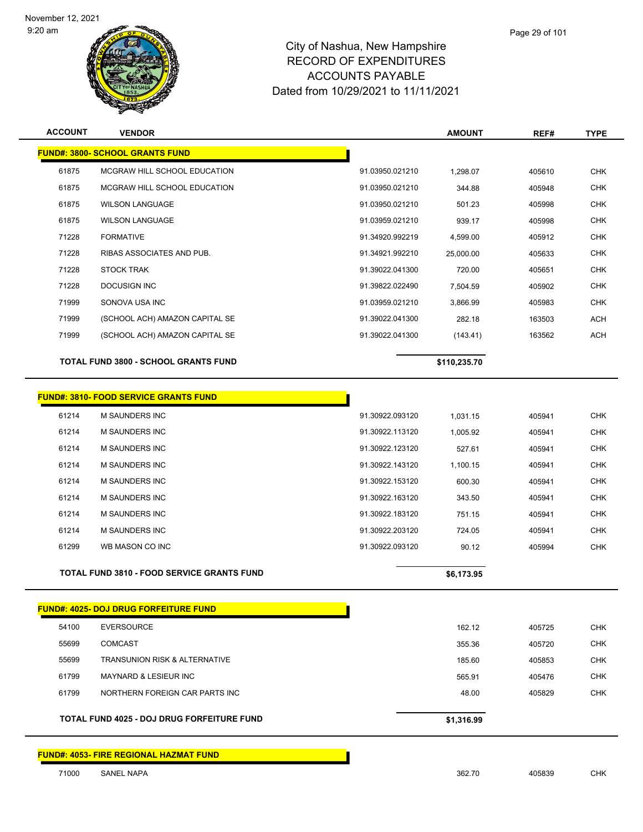

#### City of Nashua, New Hampshire RECORD OF EXPENDITURES ACCOUNTS PAYABLE Dated from 10/29/2021 to 11/11/2021

| <b>ACCOUNT</b> | <b>VENDOR</b>                                     |                 | <b>AMOUNT</b> | REF#   | <b>TYPE</b> |
|----------------|---------------------------------------------------|-----------------|---------------|--------|-------------|
|                | <b>FUND#: 3800- SCHOOL GRANTS FUND</b>            |                 |               |        |             |
| 61875          | MCGRAW HILL SCHOOL EDUCATION                      | 91.03950.021210 | 1,298.07      | 405610 | <b>CHK</b>  |
| 61875          | MCGRAW HILL SCHOOL EDUCATION                      | 91.03950.021210 | 344.88        | 405948 | <b>CHK</b>  |
| 61875          | <b>WILSON LANGUAGE</b>                            | 91.03950.021210 | 501.23        | 405998 | <b>CHK</b>  |
| 61875          | <b>WILSON LANGUAGE</b>                            | 91.03959.021210 | 939.17        | 405998 | CHK         |
| 71228          | <b>FORMATIVE</b>                                  | 91.34920.992219 | 4,599.00      | 405912 | <b>CHK</b>  |
| 71228          | RIBAS ASSOCIATES AND PUB.                         | 91.34921.992210 | 25,000.00     | 405633 | <b>CHK</b>  |
| 71228          | <b>STOCK TRAK</b>                                 | 91.39022.041300 | 720.00        | 405651 | <b>CHK</b>  |
| 71228          | <b>DOCUSIGN INC</b>                               | 91.39822.022490 | 7,504.59      | 405902 | <b>CHK</b>  |
| 71999          | SONOVA USA INC                                    | 91.03959.021210 | 3,866.99      | 405983 | <b>CHK</b>  |
| 71999          | (SCHOOL ACH) AMAZON CAPITAL SE                    | 91.39022.041300 | 282.18        | 163503 | <b>ACH</b>  |
| 71999          | (SCHOOL ACH) AMAZON CAPITAL SE                    | 91.39022.041300 | (143.41)      | 163562 | <b>ACH</b>  |
|                | <b>TOTAL FUND 3800 - SCHOOL GRANTS FUND</b>       |                 | \$110,235.70  |        |             |
|                |                                                   |                 |               |        |             |
|                | <b>FUND#: 3810- FOOD SERVICE GRANTS FUND</b>      |                 |               |        |             |
| 61214          | M SAUNDERS INC                                    | 91.30922.093120 | 1,031.15      | 405941 | <b>CHK</b>  |
| 61214          | <b>M SAUNDERS INC</b>                             | 91.30922.113120 | 1,005.92      | 405941 | <b>CHK</b>  |
| 61214          | <b>M SAUNDERS INC</b>                             | 91.30922.123120 | 527.61        | 405941 | <b>CHK</b>  |
| 61214          | M SAUNDERS INC                                    | 91.30922.143120 | 1,100.15      | 405941 | <b>CHK</b>  |
| 61214          | <b>M SAUNDERS INC</b>                             | 91.30922.153120 | 600.30        | 405941 | <b>CHK</b>  |
| 61214          | <b>M SAUNDERS INC</b>                             | 91.30922.163120 | 343.50        | 405941 | <b>CHK</b>  |
| 61214          | <b>M SAUNDERS INC</b>                             | 91.30922.183120 | 751.15        | 405941 | <b>CHK</b>  |
| 61214          | M SAUNDERS INC                                    | 91.30922.203120 | 724.05        | 405941 | <b>CHK</b>  |
| 61299          | WB MASON CO INC                                   | 91.30922.093120 | 90.12         | 405994 | <b>CHK</b>  |
|                | <b>TOTAL FUND 3810 - FOOD SERVICE GRANTS FUND</b> |                 | \$6,173.95    |        |             |
|                |                                                   |                 |               |        |             |
|                | <b>FUND#: 4025- DOJ DRUG FORFEITURE FUND</b>      |                 |               |        |             |
| 54100          | <b>EVERSOURCE</b>                                 |                 | 162.12        | 405725 | <b>CHK</b>  |
| 55699          | <b>COMCAST</b>                                    |                 | 355.36        | 405720 | <b>CHK</b>  |

 TRANSUNION RISK & ALTERNATIVE 185.60 405853 CHK MAYNARD & LESIEUR INC 565.91 405476 CHK NORTHERN FOREIGN CAR PARTS INC 48.00 405829 CHK

**TOTAL FUND 4025 - DOJ DRUG FORFEITURE FUND \$1,316.99** 

**FUND#: 4053- FIRE REGIONAL HAZMAT FUND**

SANEL NAPA 362.70 405839 CHK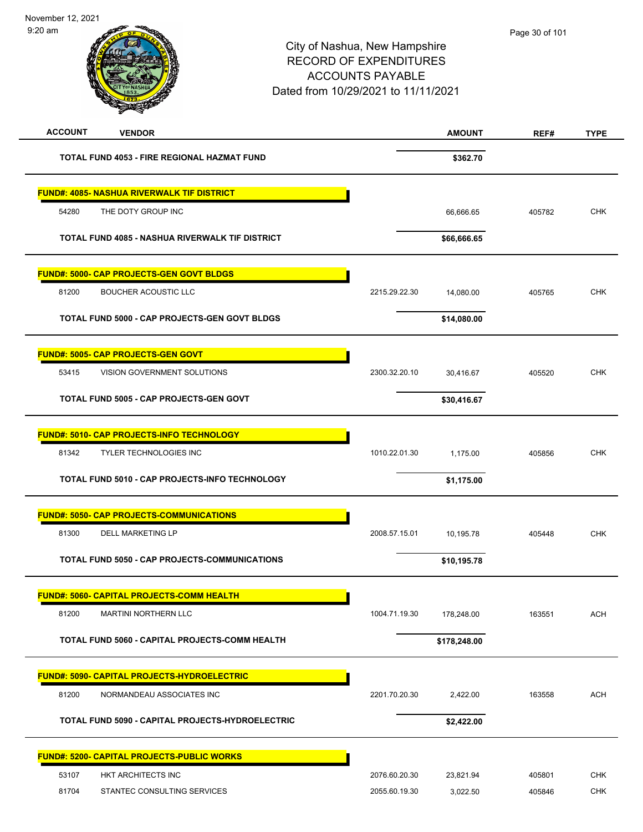| <b>ACCOUNT</b><br><b>VENDOR</b>                        |               | <b>AMOUNT</b> | REF#   | <b>TYPE</b> |
|--------------------------------------------------------|---------------|---------------|--------|-------------|
| TOTAL FUND 4053 - FIRE REGIONAL HAZMAT FUND            |               | \$362.70      |        |             |
| <b>FUND#: 4085- NASHUA RIVERWALK TIF DISTRICT</b>      |               |               |        |             |
| 54280<br>THE DOTY GROUP INC                            |               | 66,666.65     | 405782 | <b>CHK</b>  |
| <b>TOTAL FUND 4085 - NASHUA RIVERWALK TIF DISTRICT</b> |               | \$66,666.65   |        |             |
| <u> FUND#: 5000- CAP PROJECTS-GEN GOVT BLDGS</u>       |               |               |        |             |
| 81200<br><b>BOUCHER ACOUSTIC LLC</b>                   | 2215.29.22.30 | 14,080.00     | 405765 | <b>CHK</b>  |
| TOTAL FUND 5000 - CAP PROJECTS-GEN GOVT BLDGS          |               | \$14,080.00   |        |             |
| <b>FUND#: 5005- CAP PROJECTS-GEN GOVT</b>              |               |               |        |             |
| VISION GOVERNMENT SOLUTIONS<br>53415                   | 2300.32.20.10 | 30,416.67     | 405520 | <b>CHK</b>  |
| TOTAL FUND 5005 - CAP PROJECTS-GEN GOVT                |               | \$30,416.67   |        |             |
| <u> FUND#: 5010- CAP PROJECTS-INFO TECHNOLOGY</u>      |               |               |        |             |
| 81342<br><b>TYLER TECHNOLOGIES INC</b>                 | 1010.22.01.30 | 1,175.00      | 405856 | <b>CHK</b>  |
| TOTAL FUND 5010 - CAP PROJECTS-INFO TECHNOLOGY         |               | \$1,175.00    |        |             |
| <b>FUND#: 5050- CAP PROJECTS-COMMUNICATIONS</b>        |               |               |        |             |
| 81300<br><b>DELL MARKETING LP</b>                      | 2008.57.15.01 | 10,195.78     | 405448 | <b>CHK</b>  |
| TOTAL FUND 5050 - CAP PROJECTS-COMMUNICATIONS          |               | \$10,195.78   |        |             |
| <u> FUND#: 5060- CAPITAL PROJECTS-COMM HEALTH</u>      |               |               |        |             |
| 81200<br><b>MARTINI NORTHERN LLC</b>                   | 1004.71.19.30 | 178,248.00    | 163551 | <b>ACH</b>  |
| TOTAL FUND 5060 - CAPITAL PROJECTS-COMM HEALTH         |               | \$178,248.00  |        |             |
| <b>FUND#: 5090- CAPITAL PROJECTS-HYDROELECTRIC</b>     |               |               |        |             |
| 81200<br>NORMANDEAU ASSOCIATES INC                     | 2201.70.20.30 | 2,422.00      | 163558 | <b>ACH</b>  |
| TOTAL FUND 5090 - CAPITAL PROJECTS-HYDROELECTRIC       |               | \$2,422.00    |        |             |
| <u> FUND#: 5200- CAPITAL PROJECTS-PUBLIC WORKS</u>     |               |               |        |             |
| 53107<br>HKT ARCHITECTS INC                            | 2076.60.20.30 | 23,821.94     | 405801 | <b>CHK</b>  |
| 81704<br>STANTEC CONSULTING SERVICES                   | 2055.60.19.30 | 3,022.50      | 405846 | <b>CHK</b>  |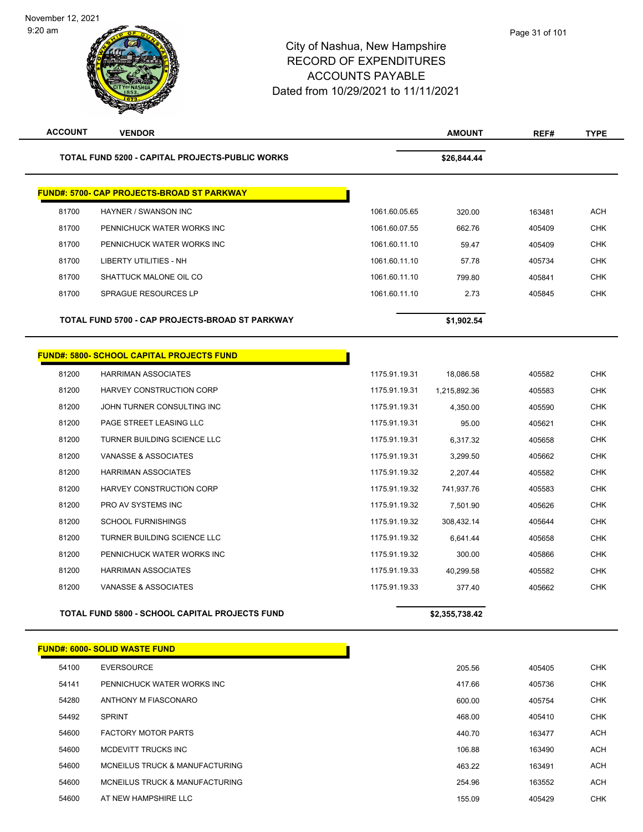#### City of Nashua, New Hampshire RECORD OF EXPENDITURES ACCOUNTS PAYABLE Dated from 10/29/2021 to 11/11/2021

| <b>ACCOUNT</b> | <b>VENDOR</b>                                          |               | <b>AMOUNT</b>  | REF#   | <b>TYPE</b> |
|----------------|--------------------------------------------------------|---------------|----------------|--------|-------------|
|                | <b>TOTAL FUND 5200 - CAPITAL PROJECTS-PUBLIC WORKS</b> |               | \$26,844.44    |        |             |
|                | <b>FUND#: 5700- CAP PROJECTS-BROAD ST PARKWAY</b>      |               |                |        |             |
| 81700          | HAYNER / SWANSON INC                                   | 1061.60.05.65 | 320.00         | 163481 | <b>ACH</b>  |
| 81700          | PENNICHUCK WATER WORKS INC                             | 1061.60.07.55 | 662.76         | 405409 | <b>CHK</b>  |
| 81700          | PENNICHUCK WATER WORKS INC                             | 1061.60.11.10 | 59.47          | 405409 | <b>CHK</b>  |
| 81700          | LIBERTY UTILITIES - NH                                 | 1061.60.11.10 | 57.78          | 405734 | <b>CHK</b>  |
| 81700          | SHATTUCK MALONE OIL CO                                 | 1061.60.11.10 | 799.80         | 405841 | <b>CHK</b>  |
| 81700          | <b>SPRAGUE RESOURCES LP</b>                            | 1061.60.11.10 | 2.73           | 405845 | <b>CHK</b>  |
|                | TOTAL FUND 5700 - CAP PROJECTS-BROAD ST PARKWAY        |               | \$1,902.54     |        |             |
|                | <b>FUND#: 5800- SCHOOL CAPITAL PROJECTS FUND</b>       |               |                |        |             |
| 81200          | <b>HARRIMAN ASSOCIATES</b>                             | 1175.91.19.31 | 18,086.58      | 405582 | <b>CHK</b>  |
| 81200          | <b>HARVEY CONSTRUCTION CORP</b>                        | 1175.91.19.31 | 1,215,892.36   | 405583 | <b>CHK</b>  |
| 81200          | JOHN TURNER CONSULTING INC                             | 1175.91.19.31 | 4,350.00       | 405590 | CHK         |
| 81200          | PAGE STREET LEASING LLC                                | 1175.91.19.31 | 95.00          | 405621 | <b>CHK</b>  |
| 81200          | TURNER BUILDING SCIENCE LLC                            | 1175.91.19.31 | 6,317.32       | 405658 | <b>CHK</b>  |
| 81200          | VANASSE & ASSOCIATES                                   | 1175.91.19.31 | 3,299.50       | 405662 | <b>CHK</b>  |
| 81200          | <b>HARRIMAN ASSOCIATES</b>                             | 1175.91.19.32 | 2,207.44       | 405582 | <b>CHK</b>  |
| 81200          | HARVEY CONSTRUCTION CORP                               | 1175.91.19.32 | 741,937.76     | 405583 | <b>CHK</b>  |
| 81200          | PRO AV SYSTEMS INC                                     | 1175.91.19.32 | 7,501.90       | 405626 | <b>CHK</b>  |
| 81200          | <b>SCHOOL FURNISHINGS</b>                              | 1175.91.19.32 | 308,432.14     | 405644 | <b>CHK</b>  |
| 81200          | TURNER BUILDING SCIENCE LLC                            | 1175.91.19.32 | 6,641.44       | 405658 | <b>CHK</b>  |
| 81200          | PENNICHUCK WATER WORKS INC                             | 1175.91.19.32 | 300.00         | 405866 | <b>CHK</b>  |
| 81200          | <b>HARRIMAN ASSOCIATES</b>                             | 1175.91.19.33 | 40,299.58      | 405582 | CHK         |
| 81200          | VANASSE & ASSOCIATES                                   | 1175.91.19.33 | 377.40         | 405662 | <b>CHK</b>  |
|                | <b>TOTAL FUND 5800 - SCHOOL CAPITAL PROJECTS FUND</b>  |               | \$2,355,738.42 |        |             |
|                | <b>FUND#: 6000- SOLID WASTE FUND</b>                   |               |                |        |             |
| 54100          | <b>EVERSOURCE</b>                                      |               | 205.56         | 405405 | <b>CHK</b>  |
| 54141          | PENNICHUCK WATER WORKS INC                             |               | 417.66         | 405736 | CHK         |
| 54280          | ANTHONY M FIASCONARO                                   |               | 600.00         | 405754 | <b>CHK</b>  |
| 54492          | <b>SPRINT</b>                                          |               | 468.00         | 405410 | CHK         |
| 54600          | <b>FACTORY MOTOR PARTS</b>                             |               | 440.70         | 163477 | ACH         |
| 54600          | MCDEVITT TRUCKS INC                                    |               | 106.88         | 163490 | ACH         |
| 54600          | MCNEILUS TRUCK & MANUFACTURING                         |               | 463.22         | 163491 | ACH         |
| 54600          | MCNEILUS TRUCK & MANUFACTURING                         |               | 254.96         | 163552 | <b>ACH</b>  |

AT NEW HAMPSHIRE LLC 155.09 405429 CHK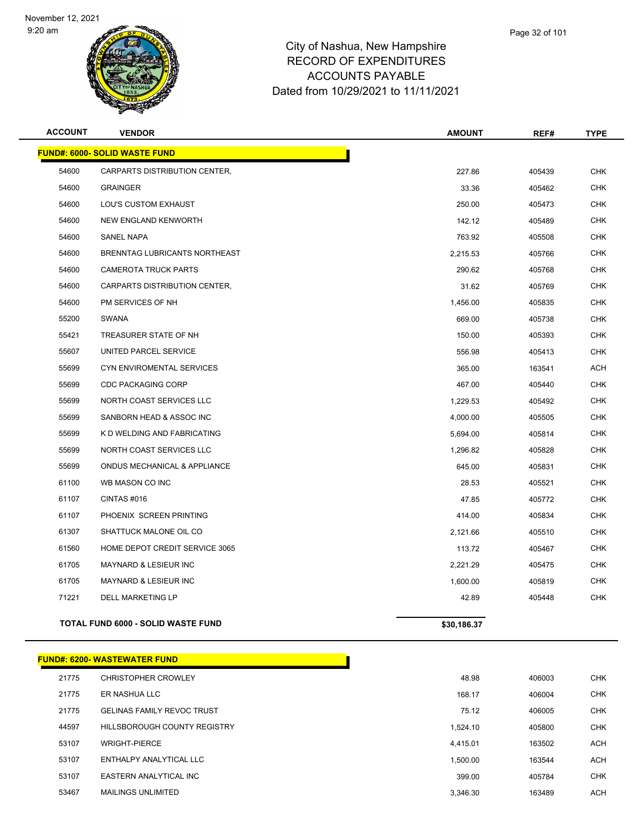

| <b>ACCOUNT</b> | <b>VENDOR</b>                             | <b>AMOUNT</b> | REF#   | <b>TYPE</b> |
|----------------|-------------------------------------------|---------------|--------|-------------|
|                | <b>FUND#: 6000- SOLID WASTE FUND</b>      |               |        |             |
| 54600          | CARPARTS DISTRIBUTION CENTER,             | 227.86        | 405439 | <b>CHK</b>  |
| 54600          | <b>GRAINGER</b>                           | 33.36         | 405462 | <b>CHK</b>  |
| 54600          | LOU'S CUSTOM EXHAUST                      | 250.00        | 405473 | <b>CHK</b>  |
| 54600          | <b>NEW ENGLAND KENWORTH</b>               | 142.12        | 405489 | <b>CHK</b>  |
| 54600          | <b>SANEL NAPA</b>                         | 763.92        | 405508 | <b>CHK</b>  |
| 54600          | BRENNTAG LUBRICANTS NORTHEAST             | 2,215.53      | 405766 | <b>CHK</b>  |
| 54600          | <b>CAMEROTA TRUCK PARTS</b>               | 290.62        | 405768 | <b>CHK</b>  |
| 54600          | CARPARTS DISTRIBUTION CENTER,             | 31.62         | 405769 | <b>CHK</b>  |
| 54600          | PM SERVICES OF NH                         | 1,456.00      | 405835 | <b>CHK</b>  |
| 55200          | <b>SWANA</b>                              | 669.00        | 405738 | <b>CHK</b>  |
| 55421          | TREASURER STATE OF NH                     | 150.00        | 405393 | <b>CHK</b>  |
| 55607          | UNITED PARCEL SERVICE                     | 556.98        | 405413 | <b>CHK</b>  |
| 55699          | CYN ENVIROMENTAL SERVICES                 | 365.00        | 163541 | ACH         |
| 55699          | <b>CDC PACKAGING CORP</b>                 | 467.00        | 405440 | CHK         |
| 55699          | NORTH COAST SERVICES LLC                  | 1,229.53      | 405492 | <b>CHK</b>  |
| 55699          | SANBORN HEAD & ASSOC INC                  | 4,000.00      | 405505 | <b>CHK</b>  |
| 55699          | K D WELDING AND FABRICATING               | 5,694.00      | 405814 | <b>CHK</b>  |
| 55699          | NORTH COAST SERVICES LLC                  | 1,296.82      | 405828 | <b>CHK</b>  |
| 55699          | ONDUS MECHANICAL & APPLIANCE              | 645.00        | 405831 | <b>CHK</b>  |
| 61100          | WB MASON CO INC                           | 28.53         | 405521 | <b>CHK</b>  |
| 61107          | CINTAS#016                                | 47.85         | 405772 | <b>CHK</b>  |
| 61107          | PHOENIX SCREEN PRINTING                   | 414.00        | 405834 | <b>CHK</b>  |
| 61307          | SHATTUCK MALONE OIL CO                    | 2,121.66      | 405510 | <b>CHK</b>  |
| 61560          | HOME DEPOT CREDIT SERVICE 3065            | 113.72        | 405467 | <b>CHK</b>  |
| 61705          | <b>MAYNARD &amp; LESIEUR INC</b>          | 2,221.29      | 405475 | <b>CHK</b>  |
| 61705          | <b>MAYNARD &amp; LESIEUR INC</b>          | 1,600.00      | 405819 | <b>CHK</b>  |
| 71221          | <b>DELL MARKETING LP</b>                  | 42.89         | 405448 | <b>CHK</b>  |
|                | <b>TOTAL FUND 6000 - SOLID WASTE FUND</b> | \$30,186.37   |        |             |
|                |                                           |               |        |             |

|       | <b>FUND#: 6200- WASTEWATER FUND</b> |          |        |            |
|-------|-------------------------------------|----------|--------|------------|
| 21775 | <b>CHRISTOPHER CROWLEY</b>          | 48.98    | 406003 | <b>CHK</b> |
| 21775 | ER NASHUA LLC                       | 168.17   | 406004 | <b>CHK</b> |
| 21775 | <b>GELINAS FAMILY REVOC TRUST</b>   | 75.12    | 406005 | <b>CHK</b> |
| 44597 | HILLSBOROUGH COUNTY REGISTRY        | 1.524.10 | 405800 | <b>CHK</b> |
| 53107 | <b>WRIGHT-PIERCE</b>                | 4.415.01 | 163502 | <b>ACH</b> |
| 53107 | ENTHALPY ANALYTICAL LLC             | 1,500.00 | 163544 | <b>ACH</b> |
| 53107 | EASTERN ANALYTICAL INC              | 399.00   | 405784 | <b>CHK</b> |
| 53467 | <b>MAILINGS UNLIMITED</b>           | 3.346.30 | 163489 | <b>ACH</b> |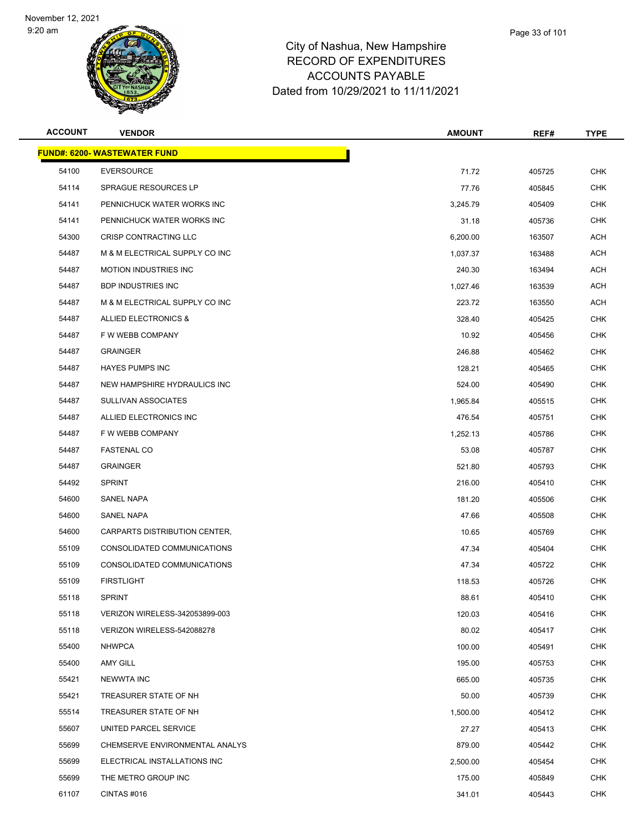

| <b>ACCOUNT</b> | <b>VENDOR</b>                       | <b>AMOUNT</b> | REF#   | <b>TYPE</b> |
|----------------|-------------------------------------|---------------|--------|-------------|
|                | <b>FUND#: 6200- WASTEWATER FUND</b> |               |        |             |
| 54100          | <b>EVERSOURCE</b>                   | 71.72         | 405725 | <b>CHK</b>  |
| 54114          | SPRAGUE RESOURCES LP                | 77.76         | 405845 | <b>CHK</b>  |
| 54141          | PENNICHUCK WATER WORKS INC          | 3,245.79      | 405409 | <b>CHK</b>  |
| 54141          | PENNICHUCK WATER WORKS INC          | 31.18         | 405736 | <b>CHK</b>  |
| 54300          | CRISP CONTRACTING LLC               | 6,200.00      | 163507 | <b>ACH</b>  |
| 54487          | M & M ELECTRICAL SUPPLY CO INC      | 1,037.37      | 163488 | <b>ACH</b>  |
| 54487          | <b>MOTION INDUSTRIES INC</b>        | 240.30        | 163494 | <b>ACH</b>  |
| 54487          | <b>BDP INDUSTRIES INC</b>           | 1,027.46      | 163539 | <b>ACH</b>  |
| 54487          | M & M ELECTRICAL SUPPLY CO INC      | 223.72        | 163550 | ACH         |
| 54487          | ALLIED ELECTRONICS &                | 328.40        | 405425 | <b>CHK</b>  |
| 54487          | F W WEBB COMPANY                    | 10.92         | 405456 | <b>CHK</b>  |
| 54487          | <b>GRAINGER</b>                     | 246.88        | 405462 | <b>CHK</b>  |
| 54487          | <b>HAYES PUMPS INC</b>              | 128.21        | 405465 | <b>CHK</b>  |
| 54487          | NEW HAMPSHIRE HYDRAULICS INC        | 524.00        | 405490 | <b>CHK</b>  |
| 54487          | <b>SULLIVAN ASSOCIATES</b>          | 1,965.84      | 405515 | <b>CHK</b>  |
| 54487          | ALLIED ELECTRONICS INC              | 476.54        | 405751 | <b>CHK</b>  |
| 54487          | F W WEBB COMPANY                    | 1,252.13      | 405786 | <b>CHK</b>  |
| 54487          | <b>FASTENAL CO</b>                  | 53.08         | 405787 | <b>CHK</b>  |
| 54487          | <b>GRAINGER</b>                     | 521.80        | 405793 | <b>CHK</b>  |
| 54492          | <b>SPRINT</b>                       | 216.00        | 405410 | <b>CHK</b>  |
| 54600          | SANEL NAPA                          | 181.20        | 405506 | <b>CHK</b>  |
| 54600          | SANEL NAPA                          | 47.66         | 405508 | <b>CHK</b>  |
| 54600          | CARPARTS DISTRIBUTION CENTER,       | 10.65         | 405769 | <b>CHK</b>  |
| 55109          | CONSOLIDATED COMMUNICATIONS         | 47.34         | 405404 | <b>CHK</b>  |
| 55109          | CONSOLIDATED COMMUNICATIONS         | 47.34         | 405722 | <b>CHK</b>  |
| 55109          | <b>FIRSTLIGHT</b>                   | 118.53        | 405726 | <b>CHK</b>  |
| 55118          | <b>SPRINT</b>                       | 88.61         | 405410 | <b>CHK</b>  |
| 55118          | VERIZON WIRELESS-342053899-003      | 120.03        | 405416 | <b>CHK</b>  |
| 55118          | VERIZON WIRELESS-542088278          | 80.02         | 405417 | <b>CHK</b>  |
| 55400          | <b>NHWPCA</b>                       | 100.00        | 405491 | <b>CHK</b>  |
| 55400          | <b>AMY GILL</b>                     | 195.00        | 405753 | <b>CHK</b>  |
| 55421          | <b>NEWWTA INC</b>                   | 665.00        | 405735 | <b>CHK</b>  |
| 55421          | TREASURER STATE OF NH               | 50.00         | 405739 | <b>CHK</b>  |
| 55514          | TREASURER STATE OF NH               | 1,500.00      | 405412 | <b>CHK</b>  |
| 55607          | UNITED PARCEL SERVICE               | 27.27         | 405413 | <b>CHK</b>  |
| 55699          | CHEMSERVE ENVIRONMENTAL ANALYS      | 879.00        | 405442 | <b>CHK</b>  |
| 55699          | ELECTRICAL INSTALLATIONS INC        | 2,500.00      | 405454 | <b>CHK</b>  |
| 55699          | THE METRO GROUP INC                 | 175.00        | 405849 | <b>CHK</b>  |
| 61107          | CINTAS #016                         | 341.01        | 405443 | <b>CHK</b>  |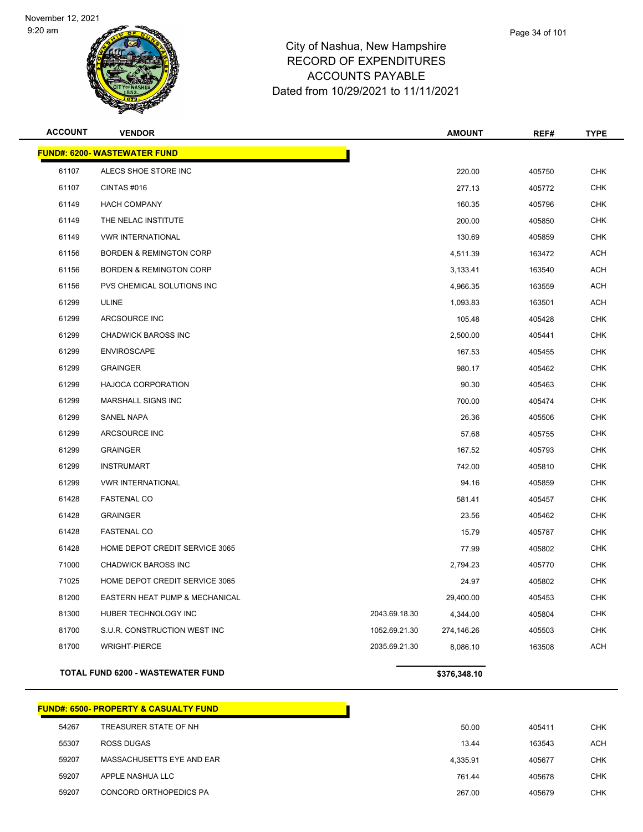

#### City of Nashua, New Hampshire RECORD OF EXPENDITURES ACCOUNTS PAYABLE Dated from 10/29/2021 to 11/11/2021

| Page 34 of 101 |  |  |
|----------------|--|--|
|                |  |  |

| <b>ACCOUNT</b> | <b>VENDOR</b>                            |               | <b>AMOUNT</b> | REF#   | <b>TYPE</b> |
|----------------|------------------------------------------|---------------|---------------|--------|-------------|
|                | <b>FUND#: 6200- WASTEWATER FUND</b>      |               |               |        |             |
| 61107          | ALECS SHOE STORE INC                     |               | 220.00        | 405750 | <b>CHK</b>  |
| 61107          | CINTAS#016                               |               | 277.13        | 405772 | <b>CHK</b>  |
| 61149          | <b>HACH COMPANY</b>                      |               | 160.35        | 405796 | <b>CHK</b>  |
| 61149          | THE NELAC INSTITUTE                      |               | 200.00        | 405850 | <b>CHK</b>  |
| 61149          | <b>VWR INTERNATIONAL</b>                 |               | 130.69        | 405859 | <b>CHK</b>  |
| 61156          | <b>BORDEN &amp; REMINGTON CORP</b>       |               | 4,511.39      | 163472 | <b>ACH</b>  |
| 61156          | <b>BORDEN &amp; REMINGTON CORP</b>       |               | 3,133.41      | 163540 | <b>ACH</b>  |
| 61156          | PVS CHEMICAL SOLUTIONS INC               |               | 4,966.35      | 163559 | <b>ACH</b>  |
| 61299          | <b>ULINE</b>                             |               | 1,093.83      | 163501 | <b>ACH</b>  |
| 61299          | ARCSOURCE INC                            |               | 105.48        | 405428 | <b>CHK</b>  |
| 61299          | <b>CHADWICK BAROSS INC</b>               |               | 2,500.00      | 405441 | <b>CHK</b>  |
| 61299          | <b>ENVIROSCAPE</b>                       |               | 167.53        | 405455 | <b>CHK</b>  |
| 61299          | <b>GRAINGER</b>                          |               | 980.17        | 405462 | <b>CHK</b>  |
| 61299          | <b>HAJOCA CORPORATION</b>                |               | 90.30         | 405463 | <b>CHK</b>  |
| 61299          | MARSHALL SIGNS INC                       |               | 700.00        | 405474 | <b>CHK</b>  |
| 61299          | <b>SANEL NAPA</b>                        |               | 26.36         | 405506 | <b>CHK</b>  |
| 61299          | ARCSOURCE INC                            |               | 57.68         | 405755 | <b>CHK</b>  |
| 61299          | <b>GRAINGER</b>                          |               | 167.52        | 405793 | <b>CHK</b>  |
| 61299          | <b>INSTRUMART</b>                        |               | 742.00        | 405810 | <b>CHK</b>  |
| 61299          | <b>VWR INTERNATIONAL</b>                 |               | 94.16         | 405859 | <b>CHK</b>  |
| 61428          | <b>FASTENAL CO</b>                       |               | 581.41        | 405457 | <b>CHK</b>  |
| 61428          | <b>GRAINGER</b>                          |               | 23.56         | 405462 | <b>CHK</b>  |
| 61428          | <b>FASTENAL CO</b>                       |               | 15.79         | 405787 | <b>CHK</b>  |
| 61428          | HOME DEPOT CREDIT SERVICE 3065           |               | 77.99         | 405802 | <b>CHK</b>  |
| 71000          | <b>CHADWICK BAROSS INC</b>               |               | 2,794.23      | 405770 | <b>CHK</b>  |
| 71025          | HOME DEPOT CREDIT SERVICE 3065           |               | 24.97         | 405802 | <b>CHK</b>  |
| 81200          | EASTERN HEAT PUMP & MECHANICAL           |               | 29,400.00     | 405453 | <b>CHK</b>  |
| 81300          | HUBER TECHNOLOGY INC                     | 2043.69.18.30 | 4,344.00      | 405804 | <b>CHK</b>  |
| 81700          | S.U.R. CONSTRUCTION WEST INC             | 1052.69.21.30 | 274,146.26    | 405503 | <b>CHK</b>  |
| 81700          | <b>WRIGHT-PIERCE</b>                     | 2035.69.21.30 | 8,086.10      | 163508 | ACH         |
|                | <b>TOTAL FUND 6200 - WASTEWATER FUND</b> |               | \$376,348.10  |        |             |

**FUND#: 6500- PROPERTY & CASUALTY FUND** TREASURER STATE OF NH 50.00 405411 CHK ROSS DUGAS 13.44 163543 ACH MASSACHUSETTS EYE AND EAR 4,335.91 405677 CHK APPLE NASHUA LLC 761.44 405678 CHK CONCORD ORTHOPEDICS PA 267.00 405679 CHK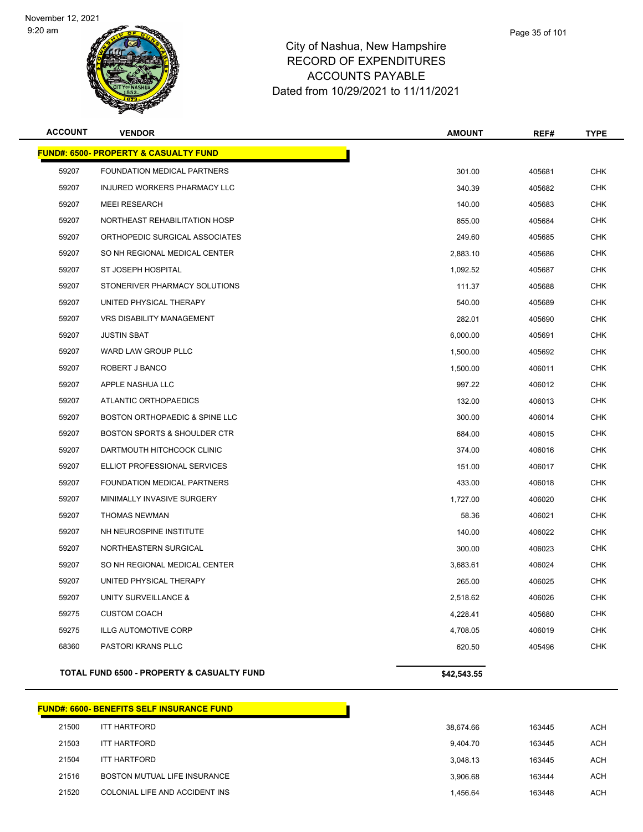

|       | Page 35 of 101 |
|-------|----------------|
| nire. |                |

| <b>ACCOUNT</b> | <b>VENDOR</b>                                    | <b>AMOUNT</b> | REF#   | <b>TYPE</b> |
|----------------|--------------------------------------------------|---------------|--------|-------------|
|                | <b>FUND#: 6500- PROPERTY &amp; CASUALTY FUND</b> |               |        |             |
| 59207          | FOUNDATION MEDICAL PARTNERS                      | 301.00        | 405681 | <b>CHK</b>  |
| 59207          | INJURED WORKERS PHARMACY LLC                     | 340.39        | 405682 | <b>CHK</b>  |
| 59207          | <b>MEEI RESEARCH</b>                             | 140.00        | 405683 | <b>CHK</b>  |
| 59207          | NORTHEAST REHABILITATION HOSP                    | 855.00        | 405684 | <b>CHK</b>  |
| 59207          | ORTHOPEDIC SURGICAL ASSOCIATES                   | 249.60        | 405685 | <b>CHK</b>  |
| 59207          | SO NH REGIONAL MEDICAL CENTER                    | 2,883.10      | 405686 | <b>CHK</b>  |
| 59207          | ST JOSEPH HOSPITAL                               | 1,092.52      | 405687 | <b>CHK</b>  |
| 59207          | STONERIVER PHARMACY SOLUTIONS                    | 111.37        | 405688 | <b>CHK</b>  |
| 59207          | UNITED PHYSICAL THERAPY                          | 540.00        | 405689 | <b>CHK</b>  |
| 59207          | <b>VRS DISABILITY MANAGEMENT</b>                 | 282.01        | 405690 | <b>CHK</b>  |
| 59207          | <b>JUSTIN SBAT</b>                               | 6,000.00      | 405691 | <b>CHK</b>  |
| 59207          | WARD LAW GROUP PLLC                              | 1,500.00      | 405692 | <b>CHK</b>  |
| 59207          | ROBERT J BANCO                                   | 1,500.00      | 406011 | <b>CHK</b>  |
| 59207          | APPLE NASHUA LLC                                 | 997.22        | 406012 | <b>CHK</b>  |
| 59207          | ATLANTIC ORTHOPAEDICS                            | 132.00        | 406013 | <b>CHK</b>  |
| 59207          | BOSTON ORTHOPAEDIC & SPINE LLC                   | 300.00        | 406014 | <b>CHK</b>  |
| 59207          | BOSTON SPORTS & SHOULDER CTR                     | 684.00        | 406015 | <b>CHK</b>  |
| 59207          | DARTMOUTH HITCHCOCK CLINIC                       | 374.00        | 406016 | <b>CHK</b>  |
| 59207          | ELLIOT PROFESSIONAL SERVICES                     | 151.00        | 406017 | <b>CHK</b>  |
| 59207          | FOUNDATION MEDICAL PARTNERS                      | 433.00        | 406018 | <b>CHK</b>  |
| 59207          | MINIMALLY INVASIVE SURGERY                       | 1,727.00      | 406020 | <b>CHK</b>  |
| 59207          | THOMAS NEWMAN                                    | 58.36         | 406021 | <b>CHK</b>  |
| 59207          | NH NEUROSPINE INSTITUTE                          | 140.00        | 406022 | <b>CHK</b>  |
| 59207          | NORTHEASTERN SURGICAL                            | 300.00        | 406023 | <b>CHK</b>  |
| 59207          | SO NH REGIONAL MEDICAL CENTER                    | 3,683.61      | 406024 | <b>CHK</b>  |
| 59207          | UNITED PHYSICAL THERAPY                          | 265.00        | 406025 | <b>CHK</b>  |
| 59207          | UNITY SURVEILLANCE &                             | 2,518.62      | 406026 | <b>CHK</b>  |
| 59275          | <b>CUSTOM COACH</b>                              | 4,228.41      | 405680 | <b>CHK</b>  |
| 59275          | <b>ILLG AUTOMOTIVE CORP</b>                      | 4,708.05      | 406019 | <b>CHK</b>  |
| 68360          | PASTORI KRANS PLLC                               | 620.50        | 405496 | <b>CHK</b>  |
|                | TOTAL FUND 6500 - PROPERTY & CASUALTY FUND       | \$42,543.55   |        |             |

|       | <b>FUND#: 6600- BENEFITS SELF INSURANCE FUND</b> |           |        |            |
|-------|--------------------------------------------------|-----------|--------|------------|
| 21500 | <b>ITT HARTFORD</b>                              | 38.674.66 | 163445 | <b>ACH</b> |
| 21503 | <b>ITT HARTFORD</b>                              | 9.404.70  | 163445 | <b>ACH</b> |
| 21504 | <b>ITT HARTFORD</b>                              | 3.048.13  | 163445 | <b>ACH</b> |
| 21516 | BOSTON MUTUAL LIFE INSURANCE                     | 3.906.68  | 163444 | <b>ACH</b> |
| 21520 | COLONIAL LIFE AND ACCIDENT INS                   | 1.456.64  | 163448 | <b>ACH</b> |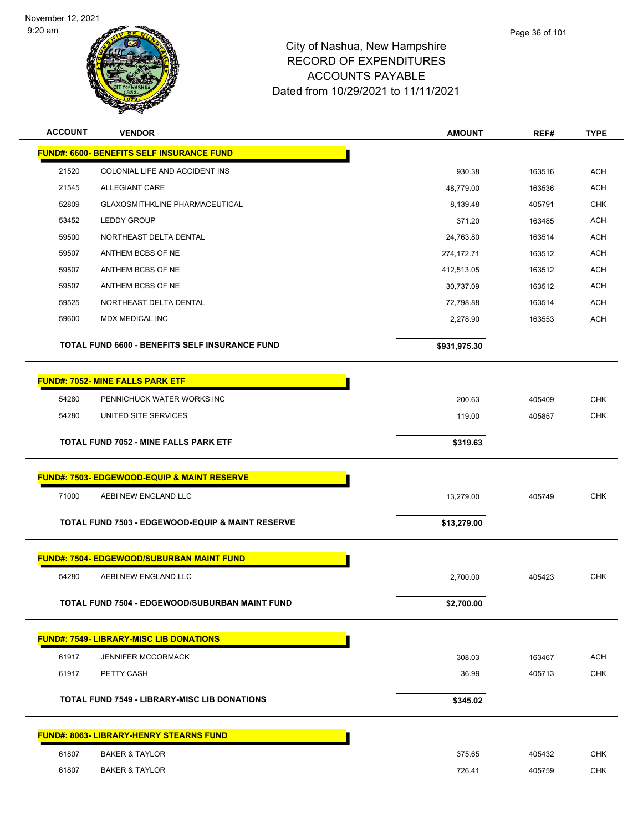



| <b>ACCOUNT</b> | <b>VENDOR</b>                                               | <b>AMOUNT</b> | REF#   | <b>TYPE</b> |
|----------------|-------------------------------------------------------------|---------------|--------|-------------|
|                | <b>FUND#: 6600- BENEFITS SELF INSURANCE FUND</b>            |               |        |             |
| 21520          | COLONIAL LIFE AND ACCIDENT INS                              | 930.38        | 163516 | <b>ACH</b>  |
| 21545          | <b>ALLEGIANT CARE</b>                                       | 48,779.00     | 163536 | <b>ACH</b>  |
| 52809          | GLAXOSMITHKLINE PHARMACEUTICAL                              | 8,139.48      | 405791 | <b>CHK</b>  |
| 53452          | <b>LEDDY GROUP</b>                                          | 371.20        | 163485 | ACH         |
| 59500          | NORTHEAST DELTA DENTAL                                      | 24,763.80     | 163514 | <b>ACH</b>  |
| 59507          | ANTHEM BCBS OF NE                                           | 274,172.71    | 163512 | <b>ACH</b>  |
| 59507          | ANTHEM BCBS OF NE                                           | 412,513.05    | 163512 | <b>ACH</b>  |
| 59507          | ANTHEM BCBS OF NE                                           | 30,737.09     | 163512 | <b>ACH</b>  |
| 59525          | NORTHEAST DELTA DENTAL                                      | 72,798.88     | 163514 | ACH         |
| 59600          | MDX MEDICAL INC                                             | 2,278.90      | 163553 | <b>ACH</b>  |
|                | TOTAL FUND 6600 - BENEFITS SELF INSURANCE FUND              | \$931,975.30  |        |             |
|                | <b>FUND#: 7052- MINE FALLS PARK ETF</b>                     |               |        |             |
| 54280          | PENNICHUCK WATER WORKS INC                                  | 200.63        | 405409 | <b>CHK</b>  |
| 54280          | UNITED SITE SERVICES                                        | 119.00        | 405857 | <b>CHK</b>  |
|                | <b>TOTAL FUND 7052 - MINE FALLS PARK ETF</b>                | \$319.63      |        |             |
|                | <b>FUND#: 7503- EDGEWOOD-EQUIP &amp; MAINT RESERVE</b>      |               |        |             |
| 71000          | AEBI NEW ENGLAND LLC                                        | 13,279.00     | 405749 | <b>CHK</b>  |
|                | <b>TOTAL FUND 7503 - EDGEWOOD-EQUIP &amp; MAINT RESERVE</b> | \$13,279.00   |        |             |
|                | <b>FUND#: 7504- EDGEWOOD/SUBURBAN MAINT FUND</b>            |               |        |             |
| 54280          | AEBI NEW ENGLAND LLC                                        | 2,700.00      | 405423 | <b>CHK</b>  |
|                | TOTAL FUND 7504 - EDGEWOOD/SUBURBAN MAINT FUND              | \$2,700.00    |        |             |
|                | <b>FUND#: 7549- LIBRARY-MISC LIB DONATIONS</b>              |               |        |             |
| 61917          | <b>JENNIFER MCCORMACK</b>                                   | 308.03        | 163467 | <b>ACH</b>  |
| 61917          | PETTY CASH                                                  | 36.99         | 405713 | <b>CHK</b>  |
|                | <b>TOTAL FUND 7549 - LIBRARY-MISC LIB DONATIONS</b>         | \$345.02      |        |             |
|                | <b>FUND#: 8063- LIBRARY-HENRY STEARNS FUND</b>              |               |        |             |
| 61807          | <b>BAKER &amp; TAYLOR</b>                                   | 375.65        | 405432 | <b>CHK</b>  |
| 61807          | <b>BAKER &amp; TAYLOR</b>                                   | 726.41        | 405759 | <b>CHK</b>  |
|                |                                                             |               |        |             |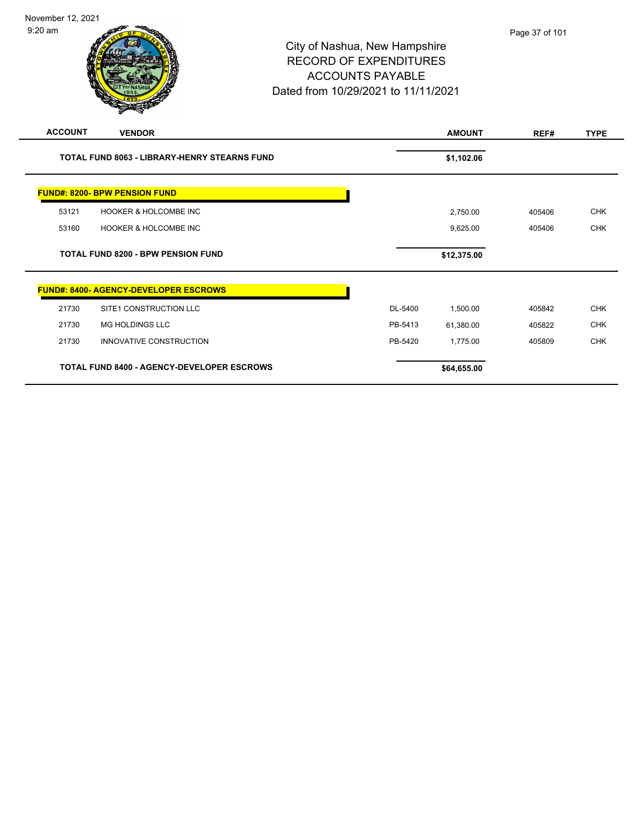-

| <b>INOVEHIDEL IZ, ZUZ I</b><br>$9:20$ am |                                     | Page 37 of 10 |
|------------------------------------------|-------------------------------------|---------------|
|                                          | City of Nashua, New Hampshire       |               |
|                                          | <b>RECORD OF EXPENDITURES</b>       |               |
|                                          | <b>ACCOUNTS PAYABLE</b>             |               |
|                                          | Dated from 10/29/2021 to 11/11/2021 |               |
|                                          |                                     |               |

| <b>ACCOUNT</b> | <b>VENDOR</b>                                       |         | <b>AMOUNT</b> | REF#   | <b>TYPE</b> |
|----------------|-----------------------------------------------------|---------|---------------|--------|-------------|
|                | <b>TOTAL FUND 8063 - LIBRARY-HENRY STEARNS FUND</b> |         | \$1,102.06    |        |             |
|                | <b>FUND#: 8200- BPW PENSION FUND</b>                |         |               |        |             |
| 53121          | <b>HOOKER &amp; HOLCOMBE INC</b>                    |         | 2,750.00      | 405406 | <b>CHK</b>  |
| 53160          | <b>HOOKER &amp; HOLCOMBE INC</b>                    |         | 9,625.00      | 405406 | <b>CHK</b>  |
|                | <b>TOTAL FUND 8200 - BPW PENSION FUND</b>           |         | \$12,375.00   |        |             |
|                | <b>FUND#: 8400- AGENCY-DEVELOPER ESCROWS</b>        |         |               |        |             |
| 21730          | SITE1 CONSTRUCTION LLC                              | DL-5400 | 1,500.00      | 405842 | <b>CHK</b>  |
| 21730          | MG HOLDINGS LLC                                     | PB-5413 | 61,380.00     | 405822 | <b>CHK</b>  |
| 21730          | INNOVATIVE CONSTRUCTION                             | PB-5420 | 1,775.00      | 405809 | <b>CHK</b>  |
|                | <b>TOTAL FUND 8400 - AGENCY-DEVELOPER ESCROWS</b>   |         | \$64,655.00   |        |             |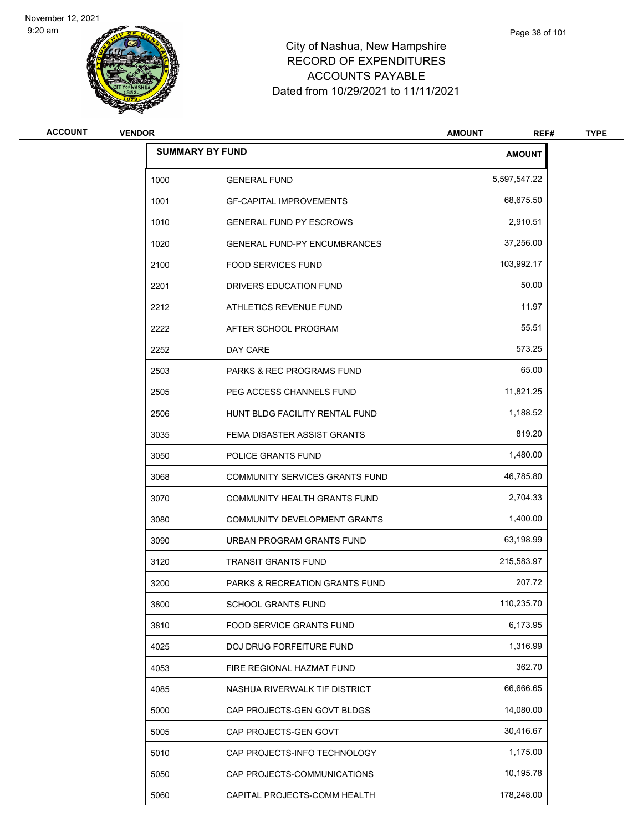9:20 am



# City of Nashua, New Hampshire RECORD OF EXPENDITURES ACCOUNTS PAYABLE Dated from 10/29/2021 to 11/11/2021

| <b>ACCOUNT</b> | <b>VENDOR</b> |                                           | <b>AMOUNT</b><br>REF# | <b>TYPE</b> |
|----------------|---------------|-------------------------------------------|-----------------------|-------------|
|                |               | <b>SUMMARY BY FUND</b>                    | <b>AMOUNT</b>         |             |
|                | 1000          | <b>GENERAL FUND</b>                       | 5,597,547.22          |             |
|                | 1001          | <b>GF-CAPITAL IMPROVEMENTS</b>            | 68,675.50             |             |
|                | 1010          | <b>GENERAL FUND PY ESCROWS</b>            | 2,910.51              |             |
|                | 1020          | <b>GENERAL FUND-PY ENCUMBRANCES</b>       | 37,256.00             |             |
|                | 2100          | <b>FOOD SERVICES FUND</b>                 | 103,992.17            |             |
|                | 2201          | DRIVERS EDUCATION FUND                    | 50.00                 |             |
|                | 2212          | ATHLETICS REVENUE FUND                    | 11.97                 |             |
|                | 2222          | AFTER SCHOOL PROGRAM                      | 55.51                 |             |
|                | 2252          | DAY CARE                                  | 573.25                |             |
|                | 2503          | <b>PARKS &amp; REC PROGRAMS FUND</b>      | 65.00                 |             |
|                | 2505          | PEG ACCESS CHANNELS FUND                  | 11,821.25             |             |
|                | 2506          | HUNT BLDG FACILITY RENTAL FUND            | 1,188.52              |             |
|                | 3035          | FEMA DISASTER ASSIST GRANTS               | 819.20                |             |
|                | 3050          | POLICE GRANTS FUND                        | 1,480.00              |             |
|                | 3068          | COMMUNITY SERVICES GRANTS FUND            | 46,785.80             |             |
|                | 3070          | COMMUNITY HEALTH GRANTS FUND              | 2,704.33              |             |
|                | 3080          | COMMUNITY DEVELOPMENT GRANTS              | 1,400.00              |             |
|                | 3090          | URBAN PROGRAM GRANTS FUND                 | 63,198.99             |             |
|                | 3120          | <b>TRANSIT GRANTS FUND</b>                | 215,583.97            |             |
|                | 3200          | <b>PARKS &amp; RECREATION GRANTS FUND</b> | 207.72                |             |
|                | 3800          | SCHOOL GRANTS FUND                        | 110,235.70            |             |
|                | 3810          | FOOD SERVICE GRANTS FUND                  | 6,173.95              |             |
|                | 4025          | DOJ DRUG FORFEITURE FUND                  | 1,316.99              |             |
|                | 4053          | FIRE REGIONAL HAZMAT FUND                 | 362.70                |             |
|                | 4085          | NASHUA RIVERWALK TIF DISTRICT             | 66,666.65             |             |
|                | 5000          | CAP PROJECTS-GEN GOVT BLDGS               | 14,080.00             |             |
|                | 5005          | CAP PROJECTS-GEN GOVT                     | 30,416.67             |             |
|                | 5010          | CAP PROJECTS-INFO TECHNOLOGY              | 1,175.00              |             |
|                | 5050          | CAP PROJECTS-COMMUNICATIONS               | 10,195.78             |             |
|                | 5060          | CAPITAL PROJECTS-COMM HEALTH              | 178,248.00            |             |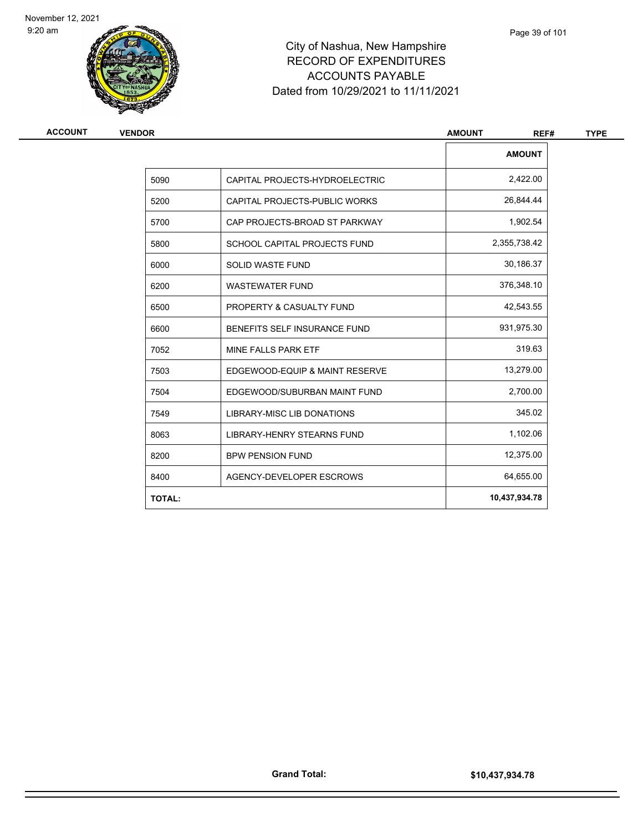9:20 am



# City of Nashua, New Hampshire RECORD OF EXPENDITURES ACCOUNTS PAYABLE Dated from 10/29/2021 to 11/11/2021

| ACCOUNT | <b>VENDOR</b> |                                   | <b>AMOUNT</b><br>REF# |
|---------|---------------|-----------------------------------|-----------------------|
|         |               |                                   | <b>AMOUNT</b>         |
|         | 5090          | CAPITAL PROJECTS-HYDROELECTRIC    | 2,422.00              |
|         | 5200          | CAPITAL PROJECTS-PUBLIC WORKS     | 26,844.44             |
|         | 5700          | CAP PROJECTS-BROAD ST PARKWAY     | 1,902.54              |
|         | 5800          | SCHOOL CAPITAL PROJECTS FUND      | 2,355,738.42          |
|         | 6000          | <b>SOLID WASTE FUND</b>           | 30,186.37             |
|         | 6200          | <b>WASTEWATER FUND</b>            | 376,348.10            |
|         | 6500          | PROPERTY & CASUALTY FUND          | 42,543.55             |
|         | 6600          | BENEFITS SELF INSURANCE FUND      | 931,975.30            |
|         | 7052          | MINE FALLS PARK ETF               | 319.63                |
|         | 7503          | EDGEWOOD-EQUIP & MAINT RESERVE    | 13,279.00             |
|         | 7504          | EDGEWOOD/SUBURBAN MAINT FUND      | 2,700.00              |
|         | 7549          | LIBRARY-MISC LIB DONATIONS        | 345.02                |
|         | 8063          | <b>LIBRARY-HENRY STEARNS FUND</b> | 1,102.06              |
|         | 8200          | <b>BPW PENSION FUND</b>           | 12,375.00             |
|         | 8400          | AGENCY-DEVELOPER ESCROWS          | 64,655.00             |
|         | <b>TOTAL:</b> |                                   | 10,437,934.78         |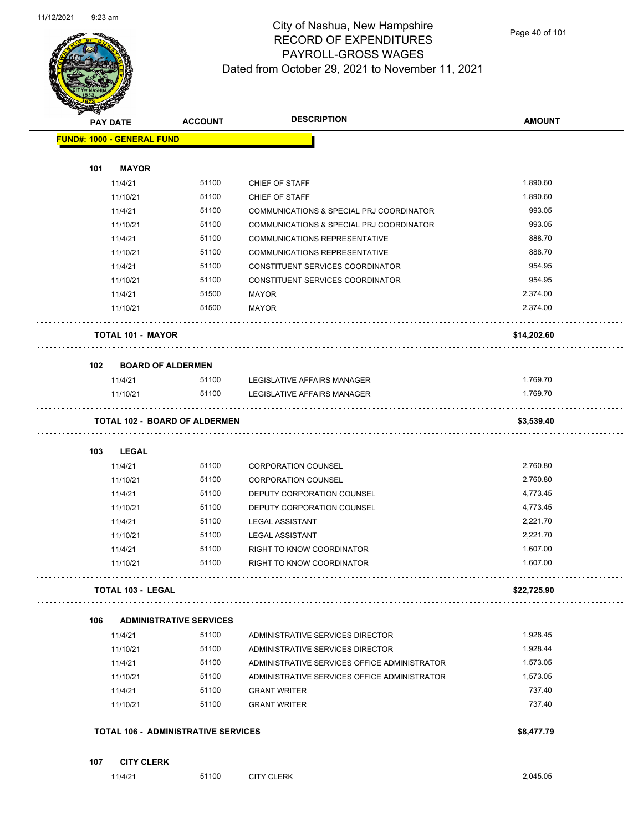

| <b>Andri</b> | <b>PAY DATE</b>                   | <b>ACCOUNT</b>                             | <b>DESCRIPTION</b>                           | <b>AMOUNT</b> |
|--------------|-----------------------------------|--------------------------------------------|----------------------------------------------|---------------|
|              | <b>FUND#: 1000 - GENERAL FUND</b> |                                            |                                              |               |
| 101          | <b>MAYOR</b>                      |                                            |                                              |               |
|              | 11/4/21                           | 51100                                      | CHIEF OF STAFF                               | 1,890.60      |
|              | 11/10/21                          | 51100                                      | CHIEF OF STAFF                               | 1,890.60      |
|              | 11/4/21                           | 51100                                      | COMMUNICATIONS & SPECIAL PRJ COORDINATOR     | 993.05        |
|              | 11/10/21                          | 51100                                      | COMMUNICATIONS & SPECIAL PRJ COORDINATOR     | 993.05        |
|              | 11/4/21                           | 51100                                      | <b>COMMUNICATIONS REPRESENTATIVE</b>         | 888.70        |
|              | 11/10/21                          | 51100                                      | <b>COMMUNICATIONS REPRESENTATIVE</b>         | 888.70        |
|              | 11/4/21                           | 51100                                      | CONSTITUENT SERVICES COORDINATOR             | 954.95        |
|              | 11/10/21                          | 51100                                      | CONSTITUENT SERVICES COORDINATOR             | 954.95        |
|              | 11/4/21                           | 51500                                      | <b>MAYOR</b>                                 | 2,374.00      |
|              | 11/10/21                          | 51500                                      | <b>MAYOR</b>                                 | 2,374.00      |
|              | <b>TOTAL 101 - MAYOR</b>          |                                            |                                              | \$14,202.60   |
| 102          |                                   | <b>BOARD OF ALDERMEN</b>                   |                                              |               |
|              | 11/4/21                           | 51100                                      | LEGISLATIVE AFFAIRS MANAGER                  | 1,769.70      |
|              | 11/10/21                          | 51100                                      | LEGISLATIVE AFFAIRS MANAGER                  | 1,769.70      |
|              |                                   | <b>TOTAL 102 - BOARD OF ALDERMEN</b>       |                                              | \$3,539.40    |
| 103          | <b>LEGAL</b>                      |                                            |                                              |               |
|              | 11/4/21                           | 51100                                      | <b>CORPORATION COUNSEL</b>                   | 2,760.80      |
|              | 11/10/21                          | 51100                                      | <b>CORPORATION COUNSEL</b>                   | 2,760.80      |
|              | 11/4/21                           | 51100                                      | DEPUTY CORPORATION COUNSEL                   | 4,773.45      |
|              | 11/10/21                          | 51100                                      | DEPUTY CORPORATION COUNSEL                   | 4,773.45      |
|              | 11/4/21                           | 51100                                      | <b>LEGAL ASSISTANT</b>                       | 2,221.70      |
|              | 11/10/21                          | 51100                                      | <b>LEGAL ASSISTANT</b>                       | 2,221.70      |
|              | 11/4/21                           | 51100                                      | RIGHT TO KNOW COORDINATOR                    | 1,607.00      |
|              | 11/10/21                          | 51100                                      | RIGHT TO KNOW COORDINATOR                    | 1,607.00      |
|              | <b>TOTAL 103 - LEGAL</b>          |                                            |                                              | \$22,725.90   |
| 106          |                                   | <b>ADMINISTRATIVE SERVICES</b>             |                                              |               |
|              | 11/4/21                           | 51100                                      | ADMINISTRATIVE SERVICES DIRECTOR             | 1,928.45      |
|              | 11/10/21                          | 51100                                      | ADMINISTRATIVE SERVICES DIRECTOR             | 1,928.44      |
|              | 11/4/21                           | 51100                                      | ADMINISTRATIVE SERVICES OFFICE ADMINISTRATOR | 1,573.05      |
|              | 11/10/21                          | 51100                                      | ADMINISTRATIVE SERVICES OFFICE ADMINISTRATOR | 1,573.05      |
|              | 11/4/21                           | 51100                                      | <b>GRANT WRITER</b>                          | 737.40        |
|              | 11/10/21                          | 51100                                      | <b>GRANT WRITER</b>                          | 737.40        |
|              |                                   | <b>TOTAL 106 - ADMINISTRATIVE SERVICES</b> |                                              | \$8,477.79    |
| 107          | <b>CITY CLERK</b>                 |                                            |                                              |               |
|              | 11/4/21                           | 51100                                      | <b>CITY CLERK</b>                            | 2,045.05      |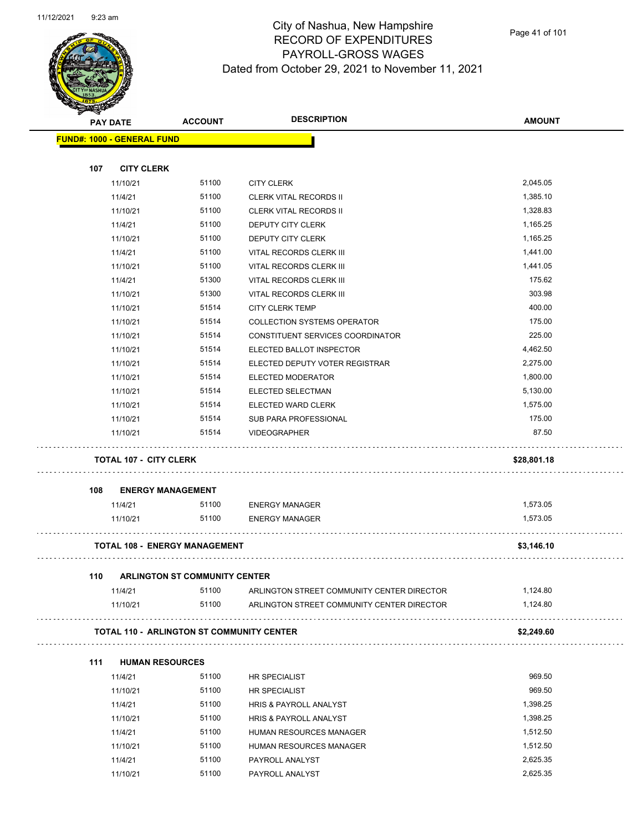

Page 41 of 101

| æ.  | <b>PAY DATE</b>                                  | <b>ACCOUNT</b>                       | <b>DESCRIPTION</b>                         | <b>AMOUNT</b> |
|-----|--------------------------------------------------|--------------------------------------|--------------------------------------------|---------------|
|     | <b>FUND#: 1000 - GENERAL FUND</b>                |                                      |                                            |               |
|     |                                                  |                                      |                                            |               |
| 107 | <b>CITY CLERK</b>                                |                                      |                                            |               |
|     | 11/10/21                                         | 51100                                | <b>CITY CLERK</b>                          | 2,045.05      |
|     | 11/4/21                                          | 51100                                | <b>CLERK VITAL RECORDS II</b>              | 1,385.10      |
|     | 11/10/21                                         | 51100                                | <b>CLERK VITAL RECORDS II</b>              | 1,328.83      |
|     | 11/4/21                                          | 51100                                | DEPUTY CITY CLERK                          | 1,165.25      |
|     | 11/10/21                                         | 51100                                | <b>DEPUTY CITY CLERK</b>                   | 1,165.25      |
|     | 11/4/21                                          | 51100                                | VITAL RECORDS CLERK III                    | 1,441.00      |
|     | 11/10/21                                         | 51100                                | VITAL RECORDS CLERK III                    | 1,441.05      |
|     | 11/4/21                                          | 51300                                | VITAL RECORDS CLERK III                    | 175.62        |
|     | 11/10/21                                         | 51300                                | VITAL RECORDS CLERK III                    | 303.98        |
|     | 11/10/21                                         | 51514                                | <b>CITY CLERK TEMP</b>                     | 400.00        |
|     | 11/10/21                                         | 51514                                | <b>COLLECTION SYSTEMS OPERATOR</b>         | 175.00        |
|     | 11/10/21                                         | 51514                                | CONSTITUENT SERVICES COORDINATOR           | 225.00        |
|     | 11/10/21                                         | 51514                                | ELECTED BALLOT INSPECTOR                   | 4,462.50      |
|     | 11/10/21                                         | 51514                                | ELECTED DEPUTY VOTER REGISTRAR             | 2,275.00      |
|     | 11/10/21                                         | 51514                                | ELECTED MODERATOR                          | 1,800.00      |
|     | 11/10/21                                         | 51514                                | ELECTED SELECTMAN                          | 5,130.00      |
|     | 11/10/21                                         | 51514                                | ELECTED WARD CLERK                         | 1,575.00      |
|     | 11/10/21                                         | 51514                                | SUB PARA PROFESSIONAL                      | 175.00        |
|     | 11/10/21                                         | 51514                                | <b>VIDEOGRAPHER</b>                        | 87.50         |
|     | <b>TOTAL 107 - CITY CLERK</b>                    |                                      |                                            | \$28,801.18   |
| 108 | <b>ENERGY MANAGEMENT</b>                         |                                      |                                            |               |
|     | 11/4/21                                          | 51100                                | <b>ENERGY MANAGER</b>                      | 1,573.05      |
|     | 11/10/21                                         | 51100                                | <b>ENERGY MANAGER</b>                      | 1,573.05      |
|     | <b>TOTAL 108 - ENERGY MANAGEMENT</b>             |                                      |                                            | \$3,146.10    |
| 110 |                                                  | <b>ARLINGTON ST COMMUNITY CENTER</b> |                                            |               |
|     | 11/4/21                                          | 51100                                | ARLINGTON STREET COMMUNITY CENTER DIRECTOR | 1,124.80      |
|     | 11/10/21                                         | 51100                                | ARLINGTON STREET COMMUNITY CENTER DIRECTOR | 1,124.80      |
|     | <b>TOTAL 110 - ARLINGTON ST COMMUNITY CENTER</b> |                                      |                                            | \$2,249.60    |
|     |                                                  |                                      |                                            |               |
| 111 | <b>HUMAN RESOURCES</b>                           |                                      |                                            |               |
|     | 11/4/21                                          | 51100                                | HR SPECIALIST                              | 969.50        |
|     | 11/10/21                                         | 51100                                | HR SPECIALIST                              | 969.50        |
|     | 11/4/21                                          | 51100                                | HRIS & PAYROLL ANALYST                     | 1,398.25      |
|     | 11/10/21                                         | 51100                                | HRIS & PAYROLL ANALYST                     | 1,398.25      |
|     | 11/4/21                                          | 51100                                | HUMAN RESOURCES MANAGER                    | 1,512.50      |
|     | 11/10/21                                         | 51100                                | HUMAN RESOURCES MANAGER                    | 1,512.50      |
|     | 11/4/21                                          | 51100                                | PAYROLL ANALYST                            | 2,625.35      |
|     | 11/10/21                                         | 51100                                | PAYROLL ANALYST                            | 2,625.35      |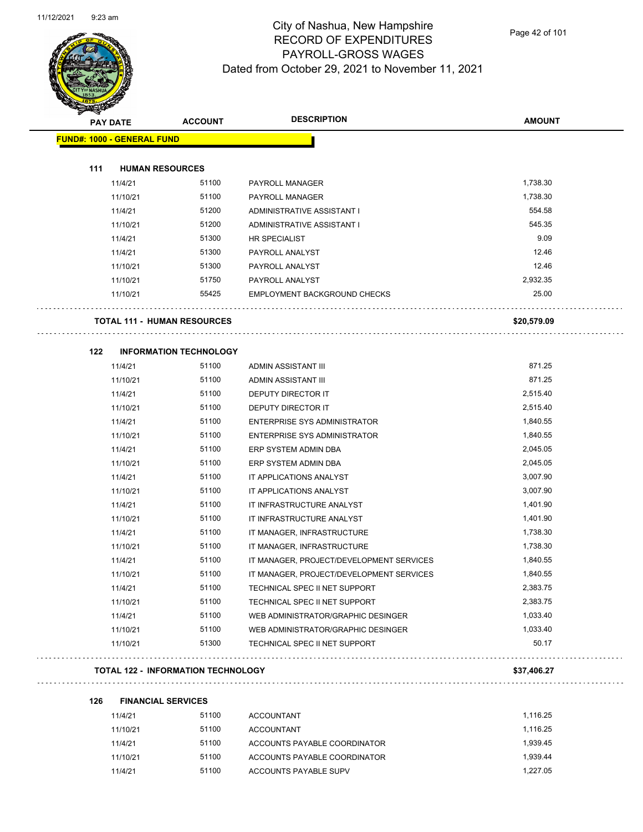

Page 42 of 101

| <b>PAY DATE</b>                    | <b>ACCOUNT</b>                            | <b>DESCRIPTION</b>                       | <b>AMOUNT</b> |
|------------------------------------|-------------------------------------------|------------------------------------------|---------------|
| <b>FUND#: 1000 - GENERAL FUND</b>  |                                           |                                          |               |
| 111<br><b>HUMAN RESOURCES</b>      |                                           |                                          |               |
| 11/4/21                            | 51100                                     | PAYROLL MANAGER                          | 1,738.30      |
| 11/10/21                           | 51100                                     | PAYROLL MANAGER                          | 1,738.30      |
| 11/4/21                            | 51200                                     | ADMINISTRATIVE ASSISTANT I               | 554.58        |
| 11/10/21                           | 51200                                     | ADMINISTRATIVE ASSISTANT I               | 545.35        |
| 11/4/21                            | 51300                                     | HR SPECIALIST                            | 9.09          |
| 11/4/21                            | 51300                                     | PAYROLL ANALYST                          | 12.46         |
| 11/10/21                           | 51300                                     | PAYROLL ANALYST                          | 12.46         |
| 11/10/21                           | 51750                                     | PAYROLL ANALYST                          | 2,932.35      |
| 11/10/21                           | 55425                                     | <b>EMPLOYMENT BACKGROUND CHECKS</b>      | 25.00         |
| <b>TOTAL 111 - HUMAN RESOURCES</b> |                                           |                                          | \$20,579.09   |
| 122                                | <b>INFORMATION TECHNOLOGY</b>             |                                          |               |
| 11/4/21                            | 51100                                     | ADMIN ASSISTANT III                      | 871.25        |
| 11/10/21                           | 51100                                     | ADMIN ASSISTANT III                      | 871.25        |
| 11/4/21                            | 51100                                     | DEPUTY DIRECTOR IT                       | 2,515.40      |
| 11/10/21                           | 51100                                     | <b>DEPUTY DIRECTOR IT</b>                | 2,515.40      |
| 11/4/21                            | 51100                                     | <b>ENTERPRISE SYS ADMINISTRATOR</b>      | 1,840.55      |
| 11/10/21                           | 51100                                     | <b>ENTERPRISE SYS ADMINISTRATOR</b>      | 1,840.55      |
| 11/4/21                            | 51100                                     | ERP SYSTEM ADMIN DBA                     | 2,045.05      |
| 11/10/21                           | 51100                                     | ERP SYSTEM ADMIN DBA                     | 2,045.05      |
| 11/4/21                            | 51100                                     | IT APPLICATIONS ANALYST                  | 3,007.90      |
| 11/10/21                           | 51100                                     | IT APPLICATIONS ANALYST                  | 3,007.90      |
| 11/4/21                            | 51100                                     | IT INFRASTRUCTURE ANALYST                | 1,401.90      |
| 11/10/21                           | 51100                                     | IT INFRASTRUCTURE ANALYST                | 1,401.90      |
| 11/4/21                            | 51100                                     | IT MANAGER, INFRASTRUCTURE               | 1,738.30      |
| 11/10/21                           | 51100                                     | IT MANAGER, INFRASTRUCTURE               | 1,738.30      |
| 11/4/21                            | 51100                                     | IT MANAGER, PROJECT/DEVELOPMENT SERVICES | 1,840.55      |
| 11/10/21                           | 51100                                     | IT MANAGER, PROJECT/DEVELOPMENT SERVICES | 1,840.55      |
| 11/4/21                            | 51100                                     | TECHNICAL SPEC II NET SUPPORT            | 2,383.75      |
| 11/10/21                           | 51100                                     | TECHNICAL SPEC II NET SUPPORT            | 2,383.75      |
| 11/4/21                            | 51100                                     | WEB ADMINISTRATOR/GRAPHIC DESINGER       | 1,033.40      |
| 11/10/21                           | 51100                                     | WEB ADMINISTRATOR/GRAPHIC DESINGER       | 1,033.40      |
| 11/10/21                           | 51300                                     | TECHNICAL SPEC II NET SUPPORT            | 50.17         |
|                                    | <b>TOTAL 122 - INFORMATION TECHNOLOGY</b> |                                          | \$37,406.27   |

| 126 | <b>FINANCIAL SERVICES</b> |       |                              |          |
|-----|---------------------------|-------|------------------------------|----------|
|     | 11/4/21                   | 51100 | <b>ACCOUNTANT</b>            | 1.116.25 |
|     | 11/10/21                  | 51100 | <b>ACCOUNTANT</b>            | 1.116.25 |
|     | 11/4/21                   | 51100 | ACCOUNTS PAYABLE COORDINATOR | 1.939.45 |
|     | 11/10/21                  | 51100 | ACCOUNTS PAYABLE COORDINATOR | 1.939.44 |
|     | 11/4/21                   | 51100 | ACCOUNTS PAYABLE SUPV        | 1.227.05 |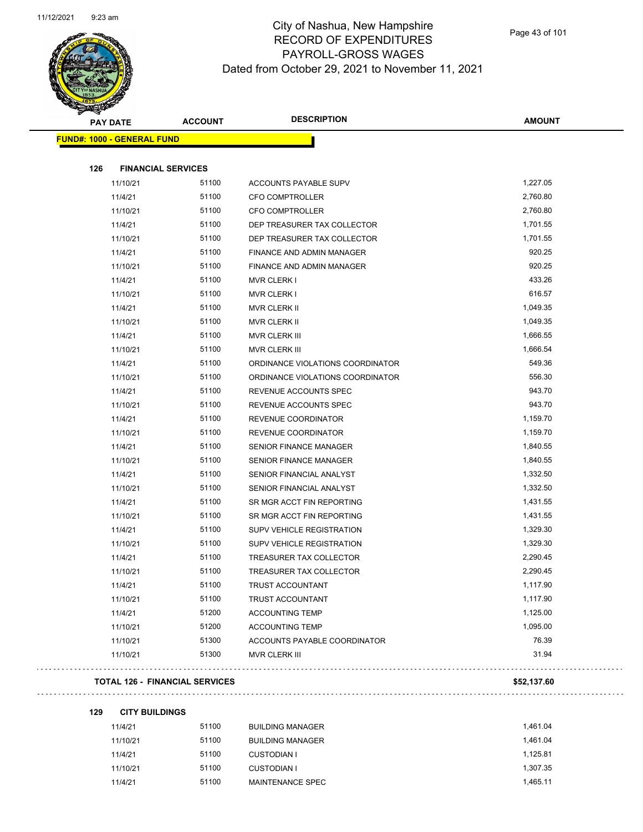

Page 43 of 101

| <b>PAY DATE</b>                       | <b>ACCOUNT</b> | <b>DESCRIPTION</b>               | <b>AMOUNT</b> |
|---------------------------------------|----------------|----------------------------------|---------------|
| <b>FUND#: 1000 - GENERAL FUND</b>     |                |                                  |               |
|                                       |                |                                  |               |
| 126<br><b>FINANCIAL SERVICES</b>      |                |                                  |               |
| 11/10/21                              | 51100          | ACCOUNTS PAYABLE SUPV            | 1,227.05      |
| 11/4/21                               | 51100          | CFO COMPTROLLER                  | 2,760.80      |
| 11/10/21                              | 51100          | <b>CFO COMPTROLLER</b>           | 2,760.80      |
| 11/4/21                               | 51100          | DEP TREASURER TAX COLLECTOR      | 1,701.55      |
| 11/10/21                              | 51100          | DEP TREASURER TAX COLLECTOR      | 1,701.55      |
| 11/4/21                               | 51100          | <b>FINANCE AND ADMIN MANAGER</b> | 920.25        |
| 11/10/21                              | 51100          | <b>FINANCE AND ADMIN MANAGER</b> | 920.25        |
| 11/4/21                               | 51100          | <b>MVR CLERK I</b>               | 433.26        |
| 11/10/21                              | 51100          | <b>MVR CLERK I</b>               | 616.57        |
| 11/4/21                               | 51100          | MVR CLERK II                     | 1,049.35      |
| 11/10/21                              | 51100          | MVR CLERK II                     | 1,049.35      |
| 11/4/21                               | 51100          | MVR CLERK III                    | 1,666.55      |
| 11/10/21                              | 51100          | MVR CLERK III                    | 1,666.54      |
| 11/4/21                               | 51100          | ORDINANCE VIOLATIONS COORDINATOR | 549.36        |
| 11/10/21                              | 51100          | ORDINANCE VIOLATIONS COORDINATOR | 556.30        |
| 11/4/21                               | 51100          | REVENUE ACCOUNTS SPEC            | 943.70        |
| 11/10/21                              | 51100          | REVENUE ACCOUNTS SPEC            | 943.70        |
| 11/4/21                               | 51100          | REVENUE COORDINATOR              | 1,159.70      |
| 11/10/21                              | 51100          | REVENUE COORDINATOR              | 1,159.70      |
| 11/4/21                               | 51100          | <b>SENIOR FINANCE MANAGER</b>    | 1,840.55      |
| 11/10/21                              | 51100          | <b>SENIOR FINANCE MANAGER</b>    | 1,840.55      |
| 11/4/21                               | 51100          | SENIOR FINANCIAL ANALYST         | 1,332.50      |
| 11/10/21                              | 51100          | SENIOR FINANCIAL ANALYST         | 1,332.50      |
| 11/4/21                               | 51100          | SR MGR ACCT FIN REPORTING        | 1,431.55      |
| 11/10/21                              | 51100          | SR MGR ACCT FIN REPORTING        | 1,431.55      |
| 11/4/21                               | 51100          | SUPV VEHICLE REGISTRATION        | 1,329.30      |
| 11/10/21                              | 51100          | SUPV VEHICLE REGISTRATION        | 1,329.30      |
| 11/4/21                               | 51100          | TREASURER TAX COLLECTOR          | 2,290.45      |
| 11/10/21                              | 51100          | TREASURER TAX COLLECTOR          | 2,290.45      |
| 11/4/21                               | 51100          | TRUST ACCOUNTANT                 | 1,117.90      |
| 11/10/21                              | 51100          | TRUST ACCOUNTANT                 | 1,117.90      |
| 11/4/21                               | 51200          | <b>ACCOUNTING TEMP</b>           | 1,125.00      |
| 11/10/21                              | 51200          | <b>ACCOUNTING TEMP</b>           | 1,095.00      |
| 11/10/21                              | 51300          | ACCOUNTS PAYABLE COORDINATOR     | 76.39         |
| 11/10/21                              | 51300          | MVR CLERK III                    | 31.94         |
| <b>TOTAL 126 - FINANCIAL SERVICES</b> |                |                                  | \$52,137.60   |

**129 CITY BUILDINGS**

 $\hat{\mathcal{A}}$ 

| 11/4/21  | 51100 | <b>BUILDING MANAGER</b> | 1.461.04 |
|----------|-------|-------------------------|----------|
| 11/10/21 | 51100 | <b>BUILDING MANAGER</b> | 1.461.04 |
| 11/4/21  | 51100 | CUSTODIAN I             | 1.125.81 |
| 11/10/21 | 51100 | CUSTODIAN I             | 1.307.35 |
| 11/4/21  | 51100 | MAINTENANCE SPEC        | 1.465.11 |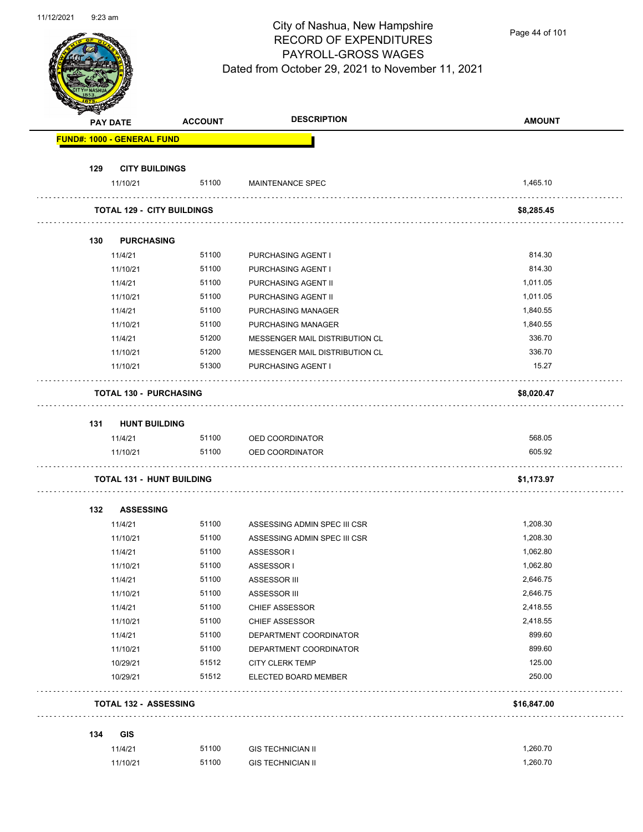

Page 44 of 101

|     | <b>PAY DATE</b>                   | <b>ACCOUNT</b>                    | <b>DESCRIPTION</b>             | <b>AMOUNT</b> |
|-----|-----------------------------------|-----------------------------------|--------------------------------|---------------|
|     | <b>FUND#: 1000 - GENERAL FUND</b> |                                   |                                |               |
| 129 | <b>CITY BUILDINGS</b>             |                                   |                                |               |
|     | 11/10/21                          | 51100                             | <b>MAINTENANCE SPEC</b>        | 1,465.10      |
|     |                                   | <b>TOTAL 129 - CITY BUILDINGS</b> |                                | \$8,285.45    |
| 130 | <b>PURCHASING</b>                 |                                   |                                |               |
|     | 11/4/21                           | 51100                             | PURCHASING AGENT I             | 814.30        |
|     | 11/10/21                          | 51100                             | PURCHASING AGENT I             | 814.30        |
|     | 11/4/21                           | 51100                             | PURCHASING AGENT II            | 1,011.05      |
|     | 11/10/21                          | 51100                             | PURCHASING AGENT II            | 1,011.05      |
|     | 11/4/21                           | 51100                             | PURCHASING MANAGER             | 1,840.55      |
|     | 11/10/21                          | 51100                             | PURCHASING MANAGER             | 1,840.55      |
|     | 11/4/21                           | 51200                             | MESSENGER MAIL DISTRIBUTION CL | 336.70        |
|     | 11/10/21                          | 51200                             | MESSENGER MAIL DISTRIBUTION CL | 336.70        |
|     | 11/10/21                          | 51300                             | PURCHASING AGENT I             | 15.27         |
|     | <b>TOTAL 130 - PURCHASING</b>     |                                   |                                | \$8,020.47    |
| 131 | <b>HUNT BUILDING</b>              |                                   |                                |               |
|     | 11/4/21                           | 51100                             | OED COORDINATOR                | 568.05        |
|     | 11/10/21                          | 51100                             | OED COORDINATOR                | 605.92        |
|     |                                   | <b>TOTAL 131 - HUNT BUILDING</b>  |                                | \$1,173.97    |
| 132 | <b>ASSESSING</b>                  |                                   |                                |               |
|     | 11/4/21                           | 51100                             | ASSESSING ADMIN SPEC III CSR   | 1,208.30      |
|     | 11/10/21                          | 51100                             | ASSESSING ADMIN SPEC III CSR   | 1,208.30      |
|     | 11/4/21                           | 51100                             | ASSESSOR I                     | 1,062.80      |
|     | 11/10/21                          | 51100                             | ASSESSOR I                     | 1,062.80      |
|     | 11/4/21                           | 51100                             | ASSESSOR III                   | 2,646.75      |
|     | 11/10/21                          | 51100                             | ASSESSOR III                   | 2,646.75      |
|     | 11/4/21                           | 51100                             | <b>CHIEF ASSESSOR</b>          | 2,418.55      |
|     | 11/10/21                          | 51100                             | <b>CHIEF ASSESSOR</b>          | 2,418.55      |
|     | 11/4/21                           | 51100                             | DEPARTMENT COORDINATOR         | 899.60        |
|     | 11/10/21                          | 51100                             | DEPARTMENT COORDINATOR         | 899.60        |
|     | 10/29/21                          | 51512                             | <b>CITY CLERK TEMP</b>         | 125.00        |
|     | 10/29/21                          | 51512                             | ELECTED BOARD MEMBER           | 250.00        |
|     | <b>TOTAL 132 - ASSESSING</b>      |                                   |                                | \$16,847.00   |
| 134 | <b>GIS</b>                        |                                   |                                |               |
|     | 11/4/21                           | 51100                             | <b>GIS TECHNICIAN II</b>       | 1,260.70      |
|     |                                   |                                   |                                |               |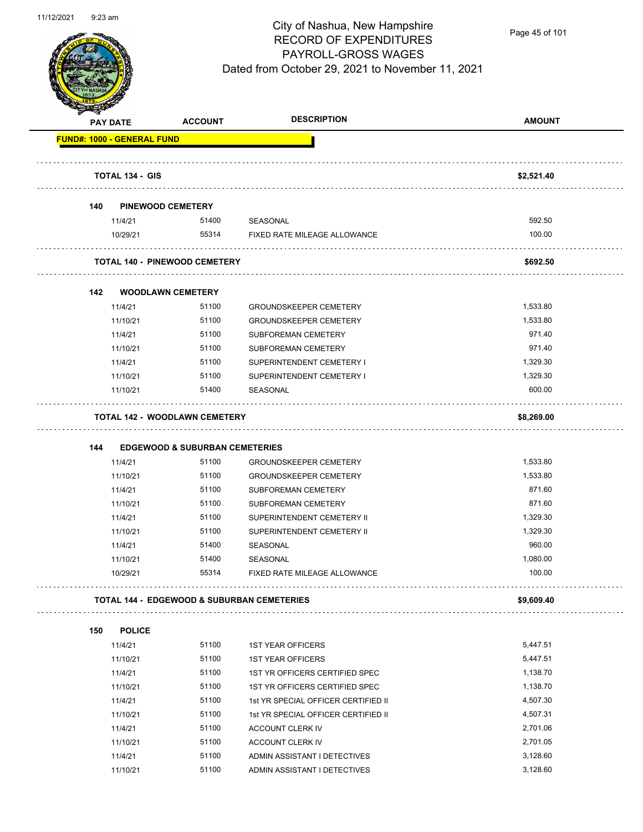

Page 45 of 101

| æ.                                | <b>PAY DATE</b>        | <b>ACCOUNT</b>                                        | <b>DESCRIPTION</b>                  | <b>AMOUNT</b> |
|-----------------------------------|------------------------|-------------------------------------------------------|-------------------------------------|---------------|
| <b>FUND#: 1000 - GENERAL FUND</b> |                        |                                                       |                                     |               |
|                                   | <b>TOTAL 134 - GIS</b> |                                                       |                                     | \$2,521.40    |
| 140                               |                        | <b>PINEWOOD CEMETERY</b>                              |                                     |               |
|                                   | 11/4/21                | 51400                                                 | SEASONAL                            | 592.50        |
|                                   | 10/29/21               | 55314                                                 | FIXED RATE MILEAGE ALLOWANCE        | 100.00        |
|                                   |                        | <b>TOTAL 140 - PINEWOOD CEMETERY</b>                  |                                     | \$692.50      |
|                                   |                        |                                                       |                                     |               |
| 142                               |                        | <b>WOODLAWN CEMETERY</b>                              |                                     |               |
|                                   | 11/4/21                | 51100                                                 | <b>GROUNDSKEEPER CEMETERY</b>       | 1,533.80      |
|                                   | 11/10/21               | 51100                                                 | <b>GROUNDSKEEPER CEMETERY</b>       | 1,533.80      |
|                                   | 11/4/21                | 51100                                                 | SUBFOREMAN CEMETERY                 | 971.40        |
|                                   | 11/10/21               | 51100                                                 | SUBFOREMAN CEMETERY                 | 971.40        |
|                                   | 11/4/21                | 51100                                                 | SUPERINTENDENT CEMETERY I           | 1,329.30      |
|                                   | 11/10/21               | 51100                                                 | SUPERINTENDENT CEMETERY I           | 1,329.30      |
|                                   | 11/10/21               | 51400                                                 | <b>SEASONAL</b>                     | 600.00        |
|                                   |                        | <b>TOTAL 142 - WOODLAWN CEMETERY</b>                  |                                     | \$8,269.00    |
|                                   |                        |                                                       |                                     |               |
| 144                               |                        | <b>EDGEWOOD &amp; SUBURBAN CEMETERIES</b>             |                                     |               |
|                                   | 11/4/21                | 51100                                                 | <b>GROUNDSKEEPER CEMETERY</b>       | 1,533.80      |
|                                   | 11/10/21               | 51100                                                 | <b>GROUNDSKEEPER CEMETERY</b>       | 1,533.80      |
|                                   | 11/4/21                | 51100                                                 | SUBFOREMAN CEMETERY                 | 871.60        |
|                                   | 11/10/21               | 51100                                                 | SUBFOREMAN CEMETERY                 | 871.60        |
|                                   | 11/4/21                | 51100                                                 | SUPERINTENDENT CEMETERY II          | 1,329.30      |
|                                   | 11/10/21               | 51100                                                 | SUPERINTENDENT CEMETERY II          | 1,329.30      |
|                                   | 11/4/21                | 51400                                                 | SEASONAL                            | 960.00        |
|                                   | 11/10/21               | 51400                                                 | SEASONAL                            | 1,080.00      |
|                                   | 10/29/21               | 55314                                                 | FIXED RATE MILEAGE ALLOWANCE        | 100.00        |
|                                   |                        | <b>TOTAL 144 - EDGEWOOD &amp; SUBURBAN CEMETERIES</b> |                                     | \$9,609.40    |
| 150                               | <b>POLICE</b>          |                                                       |                                     |               |
|                                   | 11/4/21                | 51100                                                 | <b>1ST YEAR OFFICERS</b>            | 5,447.51      |
|                                   | 11/10/21               | 51100                                                 | <b>1ST YEAR OFFICERS</b>            | 5,447.51      |
|                                   | 11/4/21                | 51100                                                 | 1ST YR OFFICERS CERTIFIED SPEC      | 1,138.70      |
|                                   | 11/10/21               | 51100                                                 | 1ST YR OFFICERS CERTIFIED SPEC      | 1,138.70      |
|                                   | 11/4/21                | 51100                                                 | 1st YR SPECIAL OFFICER CERTIFIED II | 4,507.30      |
|                                   | 11/10/21               | 51100                                                 | 1st YR SPECIAL OFFICER CERTIFIED II | 4,507.31      |
|                                   | 11/4/21                | 51100                                                 | ACCOUNT CLERK IV                    | 2,701.06      |
|                                   | 11/10/21               | 51100                                                 | ACCOUNT CLERK IV                    | 2,701.05      |
|                                   | 11/4/21                | 51100                                                 | ADMIN ASSISTANT I DETECTIVES        | 3,128.60      |
|                                   | 11/10/21               | 51100                                                 | ADMIN ASSISTANT I DETECTIVES        | 3,128.60      |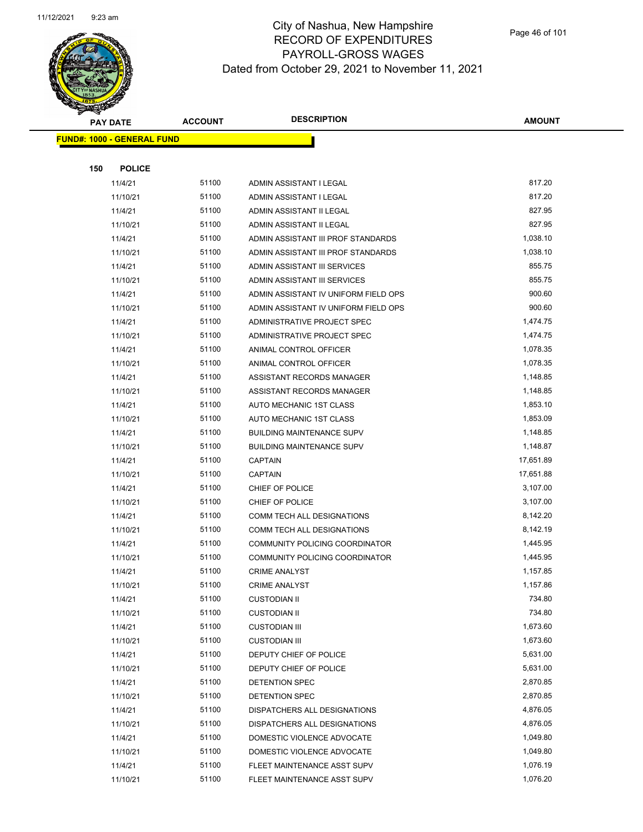

Page 46 of 101

|     | <b>PAY DATE</b>                   | <b>ACCOUNT</b> | <b>DESCRIPTION</b>                   | <b>AMOUNT</b> |
|-----|-----------------------------------|----------------|--------------------------------------|---------------|
|     | <b>FUND#: 1000 - GENERAL FUND</b> |                |                                      |               |
|     |                                   |                |                                      |               |
| 150 | <b>POLICE</b>                     |                |                                      |               |
|     | 11/4/21                           | 51100          | ADMIN ASSISTANT I LEGAL              | 817.20        |
|     | 11/10/21                          | 51100          | ADMIN ASSISTANT I LEGAL              | 817.20        |
|     | 11/4/21                           | 51100          | ADMIN ASSISTANT II LEGAL             | 827.95        |
|     | 11/10/21                          | 51100          | ADMIN ASSISTANT II LEGAL             | 827.95        |
|     | 11/4/21                           | 51100          | ADMIN ASSISTANT III PROF STANDARDS   | 1,038.10      |
|     | 11/10/21                          | 51100          | ADMIN ASSISTANT III PROF STANDARDS   | 1,038.10      |
|     | 11/4/21                           | 51100          | ADMIN ASSISTANT III SERVICES         | 855.75        |
|     | 11/10/21                          | 51100          | ADMIN ASSISTANT III SERVICES         | 855.75        |
|     | 11/4/21                           | 51100          | ADMIN ASSISTANT IV UNIFORM FIELD OPS | 900.60        |
|     | 11/10/21                          | 51100          | ADMIN ASSISTANT IV UNIFORM FIELD OPS | 900.60        |
|     | 11/4/21                           | 51100          | ADMINISTRATIVE PROJECT SPEC          | 1,474.75      |
|     | 11/10/21                          | 51100          | ADMINISTRATIVE PROJECT SPEC          | 1,474.75      |
|     | 11/4/21                           | 51100          | ANIMAL CONTROL OFFICER               | 1,078.35      |
|     | 11/10/21                          | 51100          | ANIMAL CONTROL OFFICER               | 1,078.35      |
|     | 11/4/21                           | 51100          | ASSISTANT RECORDS MANAGER            | 1,148.85      |
|     | 11/10/21                          | 51100          | ASSISTANT RECORDS MANAGER            | 1,148.85      |
|     | 11/4/21                           | 51100          | AUTO MECHANIC 1ST CLASS              | 1,853.10      |
|     | 11/10/21                          | 51100          | AUTO MECHANIC 1ST CLASS              | 1,853.09      |
|     | 11/4/21                           | 51100          | <b>BUILDING MAINTENANCE SUPV</b>     | 1,148.85      |
|     | 11/10/21                          | 51100          | <b>BUILDING MAINTENANCE SUPV</b>     | 1,148.87      |
|     | 11/4/21                           | 51100          | <b>CAPTAIN</b>                       | 17,651.89     |
|     | 11/10/21                          | 51100          | <b>CAPTAIN</b>                       | 17,651.88     |
|     | 11/4/21                           | 51100          | CHIEF OF POLICE                      | 3,107.00      |
|     | 11/10/21                          | 51100          | CHIEF OF POLICE                      | 3,107.00      |
|     | 11/4/21                           | 51100          | COMM TECH ALL DESIGNATIONS           | 8,142.20      |
|     | 11/10/21                          | 51100          | COMM TECH ALL DESIGNATIONS           | 8,142.19      |
|     | 11/4/21                           | 51100          | COMMUNITY POLICING COORDINATOR       | 1,445.95      |
|     | 11/10/21                          | 51100          | COMMUNITY POLICING COORDINATOR       | 1,445.95      |
|     | 11/4/21                           | 51100          | <b>CRIME ANALYST</b>                 | 1,157.85      |
|     | 11/10/21                          | 51100          | <b>CRIME ANALYST</b>                 | 1,157.86      |
|     | 11/4/21                           | 51100          | <b>CUSTODIAN II</b>                  | 734.80        |
|     | 11/10/21                          | 51100          | <b>CUSTODIAN II</b>                  | 734.80        |
|     | 11/4/21                           | 51100          | <b>CUSTODIAN III</b>                 | 1,673.60      |
|     | 11/10/21                          | 51100          | <b>CUSTODIAN III</b>                 | 1,673.60      |
|     | 11/4/21                           | 51100          | DEPUTY CHIEF OF POLICE               | 5,631.00      |
|     | 11/10/21                          | 51100          | DEPUTY CHIEF OF POLICE               | 5,631.00      |
|     | 11/4/21                           | 51100          | DETENTION SPEC                       | 2,870.85      |
|     | 11/10/21                          | 51100          | DETENTION SPEC                       | 2,870.85      |
|     | 11/4/21                           | 51100          | DISPATCHERS ALL DESIGNATIONS         | 4,876.05      |
|     | 11/10/21                          | 51100          | DISPATCHERS ALL DESIGNATIONS         | 4,876.05      |
|     | 11/4/21                           | 51100          | DOMESTIC VIOLENCE ADVOCATE           | 1,049.80      |
|     | 11/10/21                          | 51100          | DOMESTIC VIOLENCE ADVOCATE           | 1,049.80      |
|     | 11/4/21                           | 51100          | FLEET MAINTENANCE ASST SUPV          | 1,076.19      |
|     | 11/10/21                          | 51100          | FLEET MAINTENANCE ASST SUPV          | 1,076.20      |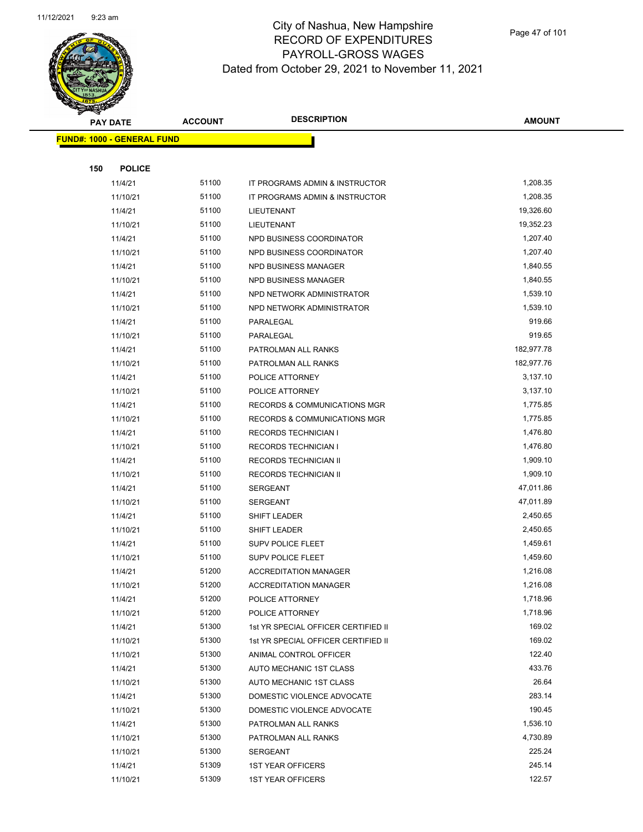

|     | <b>PAY DATE</b>                    | <b>ACCOUNT</b> | <b>DESCRIPTION</b>                      | <b>AMOUNT</b> |
|-----|------------------------------------|----------------|-----------------------------------------|---------------|
|     | <u> FUND#: 1000 - GENERAL FUND</u> |                |                                         |               |
|     |                                    |                |                                         |               |
| 150 | <b>POLICE</b>                      |                |                                         |               |
|     | 11/4/21                            | 51100          | IT PROGRAMS ADMIN & INSTRUCTOR          | 1,208.35      |
|     | 11/10/21                           | 51100          | IT PROGRAMS ADMIN & INSTRUCTOR          | 1,208.35      |
|     | 11/4/21                            | 51100          | LIEUTENANT                              | 19,326.60     |
|     | 11/10/21                           | 51100          | LIEUTENANT                              | 19,352.23     |
|     | 11/4/21                            | 51100          | NPD BUSINESS COORDINATOR                | 1,207.40      |
|     | 11/10/21                           | 51100          | NPD BUSINESS COORDINATOR                | 1,207.40      |
|     | 11/4/21                            | 51100          | NPD BUSINESS MANAGER                    | 1,840.55      |
|     | 11/10/21                           | 51100          | NPD BUSINESS MANAGER                    | 1,840.55      |
|     | 11/4/21                            | 51100          | NPD NETWORK ADMINISTRATOR               | 1,539.10      |
|     | 11/10/21                           | 51100          | NPD NETWORK ADMINISTRATOR               | 1,539.10      |
|     | 11/4/21                            | 51100          | PARALEGAL                               | 919.66        |
|     | 11/10/21                           | 51100          | PARALEGAL                               | 919.65        |
|     | 11/4/21                            | 51100          | PATROLMAN ALL RANKS                     | 182,977.78    |
|     | 11/10/21                           | 51100          | PATROLMAN ALL RANKS                     | 182,977.76    |
|     | 11/4/21                            | 51100          | POLICE ATTORNEY                         | 3,137.10      |
|     | 11/10/21                           | 51100          | POLICE ATTORNEY                         | 3,137.10      |
|     | 11/4/21                            | 51100          | <b>RECORDS &amp; COMMUNICATIONS MGR</b> | 1,775.85      |
|     | 11/10/21                           | 51100          | RECORDS & COMMUNICATIONS MGR            | 1,775.85      |
|     | 11/4/21                            | 51100          | <b>RECORDS TECHNICIAN I</b>             | 1,476.80      |
|     | 11/10/21                           | 51100          | <b>RECORDS TECHNICIAN I</b>             | 1,476.80      |
|     | 11/4/21                            | 51100          | RECORDS TECHNICIAN II                   | 1,909.10      |
|     | 11/10/21                           | 51100          | <b>RECORDS TECHNICIAN II</b>            | 1,909.10      |
|     | 11/4/21                            | 51100          | <b>SERGEANT</b>                         | 47,011.86     |
|     | 11/10/21                           | 51100          | <b>SERGEANT</b>                         | 47,011.89     |
|     | 11/4/21                            | 51100          | SHIFT LEADER                            | 2,450.65      |
|     | 11/10/21                           | 51100          | SHIFT LEADER                            | 2,450.65      |
|     | 11/4/21                            | 51100          | <b>SUPV POLICE FLEET</b>                | 1,459.61      |
|     | 11/10/21                           | 51100          | <b>SUPV POLICE FLEET</b>                | 1,459.60      |
|     | 11/4/21                            | 51200          | <b>ACCREDITATION MANAGER</b>            | 1,216.08      |
|     | 11/10/21                           | 51200          | ACCREDITATION MANAGER                   | 1,216.08      |
|     | 11/4/21                            | 51200          | POLICE ATTORNEY                         | 1,718.96      |
|     | 11/10/21                           | 51200          | POLICE ATTORNEY                         | 1,718.96      |
|     | 11/4/21                            | 51300          | 1st YR SPECIAL OFFICER CERTIFIED II     | 169.02        |
|     | 11/10/21                           | 51300          | 1st YR SPECIAL OFFICER CERTIFIED II     | 169.02        |
|     | 11/10/21                           | 51300          | ANIMAL CONTROL OFFICER                  | 122.40        |
|     | 11/4/21                            | 51300          | AUTO MECHANIC 1ST CLASS                 | 433.76        |
|     | 11/10/21                           | 51300          | AUTO MECHANIC 1ST CLASS                 | 26.64         |
|     | 11/4/21                            | 51300          | DOMESTIC VIOLENCE ADVOCATE              | 283.14        |
|     | 11/10/21                           | 51300          | DOMESTIC VIOLENCE ADVOCATE              | 190.45        |
|     | 11/4/21                            | 51300          | PATROLMAN ALL RANKS                     | 1,536.10      |
|     | 11/10/21                           | 51300          | PATROLMAN ALL RANKS                     | 4,730.89      |
|     | 11/10/21                           | 51300          | <b>SERGEANT</b>                         | 225.24        |
|     | 11/4/21                            | 51309          | <b>1ST YEAR OFFICERS</b>                | 245.14        |
|     | 11/10/21                           | 51309          | <b>1ST YEAR OFFICERS</b>                | 122.57        |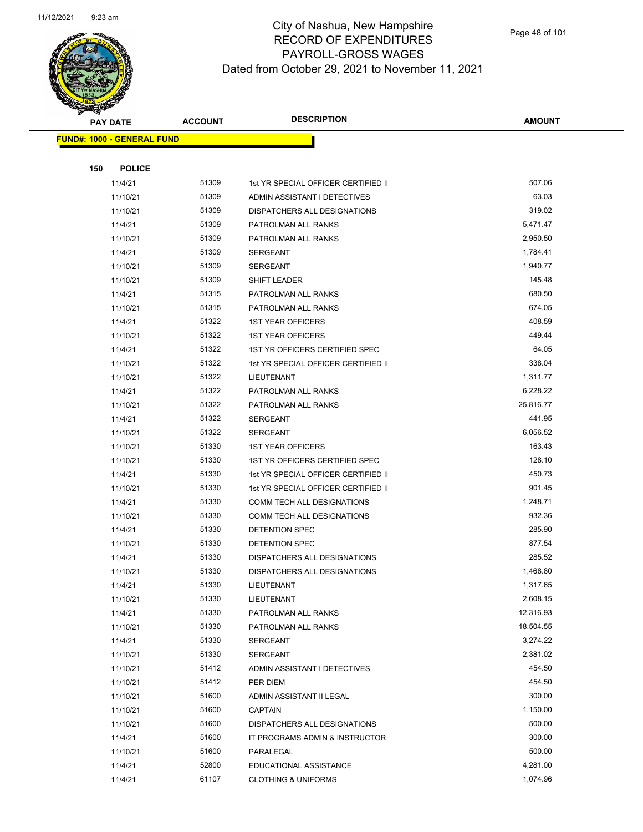

Page 48 of 101

|     | <b>PAY DATE</b>                   | <b>ACCOUNT</b> | <b>DESCRIPTION</b>                             | <b>AMOUNT</b>    |
|-----|-----------------------------------|----------------|------------------------------------------------|------------------|
|     | <b>FUND#: 1000 - GENERAL FUND</b> |                |                                                |                  |
|     |                                   |                |                                                |                  |
| 150 | <b>POLICE</b>                     |                |                                                |                  |
|     | 11/4/21                           | 51309          | 1st YR SPECIAL OFFICER CERTIFIED II            | 507.06           |
|     | 11/10/21                          | 51309          | ADMIN ASSISTANT I DETECTIVES                   | 63.03            |
|     | 11/10/21                          | 51309          | DISPATCHERS ALL DESIGNATIONS                   | 319.02           |
|     | 11/4/21                           | 51309          | PATROLMAN ALL RANKS                            | 5,471.47         |
|     | 11/10/21                          | 51309          | PATROLMAN ALL RANKS                            | 2,950.50         |
|     | 11/4/21                           | 51309          | SERGEANT                                       | 1,784.41         |
|     | 11/10/21                          | 51309          | SERGEANT                                       | 1,940.77         |
|     | 11/10/21                          | 51309          | SHIFT LEADER                                   | 145.48           |
|     | 11/4/21                           | 51315          | PATROLMAN ALL RANKS                            | 680.50           |
|     | 11/10/21                          | 51315          | PATROLMAN ALL RANKS                            | 674.05           |
|     | 11/4/21                           | 51322          | <b>1ST YEAR OFFICERS</b>                       | 408.59           |
|     | 11/10/21                          | 51322          | <b>1ST YEAR OFFICERS</b>                       | 449.44           |
|     | 11/4/21                           | 51322          | 1ST YR OFFICERS CERTIFIED SPEC                 | 64.05            |
|     | 11/10/21                          | 51322          | 1st YR SPECIAL OFFICER CERTIFIED II            | 338.04           |
|     | 11/10/21                          | 51322          | LIEUTENANT                                     | 1,311.77         |
|     | 11/4/21                           | 51322          | PATROLMAN ALL RANKS                            | 6,228.22         |
|     | 11/10/21                          | 51322          | PATROLMAN ALL RANKS                            | 25,816.77        |
|     | 11/4/21                           | 51322          | <b>SERGEANT</b>                                | 441.95           |
|     | 11/10/21                          | 51322          | <b>SERGEANT</b>                                | 6,056.52         |
|     | 11/10/21                          | 51330          | <b>1ST YEAR OFFICERS</b>                       | 163.43           |
|     | 11/10/21                          | 51330          | 1ST YR OFFICERS CERTIFIED SPEC                 | 128.10           |
|     | 11/4/21                           | 51330          | 1st YR SPECIAL OFFICER CERTIFIED II            | 450.73           |
|     | 11/10/21                          | 51330          | 1st YR SPECIAL OFFICER CERTIFIED II            | 901.45           |
|     | 11/4/21                           | 51330          | COMM TECH ALL DESIGNATIONS                     | 1,248.71         |
|     | 11/10/21                          | 51330          | COMM TECH ALL DESIGNATIONS                     | 932.36           |
|     | 11/4/21                           | 51330          | DETENTION SPEC                                 | 285.90           |
|     | 11/10/21                          | 51330          | <b>DETENTION SPEC</b>                          | 877.54           |
|     | 11/4/21                           | 51330          | DISPATCHERS ALL DESIGNATIONS                   | 285.52           |
|     | 11/10/21                          | 51330          | DISPATCHERS ALL DESIGNATIONS                   | 1,468.80         |
|     | 11/4/21                           | 51330          | LIEUTENANT                                     | 1,317.65         |
|     | 11/10/21                          | 51330          | LIEUTENANT                                     | 2,608.15         |
|     | 11/4/21                           | 51330          | PATROLMAN ALL RANKS                            | 12,316.93        |
|     | 11/10/21                          | 51330          | PATROLMAN ALL RANKS                            | 18,504.55        |
|     | 11/4/21                           | 51330          | <b>SERGEANT</b>                                | 3,274.22         |
|     | 11/10/21                          | 51330          | <b>SERGEANT</b>                                | 2,381.02         |
|     | 11/10/21                          | 51412<br>51412 | ADMIN ASSISTANT I DETECTIVES                   | 454.50<br>454.50 |
|     | 11/10/21<br>11/10/21              | 51600          | PER DIEM                                       | 300.00           |
|     |                                   | 51600          | ADMIN ASSISTANT II LEGAL                       | 1,150.00         |
|     | 11/10/21                          | 51600          | <b>CAPTAIN</b><br>DISPATCHERS ALL DESIGNATIONS | 500.00           |
|     | 11/10/21<br>11/4/21               | 51600          | IT PROGRAMS ADMIN & INSTRUCTOR                 | 300.00           |
|     | 11/10/21                          | 51600          | PARALEGAL                                      | 500.00           |
|     | 11/4/21                           | 52800          | EDUCATIONAL ASSISTANCE                         | 4,281.00         |
|     | 11/4/21                           | 61107          | <b>CLOTHING &amp; UNIFORMS</b>                 | 1,074.96         |
|     |                                   |                |                                                |                  |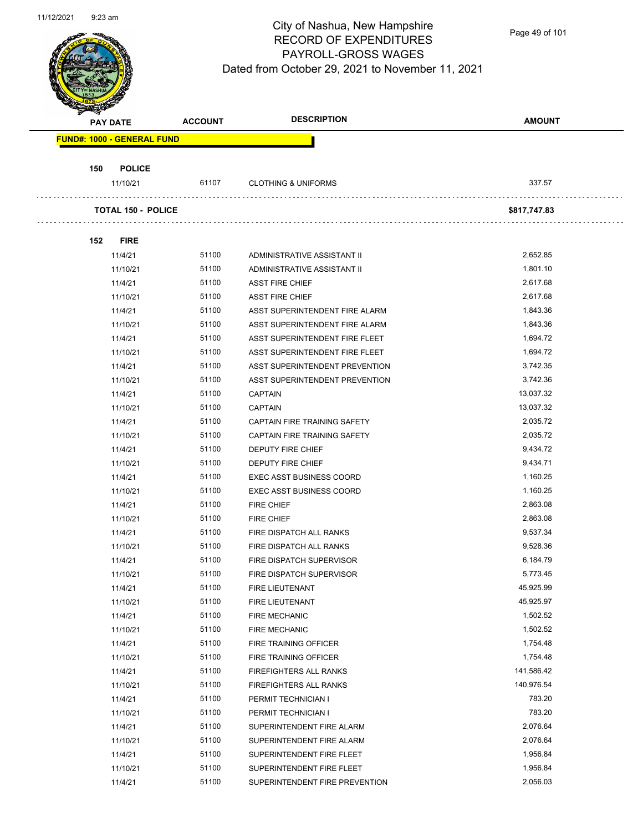

Page 49 of 101

| <b>PAY DATE</b>                   | <b>ACCOUNT</b> | <b>DESCRIPTION</b>              | <b>AMOUNT</b> |
|-----------------------------------|----------------|---------------------------------|---------------|
| <b>FUND#: 1000 - GENERAL FUND</b> |                |                                 |               |
| 150<br><b>POLICE</b>              |                |                                 |               |
| 11/10/21                          | 61107          | <b>CLOTHING &amp; UNIFORMS</b>  | 337.57        |
| <b>TOTAL 150 - POLICE</b>         |                |                                 | \$817,747.83  |
| 152<br><b>FIRE</b>                |                |                                 |               |
| 11/4/21                           | 51100          | ADMINISTRATIVE ASSISTANT II     | 2,652.85      |
| 11/10/21                          | 51100          | ADMINISTRATIVE ASSISTANT II     | 1,801.10      |
| 11/4/21                           | 51100          | <b>ASST FIRE CHIEF</b>          | 2,617.68      |
| 11/10/21                          | 51100          | <b>ASST FIRE CHIEF</b>          | 2,617.68      |
| 11/4/21                           | 51100          | ASST SUPERINTENDENT FIRE ALARM  | 1,843.36      |
| 11/10/21                          | 51100          | ASST SUPERINTENDENT FIRE ALARM  | 1,843.36      |
| 11/4/21                           | 51100          | ASST SUPERINTENDENT FIRE FLEET  | 1,694.72      |
| 11/10/21                          | 51100          | ASST SUPERINTENDENT FIRE FLEET  | 1,694.72      |
| 11/4/21                           | 51100          | ASST SUPERINTENDENT PREVENTION  | 3,742.35      |
| 11/10/21                          | 51100          | ASST SUPERINTENDENT PREVENTION  | 3,742.36      |
| 11/4/21                           | 51100          | <b>CAPTAIN</b>                  | 13,037.32     |
| 11/10/21                          | 51100          | <b>CAPTAIN</b>                  | 13,037.32     |
| 11/4/21                           | 51100          | CAPTAIN FIRE TRAINING SAFETY    | 2,035.72      |
| 11/10/21                          | 51100          | CAPTAIN FIRE TRAINING SAFETY    | 2,035.72      |
| 11/4/21                           | 51100          | DEPUTY FIRE CHIEF               | 9,434.72      |
| 11/10/21                          | 51100          | DEPUTY FIRE CHIEF               | 9,434.71      |
| 11/4/21                           | 51100          | <b>EXEC ASST BUSINESS COORD</b> | 1,160.25      |
| 11/10/21                          | 51100          | <b>EXEC ASST BUSINESS COORD</b> | 1,160.25      |
| 11/4/21                           | 51100          | <b>FIRE CHIEF</b>               | 2,863.08      |
| 11/10/21                          | 51100          | <b>FIRE CHIEF</b>               | 2,863.08      |
| 11/4/21                           | 51100          | FIRE DISPATCH ALL RANKS         | 9,537.34      |
| 11/10/21                          | 51100          | FIRE DISPATCH ALL RANKS         | 9,528.36      |
| 11/4/21                           | 51100          | FIRE DISPATCH SUPERVISOR        | 6,184.79      |
| 11/10/21                          | 51100          | FIRE DISPATCH SUPERVISOR        | 5,773.45      |
| 11/4/21                           | 51100          | FIRE LIEUTENANT                 | 45,925.99     |
| 11/10/21                          | 51100          | FIRE LIEUTENANT                 | 45,925.97     |
| 11/4/21                           | 51100          | <b>FIRE MECHANIC</b>            | 1,502.52      |
| 11/10/21                          | 51100          | <b>FIRE MECHANIC</b>            | 1,502.52      |
| 11/4/21                           | 51100          | FIRE TRAINING OFFICER           | 1,754.48      |
| 11/10/21                          | 51100          | FIRE TRAINING OFFICER           | 1,754.48      |
| 11/4/21                           | 51100          | FIREFIGHTERS ALL RANKS          | 141,586.42    |
| 11/10/21                          | 51100          | FIREFIGHTERS ALL RANKS          | 140,976.54    |
| 11/4/21                           | 51100          | PERMIT TECHNICIAN I             | 783.20        |
| 11/10/21                          | 51100          | PERMIT TECHNICIAN I             | 783.20        |
| 11/4/21                           | 51100          | SUPERINTENDENT FIRE ALARM       | 2,076.64      |
| 11/10/21                          | 51100          | SUPERINTENDENT FIRE ALARM       | 2,076.64      |
| 11/4/21                           | 51100          | SUPERINTENDENT FIRE FLEET       | 1,956.84      |
| 11/10/21                          | 51100          | SUPERINTENDENT FIRE FLEET       | 1,956.84      |
| 11/4/21                           | 51100          | SUPERINTENDENT FIRE PREVENTION  | 2,056.03      |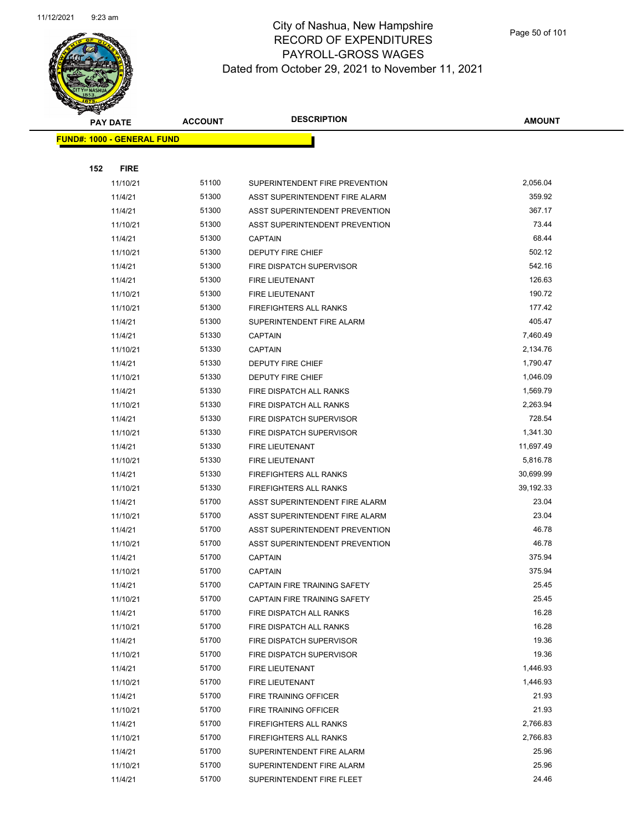

Page 50 of 101

|     | <b>PAY DATE</b>                   | <b>ACCOUNT</b> | <b>DESCRIPTION</b>             | <b>AMOUNT</b>  |
|-----|-----------------------------------|----------------|--------------------------------|----------------|
|     | <b>FUND#: 1000 - GENERAL FUND</b> |                |                                |                |
|     |                                   |                |                                |                |
| 152 | <b>FIRE</b>                       |                |                                |                |
|     | 11/10/21                          | 51100          | SUPERINTENDENT FIRE PREVENTION | 2,056.04       |
|     | 11/4/21                           | 51300          | ASST SUPERINTENDENT FIRE ALARM | 359.92         |
|     | 11/4/21                           | 51300          | ASST SUPERINTENDENT PREVENTION | 367.17         |
|     | 11/10/21                          | 51300          | ASST SUPERINTENDENT PREVENTION | 73.44          |
|     | 11/4/21                           | 51300          | <b>CAPTAIN</b>                 | 68.44          |
|     | 11/10/21                          | 51300          | DEPUTY FIRE CHIEF              | 502.12         |
|     | 11/4/21                           | 51300          | FIRE DISPATCH SUPERVISOR       | 542.16         |
|     | 11/4/21                           | 51300          | FIRE LIEUTENANT                | 126.63         |
|     | 11/10/21                          | 51300          | FIRE LIEUTENANT                | 190.72         |
|     | 11/10/21                          | 51300          | <b>FIREFIGHTERS ALL RANKS</b>  | 177.42         |
|     | 11/4/21                           | 51300          | SUPERINTENDENT FIRE ALARM      | 405.47         |
|     | 11/4/21                           | 51330          | CAPTAIN                        | 7,460.49       |
|     | 11/10/21                          | 51330          | CAPTAIN                        | 2,134.76       |
|     | 11/4/21                           | 51330          | <b>DEPUTY FIRE CHIEF</b>       | 1,790.47       |
|     | 11/10/21                          | 51330          | DEPUTY FIRE CHIEF              | 1,046.09       |
|     | 11/4/21                           | 51330          | FIRE DISPATCH ALL RANKS        | 1,569.79       |
|     | 11/10/21                          | 51330          | FIRE DISPATCH ALL RANKS        | 2,263.94       |
|     | 11/4/21                           | 51330          | FIRE DISPATCH SUPERVISOR       | 728.54         |
|     | 11/10/21                          | 51330          | FIRE DISPATCH SUPERVISOR       | 1,341.30       |
|     | 11/4/21                           | 51330          | FIRE LIEUTENANT                | 11,697.49      |
|     | 11/10/21                          | 51330          | FIRE LIEUTENANT                | 5,816.78       |
|     | 11/4/21                           | 51330          | <b>FIREFIGHTERS ALL RANKS</b>  | 30,699.99      |
|     | 11/10/21                          | 51330          | <b>FIREFIGHTERS ALL RANKS</b>  | 39,192.33      |
|     | 11/4/21                           | 51700          | ASST SUPERINTENDENT FIRE ALARM | 23.04          |
|     | 11/10/21                          | 51700          | ASST SUPERINTENDENT FIRE ALARM | 23.04          |
|     | 11/4/21                           | 51700          | ASST SUPERINTENDENT PREVENTION | 46.78          |
|     | 11/10/21                          | 51700          | ASST SUPERINTENDENT PREVENTION | 46.78          |
|     | 11/4/21                           | 51700          | CAPTAIN                        | 375.94         |
|     | 11/10/21                          | 51700          | <b>CAPTAIN</b>                 | 375.94         |
|     | 11/4/21                           | 51700          | CAPTAIN FIRE TRAINING SAFETY   | 25.45          |
|     | 11/10/21                          | 51700          | CAPTAIN FIRE TRAINING SAFETY   | 25.45          |
|     | 11/4/21                           | 51700          | FIRE DISPATCH ALL RANKS        | 16.28          |
|     | 11/10/21                          | 51700          | FIRE DISPATCH ALL RANKS        | 16.28          |
|     | 11/4/21                           | 51700          | FIRE DISPATCH SUPERVISOR       | 19.36          |
|     | 11/10/21                          | 51700          | FIRE DISPATCH SUPERVISOR       | 19.36          |
|     | 11/4/21                           | 51700          | FIRE LIEUTENANT                | 1,446.93       |
|     | 11/10/21                          | 51700          | FIRE LIEUTENANT                | 1,446.93       |
|     | 11/4/21                           | 51700          | FIRE TRAINING OFFICER          | 21.93<br>21.93 |
|     | 11/10/21                          | 51700<br>51700 | FIRE TRAINING OFFICER          | 2,766.83       |
|     | 11/4/21                           | 51700          | <b>FIREFIGHTERS ALL RANKS</b>  | 2,766.83       |
|     | 11/10/21                          | 51700          | FIREFIGHTERS ALL RANKS         | 25.96          |
|     | 11/4/21                           | 51700          | SUPERINTENDENT FIRE ALARM      | 25.96          |
|     | 11/10/21<br>11/4/21               | 51700          | SUPERINTENDENT FIRE ALARM      | 24.46          |
|     |                                   |                | SUPERINTENDENT FIRE FLEET      |                |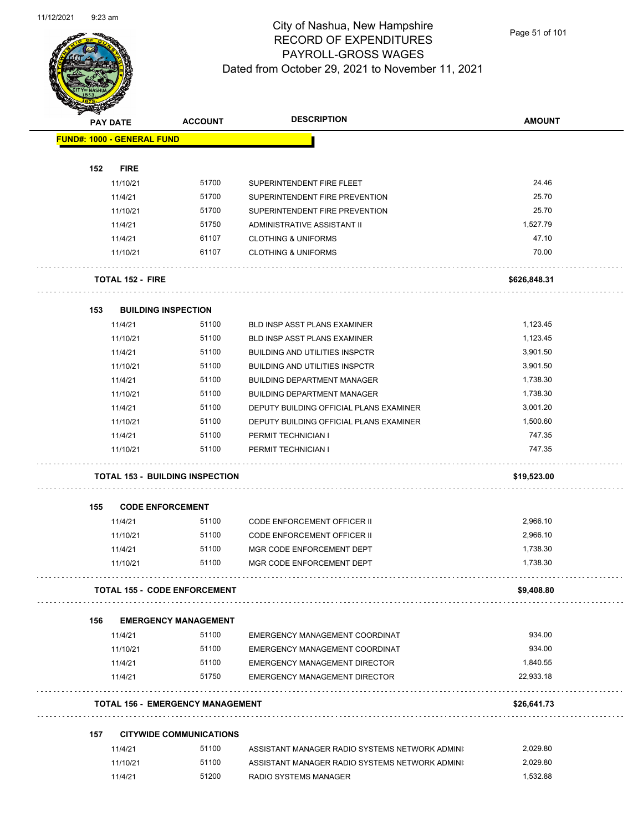

Page 51 of 101

|     | <b>PAY DATE</b>                   | <b>ACCOUNT</b>                          | <b>DESCRIPTION</b>                                                           | <b>AMOUNT</b> |
|-----|-----------------------------------|-----------------------------------------|------------------------------------------------------------------------------|---------------|
|     | <b>FUND#: 1000 - GENERAL FUND</b> |                                         |                                                                              |               |
|     |                                   |                                         |                                                                              |               |
| 152 | <b>FIRE</b>                       |                                         |                                                                              |               |
|     | 11/10/21                          | 51700                                   | SUPERINTENDENT FIRE FLEET                                                    | 24.46         |
|     | 11/4/21                           | 51700                                   | SUPERINTENDENT FIRE PREVENTION                                               | 25.70         |
|     | 11/10/21                          | 51700                                   | SUPERINTENDENT FIRE PREVENTION                                               | 25.70         |
|     | 11/4/21                           | 51750                                   | ADMINISTRATIVE ASSISTANT II                                                  | 1,527.79      |
|     | 11/4/21                           | 61107                                   | <b>CLOTHING &amp; UNIFORMS</b>                                               | 47.10         |
|     | 11/10/21                          | 61107                                   | <b>CLOTHING &amp; UNIFORMS</b>                                               | 70.00         |
|     | <b>TOTAL 152 - FIRE</b>           |                                         |                                                                              | \$626,848.31  |
| 153 |                                   | <b>BUILDING INSPECTION</b>              |                                                                              |               |
|     | 11/4/21                           | 51100                                   | <b>BLD INSP ASST PLANS EXAMINER</b>                                          | 1,123.45      |
|     | 11/10/21                          | 51100                                   | BLD INSP ASST PLANS EXAMINER                                                 | 1,123.45      |
|     | 11/4/21                           | 51100                                   | <b>BUILDING AND UTILITIES INSPCTR</b>                                        | 3,901.50      |
|     | 11/10/21                          | 51100                                   | <b>BUILDING AND UTILITIES INSPCTR</b>                                        | 3,901.50      |
|     | 11/4/21                           | 51100                                   | <b>BUILDING DEPARTMENT MANAGER</b>                                           | 1,738.30      |
|     | 11/10/21                          | 51100                                   | <b>BUILDING DEPARTMENT MANAGER</b>                                           | 1,738.30      |
|     | 11/4/21                           | 51100                                   | DEPUTY BUILDING OFFICIAL PLANS EXAMINER                                      | 3,001.20      |
|     | 11/10/21                          | 51100                                   | DEPUTY BUILDING OFFICIAL PLANS EXAMINER                                      | 1,500.60      |
|     | 11/4/21                           | 51100                                   | PERMIT TECHNICIAN I                                                          | 747.35        |
|     | 11/10/21                          | 51100                                   | PERMIT TECHNICIAN I                                                          | 747.35        |
|     |                                   | <b>TOTAL 153 - BUILDING INSPECTION</b>  |                                                                              | \$19,523.00   |
| 155 |                                   | <b>CODE ENFORCEMENT</b>                 |                                                                              |               |
|     | 11/4/21                           | 51100                                   | CODE ENFORCEMENT OFFICER II                                                  | 2,966.10      |
|     | 11/10/21                          | 51100                                   | <b>CODE ENFORCEMENT OFFICER II</b>                                           | 2,966.10      |
|     | 11/4/21                           | 51100                                   | MGR CODE ENFORCEMENT DEPT                                                    | 1,738.30      |
|     | 11/10/21                          | 51100                                   | MGR CODE ENFORCEMENT DEPT                                                    | 1,738.30      |
|     |                                   | <b>TOTAL 155 - CODE ENFORCEMENT</b>     |                                                                              | \$9,408.80    |
| 156 |                                   | <b>EMERGENCY MANAGEMENT</b>             |                                                                              |               |
|     | 11/4/21                           | 51100                                   | EMERGENCY MANAGEMENT COORDINAT                                               | 934.00        |
|     |                                   |                                         |                                                                              |               |
|     | 11/10/21                          | 51100                                   | EMERGENCY MANAGEMENT COORDINAT                                               | 934.00        |
|     |                                   | 51100                                   |                                                                              | 1,840.55      |
|     | 11/4/21<br>11/4/21                | 51750                                   | <b>EMERGENCY MANAGEMENT DIRECTOR</b><br><b>EMERGENCY MANAGEMENT DIRECTOR</b> | 22,933.18     |
|     |                                   | <b>TOTAL 156 - EMERGENCY MANAGEMENT</b> |                                                                              | \$26,641.73   |
| 157 |                                   | <b>CITYWIDE COMMUNICATIONS</b>          |                                                                              |               |
|     | 11/4/21                           | 51100                                   | ASSISTANT MANAGER RADIO SYSTEMS NETWORK ADMINI                               | 2,029.80      |
|     | 11/10/21                          | 51100                                   | ASSISTANT MANAGER RADIO SYSTEMS NETWORK ADMINI                               | 2,029.80      |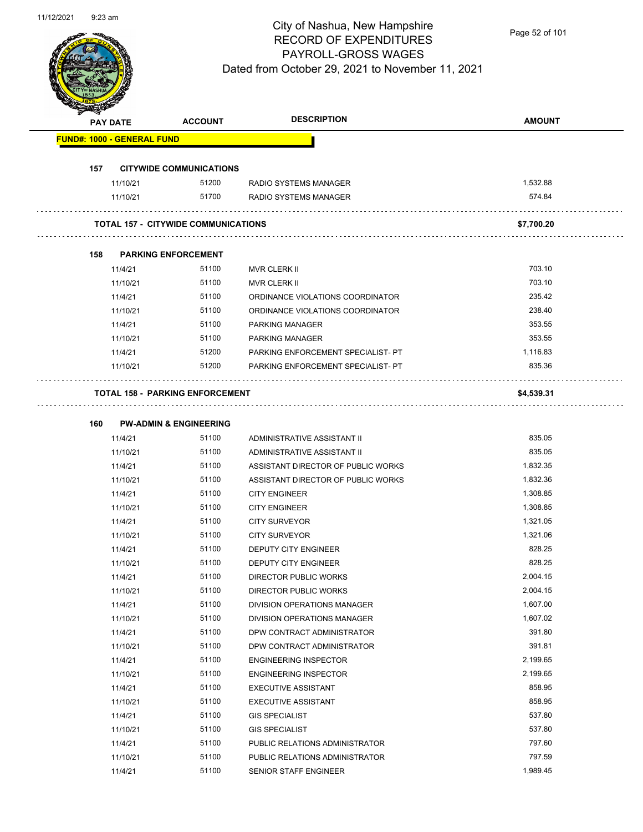

Page 52 of 101

|                                   | <b>PAY DATE</b> | <b>ACCOUNT</b>                             | <b>DESCRIPTION</b>                 | <b>AMOUNT</b> |
|-----------------------------------|-----------------|--------------------------------------------|------------------------------------|---------------|
| <b>FUND#: 1000 - GENERAL FUND</b> |                 |                                            |                                    |               |
|                                   |                 |                                            |                                    |               |
| 157                               |                 | <b>CITYWIDE COMMUNICATIONS</b>             |                                    |               |
|                                   | 11/10/21        | 51200                                      | RADIO SYSTEMS MANAGER              | 1,532.88      |
|                                   | 11/10/21        | 51700                                      | RADIO SYSTEMS MANAGER              | 574.84        |
|                                   |                 | <b>TOTAL 157 - CITYWIDE COMMUNICATIONS</b> |                                    | \$7,700.20    |
|                                   |                 | <b>PARKING ENFORCEMENT</b>                 |                                    |               |
| 158                               |                 | 51100                                      |                                    | 703.10        |
|                                   | 11/4/21         |                                            | MVR CLERK II                       | 703.10        |
|                                   | 11/10/21        | 51100                                      | MVR CLERK II                       | 235.42        |
|                                   | 11/4/21         | 51100                                      | ORDINANCE VIOLATIONS COORDINATOR   |               |
|                                   | 11/10/21        | 51100                                      | ORDINANCE VIOLATIONS COORDINATOR   | 238.40        |
|                                   | 11/4/21         | 51100                                      | <b>PARKING MANAGER</b>             | 353.55        |
|                                   | 11/10/21        | 51100                                      | <b>PARKING MANAGER</b>             | 353.55        |
|                                   | 11/4/21         | 51200                                      | PARKING ENFORCEMENT SPECIALIST- PT | 1,116.83      |
|                                   | 11/10/21        | 51200                                      | PARKING ENFORCEMENT SPECIALIST- PT | 835.36        |
|                                   |                 | <b>TOTAL 158 - PARKING ENFORCEMENT</b>     |                                    | \$4,539.31    |
| 160                               |                 | <b>PW-ADMIN &amp; ENGINEERING</b>          |                                    |               |
|                                   | 11/4/21         | 51100                                      | ADMINISTRATIVE ASSISTANT II        | 835.05        |
|                                   | 11/10/21        | 51100                                      | ADMINISTRATIVE ASSISTANT II        | 835.05        |
|                                   | 11/4/21         | 51100                                      | ASSISTANT DIRECTOR OF PUBLIC WORKS | 1,832.35      |
|                                   | 11/10/21        | 51100                                      | ASSISTANT DIRECTOR OF PUBLIC WORKS | 1,832.36      |
|                                   | 11/4/21         | 51100                                      | <b>CITY ENGINEER</b>               | 1,308.85      |
|                                   |                 | 51100                                      |                                    | 1,308.85      |
|                                   | 11/10/21        |                                            | <b>CITY ENGINEER</b>               |               |
|                                   | 11/4/21         | 51100                                      | <b>CITY SURVEYOR</b>               | 1,321.05      |
|                                   | 11/10/21        | 51100                                      | <b>CITY SURVEYOR</b>               | 1,321.06      |
|                                   | 11/4/21         | 51100                                      | DEPUTY CITY ENGINEER               | 828.25        |
|                                   | 11/10/21        | 51100                                      | DEPUTY CITY ENGINEER               | 828.25        |
|                                   | 11/4/21         | 51100                                      | DIRECTOR PUBLIC WORKS              | 2,004.15      |
|                                   | 11/10/21        | 51100                                      | DIRECTOR PUBLIC WORKS              | 2,004.15      |
|                                   | 11/4/21         | 51100                                      | DIVISION OPERATIONS MANAGER        | 1,607.00      |
|                                   | 11/10/21        | 51100                                      | DIVISION OPERATIONS MANAGER        | 1,607.02      |
|                                   | 11/4/21         | 51100                                      | DPW CONTRACT ADMINISTRATOR         | 391.80        |
|                                   | 11/10/21        | 51100                                      | DPW CONTRACT ADMINISTRATOR         | 391.81        |
|                                   | 11/4/21         | 51100                                      | <b>ENGINEERING INSPECTOR</b>       | 2,199.65      |
|                                   | 11/10/21        | 51100                                      | <b>ENGINEERING INSPECTOR</b>       | 2,199.65      |
|                                   | 11/4/21         | 51100                                      | <b>EXECUTIVE ASSISTANT</b>         | 858.95        |
|                                   | 11/10/21        | 51100                                      | <b>EXECUTIVE ASSISTANT</b>         | 858.95        |
|                                   | 11/4/21         | 51100                                      | <b>GIS SPECIALIST</b>              | 537.80        |
|                                   | 11/10/21        | 51100                                      | <b>GIS SPECIALIST</b>              | 537.80        |
|                                   | 11/4/21         | 51100                                      | PUBLIC RELATIONS ADMINISTRATOR     | 797.60        |
|                                   | 11/10/21        | 51100                                      | PUBLIC RELATIONS ADMINISTRATOR     | 797.59        |
|                                   |                 |                                            |                                    |               |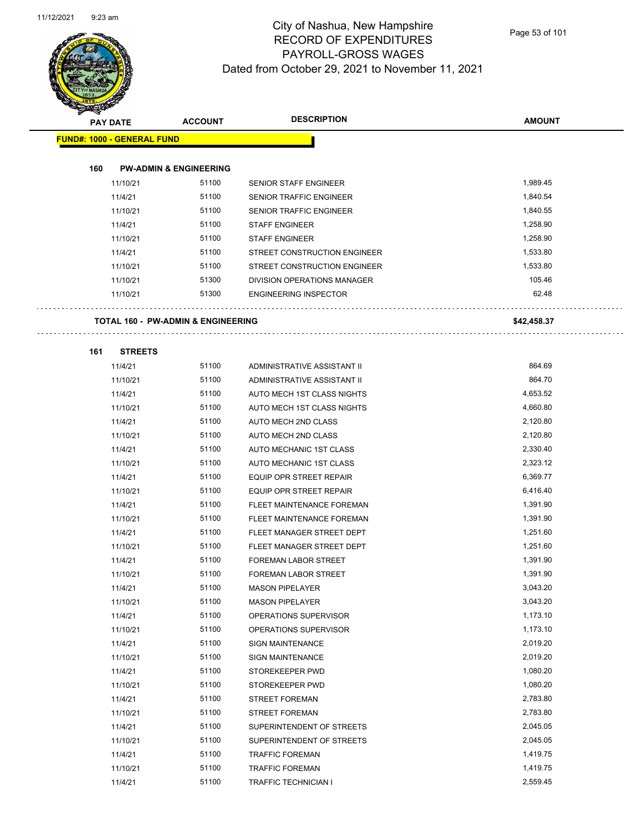$\overline{\phantom{0}}$ 



#### City of Nashua, New Hampshire RECORD OF EXPENDITURES PAYROLL-GROSS WAGES Dated from October 29, 2021 to November 11, 2021

Page 53 of 101

|     | <b>PAY DATE</b>                   | <b>ACCOUNT</b>                                | <b>DESCRIPTION</b>             | <b>AMOUNT</b> |
|-----|-----------------------------------|-----------------------------------------------|--------------------------------|---------------|
|     | <b>FUND#: 1000 - GENERAL FUND</b> |                                               |                                |               |
|     |                                   |                                               |                                |               |
| 160 |                                   | <b>PW-ADMIN &amp; ENGINEERING</b>             |                                |               |
|     | 11/10/21                          | 51100                                         | SENIOR STAFF ENGINEER          | 1,989.45      |
|     | 11/4/21                           | 51100                                         | SENIOR TRAFFIC ENGINEER        | 1,840.54      |
|     | 11/10/21                          | 51100                                         | SENIOR TRAFFIC ENGINEER        | 1,840.55      |
|     | 11/4/21                           | 51100                                         | <b>STAFF ENGINEER</b>          | 1,258.90      |
|     | 11/10/21                          | 51100                                         | <b>STAFF ENGINEER</b>          | 1,258.90      |
|     | 11/4/21                           | 51100                                         | STREET CONSTRUCTION ENGINEER   | 1,533.80      |
|     | 11/10/21                          | 51100                                         | STREET CONSTRUCTION ENGINEER   | 1,533.80      |
|     | 11/10/21                          | 51300                                         | DIVISION OPERATIONS MANAGER    | 105.46        |
|     | 11/10/21                          | 51300                                         | <b>ENGINEERING INSPECTOR</b>   | 62.48         |
|     |                                   | <b>TOTAL 160 - PW-ADMIN &amp; ENGINEERING</b> |                                | \$42,458.37   |
| 161 | <b>STREETS</b>                    |                                               |                                |               |
|     | 11/4/21                           | 51100                                         | ADMINISTRATIVE ASSISTANT II    | 864.69        |
|     | 11/10/21                          | 51100                                         | ADMINISTRATIVE ASSISTANT II    | 864.70        |
|     | 11/4/21                           | 51100                                         | AUTO MECH 1ST CLASS NIGHTS     | 4,653.52      |
|     | 11/10/21                          | 51100                                         | AUTO MECH 1ST CLASS NIGHTS     | 4,660.80      |
|     | 11/4/21                           | 51100                                         | AUTO MECH 2ND CLASS            | 2,120.80      |
|     | 11/10/21                          | 51100                                         | AUTO MECH 2ND CLASS            | 2,120.80      |
|     | 11/4/21                           | 51100                                         | AUTO MECHANIC 1ST CLASS        | 2,330.40      |
|     | 11/10/21                          | 51100                                         | AUTO MECHANIC 1ST CLASS        | 2,323.12      |
|     | 11/4/21                           | 51100                                         | <b>EQUIP OPR STREET REPAIR</b> | 6,369.77      |
|     | 11/10/21                          | 51100                                         | <b>EQUIP OPR STREET REPAIR</b> | 6,416.40      |
|     | 11/4/21                           | 51100                                         | FLEET MAINTENANCE FOREMAN      | 1,391.90      |
|     | 11/10/21                          | 51100                                         | FLEET MAINTENANCE FOREMAN      | 1,391.90      |
|     | 11/4/21                           | 51100                                         | FLEET MANAGER STREET DEPT      | 1,251.60      |
|     | 11/10/21                          | 51100                                         | FLEET MANAGER STREET DEPT      | 1,251.60      |
|     | 11/4/21                           | 51100                                         | FOREMAN LABOR STREET           | 1,391.90      |
|     | 11/10/21                          | 51100                                         | <b>FOREMAN LABOR STREET</b>    | 1,391.90      |
|     | 11/4/21                           | 51100                                         | <b>MASON PIPELAYER</b>         | 3,043.20      |
|     | 11/10/21                          | 51100                                         | <b>MASON PIPELAYER</b>         | 3,043.20      |
|     | 11/4/21                           | 51100                                         | OPERATIONS SUPERVISOR          | 1,173.10      |
|     | 11/10/21                          | 51100                                         | OPERATIONS SUPERVISOR          | 1,173.10      |
|     | 11/4/21                           | 51100                                         | <b>SIGN MAINTENANCE</b>        | 2,019.20      |
|     | 11/10/21                          | 51100                                         | SIGN MAINTENANCE               | 2,019.20      |
|     | 11/4/21                           | 51100                                         | STOREKEEPER PWD                | 1,080.20      |
|     | 11/10/21                          | 51100                                         | STOREKEEPER PWD                | 1,080.20      |
|     | 11/4/21                           | 51100                                         | <b>STREET FOREMAN</b>          | 2,783.80      |
|     | 11/10/21                          | 51100                                         | <b>STREET FOREMAN</b>          | 2,783.80      |
|     | 11/4/21                           | 51100                                         | SUPERINTENDENT OF STREETS      | 2,045.05      |
|     | 11/10/21                          | 51100                                         | SUPERINTENDENT OF STREETS      | 2,045.05      |
|     | 11/4/21                           | 51100                                         | <b>TRAFFIC FOREMAN</b>         | 1,419.75      |
|     | 11/10/21                          | 51100                                         | <b>TRAFFIC FOREMAN</b>         | 1,419.75      |
|     | 11/4/21                           | 51100                                         | <b>TRAFFIC TECHNICIAN I</b>    | 2,559.45      |
|     |                                   |                                               |                                |               |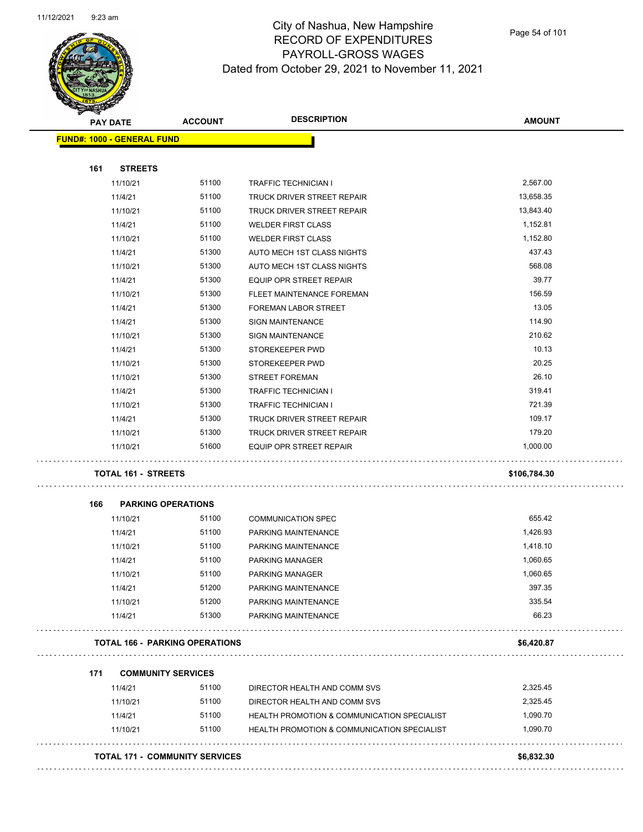

Page 54 of 101

| <b>PAY DATE</b> |                                   | <b>ACCOUNT</b>                        | <b>DESCRIPTION</b>                                 | <b>AMOUNT</b> |
|-----------------|-----------------------------------|---------------------------------------|----------------------------------------------------|---------------|
|                 | <b>FUND#: 1000 - GENERAL FUND</b> |                                       |                                                    |               |
|                 |                                   |                                       |                                                    |               |
| 161             | <b>STREETS</b>                    | 51100                                 |                                                    | 2,567.00      |
|                 | 11/10/21<br>11/4/21               | 51100                                 | TRAFFIC TECHNICIAN I<br>TRUCK DRIVER STREET REPAIR | 13,658.35     |
|                 | 11/10/21                          | 51100                                 | TRUCK DRIVER STREET REPAIR                         | 13,843.40     |
|                 | 11/4/21                           | 51100                                 | <b>WELDER FIRST CLASS</b>                          | 1,152.81      |
|                 | 11/10/21                          | 51100                                 | <b>WELDER FIRST CLASS</b>                          | 1,152.80      |
|                 | 11/4/21                           | 51300                                 | AUTO MECH 1ST CLASS NIGHTS                         | 437.43        |
|                 | 11/10/21                          | 51300                                 | AUTO MECH 1ST CLASS NIGHTS                         | 568.08        |
|                 | 11/4/21                           | 51300                                 | EQUIP OPR STREET REPAIR                            | 39.77         |
|                 | 11/10/21                          | 51300                                 | FLEET MAINTENANCE FOREMAN                          | 156.59        |
|                 | 11/4/21                           | 51300                                 | <b>FOREMAN LABOR STREET</b>                        | 13.05         |
|                 | 11/4/21                           | 51300                                 | <b>SIGN MAINTENANCE</b>                            | 114.90        |
|                 | 11/10/21                          | 51300                                 | <b>SIGN MAINTENANCE</b>                            | 210.62        |
|                 | 11/4/21                           | 51300                                 | STOREKEEPER PWD                                    | 10.13         |
|                 | 11/10/21                          | 51300                                 | STOREKEEPER PWD                                    | 20.25         |
|                 | 11/10/21                          | 51300                                 | <b>STREET FOREMAN</b>                              | 26.10         |
|                 | 11/4/21                           | 51300                                 | <b>TRAFFIC TECHNICIAN I</b>                        | 319.41        |
|                 | 11/10/21                          | 51300                                 | TRAFFIC TECHNICIAN I                               | 721.39        |
|                 | 11/4/21                           | 51300                                 | TRUCK DRIVER STREET REPAIR                         | 109.17        |
|                 | 11/10/21                          | 51300                                 | TRUCK DRIVER STREET REPAIR                         | 179.20        |
|                 | 11/10/21                          | 51600                                 | EQUIP OPR STREET REPAIR                            | 1,000.00      |
|                 | <b>TOTAL 161 - STREETS</b>        |                                       |                                                    | \$106,784.30  |
| 166             | <b>PARKING OPERATIONS</b>         |                                       |                                                    |               |
|                 | 11/10/21                          | 51100                                 | <b>COMMUNICATION SPEC</b>                          | 655.42        |
|                 | 11/4/21                           | 51100                                 | PARKING MAINTENANCE                                | 1,426.93      |
|                 | 11/10/21                          | 51100                                 | PARKING MAINTENANCE                                | 1,418.10      |
|                 | 11/4/21                           | 51100                                 | <b>PARKING MANAGER</b>                             | 1,060.65      |
|                 | 11/10/21                          | 51100                                 | <b>PARKING MANAGER</b>                             | 1,060.65      |
|                 | 11/4/21                           | 51200                                 | PARKING MAINTENANCE                                | 397.35        |
|                 | 11/10/21                          | 51200                                 | PARKING MAINTENANCE                                | 335.54        |
|                 | 11/4/21                           | 51300                                 | PARKING MAINTENANCE                                | 66.23         |
|                 |                                   | <b>TOTAL 166 - PARKING OPERATIONS</b> |                                                    | \$6,420.87    |
| 171             | <b>COMMUNITY SERVICES</b>         |                                       |                                                    |               |
|                 | 11/4/21                           | 51100                                 | DIRECTOR HEALTH AND COMM SVS                       | 2,325.45      |
|                 | 11/10/21                          | 51100                                 | DIRECTOR HEALTH AND COMM SVS                       | 2,325.45      |
|                 |                                   | 51100                                 | HEALTH PROMOTION & COMMUNICATION SPECIALIST        | 1,090.70      |
|                 | 11/4/21                           |                                       |                                                    |               |
|                 | 11/10/21                          | 51100                                 | HEALTH PROMOTION & COMMUNICATION SPECIALIST        | 1,090.70      |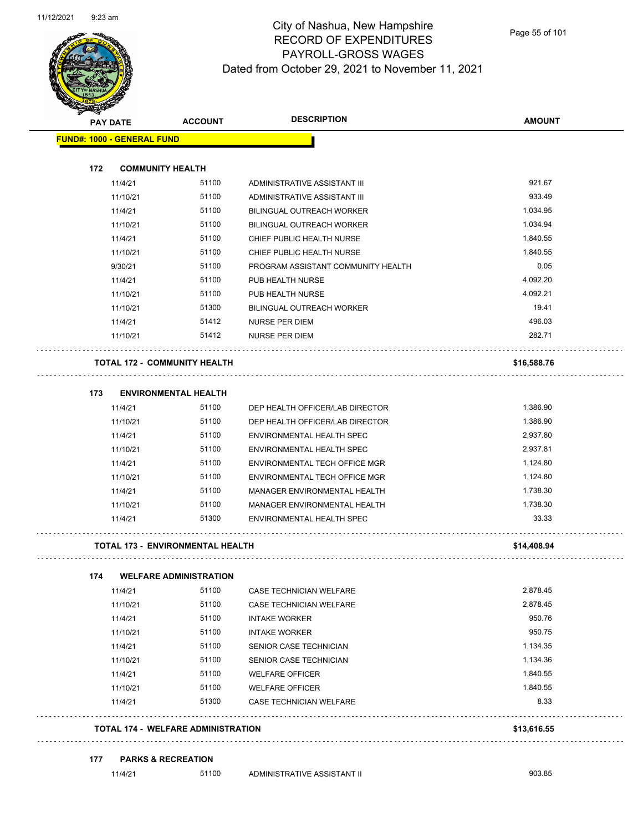

| <b>PAY DATE</b>                   | <b>ACCOUNT</b>                          | <b>DESCRIPTION</b>                 | <b>AMOUNT</b> |
|-----------------------------------|-----------------------------------------|------------------------------------|---------------|
| <b>FUND#: 1000 - GENERAL FUND</b> |                                         |                                    |               |
| 172                               | <b>COMMUNITY HEALTH</b>                 |                                    |               |
| 11/4/21                           | 51100                                   | ADMINISTRATIVE ASSISTANT III       | 921.67        |
| 11/10/21                          | 51100                                   | ADMINISTRATIVE ASSISTANT III       | 933.49        |
| 11/4/21                           | 51100                                   | <b>BILINGUAL OUTREACH WORKER</b>   | 1,034.95      |
| 11/10/21                          | 51100                                   | <b>BILINGUAL OUTREACH WORKER</b>   | 1,034.94      |
| 11/4/21                           | 51100                                   | CHIEF PUBLIC HEALTH NURSE          | 1,840.55      |
| 11/10/21                          | 51100                                   | CHIEF PUBLIC HEALTH NURSE          | 1,840.55      |
| 9/30/21                           | 51100                                   | PROGRAM ASSISTANT COMMUNITY HEALTH | 0.05          |
| 11/4/21                           | 51100                                   | PUB HEALTH NURSE                   | 4,092.20      |
| 11/10/21                          | 51100                                   | PUB HEALTH NURSE                   | 4,092.21      |
| 11/10/21                          | 51300                                   | <b>BILINGUAL OUTREACH WORKER</b>   | 19.41         |
| 11/4/21                           | 51412                                   | <b>NURSE PER DIEM</b>              | 496.03        |
| 11/10/21                          | 51412                                   | <b>NURSE PER DIEM</b>              | 282.71        |
|                                   | <b>TOTAL 172 - COMMUNITY HEALTH</b>     |                                    | \$16,588.76   |
| 173                               | <b>ENVIRONMENTAL HEALTH</b>             |                                    |               |
| 11/4/21                           | 51100                                   | DEP HEALTH OFFICER/LAB DIRECTOR    | 1,386.90      |
| 11/10/21                          | 51100                                   | DEP HEALTH OFFICER/LAB DIRECTOR    | 1,386.90      |
| 11/4/21                           | 51100                                   | ENVIRONMENTAL HEALTH SPEC          | 2,937.80      |
| 11/10/21                          | 51100                                   | ENVIRONMENTAL HEALTH SPEC          | 2,937.81      |
| 11/4/21                           | 51100                                   | ENVIRONMENTAL TECH OFFICE MGR      | 1,124.80      |
| 11/10/21                          | 51100                                   | ENVIRONMENTAL TECH OFFICE MGR      | 1,124.80      |
| 11/4/21                           | 51100                                   | MANAGER ENVIRONMENTAL HEALTH       | 1,738.30      |
| 11/10/21                          | 51100                                   | MANAGER ENVIRONMENTAL HEALTH       | 1,738.30      |
| 11/4/21                           | 51300                                   | ENVIRONMENTAL HEALTH SPEC          | 33.33         |
|                                   | <b>TOTAL 173 - ENVIRONMENTAL HEALTH</b> |                                    | \$14,408.94   |
| 174                               | <b>WELFARE ADMINISTRATION</b>           |                                    |               |
| 11/4/21                           | 51100                                   | CASE TECHNICIAN WELFARE            | 2,878.45      |
| 11/10/21                          | 51100                                   | CASE TECHNICIAN WELFARE            | 2,878.45      |
| 11/4/21                           | 51100                                   | <b>INTAKE WORKER</b>               | 950.76        |
| 11/10/21                          | 51100                                   | <b>INTAKE WORKER</b>               | 950.75        |
| 11/4/21                           | 51100                                   | SENIOR CASE TECHNICIAN             | 1,134.35      |
| 11/10/21                          | 51100                                   | SENIOR CASE TECHNICIAN             | 1,134.36      |
| 11/4/21                           | 51100                                   | <b>WELFARE OFFICER</b>             | 1,840.55      |
| 11/10/21                          | 51100                                   | <b>WELFARE OFFICER</b>             | 1,840.55      |
| 11/4/21                           | 51300                                   | CASE TECHNICIAN WELFARE            | 8.33          |
|                                   | TOTAL 174 - WELFARE ADMINISTRATION      |                                    | \$13,616.55   |

11/4/21 51100 ADMINISTRATIVE ASSISTANT II 903.85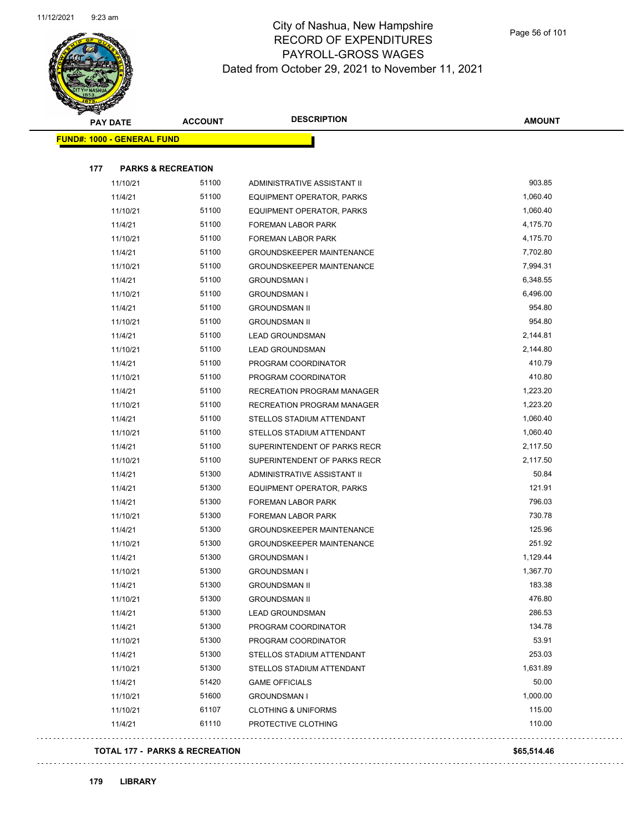

Page 56 of 101

| <b>RANGAL</b> |                                   |                |                                  |               |
|---------------|-----------------------------------|----------------|----------------------------------|---------------|
|               | <b>PAY DATE</b>                   | <b>ACCOUNT</b> | <b>DESCRIPTION</b>               | <b>AMOUNT</b> |
|               | <b>FUND#: 1000 - GENERAL FUND</b> |                |                                  |               |
|               |                                   |                |                                  |               |
| 177           | <b>PARKS &amp; RECREATION</b>     |                |                                  |               |
|               | 11/10/21                          | 51100          | ADMINISTRATIVE ASSISTANT II      | 903.85        |
|               | 11/4/21                           | 51100          | EQUIPMENT OPERATOR, PARKS        | 1,060.40      |
|               | 11/10/21                          | 51100          | EQUIPMENT OPERATOR, PARKS        | 1,060.40      |
|               | 11/4/21                           | 51100          | FOREMAN LABOR PARK               | 4,175.70      |
|               | 11/10/21                          | 51100          | <b>FOREMAN LABOR PARK</b>        | 4,175.70      |
|               | 11/4/21                           | 51100          | <b>GROUNDSKEEPER MAINTENANCE</b> | 7,702.80      |
|               | 11/10/21                          | 51100          | <b>GROUNDSKEEPER MAINTENANCE</b> | 7,994.31      |
|               | 11/4/21                           | 51100          | <b>GROUNDSMAN I</b>              | 6,348.55      |
|               | 11/10/21                          | 51100          | <b>GROUNDSMAN I</b>              | 6,496.00      |
|               | 11/4/21                           | 51100          | <b>GROUNDSMAN II</b>             | 954.80        |
|               | 11/10/21                          | 51100          | <b>GROUNDSMAN II</b>             | 954.80        |
|               | 11/4/21                           | 51100          | <b>LEAD GROUNDSMAN</b>           | 2,144.81      |
|               | 11/10/21                          | 51100          | <b>LEAD GROUNDSMAN</b>           | 2,144.80      |
|               | 11/4/21                           | 51100          | PROGRAM COORDINATOR              | 410.79        |
|               | 11/10/21                          | 51100          | PROGRAM COORDINATOR              | 410.80        |
|               | 11/4/21                           | 51100          | RECREATION PROGRAM MANAGER       | 1,223.20      |
|               | 11/10/21                          | 51100          | RECREATION PROGRAM MANAGER       | 1,223.20      |
|               | 11/4/21                           | 51100          | STELLOS STADIUM ATTENDANT        | 1,060.40      |
|               | 11/10/21                          | 51100          | STELLOS STADIUM ATTENDANT        | 1,060.40      |
|               | 11/4/21                           | 51100          | SUPERINTENDENT OF PARKS RECR     | 2,117.50      |
|               | 11/10/21                          | 51100          | SUPERINTENDENT OF PARKS RECR     | 2,117.50      |
|               | 11/4/21                           | 51300          | ADMINISTRATIVE ASSISTANT II      | 50.84         |
|               | 11/4/21                           | 51300          | EQUIPMENT OPERATOR, PARKS        | 121.91        |
|               | 11/4/21                           | 51300          | FOREMAN LABOR PARK               | 796.03        |
|               | 11/10/21                          | 51300          | FOREMAN LABOR PARK               | 730.78        |
|               | 11/4/21                           | 51300          | <b>GROUNDSKEEPER MAINTENANCE</b> | 125.96        |
|               | 11/10/21                          | 51300          | <b>GROUNDSKEEPER MAINTENANCE</b> | 251.92        |
|               | 11/4/21                           | 51300          | <b>GROUNDSMAN I</b>              | 1,129.44      |
|               | 11/10/21                          | 51300          | <b>GROUNDSMAN I</b>              | 1,367.70      |
|               | 11/4/21                           | 51300          | <b>GROUNDSMAN II</b>             | 183.38        |
|               | 11/10/21                          | 51300          | <b>GROUNDSMAN II</b>             | 476.80        |
|               | 11/4/21                           | 51300          | <b>LEAD GROUNDSMAN</b>           | 286.53        |
|               | 11/4/21                           | 51300          | PROGRAM COORDINATOR              | 134.78        |
|               | 11/10/21                          | 51300          | PROGRAM COORDINATOR              | 53.91         |
|               | 11/4/21                           | 51300          | STELLOS STADIUM ATTENDANT        | 253.03        |
|               | 11/10/21                          | 51300          | STELLOS STADIUM ATTENDANT        | 1,631.89      |
|               | 11/4/21                           | 51420          | <b>GAME OFFICIALS</b>            | 50.00         |
|               | 11/10/21                          | 51600          | <b>GROUNDSMAN I</b>              | 1,000.00      |
|               | 11/10/21                          | 61107          | <b>CLOTHING &amp; UNIFORMS</b>   | 115.00        |
|               | 11/4/21                           | 61110          | PROTECTIVE CLOTHING              | 110.00        |
|               |                                   |                |                                  |               |

#### **TOTAL 177 - PARKS & RECREATION \$65,514.46**

 $\ddot{\phantom{a}}$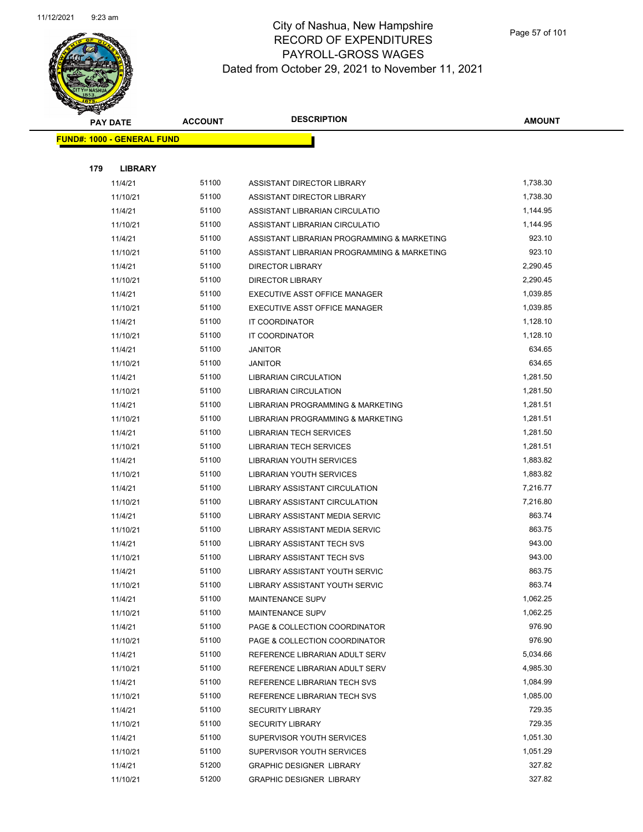

Page 57 of 101

| <b>PAY DATE</b> |                                   | <b>ACCOUNT</b> | <b>DESCRIPTION</b>                          | <b>AMOUNT</b> |
|-----------------|-----------------------------------|----------------|---------------------------------------------|---------------|
|                 | <b>FUND#: 1000 - GENERAL FUND</b> |                |                                             |               |
|                 |                                   |                |                                             |               |
| 179             | <b>LIBRARY</b>                    |                |                                             |               |
|                 | 11/4/21                           | 51100          | <b>ASSISTANT DIRECTOR LIBRARY</b>           | 1,738.30      |
|                 | 11/10/21                          | 51100          | ASSISTANT DIRECTOR LIBRARY                  | 1,738.30      |
|                 | 11/4/21                           | 51100          | ASSISTANT LIBRARIAN CIRCULATIO              | 1,144.95      |
|                 | 11/10/21                          | 51100          | ASSISTANT LIBRARIAN CIRCULATIO              | 1,144.95      |
|                 | 11/4/21                           | 51100          | ASSISTANT LIBRARIAN PROGRAMMING & MARKETING | 923.10        |
|                 | 11/10/21                          | 51100          | ASSISTANT LIBRARIAN PROGRAMMING & MARKETING | 923.10        |
|                 | 11/4/21                           | 51100          | <b>DIRECTOR LIBRARY</b>                     | 2,290.45      |
|                 | 11/10/21                          | 51100          | <b>DIRECTOR LIBRARY</b>                     | 2,290.45      |
|                 | 11/4/21                           | 51100          | EXECUTIVE ASST OFFICE MANAGER               | 1,039.85      |
|                 | 11/10/21                          | 51100          | EXECUTIVE ASST OFFICE MANAGER               | 1,039.85      |
|                 | 11/4/21                           | 51100          | IT COORDINATOR                              | 1,128.10      |
|                 | 11/10/21                          | 51100          | <b>IT COORDINATOR</b>                       | 1,128.10      |
|                 | 11/4/21                           | 51100          | <b>JANITOR</b>                              | 634.65        |
|                 | 11/10/21                          | 51100          | <b>JANITOR</b>                              | 634.65        |
|                 | 11/4/21                           | 51100          | <b>LIBRARIAN CIRCULATION</b>                | 1,281.50      |
|                 | 11/10/21                          | 51100          | <b>LIBRARIAN CIRCULATION</b>                | 1,281.50      |
|                 | 11/4/21                           | 51100          | LIBRARIAN PROGRAMMING & MARKETING           | 1,281.51      |
|                 | 11/10/21                          | 51100          | LIBRARIAN PROGRAMMING & MARKETING           | 1,281.51      |
|                 | 11/4/21                           | 51100          | <b>LIBRARIAN TECH SERVICES</b>              | 1,281.50      |
|                 | 11/10/21                          | 51100          | <b>LIBRARIAN TECH SERVICES</b>              | 1,281.51      |
|                 | 11/4/21                           | 51100          | LIBRARIAN YOUTH SERVICES                    | 1,883.82      |
|                 | 11/10/21                          | 51100          | LIBRARIAN YOUTH SERVICES                    | 1,883.82      |
|                 | 11/4/21                           | 51100          | LIBRARY ASSISTANT CIRCULATION               | 7,216.77      |
|                 | 11/10/21                          | 51100          | LIBRARY ASSISTANT CIRCULATION               | 7,216.80      |
|                 | 11/4/21                           | 51100          | LIBRARY ASSISTANT MEDIA SERVIC              | 863.74        |
|                 | 11/10/21                          | 51100          | LIBRARY ASSISTANT MEDIA SERVIC              | 863.75        |
|                 | 11/4/21                           | 51100          | LIBRARY ASSISTANT TECH SVS                  | 943.00        |
|                 | 11/10/21                          | 51100          | <b>LIBRARY ASSISTANT TECH SVS</b>           | 943.00        |
|                 | 11/4/21                           | 51100          | LIBRARY ASSISTANT YOUTH SERVIC              | 863.75        |
|                 | 11/10/21                          | 51100          | LIBRARY ASSISTANT YOUTH SERVIC              | 863.74        |
|                 | 11/4/21                           | 51100          | MAINTENANCE SUPV                            | 1,062.25      |
|                 | 11/10/21                          | 51100          | MAINTENANCE SUPV                            | 1,062.25      |
|                 | 11/4/21                           | 51100          | PAGE & COLLECTION COORDINATOR               | 976.90        |
|                 | 11/10/21                          | 51100          | PAGE & COLLECTION COORDINATOR               | 976.90        |
|                 | 11/4/21                           | 51100          | REFERENCE LIBRARIAN ADULT SERV              | 5,034.66      |
|                 | 11/10/21                          | 51100          | REFERENCE LIBRARIAN ADULT SERV              | 4,985.30      |
|                 | 11/4/21                           | 51100          | REFERENCE LIBRARIAN TECH SVS                | 1,084.99      |
|                 | 11/10/21                          | 51100          | REFERENCE LIBRARIAN TECH SVS                | 1,085.00      |
|                 | 11/4/21                           | 51100          | <b>SECURITY LIBRARY</b>                     | 729.35        |
|                 | 11/10/21                          | 51100          | <b>SECURITY LIBRARY</b>                     | 729.35        |
|                 | 11/4/21                           | 51100          | SUPERVISOR YOUTH SERVICES                   | 1,051.30      |
|                 | 11/10/21                          | 51100          | SUPERVISOR YOUTH SERVICES                   | 1,051.29      |
|                 | 11/4/21                           | 51200          | <b>GRAPHIC DESIGNER LIBRARY</b>             | 327.82        |
|                 | 11/10/21                          | 51200          | <b>GRAPHIC DESIGNER LIBRARY</b>             | 327.82        |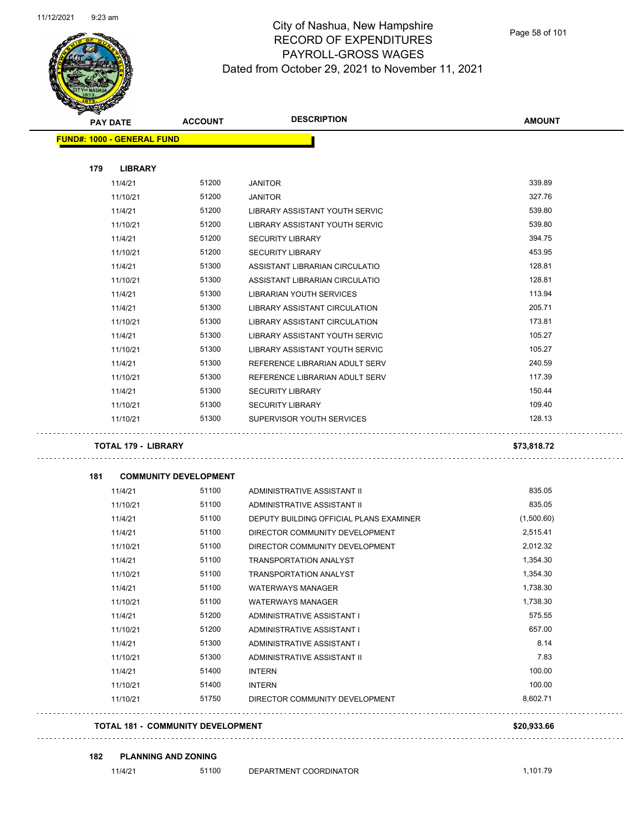

Page 58 of 101

|     | <b>PAY DATE</b>                   | <b>ACCOUNT</b>               | <b>DESCRIPTION</b>                      | <b>AMOUNT</b> |
|-----|-----------------------------------|------------------------------|-----------------------------------------|---------------|
|     | <b>FUND#: 1000 - GENERAL FUND</b> |                              |                                         |               |
| 179 | <b>LIBRARY</b>                    |                              |                                         |               |
|     | 11/4/21                           | 51200                        | <b>JANITOR</b>                          | 339.89        |
|     | 11/10/21                          | 51200                        | <b>JANITOR</b>                          | 327.76        |
|     | 11/4/21                           | 51200                        | LIBRARY ASSISTANT YOUTH SERVIC          | 539.80        |
|     | 11/10/21                          | 51200                        | LIBRARY ASSISTANT YOUTH SERVIC          | 539.80        |
|     | 11/4/21                           | 51200                        | <b>SECURITY LIBRARY</b>                 | 394.75        |
|     | 11/10/21                          | 51200                        | <b>SECURITY LIBRARY</b>                 | 453.95        |
|     | 11/4/21                           | 51300                        | ASSISTANT LIBRARIAN CIRCULATIO          | 128.81        |
|     | 11/10/21                          | 51300                        | ASSISTANT LIBRARIAN CIRCULATIO          | 128.81        |
|     | 11/4/21                           | 51300                        | LIBRARIAN YOUTH SERVICES                | 113.94        |
|     | 11/4/21                           | 51300                        | LIBRARY ASSISTANT CIRCULATION           | 205.71        |
|     | 11/10/21                          | 51300                        | LIBRARY ASSISTANT CIRCULATION           | 173.81        |
|     | 11/4/21                           | 51300                        | LIBRARY ASSISTANT YOUTH SERVIC          | 105.27        |
|     | 11/10/21                          | 51300                        | LIBRARY ASSISTANT YOUTH SERVIC          | 105.27        |
|     | 11/4/21                           | 51300                        | REFERENCE LIBRARIAN ADULT SERV          | 240.59        |
|     | 11/10/21                          | 51300                        | REFERENCE LIBRARIAN ADULT SERV          | 117.39        |
|     | 11/4/21                           | 51300                        | <b>SECURITY LIBRARY</b>                 | 150.44        |
|     | 11/10/21                          | 51300                        | <b>SECURITY LIBRARY</b>                 | 109.40        |
|     | 11/10/21                          | 51300                        | SUPERVISOR YOUTH SERVICES               | 128.13        |
|     | <b>TOTAL 179 - LIBRARY</b>        |                              |                                         | \$73,818.72   |
|     |                                   |                              |                                         |               |
|     |                                   |                              |                                         |               |
| 181 |                                   | <b>COMMUNITY DEVELOPMENT</b> |                                         |               |
|     | 11/4/21                           | 51100                        | ADMINISTRATIVE ASSISTANT II             | 835.05        |
|     | 11/10/21                          | 51100                        | ADMINISTRATIVE ASSISTANT II             | 835.05        |
|     | 11/4/21                           | 51100                        | DEPUTY BUILDING OFFICIAL PLANS EXAMINER | (1,500.60)    |
|     | 11/4/21                           | 51100                        | DIRECTOR COMMUNITY DEVELOPMENT          | 2,515.41      |
|     | 11/10/21                          | 51100                        | DIRECTOR COMMUNITY DEVELOPMENT          | 2,012.32      |
|     | 11/4/21                           | 51100                        | TRANSPORTATION ANALYST                  | 1,354.30      |
|     | 11/10/21                          | 51100                        | <b>TRANSPORTATION ANALYST</b>           | 1,354.30      |
|     | 11/4/21                           | 51100                        | <b>WATERWAYS MANAGER</b>                | 1,738.30      |
|     | 11/10/21                          | 51100                        | <b>WATERWAYS MANAGER</b>                | 1,738.30      |
|     | 11/4/21                           | 51200                        | ADMINISTRATIVE ASSISTANT I              | 575.55        |
|     | 11/10/21                          | 51200                        | ADMINISTRATIVE ASSISTANT I              | 657.00        |
|     | 11/4/21                           | 51300                        | ADMINISTRATIVE ASSISTANT I              | 8.14          |
|     | 11/10/21                          | 51300                        | ADMINISTRATIVE ASSISTANT II             | 7.83          |
|     | 11/4/21                           | 51400                        | <b>INTERN</b>                           | 100.00        |
|     | 11/10/21                          | 51400                        | <b>INTERN</b>                           | 100.00        |
|     | 11/10/21                          | 51750                        | DIRECTOR COMMUNITY DEVELOPMENT          | 8,602.71      |

**182 PLANNING AND ZONING**

11/4/21 51100 DEPARTMENT COORDINATOR 1,101.79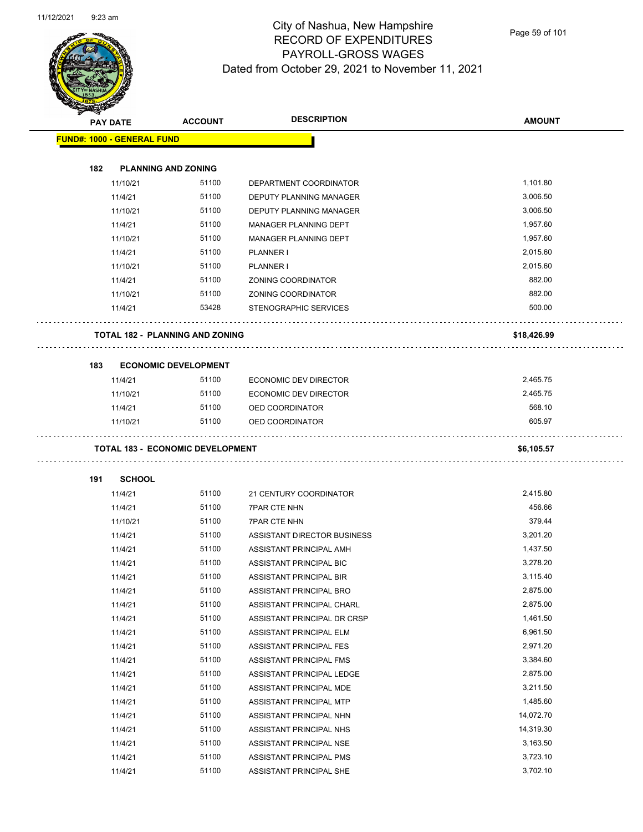

Page 59 of 101

|     | <b>PAY DATE</b>                   | <b>ACCOUNT</b>                          | <b>DESCRIPTION</b>             | <b>AMOUNT</b> |
|-----|-----------------------------------|-----------------------------------------|--------------------------------|---------------|
|     | <b>FUND#: 1000 - GENERAL FUND</b> |                                         |                                |               |
|     |                                   |                                         |                                |               |
| 182 | <b>PLANNING AND ZONING</b>        |                                         |                                |               |
|     | 11/10/21                          | 51100                                   | DEPARTMENT COORDINATOR         | 1,101.80      |
|     | 11/4/21                           | 51100                                   | DEPUTY PLANNING MANAGER        | 3,006.50      |
|     | 11/10/21                          | 51100                                   | DEPUTY PLANNING MANAGER        | 3,006.50      |
|     | 11/4/21                           | 51100                                   | <b>MANAGER PLANNING DEPT</b>   | 1,957.60      |
|     | 11/10/21                          | 51100                                   | MANAGER PLANNING DEPT          | 1,957.60      |
|     | 11/4/21                           | 51100                                   | <b>PLANNER I</b>               | 2,015.60      |
|     | 11/10/21                          | 51100                                   | <b>PLANNER I</b>               | 2,015.60      |
|     | 11/4/21                           | 51100                                   | ZONING COORDINATOR             | 882.00        |
|     | 11/10/21                          | 51100                                   | ZONING COORDINATOR             | 882.00        |
|     | 11/4/21                           | 53428                                   | STENOGRAPHIC SERVICES          | 500.00        |
|     |                                   | TOTAL 182 - PLANNING AND ZONING         |                                | \$18,426.99   |
|     |                                   |                                         |                                |               |
| 183 |                                   | <b>ECONOMIC DEVELOPMENT</b>             |                                |               |
|     | 11/4/21                           | 51100                                   | <b>ECONOMIC DEV DIRECTOR</b>   | 2,465.75      |
|     | 11/10/21                          | 51100                                   | <b>ECONOMIC DEV DIRECTOR</b>   | 2,465.75      |
|     | 11/4/21                           | 51100                                   | OED COORDINATOR                | 568.10        |
|     | 11/10/21                          | 51100                                   | OED COORDINATOR                | 605.97        |
|     |                                   |                                         |                                |               |
|     |                                   | <b>TOTAL 183 - ECONOMIC DEVELOPMENT</b> |                                | \$6,105.57    |
| 191 | <b>SCHOOL</b>                     |                                         |                                |               |
|     | 11/4/21                           | 51100                                   | 21 CENTURY COORDINATOR         | 2,415.80      |
|     | 11/4/21                           | 51100                                   | <b>7PAR CTE NHN</b>            | 456.66        |
|     | 11/10/21                          | 51100                                   | <b>7PAR CTE NHN</b>            | 379.44        |
|     | 11/4/21                           | 51100                                   | ASSISTANT DIRECTOR BUSINESS    | 3,201.20      |
|     | 11/4/21                           | 51100                                   | ASSISTANT PRINCIPAL AMH        | 1,437.50      |
|     | 11/4/21                           | 51100                                   | ASSISTANT PRINCIPAL BIC        | 3,278.20      |
|     | 11/4/21                           | 51100                                   | <b>ASSISTANT PRINCIPAL BIR</b> | 3,115.40      |
|     | 11/4/21                           | 51100                                   | ASSISTANT PRINCIPAL BRO        | 2,875.00      |
|     | 11/4/21                           | 51100                                   | ASSISTANT PRINCIPAL CHARL      | 2,875.00      |
|     | 11/4/21                           | 51100                                   | ASSISTANT PRINCIPAL DR CRSP    | 1,461.50      |
|     | 11/4/21                           | 51100                                   | ASSISTANT PRINCIPAL ELM        | 6,961.50      |
|     | 11/4/21                           | 51100                                   | ASSISTANT PRINCIPAL FES        | 2,971.20      |
|     | 11/4/21                           | 51100                                   | ASSISTANT PRINCIPAL FMS        | 3,384.60      |
|     | 11/4/21                           | 51100                                   | ASSISTANT PRINCIPAL LEDGE      | 2,875.00      |
|     | 11/4/21                           | 51100                                   | ASSISTANT PRINCIPAL MDE        | 3,211.50      |
|     | 11/4/21                           | 51100                                   | ASSISTANT PRINCIPAL MTP        | 1,485.60      |
|     | 11/4/21                           | 51100                                   | ASSISTANT PRINCIPAL NHN        | 14,072.70     |
|     | 11/4/21                           | 51100                                   | ASSISTANT PRINCIPAL NHS        | 14,319.30     |
|     | 11/4/21                           | 51100                                   | ASSISTANT PRINCIPAL NSE        | 3,163.50      |
|     | 11/4/21                           | 51100                                   | ASSISTANT PRINCIPAL PMS        | 3,723.10      |
|     | 11/4/21                           | 51100                                   | ASSISTANT PRINCIPAL SHE        | 3,702.10      |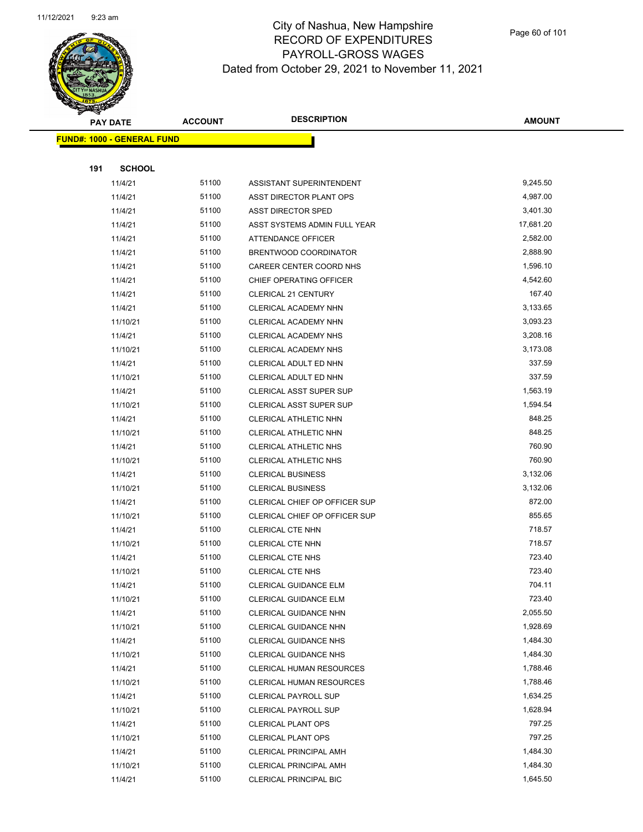

Page 60 of 101

|     | <b>PAY DATE</b>                   | <b>ACCOUNT</b> | <b>DESCRIPTION</b>              | <b>AMOUNT</b> |
|-----|-----------------------------------|----------------|---------------------------------|---------------|
|     | <b>FUND#: 1000 - GENERAL FUND</b> |                |                                 |               |
|     |                                   |                |                                 |               |
| 191 | <b>SCHOOL</b>                     |                |                                 |               |
|     | 11/4/21                           | 51100          | ASSISTANT SUPERINTENDENT        | 9,245.50      |
|     | 11/4/21                           | 51100          | ASST DIRECTOR PLANT OPS         | 4,987.00      |
|     | 11/4/21                           | 51100          | ASST DIRECTOR SPED              | 3,401.30      |
|     | 11/4/21                           | 51100          | ASST SYSTEMS ADMIN FULL YEAR    | 17,681.20     |
|     | 11/4/21                           | 51100          | ATTENDANCE OFFICER              | 2,582.00      |
|     | 11/4/21                           | 51100          | BRENTWOOD COORDINATOR           | 2,888.90      |
|     | 11/4/21                           | 51100          | CAREER CENTER COORD NHS         | 1,596.10      |
|     | 11/4/21                           | 51100          | CHIEF OPERATING OFFICER         | 4,542.60      |
|     | 11/4/21                           | 51100          | <b>CLERICAL 21 CENTURY</b>      | 167.40        |
|     | 11/4/21                           | 51100          | CLERICAL ACADEMY NHN            | 3,133.65      |
|     | 11/10/21                          | 51100          | CLERICAL ACADEMY NHN            | 3,093.23      |
|     | 11/4/21                           | 51100          | <b>CLERICAL ACADEMY NHS</b>     | 3,208.16      |
|     | 11/10/21                          | 51100          | CLERICAL ACADEMY NHS            | 3,173.08      |
|     | 11/4/21                           | 51100          | CLERICAL ADULT ED NHN           | 337.59        |
|     | 11/10/21                          | 51100          | CLERICAL ADULT ED NHN           | 337.59        |
|     | 11/4/21                           | 51100          | <b>CLERICAL ASST SUPER SUP</b>  | 1,563.19      |
|     | 11/10/21                          | 51100          | <b>CLERICAL ASST SUPER SUP</b>  | 1,594.54      |
|     | 11/4/21                           | 51100          | CLERICAL ATHLETIC NHN           | 848.25        |
|     | 11/10/21                          | 51100          | CLERICAL ATHLETIC NHN           | 848.25        |
|     | 11/4/21                           | 51100          | CLERICAL ATHLETIC NHS           | 760.90        |
|     | 11/10/21                          | 51100          | CLERICAL ATHLETIC NHS           | 760.90        |
|     | 11/4/21                           | 51100          | <b>CLERICAL BUSINESS</b>        | 3,132.06      |
|     | 11/10/21                          | 51100          | <b>CLERICAL BUSINESS</b>        | 3,132.06      |
|     | 11/4/21                           | 51100          | CLERICAL CHIEF OP OFFICER SUP   | 872.00        |
|     | 11/10/21                          | 51100          | CLERICAL CHIEF OP OFFICER SUP   | 855.65        |
|     | 11/4/21                           | 51100          | <b>CLERICAL CTE NHN</b>         | 718.57        |
|     | 11/10/21                          | 51100          | <b>CLERICAL CTE NHN</b>         | 718.57        |
|     | 11/4/21                           | 51100          | <b>CLERICAL CTE NHS</b>         | 723.40        |
|     | 11/10/21                          | 51100          | <b>CLERICAL CTE NHS</b>         | 723.40        |
|     | 11/4/21                           | 51100          | <b>CLERICAL GUIDANCE ELM</b>    | 704.11        |
|     | 11/10/21                          | 51100          | <b>CLERICAL GUIDANCE ELM</b>    | 723.40        |
|     | 11/4/21                           | 51100          | <b>CLERICAL GUIDANCE NHN</b>    | 2,055.50      |
|     | 11/10/21                          | 51100          | <b>CLERICAL GUIDANCE NHN</b>    | 1,928.69      |
|     | 11/4/21                           | 51100          | CLERICAL GUIDANCE NHS           | 1,484.30      |
|     | 11/10/21                          | 51100          | <b>CLERICAL GUIDANCE NHS</b>    | 1,484.30      |
|     | 11/4/21                           | 51100          | <b>CLERICAL HUMAN RESOURCES</b> | 1,788.46      |
|     | 11/10/21                          | 51100          | <b>CLERICAL HUMAN RESOURCES</b> | 1,788.46      |
|     | 11/4/21                           | 51100          | <b>CLERICAL PAYROLL SUP</b>     | 1,634.25      |
|     | 11/10/21                          | 51100          | <b>CLERICAL PAYROLL SUP</b>     | 1,628.94      |
|     | 11/4/21                           | 51100          | <b>CLERICAL PLANT OPS</b>       | 797.25        |
|     | 11/10/21                          | 51100          | <b>CLERICAL PLANT OPS</b>       | 797.25        |
|     | 11/4/21                           | 51100          | <b>CLERICAL PRINCIPAL AMH</b>   | 1,484.30      |
|     | 11/10/21                          | 51100          | <b>CLERICAL PRINCIPAL AMH</b>   | 1,484.30      |
|     | 11/4/21                           | 51100          | CLERICAL PRINCIPAL BIC          | 1,645.50      |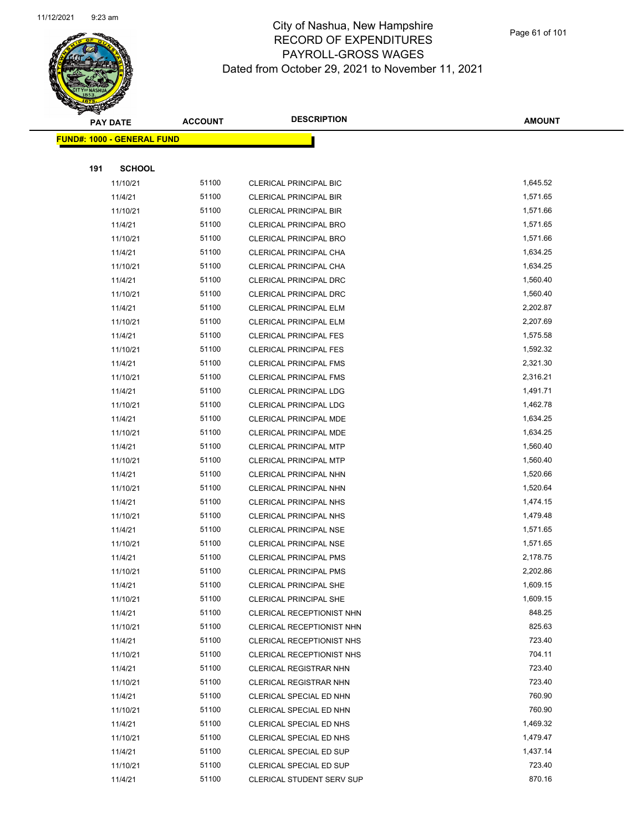

Page 61 of 101

|     | <b>PAY DATE</b>                    | <b>ACCOUNT</b> | <b>DESCRIPTION</b>               | <b>AMOUNT</b>    |
|-----|------------------------------------|----------------|----------------------------------|------------------|
|     | <u> FUND#: 1000 - GENERAL FUND</u> |                |                                  |                  |
|     |                                    |                |                                  |                  |
| 191 | <b>SCHOOL</b>                      |                |                                  |                  |
|     | 11/10/21                           | 51100          | CLERICAL PRINCIPAL BIC           | 1,645.52         |
|     | 11/4/21                            | 51100          | <b>CLERICAL PRINCIPAL BIR</b>    | 1,571.65         |
|     | 11/10/21                           | 51100          | <b>CLERICAL PRINCIPAL BIR</b>    | 1,571.66         |
|     | 11/4/21                            | 51100          | <b>CLERICAL PRINCIPAL BRO</b>    | 1,571.65         |
|     | 11/10/21                           | 51100          | <b>CLERICAL PRINCIPAL BRO</b>    | 1,571.66         |
|     | 11/4/21                            | 51100          | CLERICAL PRINCIPAL CHA           | 1,634.25         |
|     | 11/10/21                           | 51100          | CLERICAL PRINCIPAL CHA           | 1,634.25         |
|     | 11/4/21                            | 51100          | CLERICAL PRINCIPAL DRC           | 1,560.40         |
|     | 11/10/21                           | 51100          | <b>CLERICAL PRINCIPAL DRC</b>    | 1,560.40         |
|     | 11/4/21                            | 51100          | <b>CLERICAL PRINCIPAL ELM</b>    | 2,202.87         |
|     | 11/10/21                           | 51100          | CLERICAL PRINCIPAL ELM           | 2,207.69         |
|     | 11/4/21                            | 51100          | <b>CLERICAL PRINCIPAL FES</b>    | 1,575.58         |
|     | 11/10/21                           | 51100          | <b>CLERICAL PRINCIPAL FES</b>    | 1,592.32         |
|     | 11/4/21                            | 51100          | <b>CLERICAL PRINCIPAL FMS</b>    | 2,321.30         |
|     | 11/10/21                           | 51100          | <b>CLERICAL PRINCIPAL FMS</b>    | 2,316.21         |
|     | 11/4/21                            | 51100          | <b>CLERICAL PRINCIPAL LDG</b>    | 1,491.71         |
|     | 11/10/21                           | 51100          | CLERICAL PRINCIPAL LDG           | 1,462.78         |
|     | 11/4/21                            | 51100          | CLERICAL PRINCIPAL MDE           | 1,634.25         |
|     | 11/10/21                           | 51100          | CLERICAL PRINCIPAL MDE           | 1,634.25         |
|     | 11/4/21                            | 51100          | CLERICAL PRINCIPAL MTP           | 1,560.40         |
|     | 11/10/21                           | 51100          | <b>CLERICAL PRINCIPAL MTP</b>    | 1,560.40         |
|     | 11/4/21                            | 51100          | CLERICAL PRINCIPAL NHN           | 1,520.66         |
|     | 11/10/21                           | 51100          | CLERICAL PRINCIPAL NHN           | 1,520.64         |
|     | 11/4/21                            | 51100          | <b>CLERICAL PRINCIPAL NHS</b>    | 1,474.15         |
|     | 11/10/21                           | 51100          | <b>CLERICAL PRINCIPAL NHS</b>    | 1,479.48         |
|     | 11/4/21                            | 51100          | <b>CLERICAL PRINCIPAL NSE</b>    | 1,571.65         |
|     | 11/10/21                           | 51100          | CLERICAL PRINCIPAL NSE           | 1,571.65         |
|     | 11/4/21                            | 51100          | CLERICAL PRINCIPAL PMS           | 2,178.75         |
|     | 11/10/21                           | 51100          | <b>CLERICAL PRINCIPAL PMS</b>    | 2,202.86         |
|     | 11/4/21                            | 51100          | CLERICAL PRINCIPAL SHE           | 1,609.15         |
|     | 11/10/21                           | 51100          | CLERICAL PRINCIPAL SHE           | 1,609.15         |
|     | 11/4/21                            | 51100          | CLERICAL RECEPTIONIST NHN        | 848.25           |
|     | 11/10/21                           | 51100          | CLERICAL RECEPTIONIST NHN        | 825.63           |
|     | 11/4/21                            | 51100          | CLERICAL RECEPTIONIST NHS        | 723.40           |
|     | 11/10/21                           | 51100          | CLERICAL RECEPTIONIST NHS        | 704.11           |
|     | 11/4/21                            | 51100          | <b>CLERICAL REGISTRAR NHN</b>    | 723.40           |
|     | 11/10/21                           | 51100          | <b>CLERICAL REGISTRAR NHN</b>    | 723.40           |
|     | 11/4/21                            | 51100          | CLERICAL SPECIAL ED NHN          | 760.90           |
|     | 11/10/21                           | 51100          | CLERICAL SPECIAL ED NHN          | 760.90           |
|     | 11/4/21                            | 51100          | CLERICAL SPECIAL ED NHS          | 1,469.32         |
|     | 11/10/21                           | 51100          | CLERICAL SPECIAL ED NHS          | 1,479.47         |
|     | 11/4/21                            | 51100          | CLERICAL SPECIAL ED SUP          | 1,437.14         |
|     | 11/10/21                           | 51100          | CLERICAL SPECIAL ED SUP          | 723.40<br>870.16 |
|     | 11/4/21                            | 51100          | <b>CLERICAL STUDENT SERV SUP</b> |                  |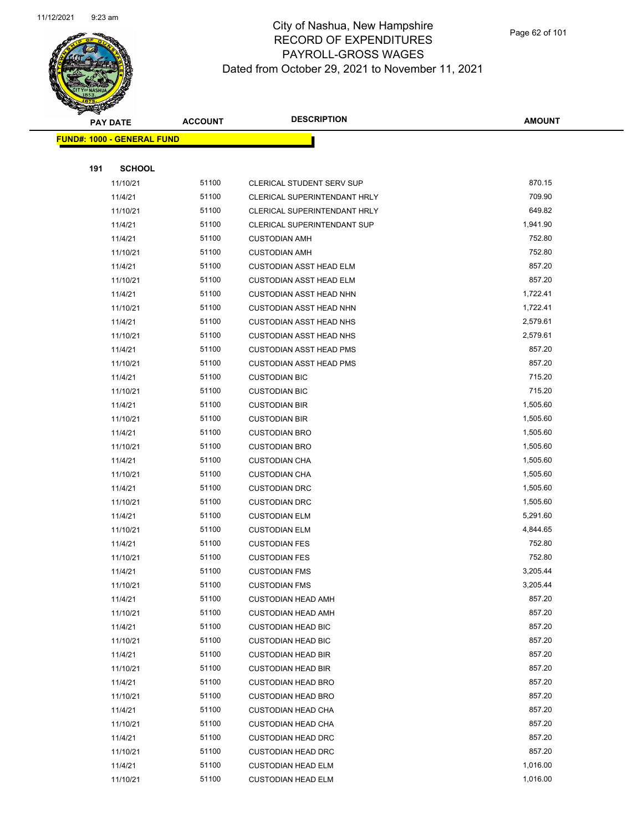

|     | <b>PAY DATE</b>                    | <b>ACCOUNT</b> | <b>DESCRIPTION</b>               | <b>AMOUNT</b> |
|-----|------------------------------------|----------------|----------------------------------|---------------|
|     | <u> FUND#: 1000 - GENERAL FUND</u> |                |                                  |               |
|     |                                    |                |                                  |               |
| 191 | <b>SCHOOL</b>                      |                |                                  |               |
|     | 11/10/21                           | 51100          | <b>CLERICAL STUDENT SERV SUP</b> | 870.15        |
|     | 11/4/21                            | 51100          | CLERICAL SUPERINTENDANT HRLY     | 709.90        |
|     | 11/10/21                           | 51100          | CLERICAL SUPERINTENDANT HRLY     | 649.82        |
|     | 11/4/21                            | 51100          | CLERICAL SUPERINTENDANT SUP      | 1,941.90      |
|     | 11/4/21                            | 51100          | <b>CUSTODIAN AMH</b>             | 752.80        |
|     | 11/10/21                           | 51100          | <b>CUSTODIAN AMH</b>             | 752.80        |
|     | 11/4/21                            | 51100          | <b>CUSTODIAN ASST HEAD ELM</b>   | 857.20        |
|     | 11/10/21                           | 51100          | <b>CUSTODIAN ASST HEAD ELM</b>   | 857.20        |
|     | 11/4/21                            | 51100          | <b>CUSTODIAN ASST HEAD NHN</b>   | 1,722.41      |
|     | 11/10/21                           | 51100          | <b>CUSTODIAN ASST HEAD NHN</b>   | 1,722.41      |
|     | 11/4/21                            | 51100          | <b>CUSTODIAN ASST HEAD NHS</b>   | 2,579.61      |
|     | 11/10/21                           | 51100          | <b>CUSTODIAN ASST HEAD NHS</b>   | 2,579.61      |
|     | 11/4/21                            | 51100          | <b>CUSTODIAN ASST HEAD PMS</b>   | 857.20        |
|     | 11/10/21                           | 51100          | <b>CUSTODIAN ASST HEAD PMS</b>   | 857.20        |
|     | 11/4/21                            | 51100          | <b>CUSTODIAN BIC</b>             | 715.20        |
|     | 11/10/21                           | 51100          | <b>CUSTODIAN BIC</b>             | 715.20        |
|     | 11/4/21                            | 51100          | <b>CUSTODIAN BIR</b>             | 1,505.60      |
|     | 11/10/21                           | 51100          | <b>CUSTODIAN BIR</b>             | 1,505.60      |
|     | 11/4/21                            | 51100          | <b>CUSTODIAN BRO</b>             | 1,505.60      |
|     | 11/10/21                           | 51100          | <b>CUSTODIAN BRO</b>             | 1,505.60      |
|     | 11/4/21                            | 51100          | <b>CUSTODIAN CHA</b>             | 1,505.60      |
|     | 11/10/21                           | 51100          | <b>CUSTODIAN CHA</b>             | 1,505.60      |
|     | 11/4/21                            | 51100          | <b>CUSTODIAN DRC</b>             | 1,505.60      |
|     | 11/10/21                           | 51100          | <b>CUSTODIAN DRC</b>             | 1,505.60      |
|     | 11/4/21                            | 51100          | <b>CUSTODIAN ELM</b>             | 5,291.60      |
|     | 11/10/21                           | 51100          | <b>CUSTODIAN ELM</b>             | 4,844.65      |
|     | 11/4/21                            | 51100          | <b>CUSTODIAN FES</b>             | 752.80        |
|     | 11/10/21                           | 51100          | <b>CUSTODIAN FES</b>             | 752.80        |
|     | 11/4/21                            | 51100          | <b>CUSTODIAN FMS</b>             | 3,205.44      |
|     | 11/10/21                           | 51100          | <b>CUSTODIAN FMS</b>             | 3,205.44      |
|     | 11/4/21                            | 51100          | <b>CUSTODIAN HEAD AMH</b>        | 857.20        |
|     | 11/10/21                           | 51100          | <b>CUSTODIAN HEAD AMH</b>        | 857.20        |
|     | 11/4/21                            | 51100          | <b>CUSTODIAN HEAD BIC</b>        | 857.20        |
|     | 11/10/21                           | 51100          | <b>CUSTODIAN HEAD BIC</b>        | 857.20        |
|     | 11/4/21                            | 51100          | <b>CUSTODIAN HEAD BIR</b>        | 857.20        |
|     | 11/10/21                           | 51100          | <b>CUSTODIAN HEAD BIR</b>        | 857.20        |
|     | 11/4/21                            | 51100          | <b>CUSTODIAN HEAD BRO</b>        | 857.20        |
|     | 11/10/21                           | 51100          | <b>CUSTODIAN HEAD BRO</b>        | 857.20        |
|     | 11/4/21                            | 51100          | <b>CUSTODIAN HEAD CHA</b>        | 857.20        |
|     | 11/10/21                           | 51100          | <b>CUSTODIAN HEAD CHA</b>        | 857.20        |
|     | 11/4/21                            | 51100          | <b>CUSTODIAN HEAD DRC</b>        | 857.20        |
|     | 11/10/21                           | 51100          | <b>CUSTODIAN HEAD DRC</b>        | 857.20        |
|     | 11/4/21                            | 51100          | <b>CUSTODIAN HEAD ELM</b>        | 1,016.00      |
|     | 11/10/21                           | 51100          | <b>CUSTODIAN HEAD ELM</b>        | 1,016.00      |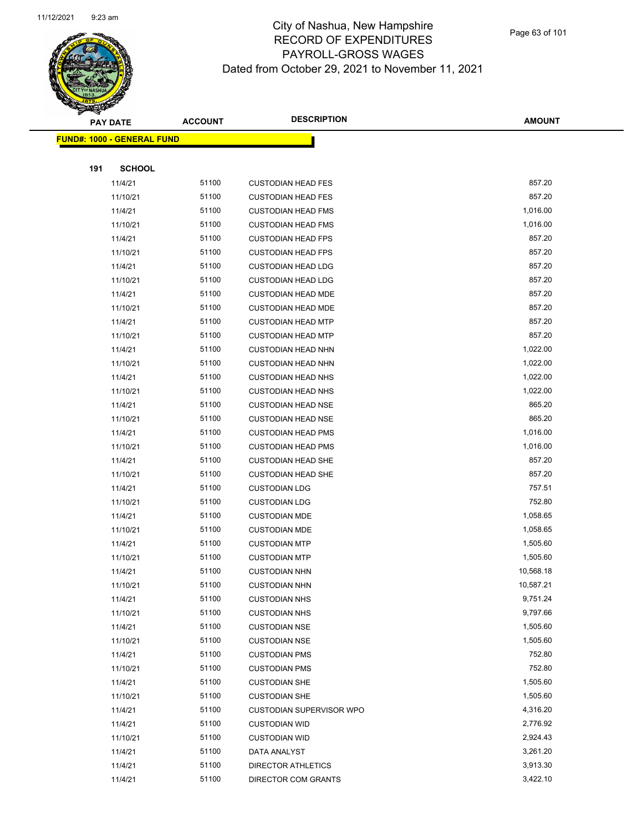

Page 63 of 101

|     | <b>PAY DATE</b>                    | <b>ACCOUNT</b> | <b>DESCRIPTION</b>              | <b>AMOUNT</b> |
|-----|------------------------------------|----------------|---------------------------------|---------------|
|     | <u> FUND#: 1000 - GENERAL FUND</u> |                |                                 |               |
|     |                                    |                |                                 |               |
| 191 | <b>SCHOOL</b>                      |                |                                 |               |
|     | 11/4/21                            | 51100          | <b>CUSTODIAN HEAD FES</b>       | 857.20        |
|     | 11/10/21                           | 51100          | <b>CUSTODIAN HEAD FES</b>       | 857.20        |
|     | 11/4/21                            | 51100          | <b>CUSTODIAN HEAD FMS</b>       | 1,016.00      |
|     | 11/10/21                           | 51100          | <b>CUSTODIAN HEAD FMS</b>       | 1,016.00      |
|     | 11/4/21                            | 51100          | <b>CUSTODIAN HEAD FPS</b>       | 857.20        |
|     | 11/10/21                           | 51100          | <b>CUSTODIAN HEAD FPS</b>       | 857.20        |
|     | 11/4/21                            | 51100          | <b>CUSTODIAN HEAD LDG</b>       | 857.20        |
|     | 11/10/21                           | 51100          | <b>CUSTODIAN HEAD LDG</b>       | 857.20        |
|     | 11/4/21                            | 51100          | <b>CUSTODIAN HEAD MDE</b>       | 857.20        |
|     | 11/10/21                           | 51100          | <b>CUSTODIAN HEAD MDE</b>       | 857.20        |
|     | 11/4/21                            | 51100          | <b>CUSTODIAN HEAD MTP</b>       | 857.20        |
|     | 11/10/21                           | 51100          | <b>CUSTODIAN HEAD MTP</b>       | 857.20        |
|     | 11/4/21                            | 51100          | <b>CUSTODIAN HEAD NHN</b>       | 1,022.00      |
|     | 11/10/21                           | 51100          | <b>CUSTODIAN HEAD NHN</b>       | 1,022.00      |
|     | 11/4/21                            | 51100          | <b>CUSTODIAN HEAD NHS</b>       | 1,022.00      |
|     | 11/10/21                           | 51100          | <b>CUSTODIAN HEAD NHS</b>       | 1,022.00      |
|     | 11/4/21                            | 51100          | <b>CUSTODIAN HEAD NSE</b>       | 865.20        |
|     | 11/10/21                           | 51100          | <b>CUSTODIAN HEAD NSE</b>       | 865.20        |
|     | 11/4/21                            | 51100          | <b>CUSTODIAN HEAD PMS</b>       | 1,016.00      |
|     | 11/10/21                           | 51100          | <b>CUSTODIAN HEAD PMS</b>       | 1,016.00      |
|     | 11/4/21                            | 51100          | <b>CUSTODIAN HEAD SHE</b>       | 857.20        |
|     | 11/10/21                           | 51100          | <b>CUSTODIAN HEAD SHE</b>       | 857.20        |
|     | 11/4/21                            | 51100          | <b>CUSTODIAN LDG</b>            | 757.51        |
|     | 11/10/21                           | 51100          | <b>CUSTODIAN LDG</b>            | 752.80        |
|     | 11/4/21                            | 51100          | <b>CUSTODIAN MDE</b>            | 1,058.65      |
|     | 11/10/21                           | 51100          | <b>CUSTODIAN MDE</b>            | 1,058.65      |
|     | 11/4/21                            | 51100          | <b>CUSTODIAN MTP</b>            | 1,505.60      |
|     | 11/10/21                           | 51100          | <b>CUSTODIAN MTP</b>            | 1,505.60      |
|     | 11/4/21                            | 51100          | <b>CUSTODIAN NHN</b>            | 10,568.18     |
|     | 11/10/21                           | 51100          | <b>CUSTODIAN NHN</b>            | 10,587.21     |
|     | 11/4/21                            | 51100          | <b>CUSTODIAN NHS</b>            | 9,751.24      |
|     | 11/10/21                           | 51100          | <b>CUSTODIAN NHS</b>            | 9,797.66      |
|     | 11/4/21                            | 51100          | <b>CUSTODIAN NSE</b>            | 1,505.60      |
|     | 11/10/21                           | 51100          | <b>CUSTODIAN NSE</b>            | 1,505.60      |
|     | 11/4/21                            | 51100          | <b>CUSTODIAN PMS</b>            | 752.80        |
|     | 11/10/21                           | 51100          | <b>CUSTODIAN PMS</b>            | 752.80        |
|     | 11/4/21                            | 51100          | <b>CUSTODIAN SHE</b>            | 1,505.60      |
|     | 11/10/21                           | 51100          | <b>CUSTODIAN SHE</b>            | 1,505.60      |
|     | 11/4/21                            | 51100          | <b>CUSTODIAN SUPERVISOR WPO</b> | 4,316.20      |
|     | 11/4/21                            | 51100          | <b>CUSTODIAN WID</b>            | 2,776.92      |
|     | 11/10/21                           | 51100          | <b>CUSTODIAN WID</b>            | 2,924.43      |
|     | 11/4/21                            | 51100          | DATA ANALYST                    | 3,261.20      |
|     | 11/4/21                            | 51100          | <b>DIRECTOR ATHLETICS</b>       | 3,913.30      |
|     | 11/4/21                            | 51100          | DIRECTOR COM GRANTS             | 3,422.10      |
|     |                                    |                |                                 |               |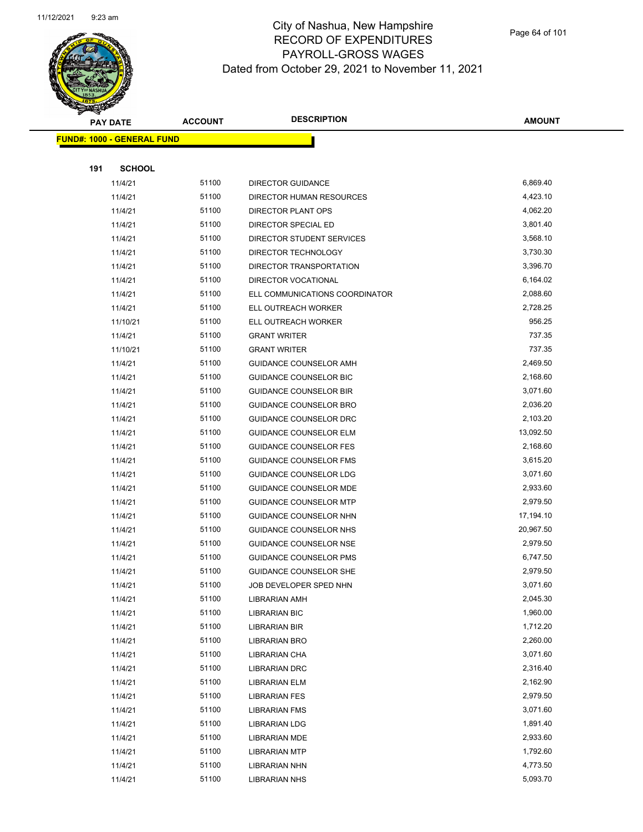

Page 64 of 101

|     | <b>PAY DATE</b>                   | <b>ACCOUNT</b> | <b>DESCRIPTION</b>                    | <b>AMOUNT</b>        |
|-----|-----------------------------------|----------------|---------------------------------------|----------------------|
|     | <b>FUND#: 1000 - GENERAL FUND</b> |                |                                       |                      |
|     |                                   |                |                                       |                      |
| 191 | <b>SCHOOL</b>                     |                |                                       |                      |
|     | 11/4/21                           | 51100          | DIRECTOR GUIDANCE                     | 6,869.40             |
|     | 11/4/21                           | 51100          | DIRECTOR HUMAN RESOURCES              | 4,423.10             |
|     | 11/4/21                           | 51100          | DIRECTOR PLANT OPS                    | 4,062.20             |
|     | 11/4/21                           | 51100          | DIRECTOR SPECIAL ED                   | 3,801.40             |
|     | 11/4/21                           | 51100          | DIRECTOR STUDENT SERVICES             | 3,568.10             |
|     | 11/4/21                           | 51100          | DIRECTOR TECHNOLOGY                   | 3,730.30             |
|     | 11/4/21                           | 51100          | DIRECTOR TRANSPORTATION               | 3,396.70             |
|     | 11/4/21                           | 51100          | DIRECTOR VOCATIONAL                   | 6,164.02             |
|     | 11/4/21                           | 51100          | ELL COMMUNICATIONS COORDINATOR        | 2,088.60             |
|     | 11/4/21                           | 51100          | ELL OUTREACH WORKER                   | 2,728.25             |
|     | 11/10/21                          | 51100          | ELL OUTREACH WORKER                   | 956.25               |
|     | 11/4/21                           | 51100          | <b>GRANT WRITER</b>                   | 737.35               |
|     | 11/10/21                          | 51100          | <b>GRANT WRITER</b>                   | 737.35               |
|     | 11/4/21                           | 51100          | GUIDANCE COUNSELOR AMH                | 2,469.50             |
|     | 11/4/21                           | 51100          | GUIDANCE COUNSELOR BIC                | 2,168.60             |
|     | 11/4/21                           | 51100          | <b>GUIDANCE COUNSELOR BIR</b>         | 3,071.60             |
|     | 11/4/21                           | 51100          | GUIDANCE COUNSELOR BRO                | 2,036.20             |
|     | 11/4/21                           | 51100          | <b>GUIDANCE COUNSELOR DRC</b>         | 2,103.20             |
|     | 11/4/21                           | 51100          | <b>GUIDANCE COUNSELOR ELM</b>         | 13,092.50            |
|     | 11/4/21                           | 51100          | <b>GUIDANCE COUNSELOR FES</b>         | 2,168.60             |
|     | 11/4/21                           | 51100          | GUIDANCE COUNSELOR FMS                | 3,615.20             |
|     | 11/4/21                           | 51100          | GUIDANCE COUNSELOR LDG                | 3,071.60             |
|     | 11/4/21                           | 51100          | GUIDANCE COUNSELOR MDE                | 2,933.60             |
|     | 11/4/21                           | 51100          | <b>GUIDANCE COUNSELOR MTP</b>         | 2,979.50             |
|     | 11/4/21                           | 51100          | GUIDANCE COUNSELOR NHN                | 17,194.10            |
|     | 11/4/21                           | 51100          | GUIDANCE COUNSELOR NHS                | 20,967.50            |
|     | 11/4/21                           | 51100          | <b>GUIDANCE COUNSELOR NSE</b>         | 2,979.50             |
|     | 11/4/21                           | 51100          | <b>GUIDANCE COUNSELOR PMS</b>         | 6,747.50             |
|     | 11/4/21                           | 51100          | GUIDANCE COUNSELOR SHE                | 2,979.50             |
|     | 11/4/21                           | 51100          | JOB DEVELOPER SPED NHN                | 3,071.60             |
|     | 11/4/21                           | 51100          | LIBRARIAN AMH                         | 2,045.30             |
|     | 11/4/21                           | 51100          | LIBRARIAN BIC                         | 1,960.00             |
|     | 11/4/21                           | 51100          | LIBRARIAN BIR                         | 1,712.20             |
|     | 11/4/21                           | 51100          | LIBRARIAN BRO                         | 2,260.00             |
|     | 11/4/21                           | 51100          | LIBRARIAN CHA                         | 3,071.60             |
|     | 11/4/21                           | 51100          | <b>LIBRARIAN DRC</b>                  | 2,316.40             |
|     | 11/4/21                           | 51100          | LIBRARIAN ELM                         | 2,162.90             |
|     | 11/4/21                           | 51100          | <b>LIBRARIAN FES</b>                  | 2,979.50             |
|     | 11/4/21                           | 51100<br>51100 | <b>LIBRARIAN FMS</b>                  | 3,071.60<br>1,891.40 |
|     | 11/4/21                           | 51100          | <b>LIBRARIAN LDG</b>                  | 2,933.60             |
|     | 11/4/21                           | 51100          | <b>LIBRARIAN MDE</b>                  | 1,792.60             |
|     | 11/4/21<br>11/4/21                | 51100          | <b>LIBRARIAN MTP</b>                  | 4,773.50             |
|     | 11/4/21                           | 51100          | LIBRARIAN NHN<br><b>LIBRARIAN NHS</b> | 5,093.70             |
|     |                                   |                |                                       |                      |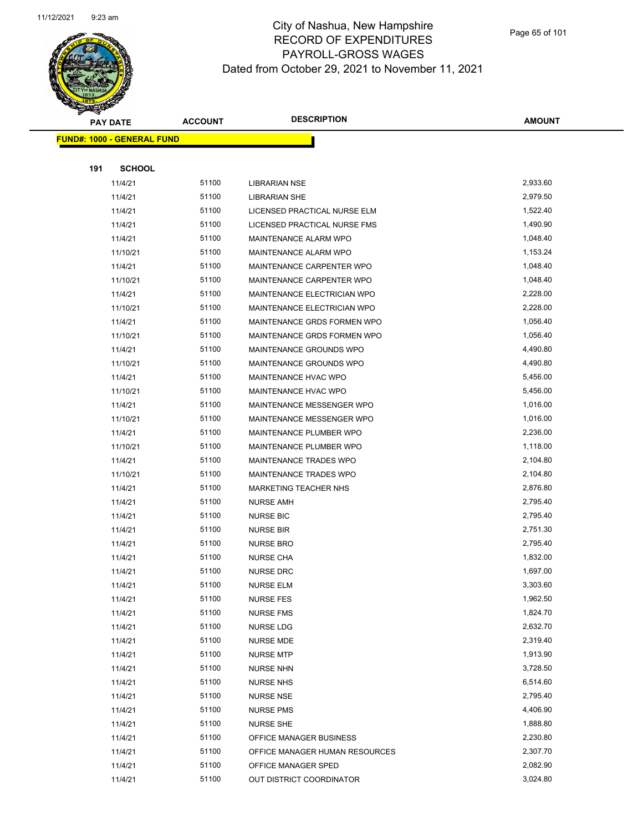

Page 65 of 101

|     | <b>PAY DATE</b>                   | <b>ACCOUNT</b> | <b>DESCRIPTION</b>                   | <b>AMOUNT</b>        |
|-----|-----------------------------------|----------------|--------------------------------------|----------------------|
|     | <b>FUND#: 1000 - GENERAL FUND</b> |                |                                      |                      |
|     |                                   |                |                                      |                      |
| 191 | <b>SCHOOL</b>                     |                |                                      |                      |
|     | 11/4/21                           | 51100          | <b>LIBRARIAN NSE</b>                 | 2,933.60             |
|     | 11/4/21                           | 51100          | <b>LIBRARIAN SHE</b>                 | 2,979.50             |
|     | 11/4/21                           | 51100          | LICENSED PRACTICAL NURSE ELM         | 1,522.40             |
|     | 11/4/21                           | 51100          | LICENSED PRACTICAL NURSE FMS         | 1,490.90             |
|     | 11/4/21                           | 51100          | MAINTENANCE ALARM WPO                | 1,048.40             |
|     | 11/10/21                          | 51100          | MAINTENANCE ALARM WPO                | 1,153.24             |
|     | 11/4/21                           | 51100          | MAINTENANCE CARPENTER WPO            | 1,048.40             |
|     | 11/10/21                          | 51100          | MAINTENANCE CARPENTER WPO            | 1,048.40             |
|     | 11/4/21                           | 51100          | MAINTENANCE ELECTRICIAN WPO          | 2,228.00             |
|     | 11/10/21                          | 51100          | MAINTENANCE ELECTRICIAN WPO          | 2,228.00             |
|     | 11/4/21                           | 51100          | MAINTENANCE GRDS FORMEN WPO          | 1,056.40             |
|     | 11/10/21                          | 51100          | MAINTENANCE GRDS FORMEN WPO          | 1,056.40             |
|     | 11/4/21                           | 51100          | MAINTENANCE GROUNDS WPO              | 4,490.80             |
|     | 11/10/21                          | 51100          | MAINTENANCE GROUNDS WPO              | 4,490.80             |
|     | 11/4/21                           | 51100          | MAINTENANCE HVAC WPO                 | 5,456.00             |
|     | 11/10/21                          | 51100          | MAINTENANCE HVAC WPO                 | 5,456.00             |
|     | 11/4/21                           | 51100          | MAINTENANCE MESSENGER WPO            | 1,016.00             |
|     | 11/10/21                          | 51100          | MAINTENANCE MESSENGER WPO            | 1,016.00             |
|     | 11/4/21                           | 51100          | MAINTENANCE PLUMBER WPO              | 2,236.00             |
|     | 11/10/21                          | 51100          | MAINTENANCE PLUMBER WPO              | 1,118.00             |
|     | 11/4/21                           | 51100          | MAINTENANCE TRADES WPO               | 2,104.80             |
|     | 11/10/21                          | 51100          | MAINTENANCE TRADES WPO               | 2,104.80             |
|     | 11/4/21                           | 51100          | <b>MARKETING TEACHER NHS</b>         | 2,876.80             |
|     | 11/4/21                           | 51100          | <b>NURSE AMH</b>                     | 2,795.40             |
|     | 11/4/21                           | 51100          | <b>NURSE BIC</b>                     | 2,795.40             |
|     | 11/4/21                           | 51100          | <b>NURSE BIR</b>                     | 2,751.30             |
|     | 11/4/21                           | 51100          | <b>NURSE BRO</b>                     | 2,795.40             |
|     | 11/4/21                           | 51100          | <b>NURSE CHA</b>                     | 1,832.00             |
|     | 11/4/21                           | 51100          | <b>NURSE DRC</b>                     | 1,697.00             |
|     | 11/4/21                           | 51100          | <b>NURSE ELM</b>                     | 3,303.60             |
|     | 11/4/21                           | 51100          | <b>NURSE FES</b>                     | 1,962.50             |
|     | 11/4/21                           | 51100          | <b>NURSE FMS</b>                     | 1,824.70             |
|     | 11/4/21                           | 51100<br>51100 | <b>NURSE LDG</b>                     | 2,632.70<br>2,319.40 |
|     | 11/4/21                           | 51100          | <b>NURSE MDE</b>                     | 1,913.90             |
|     | 11/4/21<br>11/4/21                | 51100          | <b>NURSE MTP</b><br><b>NURSE NHN</b> | 3,728.50             |
|     | 11/4/21                           | 51100          | <b>NURSE NHS</b>                     | 6,514.60             |
|     | 11/4/21                           | 51100          | <b>NURSE NSE</b>                     | 2,795.40             |
|     | 11/4/21                           | 51100          | <b>NURSE PMS</b>                     | 4,406.90             |
|     | 11/4/21                           | 51100          | <b>NURSE SHE</b>                     | 1,888.80             |
|     | 11/4/21                           | 51100          | OFFICE MANAGER BUSINESS              | 2,230.80             |
|     | 11/4/21                           | 51100          | OFFICE MANAGER HUMAN RESOURCES       | 2,307.70             |
|     | 11/4/21                           | 51100          | OFFICE MANAGER SPED                  | 2,082.90             |
|     | 11/4/21                           | 51100          | OUT DISTRICT COORDINATOR             | 3,024.80             |
|     |                                   |                |                                      |                      |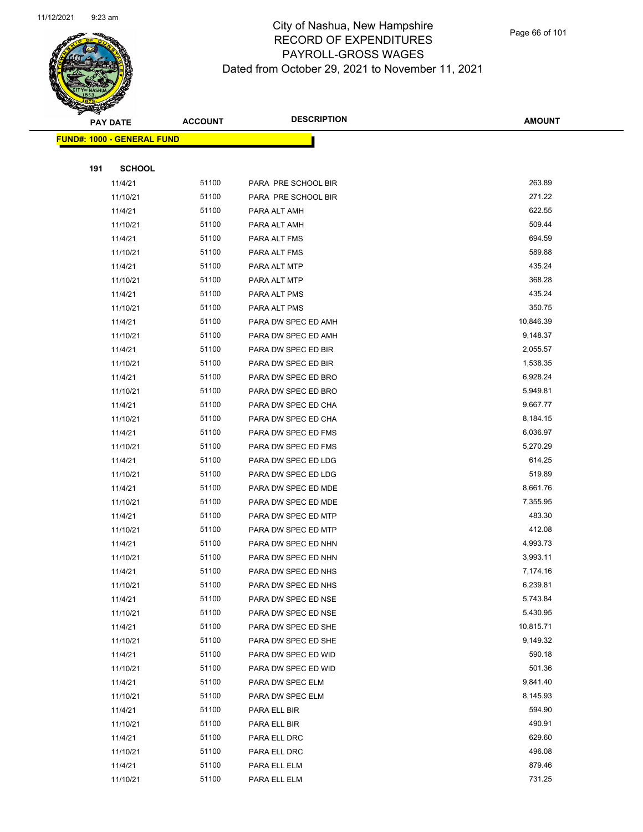

Page 66 of 101

|     | <b>PAY DATE</b>                   | <b>ACCOUNT</b> | <b>DESCRIPTION</b>  | <b>AMOUNT</b>    |
|-----|-----------------------------------|----------------|---------------------|------------------|
|     | <b>FUND#: 1000 - GENERAL FUND</b> |                |                     |                  |
|     |                                   |                |                     |                  |
| 191 | <b>SCHOOL</b>                     |                |                     |                  |
|     | 11/4/21                           | 51100          | PARA PRE SCHOOL BIR | 263.89           |
|     | 11/10/21                          | 51100          | PARA PRE SCHOOL BIR | 271.22           |
|     | 11/4/21                           | 51100          | PARA ALT AMH        | 622.55           |
|     | 11/10/21                          | 51100          | PARA ALT AMH        | 509.44           |
|     | 11/4/21                           | 51100          | PARA ALT FMS        | 694.59           |
|     | 11/10/21                          | 51100          | PARA ALT FMS        | 589.88           |
|     | 11/4/21                           | 51100          | PARA ALT MTP        | 435.24           |
|     | 11/10/21                          | 51100          | PARA ALT MTP        | 368.28           |
|     | 11/4/21                           | 51100          | PARA ALT PMS        | 435.24           |
|     | 11/10/21                          | 51100          | PARA ALT PMS        | 350.75           |
|     | 11/4/21                           | 51100          | PARA DW SPEC ED AMH | 10,846.39        |
|     | 11/10/21                          | 51100          | PARA DW SPEC ED AMH | 9,148.37         |
|     | 11/4/21                           | 51100          | PARA DW SPEC ED BIR | 2,055.57         |
|     | 11/10/21                          | 51100          | PARA DW SPEC ED BIR | 1,538.35         |
|     | 11/4/21                           | 51100          | PARA DW SPEC ED BRO | 6,928.24         |
|     | 11/10/21                          | 51100          | PARA DW SPEC ED BRO | 5,949.81         |
|     | 11/4/21                           | 51100          | PARA DW SPEC ED CHA | 9,667.77         |
|     | 11/10/21                          | 51100          | PARA DW SPEC ED CHA | 8,184.15         |
|     | 11/4/21                           | 51100          | PARA DW SPEC ED FMS | 6,036.97         |
|     | 11/10/21                          | 51100          | PARA DW SPEC ED FMS | 5,270.29         |
|     | 11/4/21                           | 51100          | PARA DW SPEC ED LDG | 614.25           |
|     | 11/10/21                          | 51100          | PARA DW SPEC ED LDG | 519.89           |
|     | 11/4/21                           | 51100          | PARA DW SPEC ED MDE | 8,661.76         |
|     | 11/10/21                          | 51100          | PARA DW SPEC ED MDE | 7,355.95         |
|     | 11/4/21                           | 51100          | PARA DW SPEC ED MTP | 483.30           |
|     | 11/10/21                          | 51100          | PARA DW SPEC ED MTP | 412.08           |
|     | 11/4/21                           | 51100          | PARA DW SPEC ED NHN | 4,993.73         |
|     | 11/10/21                          | 51100          | PARA DW SPEC ED NHN | 3,993.11         |
|     | 11/4/21                           | 51100          | PARA DW SPEC ED NHS | 7,174.16         |
|     | 11/10/21                          | 51100          | PARA DW SPEC ED NHS | 6,239.81         |
|     | 11/4/21                           | 51100          | PARA DW SPEC ED NSE | 5,743.84         |
|     | 11/10/21                          | 51100          | PARA DW SPEC ED NSE | 5,430.95         |
|     | 11/4/21                           | 51100          | PARA DW SPEC ED SHE | 10,815.71        |
|     | 11/10/21                          | 51100          | PARA DW SPEC ED SHE | 9,149.32         |
|     | 11/4/21                           | 51100          | PARA DW SPEC ED WID | 590.18           |
|     | 11/10/21                          | 51100          | PARA DW SPEC ED WID | 501.36           |
|     | 11/4/21                           | 51100          | PARA DW SPEC ELM    | 9,841.40         |
|     | 11/10/21                          | 51100          | PARA DW SPEC ELM    | 8,145.93         |
|     | 11/4/21                           | 51100          | PARA ELL BIR        | 594.90           |
|     | 11/10/21                          | 51100          | PARA ELL BIR        | 490.91<br>629.60 |
|     | 11/4/21                           | 51100          | PARA ELL DRC        | 496.08           |
|     | 11/10/21                          | 51100          | PARA ELL DRC        |                  |
|     | 11/4/21                           | 51100          | PARA ELL ELM        | 879.46           |
|     | 11/10/21                          | 51100          | PARA ELL ELM        | 731.25           |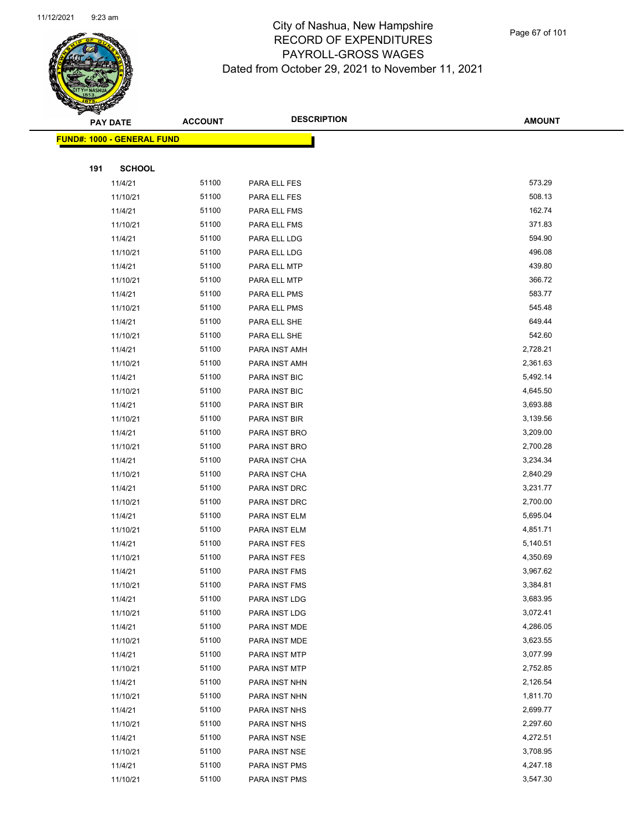

Page 67 of 101

|     | <b>PAY DATE</b>                    | <b>ACCOUNT</b> | <b>DESCRIPTION</b> | <b>AMOUNT</b> |
|-----|------------------------------------|----------------|--------------------|---------------|
|     | <u> FUND#: 1000 - GENERAL FUND</u> |                |                    |               |
|     |                                    |                |                    |               |
| 191 | <b>SCHOOL</b>                      |                |                    |               |
|     | 11/4/21                            | 51100          | PARA ELL FES       | 573.29        |
|     | 11/10/21                           | 51100          | PARA ELL FES       | 508.13        |
|     | 11/4/21                            | 51100          | PARA ELL FMS       | 162.74        |
|     | 11/10/21                           | 51100          | PARA ELL FMS       | 371.83        |
|     | 11/4/21                            | 51100          | PARA ELL LDG       | 594.90        |
|     | 11/10/21                           | 51100          | PARA ELL LDG       | 496.08        |
|     | 11/4/21                            | 51100          | PARA ELL MTP       | 439.80        |
|     | 11/10/21                           | 51100          | PARA ELL MTP       | 366.72        |
|     | 11/4/21                            | 51100          | PARA ELL PMS       | 583.77        |
|     | 11/10/21                           | 51100          | PARA ELL PMS       | 545.48        |
|     | 11/4/21                            | 51100          | PARA ELL SHE       | 649.44        |
|     | 11/10/21                           | 51100          | PARA ELL SHE       | 542.60        |
|     | 11/4/21                            | 51100          | PARA INST AMH      | 2,728.21      |
|     | 11/10/21                           | 51100          | PARA INST AMH      | 2,361.63      |
|     | 11/4/21                            | 51100          | PARA INST BIC      | 5,492.14      |
|     | 11/10/21                           | 51100          | PARA INST BIC      | 4,645.50      |
|     | 11/4/21                            | 51100          | PARA INST BIR      | 3,693.88      |
|     | 11/10/21                           | 51100          | PARA INST BIR      | 3,139.56      |
|     | 11/4/21                            | 51100          | PARA INST BRO      | 3,209.00      |
|     | 11/10/21                           | 51100          | PARA INST BRO      | 2,700.28      |
|     | 11/4/21                            | 51100          | PARA INST CHA      | 3,234.34      |
|     | 11/10/21                           | 51100          | PARA INST CHA      | 2,840.29      |
|     | 11/4/21                            | 51100          | PARA INST DRC      | 3,231.77      |
|     | 11/10/21                           | 51100          | PARA INST DRC      | 2,700.00      |
|     | 11/4/21                            | 51100          | PARA INST ELM      | 5,695.04      |
|     | 11/10/21                           | 51100          | PARA INST ELM      | 4,851.71      |
|     | 11/4/21                            | 51100          | PARA INST FES      | 5,140.51      |
|     | 11/10/21                           | 51100          | PARA INST FES      | 4,350.69      |
|     | 11/4/21                            | 51100          | PARA INST FMS      | 3,967.62      |
|     | 11/10/21                           | 51100          | PARA INST FMS      | 3,384.81      |
|     | 11/4/21                            | 51100          | PARA INST LDG      | 3,683.95      |
|     | 11/10/21                           | 51100          | PARA INST LDG      | 3,072.41      |
|     | 11/4/21                            | 51100          | PARA INST MDE      | 4,286.05      |
|     | 11/10/21                           | 51100          | PARA INST MDE      | 3,623.55      |
|     | 11/4/21                            | 51100          | PARA INST MTP      | 3,077.99      |
|     | 11/10/21                           | 51100          | PARA INST MTP      | 2,752.85      |
|     | 11/4/21                            | 51100          | PARA INST NHN      | 2,126.54      |
|     | 11/10/21                           | 51100          | PARA INST NHN      | 1,811.70      |
|     | 11/4/21                            | 51100          | PARA INST NHS      | 2,699.77      |
|     | 11/10/21                           | 51100          | PARA INST NHS      | 2,297.60      |
|     | 11/4/21                            | 51100          | PARA INST NSE      | 4,272.51      |
|     | 11/10/21                           | 51100          | PARA INST NSE      | 3,708.95      |
|     | 11/4/21                            | 51100          | PARA INST PMS      | 4,247.18      |
|     | 11/10/21                           | 51100          | PARA INST PMS      | 3,547.30      |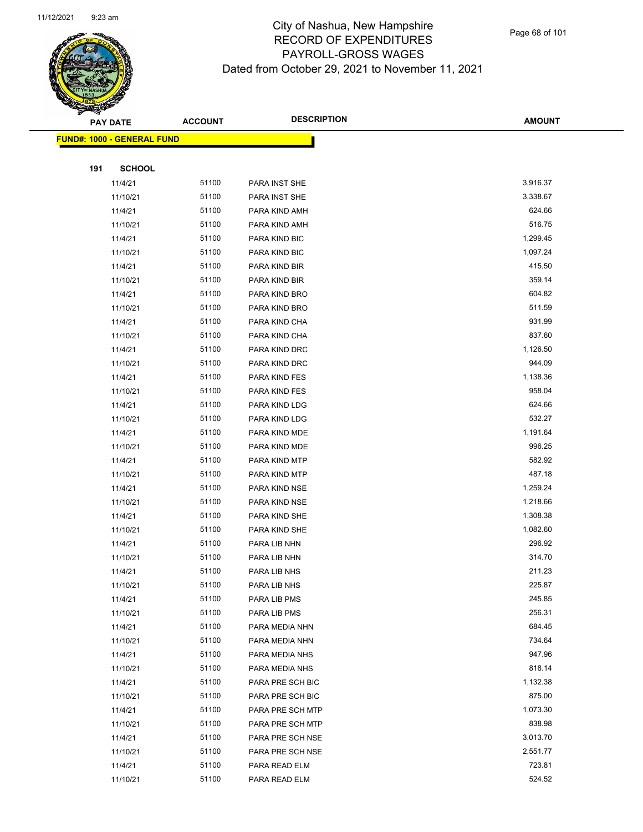

Page 68 of 101

|     | <b>PAY DATE</b>                    | <b>ACCOUNT</b> | <b>DESCRIPTION</b> | <b>AMOUNT</b> |
|-----|------------------------------------|----------------|--------------------|---------------|
|     | <u> FUND#: 1000 - GENERAL FUND</u> |                |                    |               |
|     |                                    |                |                    |               |
| 191 | <b>SCHOOL</b>                      |                |                    |               |
|     | 11/4/21                            | 51100          | PARA INST SHE      | 3,916.37      |
|     | 11/10/21                           | 51100          | PARA INST SHE      | 3,338.67      |
|     | 11/4/21                            | 51100          | PARA KIND AMH      | 624.66        |
|     | 11/10/21                           | 51100          | PARA KIND AMH      | 516.75        |
|     | 11/4/21                            | 51100          | PARA KIND BIC      | 1,299.45      |
|     | 11/10/21                           | 51100          | PARA KIND BIC      | 1,097.24      |
|     | 11/4/21                            | 51100          | PARA KIND BIR      | 415.50        |
|     | 11/10/21                           | 51100          | PARA KIND BIR      | 359.14        |
|     | 11/4/21                            | 51100          | PARA KIND BRO      | 604.82        |
|     | 11/10/21                           | 51100          | PARA KIND BRO      | 511.59        |
|     | 11/4/21                            | 51100          | PARA KIND CHA      | 931.99        |
|     | 11/10/21                           | 51100          | PARA KIND CHA      | 837.60        |
|     | 11/4/21                            | 51100          | PARA KIND DRC      | 1,126.50      |
|     | 11/10/21                           | 51100          | PARA KIND DRC      | 944.09        |
|     | 11/4/21                            | 51100          | PARA KIND FES      | 1,138.36      |
|     | 11/10/21                           | 51100          | PARA KIND FES      | 958.04        |
|     | 11/4/21                            | 51100          | PARA KIND LDG      | 624.66        |
|     | 11/10/21                           | 51100          | PARA KIND LDG      | 532.27        |
|     | 11/4/21                            | 51100          | PARA KIND MDE      | 1,191.64      |
|     | 11/10/21                           | 51100          | PARA KIND MDE      | 996.25        |
|     | 11/4/21                            | 51100          | PARA KIND MTP      | 582.92        |
|     | 11/10/21                           | 51100          | PARA KIND MTP      | 487.18        |
|     | 11/4/21                            | 51100          | PARA KIND NSE      | 1,259.24      |
|     | 11/10/21                           | 51100          | PARA KIND NSE      | 1,218.66      |
|     | 11/4/21                            | 51100          | PARA KIND SHE      | 1,308.38      |
|     | 11/10/21                           | 51100          | PARA KIND SHE      | 1,082.60      |
|     | 11/4/21                            | 51100          | PARA LIB NHN       | 296.92        |
|     | 11/10/21                           | 51100          | PARA LIB NHN       | 314.70        |
|     | 11/4/21                            | 51100          | PARA LIB NHS       | 211.23        |
|     | 11/10/21                           | 51100          | PARA LIB NHS       | 225.87        |
|     | 11/4/21                            | 51100          | PARA LIB PMS       | 245.85        |
|     | 11/10/21                           | 51100          | PARA LIB PMS       | 256.31        |
|     | 11/4/21                            | 51100          | PARA MEDIA NHN     | 684.45        |
|     | 11/10/21                           | 51100          | PARA MEDIA NHN     | 734.64        |
|     | 11/4/21                            | 51100          | PARA MEDIA NHS     | 947.96        |
|     | 11/10/21                           | 51100          | PARA MEDIA NHS     | 818.14        |
|     | 11/4/21                            | 51100          | PARA PRE SCH BIC   | 1,132.38      |
|     | 11/10/21                           | 51100          | PARA PRE SCH BIC   | 875.00        |
|     | 11/4/21                            | 51100          | PARA PRE SCH MTP   | 1,073.30      |
|     | 11/10/21                           | 51100          | PARA PRE SCH MTP   | 838.98        |
|     | 11/4/21                            | 51100          | PARA PRE SCH NSE   | 3,013.70      |
|     | 11/10/21                           | 51100          | PARA PRE SCH NSE   | 2,551.77      |
|     | 11/4/21                            | 51100          | PARA READ ELM      | 723.81        |
|     | 11/10/21                           | 51100          | PARA READ ELM      | 524.52        |
|     |                                    |                |                    |               |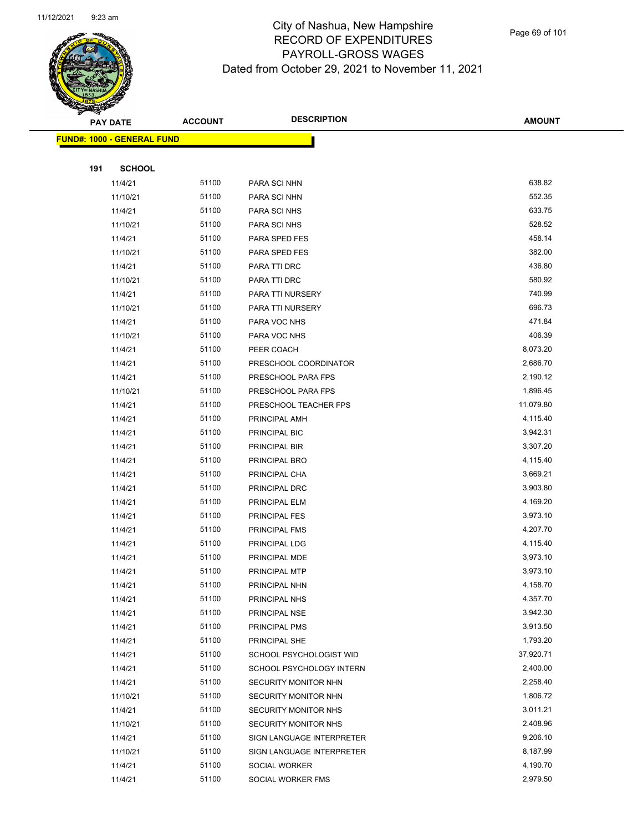

Page 69 of 101

|     | <b>PAY DATE</b>                    | <b>ACCOUNT</b> | <b>DESCRIPTION</b>        | <b>AMOUNT</b>        |
|-----|------------------------------------|----------------|---------------------------|----------------------|
|     | <u> FUND#: 1000 - GENERAL FUND</u> |                |                           |                      |
|     |                                    |                |                           |                      |
| 191 | <b>SCHOOL</b>                      |                |                           |                      |
|     | 11/4/21                            | 51100          | PARA SCI NHN              | 638.82               |
|     | 11/10/21                           | 51100          | PARA SCI NHN              | 552.35               |
|     | 11/4/21                            | 51100          | PARA SCI NHS              | 633.75               |
|     | 11/10/21                           | 51100          | PARA SCI NHS              | 528.52               |
|     | 11/4/21                            | 51100          | PARA SPED FES             | 458.14               |
|     | 11/10/21                           | 51100          | PARA SPED FES             | 382.00               |
|     | 11/4/21                            | 51100          | PARA TTI DRC              | 436.80               |
|     | 11/10/21                           | 51100          | PARA TTI DRC              | 580.92               |
|     | 11/4/21                            | 51100          | PARA TTI NURSERY          | 740.99               |
|     | 11/10/21                           | 51100          | PARA TTI NURSERY          | 696.73               |
|     | 11/4/21                            | 51100          | PARA VOC NHS              | 471.84               |
|     | 11/10/21                           | 51100          | PARA VOC NHS              | 406.39               |
|     | 11/4/21                            | 51100          | PEER COACH                | 8,073.20             |
|     | 11/4/21                            | 51100          | PRESCHOOL COORDINATOR     | 2,686.70             |
|     | 11/4/21                            | 51100          | PRESCHOOL PARA FPS        | 2,190.12             |
|     | 11/10/21                           | 51100          | PRESCHOOL PARA FPS        | 1,896.45             |
|     | 11/4/21                            | 51100          | PRESCHOOL TEACHER FPS     | 11,079.80            |
|     | 11/4/21                            | 51100          | PRINCIPAL AMH             | 4,115.40             |
|     | 11/4/21                            | 51100          | PRINCIPAL BIC             | 3,942.31             |
|     | 11/4/21                            | 51100          | PRINCIPAL BIR             | 3,307.20             |
|     | 11/4/21                            | 51100          | PRINCIPAL BRO             | 4,115.40             |
|     | 11/4/21                            | 51100          | PRINCIPAL CHA             | 3,669.21             |
|     | 11/4/21                            | 51100          | PRINCIPAL DRC             | 3,903.80             |
|     | 11/4/21                            | 51100          | PRINCIPAL ELM             | 4,169.20             |
|     | 11/4/21                            | 51100          | PRINCIPAL FES             | 3,973.10             |
|     | 11/4/21                            | 51100          | PRINCIPAL FMS             | 4,207.70             |
|     | 11/4/21                            | 51100          | PRINCIPAL LDG             | 4,115.40             |
|     | 11/4/21                            | 51100          | PRINCIPAL MDE             | 3,973.10             |
|     | 11/4/21                            | 51100          | PRINCIPAL MTP             | 3,973.10             |
|     | 11/4/21                            | 51100          | PRINCIPAL NHN             | 4,158.70             |
|     | 11/4/21                            | 51100          | PRINCIPAL NHS             | 4,357.70             |
|     | 11/4/21                            | 51100          | PRINCIPAL NSE             | 3,942.30             |
|     | 11/4/21                            | 51100          | PRINCIPAL PMS             | 3,913.50             |
|     | 11/4/21                            | 51100          | PRINCIPAL SHE             | 1,793.20             |
|     | 11/4/21                            | 51100          | SCHOOL PSYCHOLOGIST WID   | 37,920.71            |
|     | 11/4/21                            | 51100          | SCHOOL PSYCHOLOGY INTERN  | 2,400.00             |
|     | 11/4/21                            | 51100          | SECURITY MONITOR NHN      | 2,258.40             |
|     | 11/10/21                           | 51100          | SECURITY MONITOR NHN      | 1,806.72             |
|     | 11/4/21                            | 51100          | SECURITY MONITOR NHS      | 3,011.21             |
|     | 11/10/21                           | 51100          | SECURITY MONITOR NHS      | 2,408.96<br>9,206.10 |
|     | 11/4/21                            | 51100<br>51100 | SIGN LANGUAGE INTERPRETER | 8,187.99             |
|     | 11/10/21                           | 51100          | SIGN LANGUAGE INTERPRETER | 4,190.70             |
|     | 11/4/21<br>11/4/21                 | 51100          | SOCIAL WORKER             | 2,979.50             |
|     |                                    |                | SOCIAL WORKER FMS         |                      |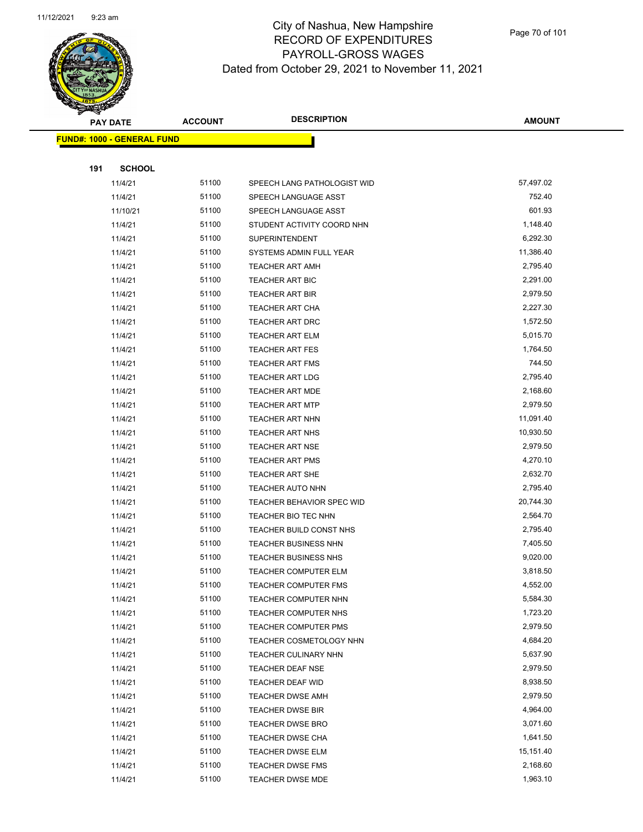

Page 70 of 101

|     | <b>PAY DATE</b>                   | <b>ACCOUNT</b> | <b>DESCRIPTION</b>          | <b>AMOUNT</b> |
|-----|-----------------------------------|----------------|-----------------------------|---------------|
|     | <b>FUND#: 1000 - GENERAL FUND</b> |                |                             |               |
|     |                                   |                |                             |               |
| 191 | <b>SCHOOL</b>                     |                |                             |               |
|     | 11/4/21                           | 51100          | SPEECH LANG PATHOLOGIST WID | 57,497.02     |
|     | 11/4/21                           | 51100          | SPEECH LANGUAGE ASST        | 752.40        |
|     | 11/10/21                          | 51100          | SPEECH LANGUAGE ASST        | 601.93        |
|     | 11/4/21                           | 51100          | STUDENT ACTIVITY COORD NHN  | 1,148.40      |
|     | 11/4/21                           | 51100          | <b>SUPERINTENDENT</b>       | 6,292.30      |
|     | 11/4/21                           | 51100          | SYSTEMS ADMIN FULL YEAR     | 11,386.40     |
|     | 11/4/21                           | 51100          | <b>TEACHER ART AMH</b>      | 2,795.40      |
|     | 11/4/21                           | 51100          | TEACHER ART BIC             | 2,291.00      |
|     | 11/4/21                           | 51100          | <b>TEACHER ART BIR</b>      | 2,979.50      |
|     | 11/4/21                           | 51100          | <b>TEACHER ART CHA</b>      | 2,227.30      |
|     | 11/4/21                           | 51100          | <b>TEACHER ART DRC</b>      | 1,572.50      |
|     | 11/4/21                           | 51100          | <b>TEACHER ART ELM</b>      | 5,015.70      |
|     | 11/4/21                           | 51100          | <b>TEACHER ART FES</b>      | 1,764.50      |
|     | 11/4/21                           | 51100          | <b>TEACHER ART FMS</b>      | 744.50        |
|     | 11/4/21                           | 51100          | <b>TEACHER ART LDG</b>      | 2,795.40      |
|     | 11/4/21                           | 51100          | TEACHER ART MDE             | 2,168.60      |
|     | 11/4/21                           | 51100          | <b>TEACHER ART MTP</b>      | 2,979.50      |
|     | 11/4/21                           | 51100          | <b>TEACHER ART NHN</b>      | 11,091.40     |
|     | 11/4/21                           | 51100          | <b>TEACHER ART NHS</b>      | 10,930.50     |
|     | 11/4/21                           | 51100          | <b>TEACHER ART NSE</b>      | 2,979.50      |
|     | 11/4/21                           | 51100          | <b>TEACHER ART PMS</b>      | 4,270.10      |
|     | 11/4/21                           | 51100          | <b>TEACHER ART SHE</b>      | 2,632.70      |
|     | 11/4/21                           | 51100          | TEACHER AUTO NHN            | 2,795.40      |
|     | 11/4/21                           | 51100          | TEACHER BEHAVIOR SPEC WID   | 20,744.30     |
|     | 11/4/21                           | 51100          | TEACHER BIO TEC NHN         | 2,564.70      |
|     | 11/4/21                           | 51100          | TEACHER BUILD CONST NHS     | 2,795.40      |
|     | 11/4/21                           | 51100          | <b>TEACHER BUSINESS NHN</b> | 7,405.50      |
|     | 11/4/21                           | 51100          | <b>TEACHER BUSINESS NHS</b> | 9,020.00      |
|     | 11/4/21                           | 51100          | <b>TEACHER COMPUTER ELM</b> | 3,818.50      |
|     | 11/4/21                           | 51100          | TEACHER COMPUTER FMS        | 4,552.00      |
|     | 11/4/21                           | 51100          | TEACHER COMPUTER NHN        | 5,584.30      |
|     | 11/4/21                           | 51100          | TEACHER COMPUTER NHS        | 1,723.20      |
|     | 11/4/21                           | 51100          | <b>TEACHER COMPUTER PMS</b> | 2,979.50      |
|     | 11/4/21                           | 51100          | TEACHER COSMETOLOGY NHN     | 4,684.20      |
|     | 11/4/21                           | 51100          | <b>TEACHER CULINARY NHN</b> | 5,637.90      |
|     | 11/4/21                           | 51100          | TEACHER DEAF NSE            | 2,979.50      |
|     | 11/4/21                           | 51100          | TEACHER DEAF WID            | 8,938.50      |
|     | 11/4/21                           | 51100          | <b>TEACHER DWSE AMH</b>     | 2,979.50      |
|     | 11/4/21                           | 51100          | <b>TEACHER DWSE BIR</b>     | 4,964.00      |
|     | 11/4/21                           | 51100          | <b>TEACHER DWSE BRO</b>     | 3,071.60      |
|     | 11/4/21                           | 51100          | <b>TEACHER DWSE CHA</b>     | 1,641.50      |
|     | 11/4/21                           | 51100          | <b>TEACHER DWSE ELM</b>     | 15,151.40     |
|     | 11/4/21                           | 51100          | <b>TEACHER DWSE FMS</b>     | 2,168.60      |
|     | 11/4/21                           | 51100          | <b>TEACHER DWSE MDE</b>     | 1,963.10      |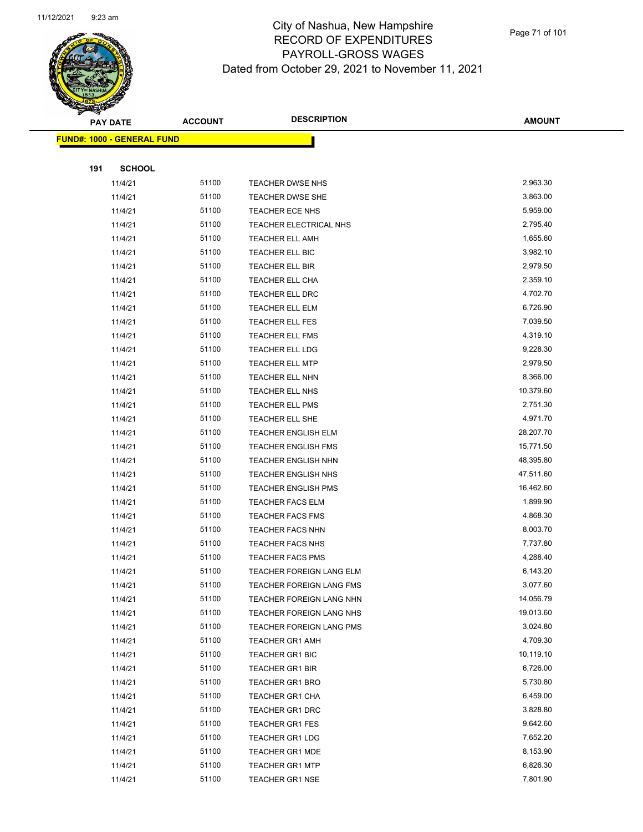

Page 71 of 101

|     | <b>PAY DATE</b>                    | <b>ACCOUNT</b> | <b>DESCRIPTION</b>                               | <b>AMOUNT</b>         |
|-----|------------------------------------|----------------|--------------------------------------------------|-----------------------|
|     | <u> FUND#: 1000 - GENERAL FUND</u> |                |                                                  |                       |
|     |                                    |                |                                                  |                       |
| 191 | <b>SCHOOL</b>                      |                |                                                  |                       |
|     | 11/4/21                            | 51100          | TEACHER DWSE NHS                                 | 2,963.30              |
|     | 11/4/21                            | 51100          | TEACHER DWSE SHE                                 | 3,863.00              |
|     | 11/4/21                            | 51100          | TEACHER ECE NHS                                  | 5,959.00              |
|     | 11/4/21                            | 51100          | TEACHER ELECTRICAL NHS                           | 2,795.40              |
|     | 11/4/21                            | 51100          | <b>TEACHER ELL AMH</b>                           | 1,655.60              |
|     | 11/4/21                            | 51100          | TEACHER ELL BIC                                  | 3,982.10              |
|     | 11/4/21                            | 51100          | TEACHER ELL BIR                                  | 2,979.50              |
|     | 11/4/21                            | 51100          | TEACHER ELL CHA                                  | 2,359.10              |
|     | 11/4/21                            | 51100          | TEACHER ELL DRC                                  | 4,702.70              |
|     | 11/4/21                            | 51100          | <b>TEACHER ELL ELM</b>                           | 6,726.90              |
|     | 11/4/21                            | 51100          | TEACHER ELL FES                                  | 7,039.50              |
|     | 11/4/21                            | 51100          | TEACHER ELL FMS                                  | 4,319.10              |
|     | 11/4/21                            | 51100          | TEACHER ELL LDG                                  | 9,228.30              |
|     | 11/4/21                            | 51100          | <b>TEACHER ELL MTP</b>                           | 2,979.50              |
|     | 11/4/21                            | 51100          | TEACHER ELL NHN                                  | 8,366.00              |
|     | 11/4/21                            | 51100          | TEACHER ELL NHS                                  | 10,379.60             |
|     | 11/4/21                            | 51100          | <b>TEACHER ELL PMS</b>                           | 2,751.30              |
|     | 11/4/21                            | 51100          | TEACHER ELL SHE                                  | 4,971.70              |
|     | 11/4/21                            | 51100          | <b>TEACHER ENGLISH ELM</b>                       | 28,207.70             |
|     | 11/4/21                            | 51100          | <b>TEACHER ENGLISH FMS</b>                       | 15,771.50             |
|     | 11/4/21                            | 51100          | <b>TEACHER ENGLISH NHN</b>                       | 48,395.80             |
|     | 11/4/21                            | 51100          | TEACHER ENGLISH NHS                              | 47,511.60             |
|     | 11/4/21                            | 51100          | <b>TEACHER ENGLISH PMS</b>                       | 16,462.60             |
|     | 11/4/21                            | 51100          | <b>TEACHER FACS ELM</b>                          | 1,899.90              |
|     | 11/4/21                            | 51100          | <b>TEACHER FACS FMS</b>                          | 4,868.30              |
|     | 11/4/21                            | 51100          | <b>TEACHER FACS NHN</b>                          | 8,003.70              |
|     | 11/4/21                            | 51100          | TEACHER FACS NHS                                 | 7,737.80              |
|     | 11/4/21                            | 51100          | <b>TEACHER FACS PMS</b>                          | 4,288.40              |
|     | 11/4/21                            | 51100          | TEACHER FOREIGN LANG ELM                         | 6,143.20              |
|     | 11/4/21                            | 51100          | TEACHER FOREIGN LANG FMS                         | 3,077.60              |
|     | 11/4/21                            | 51100          | TEACHER FOREIGN LANG NHN                         | 14,056.79             |
|     | 11/4/21                            | 51100          | TEACHER FOREIGN LANG NHS                         | 19,013.60             |
|     | 11/4/21                            | 51100          | TEACHER FOREIGN LANG PMS                         | 3,024.80              |
|     | 11/4/21                            | 51100          | <b>TEACHER GR1 AMH</b>                           | 4,709.30              |
|     | 11/4/21                            | 51100          | <b>TEACHER GR1 BIC</b>                           | 10,119.10<br>6,726.00 |
|     | 11/4/21                            | 51100<br>51100 | <b>TEACHER GR1 BIR</b>                           | 5,730.80              |
|     | 11/4/21                            |                | TEACHER GR1 BRO                                  |                       |
|     | 11/4/21                            | 51100<br>51100 | <b>TEACHER GR1 CHA</b><br><b>TEACHER GR1 DRC</b> | 6,459.00<br>3,828.80  |
|     | 11/4/21                            | 51100          |                                                  | 9,642.60              |
|     | 11/4/21<br>11/4/21                 | 51100          | <b>TEACHER GR1 FES</b><br><b>TEACHER GR1 LDG</b> | 7,652.20              |
|     | 11/4/21                            | 51100          | <b>TEACHER GR1 MDE</b>                           | 8,153.90              |
|     | 11/4/21                            | 51100          | <b>TEACHER GR1 MTP</b>                           | 6,826.30              |
|     | 11/4/21                            | 51100          | <b>TEACHER GR1 NSE</b>                           | 7,801.90              |
|     |                                    |                |                                                  |                       |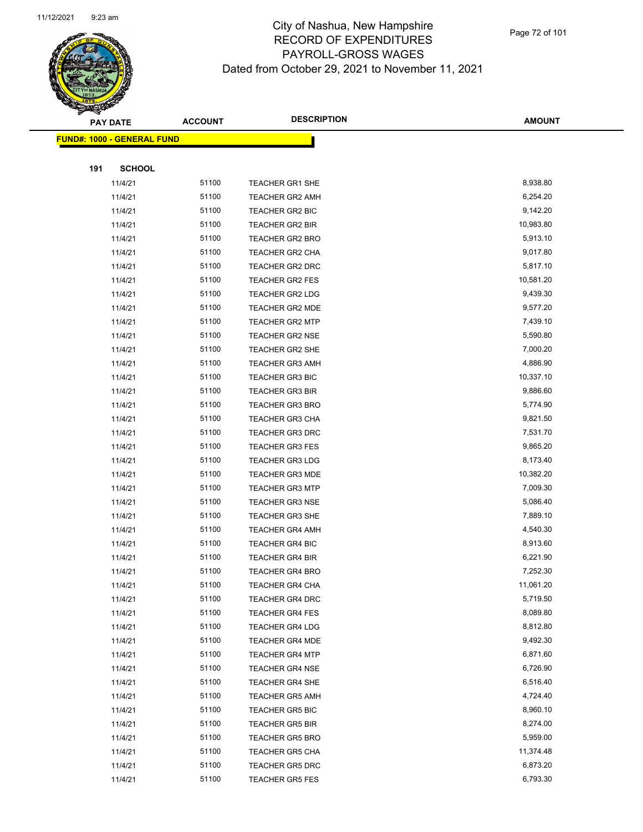

|     | <b>PAY DATE</b>                   | <b>ACCOUNT</b> | <b>DESCRIPTION</b>     | <b>AMOUNT</b> |
|-----|-----------------------------------|----------------|------------------------|---------------|
|     | <b>FUND#: 1000 - GENERAL FUND</b> |                |                        |               |
|     |                                   |                |                        |               |
| 191 | <b>SCHOOL</b>                     |                |                        |               |
|     | 11/4/21                           | 51100          | TEACHER GR1 SHE        | 8,938.80      |
|     | 11/4/21                           | 51100          | <b>TEACHER GR2 AMH</b> | 6,254.20      |
|     | 11/4/21                           | 51100          | TEACHER GR2 BIC        | 9,142.20      |
|     | 11/4/21                           | 51100          | <b>TEACHER GR2 BIR</b> | 10,983.80     |
|     | 11/4/21                           | 51100          | <b>TEACHER GR2 BRO</b> | 5,913.10      |
|     | 11/4/21                           | 51100          | <b>TEACHER GR2 CHA</b> | 9,017.80      |
|     | 11/4/21                           | 51100          | TEACHER GR2 DRC        | 5,817.10      |
|     | 11/4/21                           | 51100          | <b>TEACHER GR2 FES</b> | 10,581.20     |
|     | 11/4/21                           | 51100          | TEACHER GR2 LDG        | 9,439.30      |
|     | 11/4/21                           | 51100          | <b>TEACHER GR2 MDE</b> | 9,577.20      |
|     | 11/4/21                           | 51100          | <b>TEACHER GR2 MTP</b> | 7,439.10      |
|     | 11/4/21                           | 51100          | <b>TEACHER GR2 NSE</b> | 5,590.80      |
|     | 11/4/21                           | 51100          | TEACHER GR2 SHE        | 7,000.20      |
|     | 11/4/21                           | 51100          | <b>TEACHER GR3 AMH</b> | 4,886.90      |
|     | 11/4/21                           | 51100          | <b>TEACHER GR3 BIC</b> | 10,337.10     |
|     | 11/4/21                           | 51100          | <b>TEACHER GR3 BIR</b> | 9,886.60      |
|     | 11/4/21                           | 51100          | <b>TEACHER GR3 BRO</b> | 5,774.90      |
|     | 11/4/21                           | 51100          | TEACHER GR3 CHA        | 9,821.50      |
|     | 11/4/21                           | 51100          | <b>TEACHER GR3 DRC</b> | 7,531.70      |
|     | 11/4/21                           | 51100          | <b>TEACHER GR3 FES</b> | 9,865.20      |
|     | 11/4/21                           | 51100          | <b>TEACHER GR3 LDG</b> | 8,173.40      |
|     | 11/4/21                           | 51100          | <b>TEACHER GR3 MDE</b> | 10,382.20     |
|     | 11/4/21                           | 51100          | <b>TEACHER GR3 MTP</b> | 7,009.30      |
|     | 11/4/21                           | 51100          | <b>TEACHER GR3 NSE</b> | 5,086.40      |
|     | 11/4/21                           | 51100          | TEACHER GR3 SHE        | 7,889.10      |
|     | 11/4/21                           | 51100          | <b>TEACHER GR4 AMH</b> | 4,540.30      |
|     | 11/4/21                           | 51100          | <b>TEACHER GR4 BIC</b> | 8,913.60      |
|     | 11/4/21                           | 51100          | <b>TEACHER GR4 BIR</b> | 6,221.90      |
|     | 11/4/21                           | 51100          | <b>TEACHER GR4 BRO</b> | 7,252.30      |
|     | 11/4/21                           | 51100          | TEACHER GR4 CHA        | 11,061.20     |
|     | 11/4/21                           | 51100          | <b>TEACHER GR4 DRC</b> | 5,719.50      |
|     | 11/4/21                           | 51100          | TEACHER GR4 FES        | 8,089.80      |
|     | 11/4/21                           | 51100          | <b>TEACHER GR4 LDG</b> | 8,812.80      |
|     | 11/4/21                           | 51100          | <b>TEACHER GR4 MDE</b> | 9,492.30      |
|     | 11/4/21                           | 51100          | <b>TEACHER GR4 MTP</b> | 6,871.60      |
|     | 11/4/21                           | 51100          | <b>TEACHER GR4 NSE</b> | 6,726.90      |
|     | 11/4/21                           | 51100          | <b>TEACHER GR4 SHE</b> | 6,516.40      |
|     | 11/4/21                           | 51100          | <b>TEACHER GR5 AMH</b> | 4,724.40      |
|     | 11/4/21                           | 51100          | <b>TEACHER GR5 BIC</b> | 8,960.10      |
|     | 11/4/21                           | 51100          | <b>TEACHER GR5 BIR</b> | 8,274.00      |
|     | 11/4/21                           | 51100          | <b>TEACHER GR5 BRO</b> | 5,959.00      |
|     | 11/4/21                           | 51100          | <b>TEACHER GR5 CHA</b> | 11,374.48     |
|     | 11/4/21                           | 51100          | TEACHER GR5 DRC        | 6,873.20      |
|     | 11/4/21                           | 51100          | <b>TEACHER GR5 FES</b> | 6,793.30      |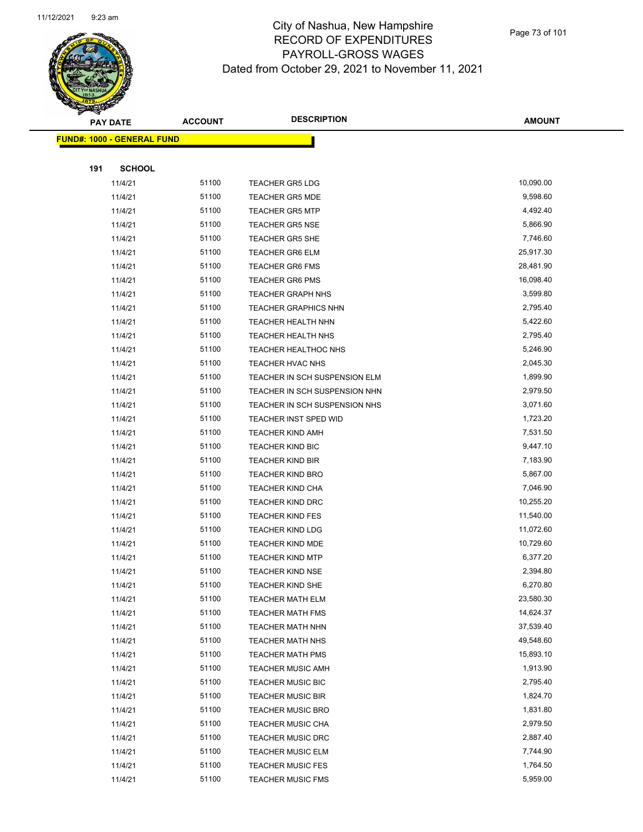

Page 73 of 101

|     | <b>PAY DATE</b>                    | <b>ACCOUNT</b> | <b>DESCRIPTION</b>            | AMOUNT    |  |
|-----|------------------------------------|----------------|-------------------------------|-----------|--|
|     | <u> FUND#: 1000 - GENERAL FUND</u> |                |                               |           |  |
|     |                                    |                |                               |           |  |
| 191 | <b>SCHOOL</b>                      |                |                               |           |  |
|     | 11/4/21                            | 51100          | <b>TEACHER GR5 LDG</b>        | 10,090.00 |  |
|     | 11/4/21                            | 51100          | <b>TEACHER GR5 MDE</b>        | 9,598.60  |  |
|     | 11/4/21                            | 51100          | <b>TEACHER GR5 MTP</b>        | 4,492.40  |  |
|     | 11/4/21                            | 51100          | <b>TEACHER GR5 NSE</b>        | 5,866.90  |  |
|     | 11/4/21                            | 51100          | <b>TEACHER GR5 SHE</b>        | 7,746.60  |  |
|     | 11/4/21                            | 51100          | <b>TEACHER GR6 ELM</b>        | 25,917.30 |  |
|     | 11/4/21                            | 51100          | <b>TEACHER GR6 FMS</b>        | 28,481.90 |  |
|     | 11/4/21                            | 51100          | <b>TEACHER GR6 PMS</b>        | 16,098.40 |  |
|     | 11/4/21                            | 51100          | <b>TEACHER GRAPH NHS</b>      | 3,599.80  |  |
|     | 11/4/21                            | 51100          | <b>TEACHER GRAPHICS NHN</b>   | 2,795.40  |  |
|     | 11/4/21                            | 51100          | <b>TEACHER HEALTH NHN</b>     | 5,422.60  |  |
|     | 11/4/21                            | 51100          | <b>TEACHER HEALTH NHS</b>     | 2,795.40  |  |
|     | 11/4/21                            | 51100          | TEACHER HEALTHOC NHS          | 5,246.90  |  |
|     | 11/4/21                            | 51100          | <b>TEACHER HVAC NHS</b>       | 2,045.30  |  |
|     | 11/4/21                            | 51100          | TEACHER IN SCH SUSPENSION ELM | 1,899.90  |  |
|     | 11/4/21                            | 51100          | TEACHER IN SCH SUSPENSION NHN | 2,979.50  |  |
|     | 11/4/21                            | 51100          | TEACHER IN SCH SUSPENSION NHS | 3,071.60  |  |
|     | 11/4/21                            | 51100          | TEACHER INST SPED WID         | 1,723.20  |  |
|     | 11/4/21                            | 51100          | <b>TEACHER KIND AMH</b>       | 7,531.50  |  |
|     | 11/4/21                            | 51100          | <b>TEACHER KIND BIC</b>       | 9,447.10  |  |
|     | 11/4/21                            | 51100          | TEACHER KIND BIR              | 7,183.90  |  |
|     | 11/4/21                            | 51100          | <b>TEACHER KIND BRO</b>       | 5,867.00  |  |
|     | 11/4/21                            | 51100          | <b>TEACHER KIND CHA</b>       | 7,046.90  |  |
|     | 11/4/21                            | 51100          | <b>TEACHER KIND DRC</b>       | 10,255.20 |  |
|     | 11/4/21                            | 51100          | <b>TEACHER KIND FES</b>       | 11,540.00 |  |
|     | 11/4/21                            | 51100          | <b>TEACHER KIND LDG</b>       | 11,072.60 |  |
|     | 11/4/21                            | 51100          | TEACHER KIND MDE              | 10,729.60 |  |
|     | 11/4/21                            | 51100          | <b>TEACHER KIND MTP</b>       | 6,377.20  |  |
|     | 11/4/21                            | 51100          | <b>TEACHER KIND NSE</b>       | 2,394.80  |  |
|     | 11/4/21                            | 51100          | TEACHER KIND SHE              | 6,270.80  |  |
|     | 11/4/21                            | 51100          | <b>TEACHER MATH ELM</b>       | 23,580.30 |  |
|     | 11/4/21                            | 51100          | <b>TEACHER MATH FMS</b>       | 14,624.37 |  |
|     | 11/4/21                            | 51100          | TEACHER MATH NHN              | 37,539.40 |  |
|     | 11/4/21                            | 51100          | TEACHER MATH NHS              | 49,548.60 |  |
|     | 11/4/21                            | 51100          | <b>TEACHER MATH PMS</b>       | 15,893.10 |  |
|     | 11/4/21                            | 51100          | <b>TEACHER MUSIC AMH</b>      | 1,913.90  |  |
|     | 11/4/21                            | 51100          | <b>TEACHER MUSIC BIC</b>      | 2,795.40  |  |
|     | 11/4/21                            | 51100          | <b>TEACHER MUSIC BIR</b>      | 1,824.70  |  |
|     | 11/4/21                            | 51100          | <b>TEACHER MUSIC BRO</b>      | 1,831.80  |  |
|     | 11/4/21                            | 51100          | TEACHER MUSIC CHA             | 2,979.50  |  |
|     | 11/4/21                            | 51100          | <b>TEACHER MUSIC DRC</b>      | 2,887.40  |  |
|     | 11/4/21                            | 51100          | <b>TEACHER MUSIC ELM</b>      | 7,744.90  |  |
|     | 11/4/21                            | 51100          | <b>TEACHER MUSIC FES</b>      | 1,764.50  |  |
|     | 11/4/21                            | 51100          | <b>TEACHER MUSIC FMS</b>      | 5,959.00  |  |
|     |                                    |                |                               |           |  |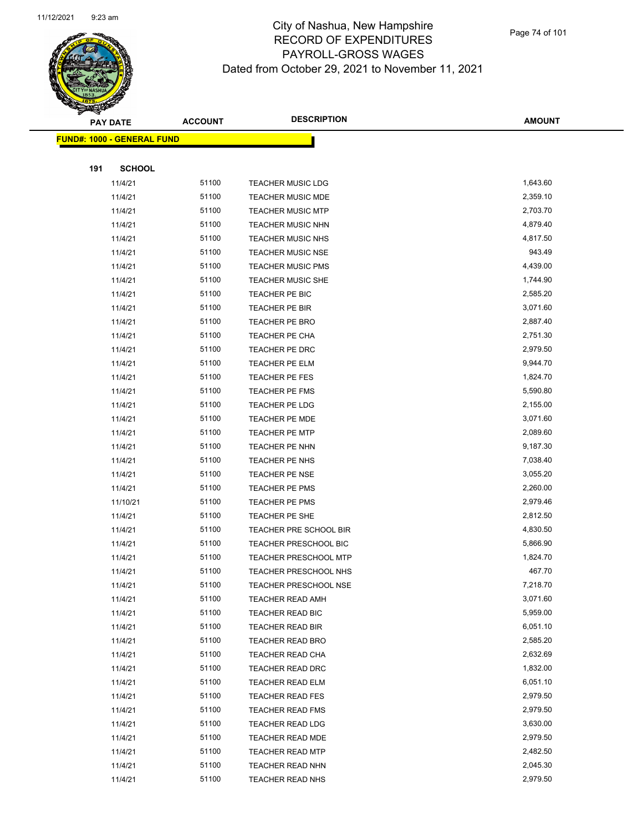

Page 74 of 101

|     | <b>PAY DATE</b>                    | <b>ACCOUNT</b> | <b>DESCRIPTION</b>           | <b>AMOUNT</b> |
|-----|------------------------------------|----------------|------------------------------|---------------|
|     | <u> FUND#: 1000 - GENERAL FUND</u> |                |                              |               |
|     |                                    |                |                              |               |
| 191 | <b>SCHOOL</b>                      |                |                              |               |
|     | 11/4/21                            | 51100          | <b>TEACHER MUSIC LDG</b>     | 1,643.60      |
|     | 11/4/21                            | 51100          | TEACHER MUSIC MDE            | 2,359.10      |
|     | 11/4/21                            | 51100          | <b>TEACHER MUSIC MTP</b>     | 2,703.70      |
|     | 11/4/21                            | 51100          | <b>TEACHER MUSIC NHN</b>     | 4,879.40      |
|     | 11/4/21                            | 51100          | <b>TEACHER MUSIC NHS</b>     | 4,817.50      |
|     | 11/4/21                            | 51100          | <b>TEACHER MUSIC NSE</b>     | 943.49        |
|     | 11/4/21                            | 51100          | <b>TEACHER MUSIC PMS</b>     | 4,439.00      |
|     | 11/4/21                            | 51100          | <b>TEACHER MUSIC SHE</b>     | 1,744.90      |
|     | 11/4/21                            | 51100          | TEACHER PE BIC               | 2,585.20      |
|     | 11/4/21                            | 51100          | TEACHER PE BIR               | 3,071.60      |
|     | 11/4/21                            | 51100          | TEACHER PE BRO               | 2,887.40      |
|     | 11/4/21                            | 51100          | TEACHER PE CHA               | 2,751.30      |
|     | 11/4/21                            | 51100          | TEACHER PE DRC               | 2,979.50      |
|     | 11/4/21                            | 51100          | <b>TEACHER PE ELM</b>        | 9,944.70      |
|     | 11/4/21                            | 51100          | TEACHER PE FES               | 1,824.70      |
|     | 11/4/21                            | 51100          | <b>TEACHER PE FMS</b>        | 5,590.80      |
|     | 11/4/21                            | 51100          | TEACHER PE LDG               | 2,155.00      |
|     | 11/4/21                            | 51100          | <b>TEACHER PE MDE</b>        | 3,071.60      |
|     | 11/4/21                            | 51100          | <b>TEACHER PE MTP</b>        | 2,089.60      |
|     | 11/4/21                            | 51100          | TEACHER PE NHN               | 9,187.30      |
|     | 11/4/21                            | 51100          | TEACHER PE NHS               | 7,038.40      |
|     | 11/4/21                            | 51100          | <b>TEACHER PE NSE</b>        | 3,055.20      |
|     | 11/4/21                            | 51100          | <b>TEACHER PE PMS</b>        | 2,260.00      |
|     | 11/10/21                           | 51100          | <b>TEACHER PE PMS</b>        | 2,979.46      |
|     | 11/4/21                            | 51100          | TEACHER PE SHE               | 2,812.50      |
|     | 11/4/21                            | 51100          | TEACHER PRE SCHOOL BIR       | 4,830.50      |
|     | 11/4/21                            | 51100          | TEACHER PRESCHOOL BIC        | 5,866.90      |
|     | 11/4/21                            | 51100          | <b>TEACHER PRESCHOOL MTP</b> | 1,824.70      |
|     | 11/4/21                            | 51100          | TEACHER PRESCHOOL NHS        | 467.70        |
|     | 11/4/21                            | 51100          | TEACHER PRESCHOOL NSE        | 7,218.70      |
|     | 11/4/21                            | 51100          | <b>TEACHER READ AMH</b>      | 3,071.60      |
|     | 11/4/21                            | 51100          | TEACHER READ BIC             | 5,959.00      |
|     | 11/4/21                            | 51100          | TEACHER READ BIR             | 6,051.10      |
|     | 11/4/21                            | 51100          | <b>TEACHER READ BRO</b>      | 2,585.20      |
|     | 11/4/21                            | 51100          | TEACHER READ CHA             | 2,632.69      |
|     | 11/4/21                            | 51100          | TEACHER READ DRC             | 1,832.00      |
|     | 11/4/21                            | 51100          | TEACHER READ ELM             | 6,051.10      |
|     | 11/4/21                            | 51100          | <b>TEACHER READ FES</b>      | 2,979.50      |
|     | 11/4/21                            | 51100          | <b>TEACHER READ FMS</b>      | 2,979.50      |
|     | 11/4/21                            | 51100          | TEACHER READ LDG             | 3,630.00      |
|     | 11/4/21                            | 51100          | TEACHER READ MDE             | 2,979.50      |
|     | 11/4/21                            | 51100<br>51100 | <b>TEACHER READ MTP</b>      | 2,482.50      |
|     | 11/4/21                            |                | TEACHER READ NHN             | 2,045.30      |
|     | 11/4/21                            | 51100          | <b>TEACHER READ NHS</b>      | 2,979.50      |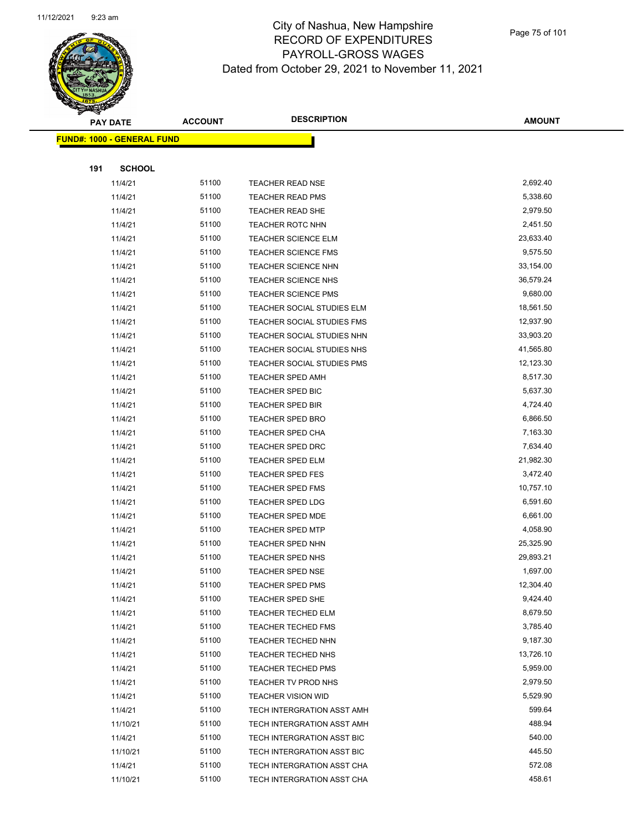

Page 75 of 101

|     | <b>PAY DATE</b>            | <b>ACCOUNT</b> | <b>DESCRIPTION</b>         | <b>AMOUNT</b>    |
|-----|----------------------------|----------------|----------------------------|------------------|
|     | FUND#: 1000 - GENERAL FUND |                |                            |                  |
|     |                            |                |                            |                  |
| 191 | <b>SCHOOL</b>              |                |                            |                  |
|     | 11/4/21                    | 51100          | <b>TEACHER READ NSE</b>    | 2,692.40         |
|     | 11/4/21                    | 51100          | <b>TEACHER READ PMS</b>    | 5,338.60         |
|     | 11/4/21                    | 51100          | TEACHER READ SHE           | 2,979.50         |
|     | 11/4/21                    | 51100          | <b>TEACHER ROTC NHN</b>    | 2,451.50         |
|     | 11/4/21                    | 51100          | <b>TEACHER SCIENCE ELM</b> | 23,633.40        |
|     | 11/4/21                    | 51100          | <b>TEACHER SCIENCE FMS</b> | 9,575.50         |
|     | 11/4/21                    | 51100          | TEACHER SCIENCE NHN        | 33,154.00        |
|     | 11/4/21                    | 51100          | TEACHER SCIENCE NHS        | 36,579.24        |
|     | 11/4/21                    | 51100          | <b>TEACHER SCIENCE PMS</b> | 9,680.00         |
|     | 11/4/21                    | 51100          | TEACHER SOCIAL STUDIES ELM | 18,561.50        |
|     | 11/4/21                    | 51100          | TEACHER SOCIAL STUDIES FMS | 12,937.90        |
|     | 11/4/21                    | 51100          | TEACHER SOCIAL STUDIES NHN | 33,903.20        |
|     | 11/4/21                    | 51100          | TEACHER SOCIAL STUDIES NHS | 41,565.80        |
|     | 11/4/21                    | 51100          | TEACHER SOCIAL STUDIES PMS | 12,123.30        |
|     | 11/4/21                    | 51100          | TEACHER SPED AMH           | 8,517.30         |
|     | 11/4/21                    | 51100          | TEACHER SPED BIC           | 5,637.30         |
|     | 11/4/21                    | 51100          | <b>TEACHER SPED BIR</b>    | 4,724.40         |
|     | 11/4/21                    | 51100          | TEACHER SPED BRO           | 6,866.50         |
|     | 11/4/21                    | 51100          | <b>TEACHER SPED CHA</b>    | 7,163.30         |
|     | 11/4/21                    | 51100          | TEACHER SPED DRC           | 7,634.40         |
|     | 11/4/21                    | 51100          | <b>TEACHER SPED ELM</b>    | 21,982.30        |
|     | 11/4/21                    | 51100          | <b>TEACHER SPED FES</b>    | 3,472.40         |
|     | 11/4/21                    | 51100          | TEACHER SPED FMS           | 10,757.10        |
|     | 11/4/21                    | 51100          | <b>TEACHER SPED LDG</b>    | 6,591.60         |
|     | 11/4/21                    | 51100          | TEACHER SPED MDE           | 6,661.00         |
|     | 11/4/21                    | 51100          | <b>TEACHER SPED MTP</b>    | 4,058.90         |
|     | 11/4/21                    | 51100          | <b>TEACHER SPED NHN</b>    | 25,325.90        |
|     | 11/4/21                    | 51100          | TEACHER SPED NHS           | 29,893.21        |
|     | 11/4/21                    | 51100          | <b>TEACHER SPED NSE</b>    | 1,697.00         |
|     | 11/4/21                    | 51100          | TEACHER SPED PMS           | 12,304.40        |
|     | 11/4/21                    | 51100          | TEACHER SPED SHE           | 9,424.40         |
|     | 11/4/21                    | 51100          | <b>TEACHER TECHED ELM</b>  | 8,679.50         |
|     | 11/4/21                    | 51100          | <b>TEACHER TECHED FMS</b>  | 3,785.40         |
|     | 11/4/21                    | 51100          | TEACHER TECHED NHN         | 9,187.30         |
|     | 11/4/21                    | 51100          | TEACHER TECHED NHS         | 13,726.10        |
|     | 11/4/21                    | 51100          | <b>TEACHER TECHED PMS</b>  | 5,959.00         |
|     | 11/4/21                    | 51100          | TEACHER TV PROD NHS        | 2,979.50         |
|     | 11/4/21                    | 51100          | <b>TEACHER VISION WID</b>  | 5,529.90         |
|     | 11/4/21                    | 51100          | TECH INTERGRATION ASST AMH | 599.64           |
|     | 11/10/21                   | 51100          | TECH INTERGRATION ASST AMH | 488.94           |
|     | 11/4/21                    | 51100<br>51100 | TECH INTERGRATION ASST BIC | 540.00<br>445.50 |
|     | 11/10/21                   | 51100          | TECH INTERGRATION ASST BIC | 572.08           |
|     | 11/4/21                    |                | TECH INTERGRATION ASST CHA | 458.61           |
|     | 11/10/21                   | 51100          | TECH INTERGRATION ASST CHA |                  |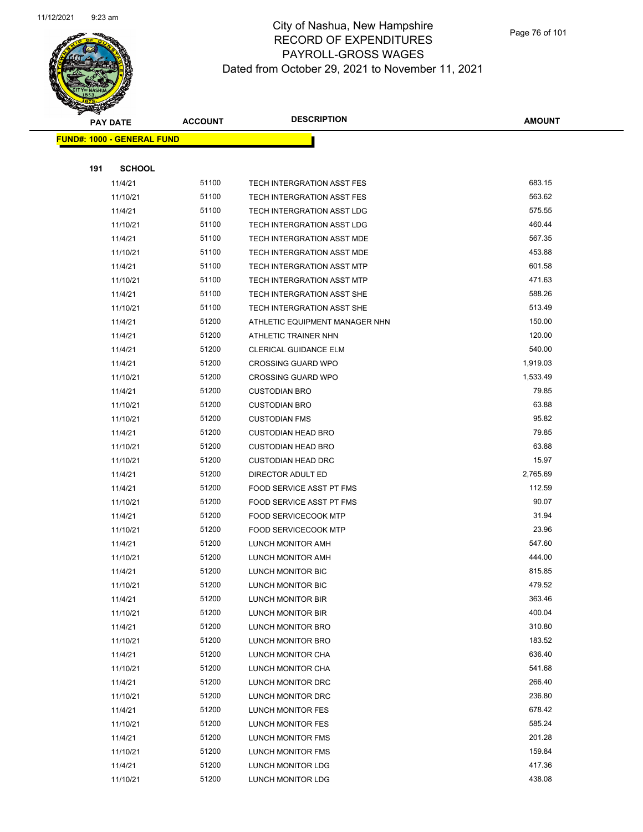

Page 76 of 101

|     | <b>PAY DATE</b>                   | <b>ACCOUNT</b> | <b>DESCRIPTION</b>                     | AMOUNT           |
|-----|-----------------------------------|----------------|----------------------------------------|------------------|
|     | <b>FUND#: 1000 - GENERAL FUND</b> |                |                                        |                  |
|     |                                   |                |                                        |                  |
| 191 | <b>SCHOOL</b>                     |                |                                        |                  |
|     | 11/4/21                           | 51100          | TECH INTERGRATION ASST FES             | 683.15           |
|     | 11/10/21                          | 51100          | TECH INTERGRATION ASST FES             | 563.62           |
|     | 11/4/21                           | 51100          | TECH INTERGRATION ASST LDG             | 575.55           |
|     | 11/10/21                          | 51100          | <b>TECH INTERGRATION ASST LDG</b>      | 460.44           |
|     | 11/4/21                           | 51100          | TECH INTERGRATION ASST MDE             | 567.35           |
|     | 11/10/21                          | 51100          | TECH INTERGRATION ASST MDE             | 453.88           |
|     | 11/4/21                           | 51100          | TECH INTERGRATION ASST MTP             | 601.58           |
|     | 11/10/21                          | 51100          | TECH INTERGRATION ASST MTP             | 471.63           |
|     | 11/4/21                           | 51100          | TECH INTERGRATION ASST SHE             | 588.26           |
|     | 11/10/21                          | 51100          | TECH INTERGRATION ASST SHE             | 513.49           |
|     | 11/4/21                           | 51200          | ATHLETIC EQUIPMENT MANAGER NHN         | 150.00           |
|     | 11/4/21                           | 51200          | ATHLETIC TRAINER NHN                   | 120.00           |
|     | 11/4/21                           | 51200          | CLERICAL GUIDANCE ELM                  | 540.00           |
|     | 11/4/21                           | 51200          | <b>CROSSING GUARD WPO</b>              | 1,919.03         |
|     | 11/10/21                          | 51200          | <b>CROSSING GUARD WPO</b>              | 1,533.49         |
|     | 11/4/21                           | 51200          | <b>CUSTODIAN BRO</b>                   | 79.85            |
|     | 11/10/21                          | 51200          | <b>CUSTODIAN BRO</b>                   | 63.88            |
|     | 11/10/21                          | 51200          | <b>CUSTODIAN FMS</b>                   | 95.82            |
|     | 11/4/21                           | 51200          | <b>CUSTODIAN HEAD BRO</b>              | 79.85            |
|     | 11/10/21                          | 51200          | <b>CUSTODIAN HEAD BRO</b>              | 63.88            |
|     | 11/10/21                          | 51200          | <b>CUSTODIAN HEAD DRC</b>              | 15.97            |
|     | 11/4/21                           | 51200          | DIRECTOR ADULT ED                      | 2,765.69         |
|     | 11/4/21                           | 51200          | FOOD SERVICE ASST PT FMS               | 112.59           |
|     | 11/10/21                          | 51200          | FOOD SERVICE ASST PT FMS               | 90.07            |
|     | 11/4/21                           | 51200          | <b>FOOD SERVICECOOK MTP</b>            | 31.94            |
|     | 11/10/21                          | 51200          | <b>FOOD SERVICECOOK MTP</b>            | 23.96            |
|     | 11/4/21                           | 51200          | LUNCH MONITOR AMH                      | 547.60           |
|     | 11/10/21                          | 51200          | LUNCH MONITOR AMH                      | 444.00           |
|     | 11/4/21                           | 51200          | <b>LUNCH MONITOR BIC</b>               | 815.85           |
|     | 11/10/21                          | 51200<br>51200 | <b>LUNCH MONITOR BIC</b>               | 479.52<br>363.46 |
|     | 11/4/21<br>11/10/21               | 51200          | LUNCH MONITOR BIR                      | 400.04           |
|     | 11/4/21                           | 51200          | LUNCH MONITOR BIR<br>LUNCH MONITOR BRO | 310.80           |
|     | 11/10/21                          | 51200          | LUNCH MONITOR BRO                      | 183.52           |
|     | 11/4/21                           | 51200          | LUNCH MONITOR CHA                      | 636.40           |
|     | 11/10/21                          | 51200          | LUNCH MONITOR CHA                      | 541.68           |
|     | 11/4/21                           | 51200          | LUNCH MONITOR DRC                      | 266.40           |
|     | 11/10/21                          | 51200          | LUNCH MONITOR DRC                      | 236.80           |
|     | 11/4/21                           | 51200          | LUNCH MONITOR FES                      | 678.42           |
|     | 11/10/21                          | 51200          | LUNCH MONITOR FES                      | 585.24           |
|     | 11/4/21                           | 51200          | LUNCH MONITOR FMS                      | 201.28           |
|     | 11/10/21                          | 51200          | LUNCH MONITOR FMS                      | 159.84           |
|     | 11/4/21                           | 51200          | LUNCH MONITOR LDG                      | 417.36           |
|     | 11/10/21                          | 51200          | LUNCH MONITOR LDG                      | 438.08           |
|     |                                   |                |                                        |                  |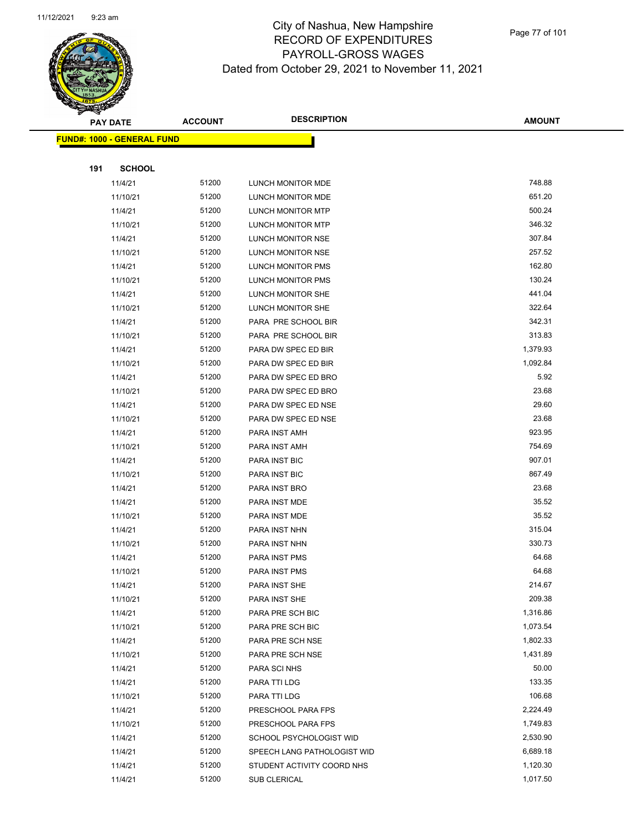

Page 77 of 101

|     | <b>PAY DATE</b>                    | <b>ACCOUNT</b> | <b>DESCRIPTION</b>          | <b>AMOUNT</b> |
|-----|------------------------------------|----------------|-----------------------------|---------------|
|     | <u> FUND#: 1000 - GENERAL FUND</u> |                |                             |               |
|     |                                    |                |                             |               |
| 191 | <b>SCHOOL</b>                      |                |                             |               |
|     | 11/4/21                            | 51200          | LUNCH MONITOR MDE           | 748.88        |
|     | 11/10/21                           | 51200          | LUNCH MONITOR MDE           | 651.20        |
|     | 11/4/21                            | 51200          | LUNCH MONITOR MTP           | 500.24        |
|     | 11/10/21                           | 51200          | LUNCH MONITOR MTP           | 346.32        |
|     | 11/4/21                            | 51200          | LUNCH MONITOR NSE           | 307.84        |
|     | 11/10/21                           | 51200          | LUNCH MONITOR NSE           | 257.52        |
|     | 11/4/21                            | 51200          | <b>LUNCH MONITOR PMS</b>    | 162.80        |
|     | 11/10/21                           | 51200          | LUNCH MONITOR PMS           | 130.24        |
|     | 11/4/21                            | 51200          | LUNCH MONITOR SHE           | 441.04        |
|     | 11/10/21                           | 51200          | LUNCH MONITOR SHE           | 322.64        |
|     | 11/4/21                            | 51200          | PARA PRE SCHOOL BIR         | 342.31        |
|     | 11/10/21                           | 51200          | PARA PRE SCHOOL BIR         | 313.83        |
|     | 11/4/21                            | 51200          | PARA DW SPEC ED BIR         | 1,379.93      |
|     | 11/10/21                           | 51200          | PARA DW SPEC ED BIR         | 1,092.84      |
|     | 11/4/21                            | 51200          | PARA DW SPEC ED BRO         | 5.92          |
|     | 11/10/21                           | 51200          | PARA DW SPEC ED BRO         | 23.68         |
|     | 11/4/21                            | 51200          | PARA DW SPEC ED NSE         | 29.60         |
|     | 11/10/21                           | 51200          | PARA DW SPEC ED NSE         | 23.68         |
|     | 11/4/21                            | 51200          | PARA INST AMH               | 923.95        |
|     | 11/10/21                           | 51200          | PARA INST AMH               | 754.69        |
|     | 11/4/21                            | 51200          | PARA INST BIC               | 907.01        |
|     | 11/10/21                           | 51200          | PARA INST BIC               | 867.49        |
|     | 11/4/21                            | 51200          | PARA INST BRO               | 23.68         |
|     | 11/4/21                            | 51200          | PARA INST MDE               | 35.52         |
|     | 11/10/21                           | 51200          | PARA INST MDE               | 35.52         |
|     | 11/4/21                            | 51200          | PARA INST NHN               | 315.04        |
|     | 11/10/21                           | 51200          | PARA INST NHN               | 330.73        |
|     | 11/4/21                            | 51200          | PARA INST PMS               | 64.68         |
|     | 11/10/21                           | 51200          | <b>PARA INST PMS</b>        | 64.68         |
|     | 11/4/21                            | 51200          | PARA INST SHE               | 214.67        |
|     | 11/10/21                           | 51200          | PARA INST SHE               | 209.38        |
|     | 11/4/21                            | 51200          | PARA PRE SCH BIC            | 1,316.86      |
|     | 11/10/21                           | 51200          | PARA PRE SCH BIC            | 1,073.54      |
|     | 11/4/21                            | 51200          | PARA PRE SCH NSE            | 1,802.33      |
|     | 11/10/21                           | 51200          | PARA PRE SCH NSE            | 1,431.89      |
|     | 11/4/21                            | 51200          | PARA SCI NHS                | 50.00         |
|     | 11/4/21                            | 51200          | PARA TTI LDG                | 133.35        |
|     | 11/10/21                           | 51200          | PARA TTI LDG                | 106.68        |
|     | 11/4/21                            | 51200          | PRESCHOOL PARA FPS          | 2,224.49      |
|     | 11/10/21                           | 51200          | PRESCHOOL PARA FPS          | 1,749.83      |
|     | 11/4/21                            | 51200          | SCHOOL PSYCHOLOGIST WID     | 2,530.90      |
|     | 11/4/21                            | 51200          | SPEECH LANG PATHOLOGIST WID | 6,689.18      |
|     | 11/4/21                            | 51200          | STUDENT ACTIVITY COORD NHS  | 1,120.30      |
|     | 11/4/21                            | 51200          | SUB CLERICAL                | 1,017.50      |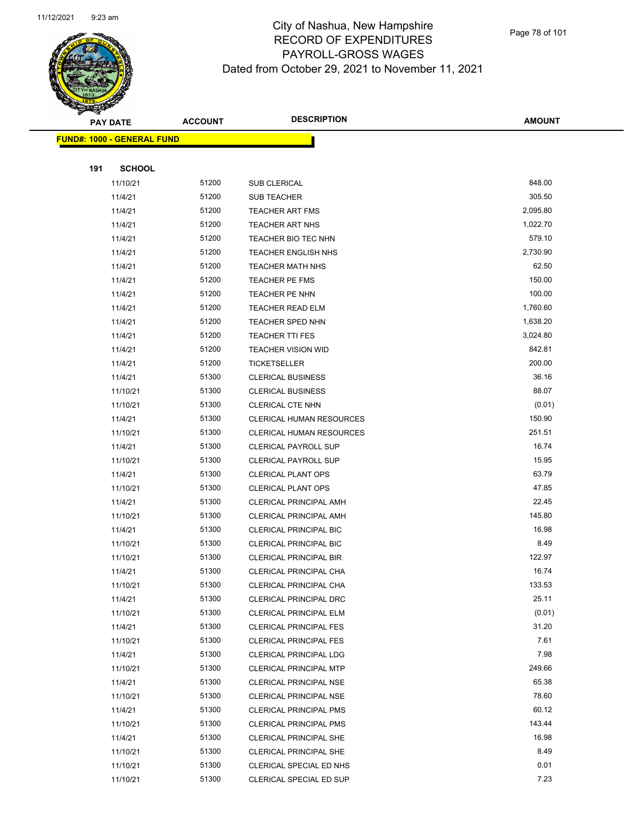

Page 78 of 101

|     | <b>PAY DATE</b>                   | <b>ACCOUNT</b> | <b>DESCRIPTION</b>                                             | <b>AMOUNT</b>  |
|-----|-----------------------------------|----------------|----------------------------------------------------------------|----------------|
|     | <b>FUND#: 1000 - GENERAL FUND</b> |                |                                                                |                |
|     |                                   |                |                                                                |                |
| 191 | <b>SCHOOL</b>                     |                |                                                                |                |
|     | 11/10/21                          | 51200          | SUB CLERICAL                                                   | 848.00         |
|     | 11/4/21                           | 51200          | <b>SUB TEACHER</b>                                             | 305.50         |
|     | 11/4/21                           | 51200          | <b>TEACHER ART FMS</b>                                         | 2,095.80       |
|     | 11/4/21                           | 51200          | <b>TEACHER ART NHS</b>                                         | 1,022.70       |
|     | 11/4/21                           | 51200          | TEACHER BIO TEC NHN                                            | 579.10         |
|     | 11/4/21                           | 51200          | <b>TEACHER ENGLISH NHS</b>                                     | 2,730.90       |
|     | 11/4/21                           | 51200          | <b>TEACHER MATH NHS</b>                                        | 62.50          |
|     | 11/4/21                           | 51200          | <b>TEACHER PE FMS</b>                                          | 150.00         |
|     | 11/4/21                           | 51200          | TEACHER PE NHN                                                 | 100.00         |
|     | 11/4/21                           | 51200          | <b>TEACHER READ ELM</b>                                        | 1,760.60       |
|     | 11/4/21                           | 51200          | TEACHER SPED NHN                                               | 1,638.20       |
|     | 11/4/21                           | 51200          | <b>TEACHER TTI FES</b>                                         | 3,024.80       |
|     | 11/4/21                           | 51200          | <b>TEACHER VISION WID</b>                                      | 842.81         |
|     | 11/4/21                           | 51200          | TICKETSELLER                                                   | 200.00         |
|     | 11/4/21                           | 51300          | <b>CLERICAL BUSINESS</b>                                       | 36.16          |
|     | 11/10/21                          | 51300          | <b>CLERICAL BUSINESS</b>                                       | 88.07          |
|     | 11/10/21                          | 51300          | CLERICAL CTE NHN                                               | (0.01)         |
|     | 11/4/21                           | 51300          | CLERICAL HUMAN RESOURCES                                       | 150.90         |
|     | 11/10/21                          | 51300          | <b>CLERICAL HUMAN RESOURCES</b>                                | 251.51         |
|     | 11/4/21                           | 51300          | <b>CLERICAL PAYROLL SUP</b>                                    | 16.74          |
|     | 11/10/21                          | 51300          | CLERICAL PAYROLL SUP                                           | 15.95          |
|     | 11/4/21                           | 51300          | <b>CLERICAL PLANT OPS</b>                                      | 63.79          |
|     | 11/10/21                          | 51300          | <b>CLERICAL PLANT OPS</b>                                      | 47.85          |
|     | 11/4/21                           | 51300          | <b>CLERICAL PRINCIPAL AMH</b>                                  | 22.45          |
|     | 11/10/21                          | 51300          | CLERICAL PRINCIPAL AMH                                         | 145.80         |
|     | 11/4/21                           | 51300          | CLERICAL PRINCIPAL BIC                                         | 16.98          |
|     | 11/10/21                          | 51300          | <b>CLERICAL PRINCIPAL BIC</b>                                  | 8.49           |
|     | 11/10/21                          | 51300          | <b>CLERICAL PRINCIPAL BIR</b>                                  | 122.97         |
|     | 11/4/21                           | 51300          | CLERICAL PRINCIPAL CHA                                         | 16.74          |
|     | 11/10/21                          | 51300          | CLERICAL PRINCIPAL CHA                                         | 133.53         |
|     | 11/4/21                           | 51300          | <b>CLERICAL PRINCIPAL DRC</b>                                  | 25.11          |
|     | 11/10/21                          | 51300          | <b>CLERICAL PRINCIPAL ELM</b>                                  | (0.01)         |
|     | 11/4/21                           | 51300          | <b>CLERICAL PRINCIPAL FES</b>                                  | 31.20          |
|     | 11/10/21                          | 51300          | <b>CLERICAL PRINCIPAL FES</b>                                  | 7.61           |
|     | 11/4/21                           | 51300          | <b>CLERICAL PRINCIPAL LDG</b>                                  | 7.98<br>249.66 |
|     | 11/10/21                          | 51300<br>51300 | <b>CLERICAL PRINCIPAL MTP</b>                                  | 65.38          |
|     | 11/4/21                           |                | <b>CLERICAL PRINCIPAL NSE</b>                                  | 78.60          |
|     | 11/10/21                          | 51300          | <b>CLERICAL PRINCIPAL NSE</b>                                  | 60.12          |
|     | 11/4/21                           | 51300<br>51300 | <b>CLERICAL PRINCIPAL PMS</b>                                  | 143.44         |
|     | 11/10/21                          | 51300          | <b>CLERICAL PRINCIPAL PMS</b>                                  | 16.98          |
|     | 11/4/21<br>11/10/21               | 51300          | <b>CLERICAL PRINCIPAL SHE</b><br><b>CLERICAL PRINCIPAL SHE</b> | 8.49           |
|     | 11/10/21                          | 51300          | CLERICAL SPECIAL ED NHS                                        | 0.01           |
|     | 11/10/21                          | 51300          | <b>CLERICAL SPECIAL ED SUP</b>                                 | 7.23           |
|     |                                   |                |                                                                |                |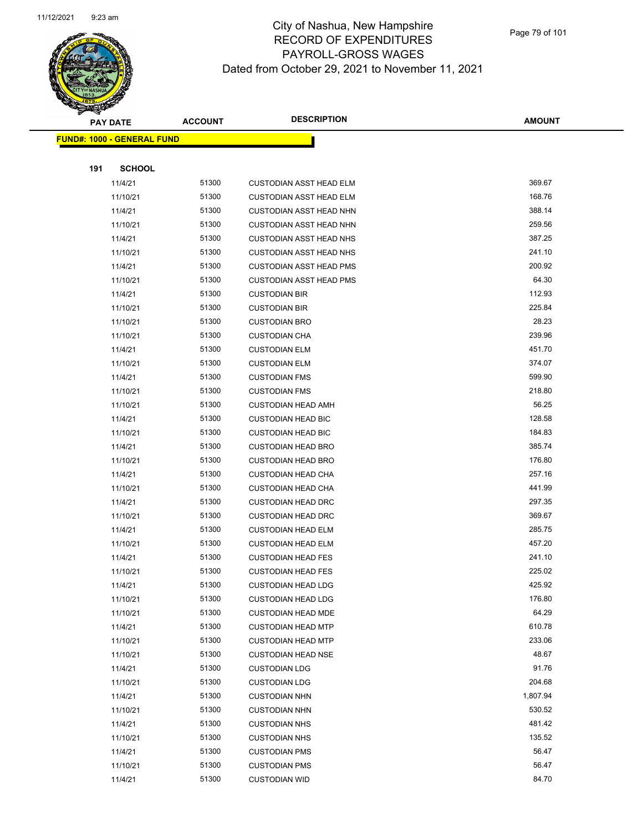

|     | <b>PAY DATE</b>                    | <b>ACCOUNT</b> | <b>DESCRIPTION</b>             | <b>AMOUNT</b> |
|-----|------------------------------------|----------------|--------------------------------|---------------|
|     | <u> FUND#: 1000 - GENERAL FUND</u> |                |                                |               |
|     |                                    |                |                                |               |
| 191 | <b>SCHOOL</b>                      |                |                                |               |
|     | 11/4/21                            | 51300          | <b>CUSTODIAN ASST HEAD ELM</b> | 369.67        |
|     | 11/10/21                           | 51300          | <b>CUSTODIAN ASST HEAD ELM</b> | 168.76        |
|     | 11/4/21                            | 51300          | <b>CUSTODIAN ASST HEAD NHN</b> | 388.14        |
|     | 11/10/21                           | 51300          | <b>CUSTODIAN ASST HEAD NHN</b> | 259.56        |
|     | 11/4/21                            | 51300          | <b>CUSTODIAN ASST HEAD NHS</b> | 387.25        |
|     | 11/10/21                           | 51300          | <b>CUSTODIAN ASST HEAD NHS</b> | 241.10        |
|     | 11/4/21                            | 51300          | <b>CUSTODIAN ASST HEAD PMS</b> | 200.92        |
|     | 11/10/21                           | 51300          | <b>CUSTODIAN ASST HEAD PMS</b> | 64.30         |
|     | 11/4/21                            | 51300          | <b>CUSTODIAN BIR</b>           | 112.93        |
|     | 11/10/21                           | 51300          | <b>CUSTODIAN BIR</b>           | 225.84        |
|     | 11/10/21                           | 51300          | <b>CUSTODIAN BRO</b>           | 28.23         |
|     | 11/10/21                           | 51300          | <b>CUSTODIAN CHA</b>           | 239.96        |
|     | 11/4/21                            | 51300          | <b>CUSTODIAN ELM</b>           | 451.70        |
|     | 11/10/21                           | 51300          | <b>CUSTODIAN ELM</b>           | 374.07        |
|     | 11/4/21                            | 51300          | <b>CUSTODIAN FMS</b>           | 599.90        |
|     | 11/10/21                           | 51300          | <b>CUSTODIAN FMS</b>           | 218.80        |
|     | 11/10/21                           | 51300          | <b>CUSTODIAN HEAD AMH</b>      | 56.25         |
|     | 11/4/21                            | 51300          | <b>CUSTODIAN HEAD BIC</b>      | 128.58        |
|     | 11/10/21                           | 51300          | <b>CUSTODIAN HEAD BIC</b>      | 184.83        |
|     | 11/4/21                            | 51300          | <b>CUSTODIAN HEAD BRO</b>      | 385.74        |
|     | 11/10/21                           | 51300          | <b>CUSTODIAN HEAD BRO</b>      | 176.80        |
|     | 11/4/21                            | 51300          | <b>CUSTODIAN HEAD CHA</b>      | 257.16        |
|     | 11/10/21                           | 51300          | <b>CUSTODIAN HEAD CHA</b>      | 441.99        |
|     | 11/4/21                            | 51300          | <b>CUSTODIAN HEAD DRC</b>      | 297.35        |
|     | 11/10/21                           | 51300          | <b>CUSTODIAN HEAD DRC</b>      | 369.67        |
|     | 11/4/21                            | 51300          | <b>CUSTODIAN HEAD ELM</b>      | 285.75        |
|     | 11/10/21                           | 51300          | <b>CUSTODIAN HEAD ELM</b>      | 457.20        |
|     | 11/4/21                            | 51300          | <b>CUSTODIAN HEAD FES</b>      | 241.10        |
|     | 11/10/21                           | 51300          | <b>CUSTODIAN HEAD FES</b>      | 225.02        |
|     | 11/4/21                            | 51300          | <b>CUSTODIAN HEAD LDG</b>      | 425.92        |
|     | 11/10/21                           | 51300          | <b>CUSTODIAN HEAD LDG</b>      | 176.80        |
|     | 11/10/21                           | 51300          | <b>CUSTODIAN HEAD MDE</b>      | 64.29         |
|     | 11/4/21                            | 51300          | <b>CUSTODIAN HEAD MTP</b>      | 610.78        |
|     | 11/10/21                           | 51300          | <b>CUSTODIAN HEAD MTP</b>      | 233.06        |
|     | 11/10/21                           | 51300          | <b>CUSTODIAN HEAD NSE</b>      | 48.67         |
|     | 11/4/21                            | 51300          | <b>CUSTODIAN LDG</b>           | 91.76         |
|     | 11/10/21                           | 51300          | <b>CUSTODIAN LDG</b>           | 204.68        |
|     | 11/4/21                            | 51300          | <b>CUSTODIAN NHN</b>           | 1,807.94      |
|     | 11/10/21                           | 51300          | <b>CUSTODIAN NHN</b>           | 530.52        |
|     | 11/4/21                            | 51300          | <b>CUSTODIAN NHS</b>           | 481.42        |
|     | 11/10/21                           | 51300          | <b>CUSTODIAN NHS</b>           | 135.52        |
|     | 11/4/21                            | 51300          | <b>CUSTODIAN PMS</b>           | 56.47         |
|     | 11/10/21                           | 51300          | <b>CUSTODIAN PMS</b>           | 56.47         |
|     | 11/4/21                            | 51300          | <b>CUSTODIAN WID</b>           | 84.70         |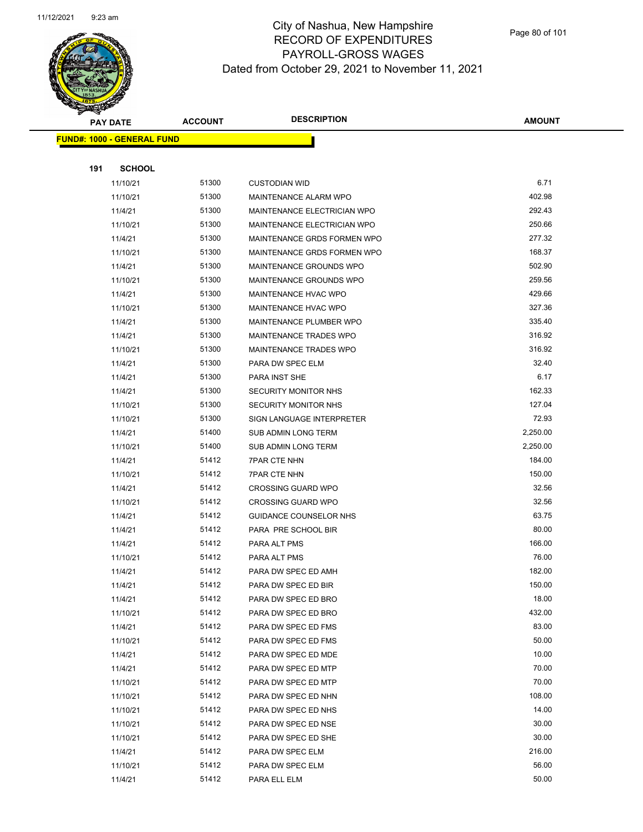

Page 80 of 101

|     | <b>PAY DATE</b>                   | <b>ACCOUNT</b> | <b>DESCRIPTION</b>          | <b>AMOUNT</b> |
|-----|-----------------------------------|----------------|-----------------------------|---------------|
|     | <b>FUND#: 1000 - GENERAL FUND</b> |                |                             |               |
|     |                                   |                |                             |               |
| 191 | <b>SCHOOL</b>                     |                |                             |               |
|     | 11/10/21                          | 51300          | <b>CUSTODIAN WID</b>        | 6.71          |
|     | 11/10/21                          | 51300          | MAINTENANCE ALARM WPO       | 402.98        |
|     | 11/4/21                           | 51300          | MAINTENANCE ELECTRICIAN WPO | 292.43        |
|     | 11/10/21                          | 51300          | MAINTENANCE ELECTRICIAN WPO | 250.66        |
|     | 11/4/21                           | 51300          | MAINTENANCE GRDS FORMEN WPO | 277.32        |
|     | 11/10/21                          | 51300          | MAINTENANCE GRDS FORMEN WPO | 168.37        |
|     | 11/4/21                           | 51300          | MAINTENANCE GROUNDS WPO     | 502.90        |
|     | 11/10/21                          | 51300          | MAINTENANCE GROUNDS WPO     | 259.56        |
|     | 11/4/21                           | 51300          | MAINTENANCE HVAC WPO        | 429.66        |
|     | 11/10/21                          | 51300          | MAINTENANCE HVAC WPO        | 327.36        |
|     | 11/4/21                           | 51300          | MAINTENANCE PLUMBER WPO     | 335.40        |
|     | 11/4/21                           | 51300          | MAINTENANCE TRADES WPO      | 316.92        |
|     | 11/10/21                          | 51300          | MAINTENANCE TRADES WPO      | 316.92        |
|     | 11/4/21                           | 51300          | PARA DW SPEC ELM            | 32.40         |
|     | 11/4/21                           | 51300          | PARA INST SHE               | 6.17          |
|     | 11/4/21                           | 51300          | SECURITY MONITOR NHS        | 162.33        |
|     | 11/10/21                          | 51300          | SECURITY MONITOR NHS        | 127.04        |
|     | 11/10/21                          | 51300          | SIGN LANGUAGE INTERPRETER   | 72.93         |
|     | 11/4/21                           | 51400          | SUB ADMIN LONG TERM         | 2,250.00      |
|     | 11/10/21                          | 51400          | SUB ADMIN LONG TERM         | 2,250.00      |
|     | 11/4/21                           | 51412          | <b>7PAR CTE NHN</b>         | 184.00        |
|     | 11/10/21                          | 51412          | <b>7PAR CTE NHN</b>         | 150.00        |
|     | 11/4/21                           | 51412          | <b>CROSSING GUARD WPO</b>   | 32.56         |
|     | 11/10/21                          | 51412          | <b>CROSSING GUARD WPO</b>   | 32.56         |
|     | 11/4/21                           | 51412          | GUIDANCE COUNSELOR NHS      | 63.75         |
|     | 11/4/21                           | 51412          | PARA PRE SCHOOL BIR         | 80.00         |
|     | 11/4/21                           | 51412          | PARA ALT PMS                | 166.00        |
|     | 11/10/21                          | 51412          | PARA ALT PMS                | 76.00         |
|     | 11/4/21                           | 51412          | PARA DW SPEC ED AMH         | 182.00        |
|     | 11/4/21                           | 51412          | PARA DW SPEC ED BIR         | 150.00        |
|     | 11/4/21                           | 51412          | PARA DW SPEC ED BRO         | 18.00         |
|     | 11/10/21                          | 51412          | PARA DW SPEC ED BRO         | 432.00        |
|     | 11/4/21                           | 51412          | PARA DW SPEC ED FMS         | 83.00         |
|     | 11/10/21                          | 51412          | PARA DW SPEC ED FMS         | 50.00         |
|     | 11/4/21                           | 51412          | PARA DW SPEC ED MDE         | 10.00         |
|     | 11/4/21                           | 51412          | PARA DW SPEC ED MTP         | 70.00         |
|     | 11/10/21                          | 51412          | PARA DW SPEC ED MTP         | 70.00         |
|     | 11/10/21                          | 51412          | PARA DW SPEC ED NHN         | 108.00        |
|     | 11/10/21                          | 51412          | PARA DW SPEC ED NHS         | 14.00         |
|     | 11/10/21                          | 51412          | PARA DW SPEC ED NSE         | 30.00         |
|     | 11/10/21                          | 51412          | PARA DW SPEC ED SHE         | 30.00         |
|     | 11/4/21                           | 51412          | PARA DW SPEC ELM            | 216.00        |
|     | 11/10/21                          | 51412          | PARA DW SPEC ELM            | 56.00         |
|     | 11/4/21                           | 51412          | PARA ELL ELM                | 50.00         |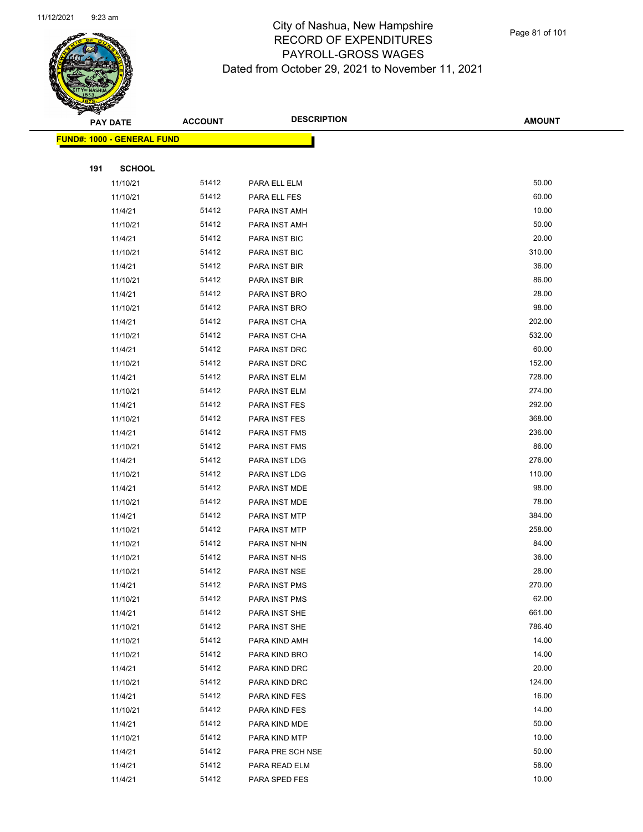

Page 81 of 101

|     | <b>PAY DATE</b>                   | <b>ACCOUNT</b> | <b>DESCRIPTION</b> | <b>AMOUNT</b> |
|-----|-----------------------------------|----------------|--------------------|---------------|
|     | <b>FUND#: 1000 - GENERAL FUND</b> |                |                    |               |
|     |                                   |                |                    |               |
| 191 | <b>SCHOOL</b>                     |                |                    |               |
|     | 11/10/21                          | 51412          | PARA ELL ELM       | 50.00         |
|     | 11/10/21                          | 51412          | PARA ELL FES       | 60.00         |
|     | 11/4/21                           | 51412          | PARA INST AMH      | 10.00         |
|     | 11/10/21                          | 51412          | PARA INST AMH      | 50.00         |
|     | 11/4/21                           | 51412          | PARA INST BIC      | 20.00         |
|     | 11/10/21                          | 51412          | PARA INST BIC      | 310.00        |
|     | 11/4/21                           | 51412          | PARA INST BIR      | 36.00         |
|     | 11/10/21                          | 51412          | PARA INST BIR      | 86.00         |
|     | 11/4/21                           | 51412          | PARA INST BRO      | 28.00         |
|     | 11/10/21                          | 51412          | PARA INST BRO      | 98.00         |
|     | 11/4/21                           | 51412          | PARA INST CHA      | 202.00        |
|     | 11/10/21                          | 51412          | PARA INST CHA      | 532.00        |
|     | 11/4/21                           | 51412          | PARA INST DRC      | 60.00         |
|     | 11/10/21                          | 51412          | PARA INST DRC      | 152.00        |
|     | 11/4/21                           | 51412          | PARA INST ELM      | 728.00        |
|     | 11/10/21                          | 51412          | PARA INST ELM      | 274.00        |
|     | 11/4/21                           | 51412          | PARA INST FES      | 292.00        |
|     | 11/10/21                          | 51412          | PARA INST FES      | 368.00        |
|     | 11/4/21                           | 51412          | PARA INST FMS      | 236.00        |
|     | 11/10/21                          | 51412          | PARA INST FMS      | 86.00         |
|     | 11/4/21                           | 51412          | PARA INST LDG      | 276.00        |
|     | 11/10/21                          | 51412          | PARA INST LDG      | 110.00        |
|     | 11/4/21                           | 51412          | PARA INST MDE      | 98.00         |
|     | 11/10/21                          | 51412          | PARA INST MDE      | 78.00         |
|     | 11/4/21                           | 51412          | PARA INST MTP      | 384.00        |
|     | 11/10/21                          | 51412          | PARA INST MTP      | 258.00        |
|     | 11/10/21                          | 51412          | PARA INST NHN      | 84.00         |
|     | 11/10/21                          | 51412          | PARA INST NHS      | 36.00         |
|     | 11/10/21                          | 51412          | PARA INST NSE      | 28.00         |
|     | 11/4/21                           | 51412          | PARA INST PMS      | 270.00        |
|     | 11/10/21                          | 51412          | PARA INST PMS      | 62.00         |
|     | 11/4/21                           | 51412          | PARA INST SHE      | 661.00        |
|     | 11/10/21                          | 51412          | PARA INST SHE      | 786.40        |
|     | 11/10/21                          | 51412          | PARA KIND AMH      | 14.00         |
|     | 11/10/21                          | 51412          | PARA KIND BRO      | 14.00         |
|     | 11/4/21                           | 51412          | PARA KIND DRC      | 20.00         |
|     | 11/10/21                          | 51412          | PARA KIND DRC      | 124.00        |
|     | 11/4/21                           | 51412          | PARA KIND FES      | 16.00         |
|     | 11/10/21                          | 51412          | PARA KIND FES      | 14.00         |
|     | 11/4/21                           | 51412          | PARA KIND MDE      | 50.00         |
|     | 11/10/21                          | 51412          | PARA KIND MTP      | 10.00         |
|     | 11/4/21                           | 51412          | PARA PRE SCH NSE   | 50.00         |
|     | 11/4/21                           | 51412          | PARA READ ELM      | 58.00         |
|     | 11/4/21                           | 51412          | PARA SPED FES      | 10.00         |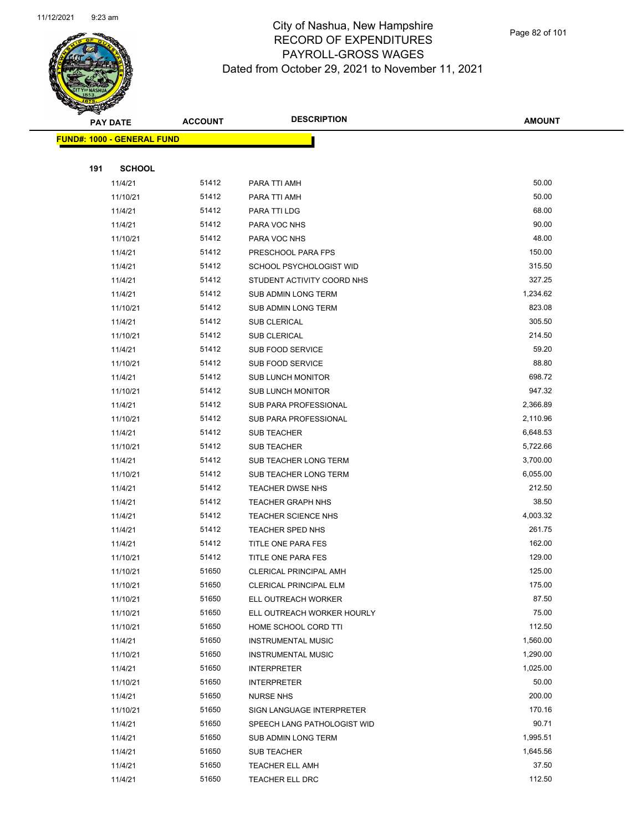

Page 82 of 101

|     | <b>PAY DATE</b>                   | <b>ACCOUNT</b> | <b>DESCRIPTION</b>             | <b>AMOUNT</b> |
|-----|-----------------------------------|----------------|--------------------------------|---------------|
|     | <b>FUND#: 1000 - GENERAL FUND</b> |                |                                |               |
|     |                                   |                |                                |               |
| 191 | <b>SCHOOL</b>                     |                |                                |               |
|     | 11/4/21                           | 51412          | PARA TTI AMH                   | 50.00         |
|     | 11/10/21                          | 51412          | PARA TTI AMH                   | 50.00         |
|     | 11/4/21                           | 51412          | PARA TTI LDG                   | 68.00         |
|     | 11/4/21                           | 51412          | PARA VOC NHS                   | 90.00         |
|     | 11/10/21                          | 51412          | PARA VOC NHS                   | 48.00         |
|     | 11/4/21                           | 51412          | PRESCHOOL PARA FPS             | 150.00        |
|     | 11/4/21                           | 51412          | <b>SCHOOL PSYCHOLOGIST WID</b> | 315.50        |
|     | 11/4/21                           | 51412          | STUDENT ACTIVITY COORD NHS     | 327.25        |
|     | 11/4/21                           | 51412          | SUB ADMIN LONG TERM            | 1,234.62      |
|     | 11/10/21                          | 51412          | SUB ADMIN LONG TERM            | 823.08        |
|     | 11/4/21                           | 51412          | <b>SUB CLERICAL</b>            | 305.50        |
|     | 11/10/21                          | 51412          | <b>SUB CLERICAL</b>            | 214.50        |
|     | 11/4/21                           | 51412          | SUB FOOD SERVICE               | 59.20         |
|     | 11/10/21                          | 51412          | SUB FOOD SERVICE               | 88.80         |
|     | 11/4/21                           | 51412          | <b>SUB LUNCH MONITOR</b>       | 698.72        |
|     | 11/10/21                          | 51412          | <b>SUB LUNCH MONITOR</b>       | 947.32        |
|     | 11/4/21                           | 51412          | <b>SUB PARA PROFESSIONAL</b>   | 2,366.89      |
|     | 11/10/21                          | 51412          | SUB PARA PROFESSIONAL          | 2,110.96      |
|     | 11/4/21                           | 51412          | <b>SUB TEACHER</b>             | 6,648.53      |
|     | 11/10/21                          | 51412          | <b>SUB TEACHER</b>             | 5,722.66      |
|     | 11/4/21                           | 51412          | SUB TEACHER LONG TERM          | 3,700.00      |
|     | 11/10/21                          | 51412          | SUB TEACHER LONG TERM          | 6,055.00      |
|     | 11/4/21                           | 51412          | <b>TEACHER DWSE NHS</b>        | 212.50        |
|     | 11/4/21                           | 51412          | <b>TEACHER GRAPH NHS</b>       | 38.50         |
|     | 11/4/21                           | 51412          | <b>TEACHER SCIENCE NHS</b>     | 4,003.32      |
|     | 11/4/21                           | 51412          | TEACHER SPED NHS               | 261.75        |
|     | 11/4/21                           | 51412          | TITLE ONE PARA FES             | 162.00        |
|     | 11/10/21                          | 51412          | TITLE ONE PARA FES             | 129.00        |
|     | 11/10/21                          | 51650          | CLERICAL PRINCIPAL AMH         | 125.00        |
|     | 11/10/21                          | 51650          | CLERICAL PRINCIPAL ELM         | 175.00        |
|     | 11/10/21                          | 51650          | ELL OUTREACH WORKER            | 87.50         |
|     | 11/10/21                          | 51650          | ELL OUTREACH WORKER HOURLY     | 75.00         |
|     | 11/10/21                          | 51650          | HOME SCHOOL CORD TTI           | 112.50        |
|     | 11/4/21                           | 51650          | <b>INSTRUMENTAL MUSIC</b>      | 1,560.00      |
|     | 11/10/21                          | 51650          | <b>INSTRUMENTAL MUSIC</b>      | 1,290.00      |
|     | 11/4/21                           | 51650          | <b>INTERPRETER</b>             | 1,025.00      |
|     | 11/10/21                          | 51650          | <b>INTERPRETER</b>             | 50.00         |
|     | 11/4/21                           | 51650          | <b>NURSE NHS</b>               | 200.00        |
|     | 11/10/21                          | 51650          | SIGN LANGUAGE INTERPRETER      | 170.16        |
|     | 11/4/21                           | 51650          | SPEECH LANG PATHOLOGIST WID    | 90.71         |
|     | 11/4/21                           | 51650          | SUB ADMIN LONG TERM            | 1,995.51      |
|     | 11/4/21                           | 51650          | <b>SUB TEACHER</b>             | 1,645.56      |
|     | 11/4/21                           | 51650          | <b>TEACHER ELL AMH</b>         | 37.50         |
|     | 11/4/21                           | 51650          | TEACHER ELL DRC                | 112.50        |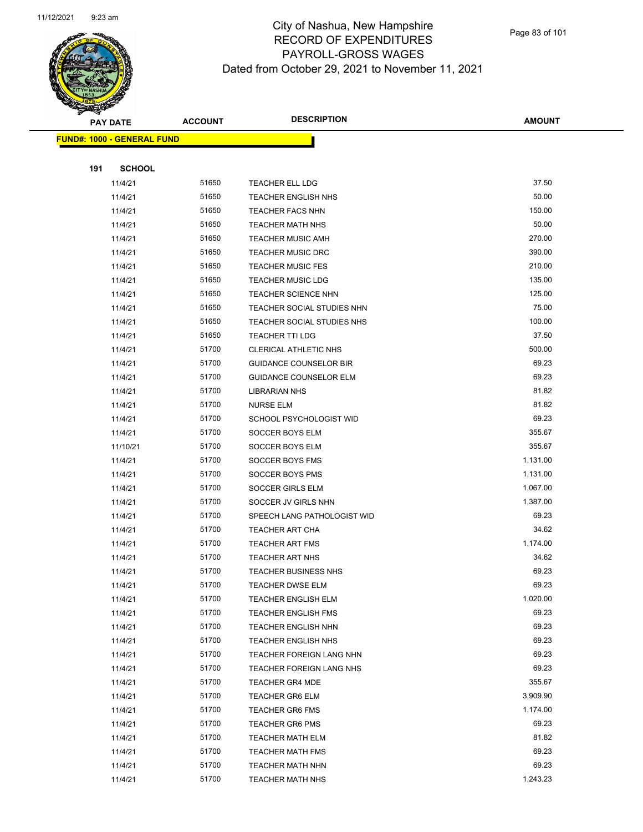

Page 83 of 101

|     | <b>PAY DATE</b>                   | <b>ACCOUNT</b> | <b>DESCRIPTION</b>                                       | <b>AMOUNT</b>  |
|-----|-----------------------------------|----------------|----------------------------------------------------------|----------------|
|     | <b>FUND#: 1000 - GENERAL FUND</b> |                |                                                          |                |
|     |                                   |                |                                                          |                |
| 191 | <b>SCHOOL</b>                     |                |                                                          |                |
|     | 11/4/21                           | 51650          | <b>TEACHER ELL LDG</b>                                   | 37.50          |
|     | 11/4/21                           | 51650          | <b>TEACHER ENGLISH NHS</b>                               | 50.00          |
|     | 11/4/21                           | 51650          | <b>TEACHER FACS NHN</b>                                  | 150.00         |
|     | 11/4/21                           | 51650          | <b>TEACHER MATH NHS</b>                                  | 50.00          |
|     | 11/4/21                           | 51650          | <b>TEACHER MUSIC AMH</b>                                 | 270.00         |
|     | 11/4/21                           | 51650          | <b>TEACHER MUSIC DRC</b>                                 | 390.00         |
|     | 11/4/21                           | 51650          | <b>TEACHER MUSIC FES</b>                                 | 210.00         |
|     | 11/4/21                           | 51650          | <b>TEACHER MUSIC LDG</b>                                 | 135.00         |
|     | 11/4/21                           | 51650          | <b>TEACHER SCIENCE NHN</b>                               | 125.00         |
|     | 11/4/21                           | 51650          | TEACHER SOCIAL STUDIES NHN                               | 75.00          |
|     | 11/4/21                           | 51650          | TEACHER SOCIAL STUDIES NHS                               | 100.00         |
|     | 11/4/21                           | 51650          | <b>TEACHER TTI LDG</b>                                   | 37.50          |
|     | 11/4/21                           | 51700          | CLERICAL ATHLETIC NHS                                    | 500.00         |
|     | 11/4/21                           | 51700          | <b>GUIDANCE COUNSELOR BIR</b>                            | 69.23          |
|     | 11/4/21                           | 51700          | <b>GUIDANCE COUNSELOR ELM</b>                            | 69.23          |
|     | 11/4/21                           | 51700          | <b>LIBRARIAN NHS</b>                                     | 81.82          |
|     | 11/4/21                           | 51700          | <b>NURSE ELM</b>                                         | 81.82          |
|     | 11/4/21                           | 51700          | SCHOOL PSYCHOLOGIST WID                                  | 69.23          |
|     | 11/4/21                           | 51700          | SOCCER BOYS ELM                                          | 355.67         |
|     | 11/10/21                          | 51700          | SOCCER BOYS ELM                                          | 355.67         |
|     | 11/4/21                           | 51700          | SOCCER BOYS FMS                                          | 1,131.00       |
|     | 11/4/21                           | 51700          | SOCCER BOYS PMS                                          | 1,131.00       |
|     | 11/4/21                           | 51700          | SOCCER GIRLS ELM                                         | 1,067.00       |
|     | 11/4/21                           | 51700          | SOCCER JV GIRLS NHN                                      | 1,387.00       |
|     | 11/4/21                           | 51700          | SPEECH LANG PATHOLOGIST WID                              | 69.23          |
|     | 11/4/21                           | 51700          | <b>TEACHER ART CHA</b>                                   | 34.62          |
|     | 11/4/21                           | 51700          | <b>TEACHER ART FMS</b>                                   | 1,174.00       |
|     | 11/4/21                           | 51700          | <b>TEACHER ART NHS</b>                                   | 34.62          |
|     | 11/4/21                           | 51700<br>51700 | <b>TEACHER BUSINESS NHS</b>                              | 69.23<br>69.23 |
|     | 11/4/21                           | 51700          | TEACHER DWSE ELM                                         | 1,020.00       |
|     | 11/4/21<br>11/4/21                | 51700          | <b>TEACHER ENGLISH ELM</b><br><b>TEACHER ENGLISH FMS</b> | 69.23          |
|     | 11/4/21                           | 51700          | TEACHER ENGLISH NHN                                      | 69.23          |
|     | 11/4/21                           | 51700          | <b>TEACHER ENGLISH NHS</b>                               | 69.23          |
|     | 11/4/21                           | 51700          | TEACHER FOREIGN LANG NHN                                 | 69.23          |
|     | 11/4/21                           | 51700          | TEACHER FOREIGN LANG NHS                                 | 69.23          |
|     | 11/4/21                           | 51700          | <b>TEACHER GR4 MDE</b>                                   | 355.67         |
|     | 11/4/21                           | 51700          | TEACHER GR6 ELM                                          | 3,909.90       |
|     | 11/4/21                           | 51700          | <b>TEACHER GR6 FMS</b>                                   | 1,174.00       |
|     | 11/4/21                           | 51700          | <b>TEACHER GR6 PMS</b>                                   | 69.23          |
|     | 11/4/21                           | 51700          | <b>TEACHER MATH ELM</b>                                  | 81.82          |
|     | 11/4/21                           | 51700          | <b>TEACHER MATH FMS</b>                                  | 69.23          |
|     | 11/4/21                           | 51700          | <b>TEACHER MATH NHN</b>                                  | 69.23          |
|     | 11/4/21                           | 51700          | <b>TEACHER MATH NHS</b>                                  | 1,243.23       |
|     |                                   |                |                                                          |                |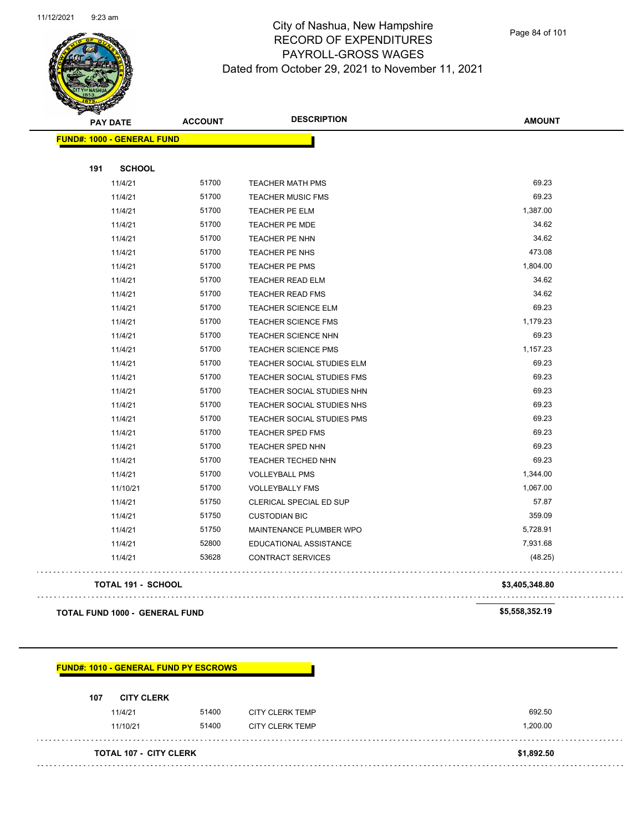

Page 84 of 101

| <b>PAY DATE</b>                   | <b>ACCOUNT</b> | <b>DESCRIPTION</b>         | <b>AMOUNT</b>  |
|-----------------------------------|----------------|----------------------------|----------------|
| <b>FUND#: 1000 - GENERAL FUND</b> |                |                            |                |
|                                   |                |                            |                |
| 191<br><b>SCHOOL</b>              |                |                            |                |
| 11/4/21                           | 51700          | <b>TEACHER MATH PMS</b>    | 69.23          |
| 11/4/21                           | 51700          | <b>TEACHER MUSIC FMS</b>   | 69.23          |
| 11/4/21                           | 51700          | TEACHER PE ELM             | 1,387.00       |
| 11/4/21                           | 51700          | TEACHER PE MDE             | 34.62          |
| 11/4/21                           | 51700          | TEACHER PE NHN             | 34.62          |
| 11/4/21                           | 51700          | TEACHER PE NHS             | 473.08         |
| 11/4/21                           | 51700          | TEACHER PE PMS             | 1,804.00       |
| 11/4/21                           | 51700          | TEACHER READ ELM           | 34.62          |
| 11/4/21                           | 51700          | <b>TEACHER READ FMS</b>    | 34.62          |
| 11/4/21                           | 51700          | <b>TEACHER SCIENCE ELM</b> | 69.23          |
| 11/4/21                           | 51700          | <b>TEACHER SCIENCE FMS</b> | 1,179.23       |
| 11/4/21                           | 51700          | TEACHER SCIENCE NHN        | 69.23          |
| 11/4/21                           | 51700          | <b>TEACHER SCIENCE PMS</b> | 1,157.23       |
| 11/4/21                           | 51700          | TEACHER SOCIAL STUDIES ELM | 69.23          |
| 11/4/21                           | 51700          | TEACHER SOCIAL STUDIES FMS | 69.23          |
| 11/4/21                           | 51700          | TEACHER SOCIAL STUDIES NHN | 69.23          |
| 11/4/21                           | 51700          | TEACHER SOCIAL STUDIES NHS | 69.23          |
| 11/4/21                           | 51700          | TEACHER SOCIAL STUDIES PMS | 69.23          |
| 11/4/21                           | 51700          | <b>TEACHER SPED FMS</b>    | 69.23          |
| 11/4/21                           | 51700          | TEACHER SPED NHN           | 69.23          |
| 11/4/21                           | 51700          | TEACHER TECHED NHN         | 69.23          |
| 11/4/21                           | 51700          | <b>VOLLEYBALL PMS</b>      | 1,344.00       |
| 11/10/21                          | 51700          | <b>VOLLEYBALLY FMS</b>     | 1,067.00       |
| 11/4/21                           | 51750          | CLERICAL SPECIAL ED SUP    | 57.87          |
| 11/4/21                           | 51750          | <b>CUSTODIAN BIC</b>       | 359.09         |
| 11/4/21                           | 51750          | MAINTENANCE PLUMBER WPO    | 5,728.91       |
| 11/4/21                           | 52800          | EDUCATIONAL ASSISTANCE     | 7,931.68       |
| 11/4/21                           | 53628          | <b>CONTRACT SERVICES</b>   | (48.25)        |
| TOTAL 191 - SCHOOL                |                |                            | \$3,405,348.80 |

**TOTAL FUND 1000 - GENERAL FUND \$5,558,352.19** 

**FUND#: 1010 - GENERAL FUND PY ESCROWS 107 CITY CLERK** 11/4/21 51400 CITY CLERK TEMP 692.50 11/10/21 51400 CITY CLERK TEMP 1,200.00 **TOTAL 107 - CITY CLERK \$1,892.50**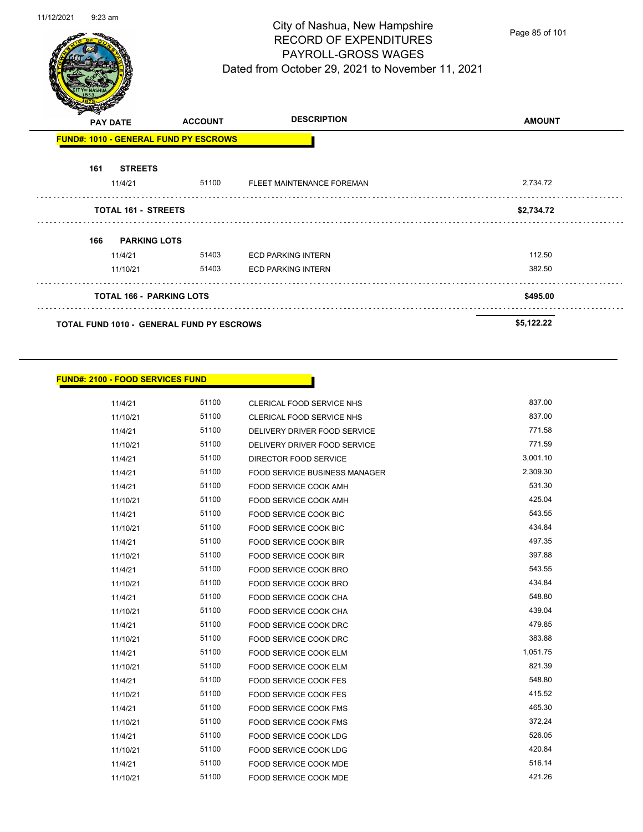J.



# City of Nashua, New Hampshire RECORD OF EXPENDITURES PAYROLL-GROSS WAGES Dated from October 29, 2021 to November 11, 2021

Page 85 of 101

|     | <b>PAY DATE</b>                 | <b>ACCOUNT</b>                                   | <b>DESCRIPTION</b>        | <b>AMOUNT</b> |
|-----|---------------------------------|--------------------------------------------------|---------------------------|---------------|
|     |                                 | <b>FUND#: 1010 - GENERAL FUND PY ESCROWS</b>     |                           |               |
| 161 | <b>STREETS</b>                  |                                                  |                           |               |
|     | 11/4/21                         | 51100                                            | FLEET MAINTENANCE FOREMAN | 2,734.72      |
|     | <b>TOTAL 161 - STREETS</b>      |                                                  |                           | \$2,734.72    |
| 166 | <b>PARKING LOTS</b>             |                                                  |                           |               |
|     | 11/4/21                         | 51403                                            | <b>ECD PARKING INTERN</b> | 112.50        |
|     | 11/10/21                        | 51403                                            | <b>ECD PARKING INTERN</b> | 382.50        |
|     | <b>TOTAL 166 - PARKING LOTS</b> |                                                  |                           | \$495.00      |
|     |                                 | <b>TOTAL FUND 1010 - GENERAL FUND PY ESCROWS</b> |                           | \$5,122.22    |

## **FUND#: 2100 - FOOD SERVICES FUND**

| 11/4/21  | 51100 | <b>CLERICAL FOOD SERVICE NHS</b>     | 837.00   |
|----------|-------|--------------------------------------|----------|
| 11/10/21 | 51100 | <b>CLERICAL FOOD SERVICE NHS</b>     | 837.00   |
| 11/4/21  | 51100 | DELIVERY DRIVER FOOD SERVICE         | 771.58   |
| 11/10/21 | 51100 | DELIVERY DRIVER FOOD SERVICE         | 771.59   |
| 11/4/21  | 51100 | DIRECTOR FOOD SERVICE                | 3,001.10 |
| 11/4/21  | 51100 | <b>FOOD SERVICE BUSINESS MANAGER</b> | 2,309.30 |
| 11/4/21  | 51100 | FOOD SERVICE COOK AMH                | 531.30   |
| 11/10/21 | 51100 | FOOD SERVICE COOK AMH                | 425.04   |
| 11/4/21  | 51100 | FOOD SERVICE COOK BIC                | 543.55   |
| 11/10/21 | 51100 | <b>FOOD SERVICE COOK BIC</b>         | 434.84   |
| 11/4/21  | 51100 | <b>FOOD SERVICE COOK BIR</b>         | 497.35   |
| 11/10/21 | 51100 | FOOD SERVICE COOK BIR                | 397.88   |
| 11/4/21  | 51100 | FOOD SERVICE COOK BRO                | 543.55   |
| 11/10/21 | 51100 | FOOD SERVICE COOK BRO                | 434.84   |
| 11/4/21  | 51100 | FOOD SERVICE COOK CHA                | 548.80   |
| 11/10/21 | 51100 | FOOD SERVICE COOK CHA                | 439.04   |
| 11/4/21  | 51100 | FOOD SERVICE COOK DRC                | 479.85   |
| 11/10/21 | 51100 | FOOD SERVICE COOK DRC                | 383.88   |
| 11/4/21  | 51100 | FOOD SERVICE COOK ELM                | 1,051.75 |
| 11/10/21 | 51100 | FOOD SERVICE COOK ELM                | 821.39   |
| 11/4/21  | 51100 | FOOD SERVICE COOK FES                | 548.80   |
| 11/10/21 | 51100 | <b>FOOD SERVICE COOK FES</b>         | 415.52   |
| 11/4/21  | 51100 | <b>FOOD SERVICE COOK FMS</b>         | 465.30   |
| 11/10/21 | 51100 | <b>FOOD SERVICE COOK FMS</b>         | 372.24   |
| 11/4/21  | 51100 | <b>FOOD SERVICE COOK LDG</b>         | 526.05   |
| 11/10/21 | 51100 | <b>FOOD SERVICE COOK LDG</b>         | 420.84   |
| 11/4/21  | 51100 | FOOD SERVICE COOK MDE                | 516.14   |
| 11/10/21 | 51100 | FOOD SERVICE COOK MDE                | 421.26   |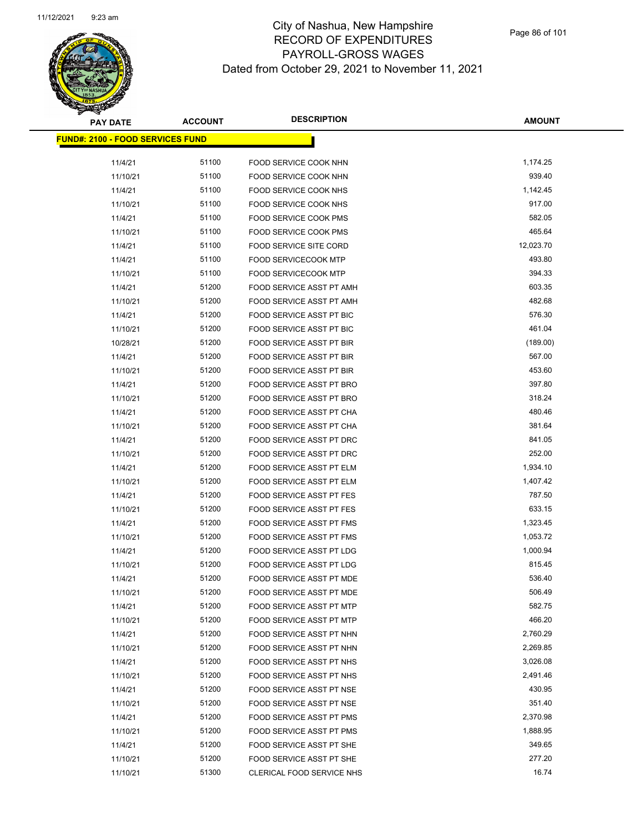

| <b>PAY DATE</b>                          | <b>ACCOUNT</b> | <b>DESCRIPTION</b>              | <b>AMOUNT</b> |
|------------------------------------------|----------------|---------------------------------|---------------|
| <u> FUND#: 2100 - FOOD SERVICES FUND</u> |                |                                 |               |
|                                          |                |                                 |               |
| 11/4/21                                  | 51100          | FOOD SERVICE COOK NHN           | 1,174.25      |
| 11/10/21                                 | 51100          | FOOD SERVICE COOK NHN           | 939.40        |
| 11/4/21                                  | 51100          | <b>FOOD SERVICE COOK NHS</b>    | 1,142.45      |
| 11/10/21                                 | 51100          | FOOD SERVICE COOK NHS           | 917.00        |
| 11/4/21                                  | 51100          | FOOD SERVICE COOK PMS           | 582.05        |
| 11/10/21                                 | 51100          | FOOD SERVICE COOK PMS           | 465.64        |
| 11/4/21                                  | 51100          | FOOD SERVICE SITE CORD          | 12,023.70     |
| 11/4/21                                  | 51100          | <b>FOOD SERVICECOOK MTP</b>     | 493.80        |
| 11/10/21                                 | 51100          | <b>FOOD SERVICECOOK MTP</b>     | 394.33        |
| 11/4/21                                  | 51200          | FOOD SERVICE ASST PT AMH        | 603.35        |
| 11/10/21                                 | 51200          | FOOD SERVICE ASST PT AMH        | 482.68        |
| 11/4/21                                  | 51200          | FOOD SERVICE ASST PT BIC        | 576.30        |
| 11/10/21                                 | 51200          | <b>FOOD SERVICE ASST PT BIC</b> | 461.04        |
| 10/28/21                                 | 51200          | FOOD SERVICE ASST PT BIR        | (189.00)      |
| 11/4/21                                  | 51200          | <b>FOOD SERVICE ASST PT BIR</b> | 567.00        |
| 11/10/21                                 | 51200          | <b>FOOD SERVICE ASST PT BIR</b> | 453.60        |
| 11/4/21                                  | 51200          | FOOD SERVICE ASST PT BRO        | 397.80        |
| 11/10/21                                 | 51200          | FOOD SERVICE ASST PT BRO        | 318.24        |
| 11/4/21                                  | 51200          | FOOD SERVICE ASST PT CHA        | 480.46        |
| 11/10/21                                 | 51200          | FOOD SERVICE ASST PT CHA        | 381.64        |
| 11/4/21                                  | 51200          | FOOD SERVICE ASST PT DRC        | 841.05        |
| 11/10/21                                 | 51200          | FOOD SERVICE ASST PT DRC        | 252.00        |
| 11/4/21                                  | 51200          | FOOD SERVICE ASST PT ELM        | 1,934.10      |
| 11/10/21                                 | 51200          | FOOD SERVICE ASST PT ELM        | 1,407.42      |
| 11/4/21                                  | 51200          | FOOD SERVICE ASST PT FES        | 787.50        |
| 11/10/21                                 | 51200          | FOOD SERVICE ASST PT FES        | 633.15        |
| 11/4/21                                  | 51200          | FOOD SERVICE ASST PT FMS        | 1,323.45      |
| 11/10/21                                 | 51200          | FOOD SERVICE ASST PT FMS        | 1,053.72      |
| 11/4/21                                  | 51200          | FOOD SERVICE ASST PT LDG        | 1,000.94      |
| 11/10/21                                 | 51200          | FOOD SERVICE ASST PT LDG        | 815.45        |
| 11/4/21                                  | 51200          | <b>FOOD SERVICE ASST PT MDE</b> | 536.40        |
| 11/10/21                                 | 51200          | FOOD SERVICE ASST PT MDE        | 506.49        |
| 11/4/21                                  | 51200          | FOOD SERVICE ASST PT MTP        | 582.75        |
| 11/10/21                                 | 51200          | FOOD SERVICE ASST PT MTP        | 466.20        |
| 11/4/21                                  | 51200          | FOOD SERVICE ASST PT NHN        | 2,760.29      |
| 11/10/21                                 | 51200          | FOOD SERVICE ASST PT NHN        | 2,269.85      |
| 11/4/21                                  | 51200          | FOOD SERVICE ASST PT NHS        | 3,026.08      |
| 11/10/21                                 | 51200          | FOOD SERVICE ASST PT NHS        | 2,491.46      |
| 11/4/21                                  | 51200          | FOOD SERVICE ASST PT NSE        | 430.95        |
| 11/10/21                                 | 51200          | FOOD SERVICE ASST PT NSE        | 351.40        |
| 11/4/21                                  | 51200          | FOOD SERVICE ASST PT PMS        | 2,370.98      |
| 11/10/21                                 | 51200          | FOOD SERVICE ASST PT PMS        | 1,888.95      |
| 11/4/21                                  | 51200          | FOOD SERVICE ASST PT SHE        | 349.65        |
| 11/10/21                                 | 51200          | FOOD SERVICE ASST PT SHE        | 277.20        |
| 11/10/21                                 | 51300          | CLERICAL FOOD SERVICE NHS       | 16.74         |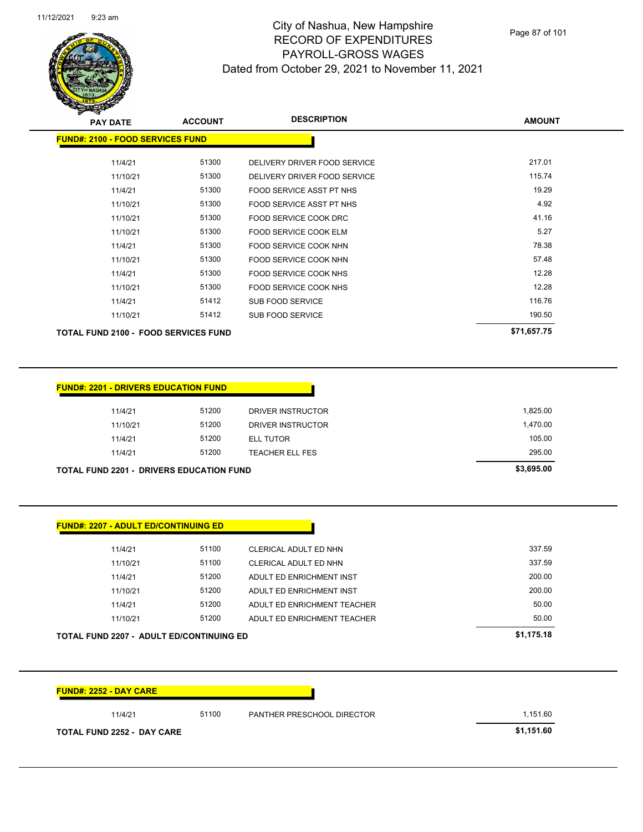

| <b>PAY DATE</b>                             | <b>ACCOUNT</b> | <b>DESCRIPTION</b>              | <b>AMOUNT</b> |
|---------------------------------------------|----------------|---------------------------------|---------------|
| <b>FUND#: 2100 - FOOD SERVICES FUND</b>     |                |                                 |               |
| 11/4/21                                     | 51300          | DELIVERY DRIVER FOOD SERVICE    | 217.01        |
| 11/10/21                                    | 51300          | DELIVERY DRIVER FOOD SERVICE    | 115.74        |
| 11/4/21                                     | 51300          | FOOD SERVICE ASST PT NHS        | 19.29         |
| 11/10/21                                    | 51300          | <b>FOOD SERVICE ASST PT NHS</b> | 4.92          |
| 11/10/21                                    | 51300          | FOOD SERVICE COOK DRC           | 41.16         |
| 11/10/21                                    | 51300          | FOOD SERVICE COOK ELM           | 5.27          |
| 11/4/21                                     | 51300          | FOOD SERVICE COOK NHN           | 78.38         |
| 11/10/21                                    | 51300          | FOOD SERVICE COOK NHN           | 57.48         |
| 11/4/21                                     | 51300          | FOOD SERVICE COOK NHS           | 12.28         |
| 11/10/21                                    | 51300          | FOOD SERVICE COOK NHS           | 12.28         |
| 11/4/21                                     | 51412          | SUB FOOD SERVICE                | 116.76        |
| 11/10/21                                    | 51412          | <b>SUB FOOD SERVICE</b>         | 190.50        |
| <b>TOTAL FUND 2100 - FOOD SERVICES FUND</b> |                |                                 | \$71,657.75   |

| 11/4/21  | 51200 | DRIVER INSTRUCTOR | 1,825.00 |
|----------|-------|-------------------|----------|
| 11/10/21 | 51200 | DRIVER INSTRUCTOR | 1,470.00 |
| 11/4/21  | 51200 | ELL TUTOR         | 105.00   |
| 11/4/21  | 51200 | TEACHER ELL FES   | 295.00   |

| 11/4/21  | 51100 | CLERICAL ADULT ED NHN       | 337.59 |
|----------|-------|-----------------------------|--------|
| 11/10/21 | 51100 | CLERICAL ADULT ED NHN       | 337.59 |
| 11/4/21  | 51200 | ADULT ED ENRICHMENT INST    | 200.00 |
| 11/10/21 | 51200 | ADULT ED ENRICHMENT INST    | 200.00 |
| 11/4/21  | 51200 | ADULT ED ENRICHMENT TEACHER | 50.00  |
| 11/10/21 | 51200 | ADULT ED ENRICHMENT TEACHER | 50.00  |

| 11/4/21                           | 51100<br>PANTHER PRESCHOOL DIRECTOR | 1,151.60   |
|-----------------------------------|-------------------------------------|------------|
| <b>TOTAL FUND 2252 - DAY CARE</b> |                                     | \$1,151.60 |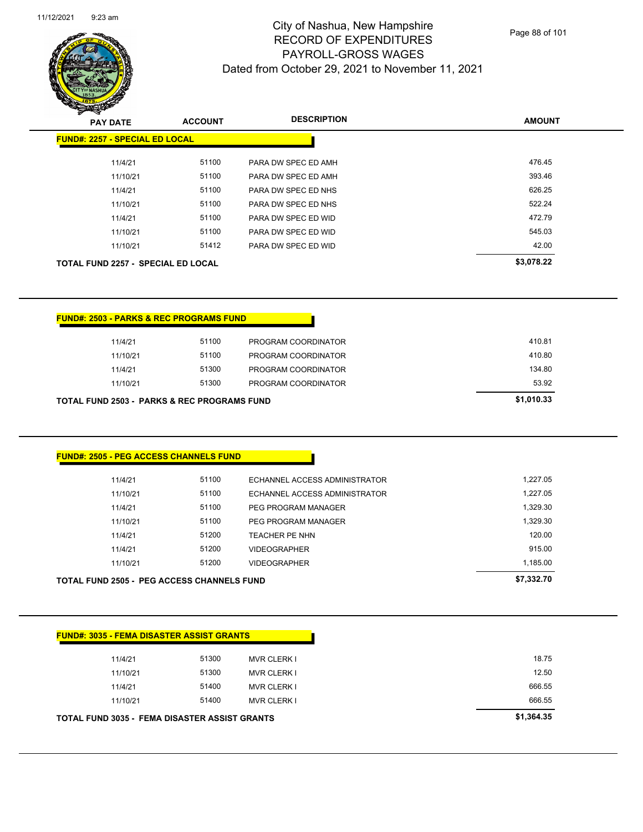

Page 88 of 101

| <b>PAY DATE</b><br><b>FUND#: 2257 - SPECIAL ED LOCAL</b> |                     |                                                      | <b>DESCRIPTION</b>                                   |                      |
|----------------------------------------------------------|---------------------|------------------------------------------------------|------------------------------------------------------|----------------------|
|                                                          |                     | <b>ACCOUNT</b>                                       |                                                      | <b>AMOUNT</b>        |
|                                                          |                     |                                                      |                                                      |                      |
|                                                          | 11/4/21             | 51100                                                | PARA DW SPEC ED AMH                                  | 476.45               |
|                                                          | 11/10/21            | 51100                                                | PARA DW SPEC ED AMH                                  | 393.46               |
|                                                          | 11/4/21             | 51100                                                | PARA DW SPEC ED NHS                                  | 626.25               |
|                                                          | 11/10/21            | 51100                                                | PARA DW SPEC ED NHS                                  | 522.24               |
|                                                          | 11/4/21             | 51100                                                | PARA DW SPEC ED WID                                  | 472.79               |
|                                                          | 11/10/21            | 51100                                                | PARA DW SPEC ED WID                                  | 545.03               |
|                                                          | 11/10/21            | 51412                                                | PARA DW SPEC ED WID                                  | 42.00                |
| <b>TOTAL FUND 2257 - SPECIAL ED LOCAL</b>                |                     |                                                      |                                                      | \$3,078.22           |
|                                                          |                     | <b>FUND#: 2503 - PARKS &amp; REC PROGRAMS FUND</b>   |                                                      |                      |
|                                                          |                     |                                                      |                                                      |                      |
|                                                          |                     |                                                      |                                                      |                      |
|                                                          | 11/4/21             | 51100                                                | PROGRAM COORDINATOR                                  | 410.81               |
|                                                          | 11/10/21            | 51100                                                | PROGRAM COORDINATOR                                  | 410.80               |
|                                                          | 11/4/21             | 51300                                                | PROGRAM COORDINATOR                                  | 134.80               |
|                                                          | 11/10/21            | 51300<br>TOTAL FUND 2503 - PARKS & REC PROGRAMS FUND | PROGRAM COORDINATOR                                  | 53.92<br>\$1,010.33  |
|                                                          |                     | <b>FUND#: 2505 - PEG ACCESS CHANNELS FUND</b>        |                                                      |                      |
|                                                          |                     |                                                      |                                                      |                      |
|                                                          | 11/4/21             | 51100<br>51100                                       | ECHANNEL ACCESS ADMINISTRATOR                        | 1,227.05<br>1,227.05 |
|                                                          | 11/10/21            | 51100                                                | ECHANNEL ACCESS ADMINISTRATOR<br>PEG PROGRAM MANAGER | 1,329.30             |
|                                                          | 11/4/21<br>11/10/21 | 51100                                                | PEG PROGRAM MANAGER                                  | 1,329.30             |
|                                                          | 11/4/21             | 51200                                                | TEACHER PE NHN                                       | 120.00               |
|                                                          | 11/4/21             | 51200                                                | <b>VIDEOGRAPHER</b>                                  | 915.00               |
|                                                          | 11/10/21            | 51200                                                | <b>VIDEOGRAPHER</b>                                  | 1,185.00             |
|                                                          |                     | <b>TOTAL FUND 2505 - PEG ACCESS CHANNELS FUND</b>    |                                                      | \$7,332.70           |

**TOTAL FUND 3035 - FEMA DISASTER ASSIST GRANTS \$1,364.35**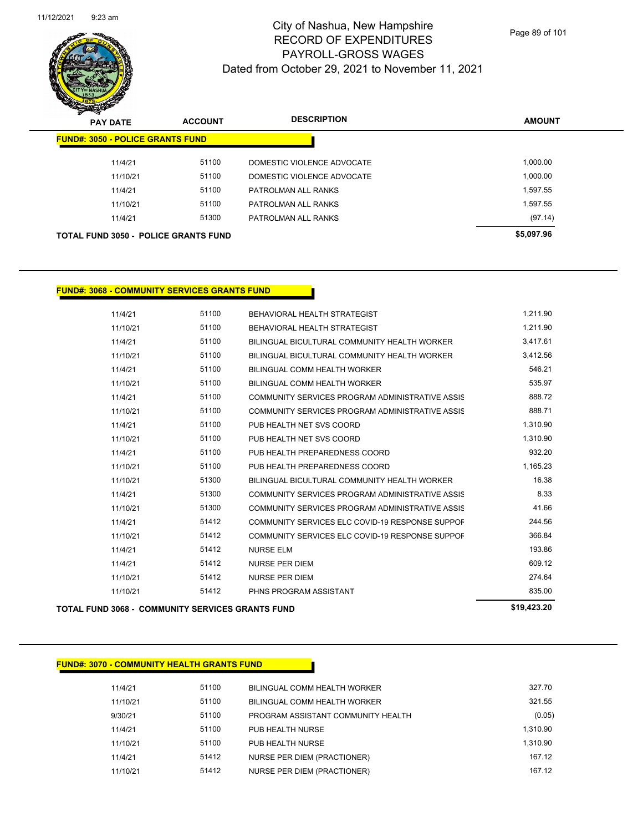

| $\boldsymbol{\nu}$<br>-<br><b>PAY DATE</b>  | <b>ACCOUNT</b> | <b>DESCRIPTION</b>         | <b>AMOUNT</b> |
|---------------------------------------------|----------------|----------------------------|---------------|
| <b>FUND#: 3050 - POLICE GRANTS FUND</b>     |                |                            |               |
| 11/4/21                                     | 51100          | DOMESTIC VIOLENCE ADVOCATE | 1,000.00      |
| 11/10/21                                    | 51100          | DOMESTIC VIOLENCE ADVOCATE | 1,000.00      |
| 11/4/21                                     | 51100          | PATROLMAN ALL RANKS        | 1,597.55      |
| 11/10/21                                    | 51100          | PATROLMAN ALL RANKS        | 1,597.55      |
| 11/4/21                                     | 51300          | PATROLMAN ALL RANKS        | (97.14)       |
| <b>TOTAL FUND 3050 - POLICE GRANTS FUND</b> |                |                            | \$5,097.96    |

#### **FUND#: 3068 - COMMUNITY SERVICES GRANTS FUND**

|          |       |                                                 | $\sim$ 100.00 |
|----------|-------|-------------------------------------------------|---------------|
| 11/10/21 | 51412 | PHNS PROGRAM ASSISTANT                          | 835.00        |
| 11/10/21 | 51412 | <b>NURSE PER DIEM</b>                           | 274.64        |
| 11/4/21  | 51412 | <b>NURSE PER DIEM</b>                           | 609.12        |
| 11/4/21  | 51412 | <b>NURSE ELM</b>                                | 193.86        |
| 11/10/21 | 51412 | COMMUNITY SERVICES ELC COVID-19 RESPONSE SUPPOF | 366.84        |
| 11/4/21  | 51412 | COMMUNITY SERVICES ELC COVID-19 RESPONSE SUPPOF | 244.56        |
| 11/10/21 | 51300 | COMMUNITY SERVICES PROGRAM ADMINISTRATIVE ASSIS | 41.66         |
| 11/4/21  | 51300 | COMMUNITY SERVICES PROGRAM ADMINISTRATIVE ASSIS | 8.33          |
| 11/10/21 | 51300 | BILINGUAL BICULTURAL COMMUNITY HEALTH WORKER    | 16.38         |
| 11/10/21 | 51100 | PUB HEALTH PREPAREDNESS COORD                   | 1,165.23      |
| 11/4/21  | 51100 | PUB HEALTH PREPAREDNESS COORD                   | 932.20        |
| 11/10/21 | 51100 | PUB HEALTH NET SVS COORD                        | 1,310.90      |
| 11/4/21  | 51100 | PUB HEALTH NET SVS COORD                        | 1,310.90      |
| 11/10/21 | 51100 | COMMUNITY SERVICES PROGRAM ADMINISTRATIVE ASSIS | 888.71        |
| 11/4/21  | 51100 | COMMUNITY SERVICES PROGRAM ADMINISTRATIVE ASSIS | 888.72        |
| 11/10/21 | 51100 | BILINGUAL COMM HEALTH WORKER                    | 535.97        |
| 11/4/21  | 51100 | BILINGUAL COMM HEALTH WORKER                    | 546.21        |
| 11/10/21 | 51100 | BILINGUAL BICULTURAL COMMUNITY HEALTH WORKER    | 3,412.56      |
| 11/4/21  | 51100 | BILINGUAL BICULTURAL COMMUNITY HEALTH WORKER    | 3,417.61      |
| 11/10/21 | 51100 | BEHAVIORAL HEALTH STRATEGIST                    | 1,211.90      |
| 11/4/21  | 51100 | BEHAVIORAL HEALTH STRATEGIST                    | 1,211.90      |

**TOTAL FUND 3068 - COMMUNITY SERVICES GRANTS FUND \$19,423.20** 

#### **FUND#: 3070 - COMMUNITY HEALTH GRANTS FUND**

| 11/4/21  | 51100 | BILINGUAL COMM HEALTH WORKER       | 327.70   |
|----------|-------|------------------------------------|----------|
| 11/10/21 | 51100 | BILINGUAL COMM HEALTH WORKER       | 321.55   |
| 9/30/21  | 51100 | PROGRAM ASSISTANT COMMUNITY HEALTH | (0.05)   |
| 11/4/21  | 51100 | PUB HEALTH NURSE                   | 1.310.90 |
| 11/10/21 | 51100 | PUB HEALTH NURSE                   | 1.310.90 |
| 11/4/21  | 51412 | NURSE PER DIEM (PRACTIONER)        | 167.12   |
| 11/10/21 | 51412 | NURSE PER DIEM (PRACTIONER)        | 167.12   |
|          |       |                                    |          |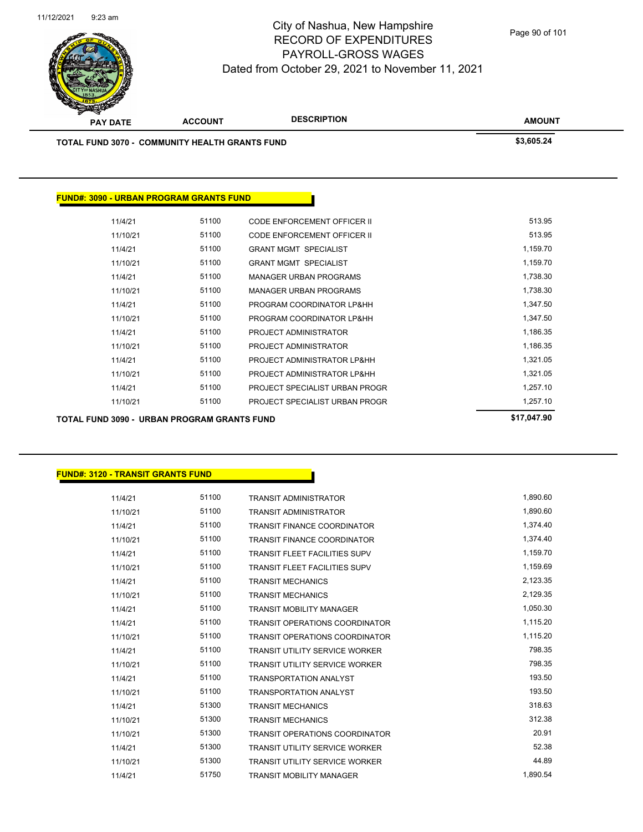

Page 90 of 101

| <b>TOTAL FUND 3070 - COMMUNITY HEALTH GRANTS FUND</b> |       |                                | \$3,605.24  |
|-------------------------------------------------------|-------|--------------------------------|-------------|
|                                                       |       |                                |             |
| <b>FUND#: 3090 - URBAN PROGRAM GRANTS FUND</b>        |       |                                |             |
| 11/4/21                                               | 51100 | CODE ENFORCEMENT OFFICER II    | 513.95      |
| 11/10/21                                              | 51100 | CODE ENFORCEMENT OFFICER II    | 513.95      |
| 11/4/21                                               | 51100 | <b>GRANT MGMT SPECIALIST</b>   | 1,159.70    |
| 11/10/21                                              | 51100 | <b>GRANT MGMT SPECIALIST</b>   | 1,159.70    |
| 11/4/21                                               | 51100 | <b>MANAGER URBAN PROGRAMS</b>  | 1,738.30    |
| 11/10/21                                              | 51100 | <b>MANAGER URBAN PROGRAMS</b>  | 1,738.30    |
| 11/4/21                                               | 51100 | PROGRAM COORDINATOR LP&HH      | 1,347.50    |
| 11/10/21                                              | 51100 | PROGRAM COORDINATOR LP&HH      | 1,347.50    |
| 11/4/21                                               | 51100 | PROJECT ADMINISTRATOR          | 1,186.35    |
| 11/10/21                                              | 51100 | PROJECT ADMINISTRATOR          | 1,186.35    |
| 11/4/21                                               | 51100 | PROJECT ADMINISTRATOR LP&HH    | 1,321.05    |
| 11/10/21                                              | 51100 | PROJECT ADMINISTRATOR LP&HH    | 1,321.05    |
| 11/4/21                                               | 51100 | PROJECT SPECIALIST URBAN PROGR | 1,257.10    |
| 11/10/21                                              | 51100 | PROJECT SPECIALIST URBAN PROGR | 1,257.10    |
|                                                       |       |                                | \$17,047.90 |

| FUND#: 3120 - TRANSIT GRANTS FUND |
|-----------------------------------|
|-----------------------------------|

| 11/4/21  | 51100 | <b>TRANSIT ADMINISTRATOR</b>          | 1,890.60 |
|----------|-------|---------------------------------------|----------|
| 11/10/21 | 51100 | <b>TRANSIT ADMINISTRATOR</b>          | 1,890.60 |
| 11/4/21  | 51100 | <b>TRANSIT FINANCE COORDINATOR</b>    | 1,374.40 |
| 11/10/21 | 51100 | <b>TRANSIT FINANCE COORDINATOR</b>    | 1,374.40 |
| 11/4/21  | 51100 | <b>TRANSIT FLEET FACILITIES SUPV</b>  | 1,159.70 |
| 11/10/21 | 51100 | <b>TRANSIT FLEET FACILITIES SUPV</b>  | 1,159.69 |
| 11/4/21  | 51100 | <b>TRANSIT MECHANICS</b>              | 2,123.35 |
| 11/10/21 | 51100 | <b>TRANSIT MECHANICS</b>              | 2,129.35 |
| 11/4/21  | 51100 | <b>TRANSIT MOBILITY MANAGER</b>       | 1,050.30 |
| 11/4/21  | 51100 | <b>TRANSIT OPERATIONS COORDINATOR</b> | 1,115.20 |
| 11/10/21 | 51100 | <b>TRANSIT OPERATIONS COORDINATOR</b> | 1,115.20 |
| 11/4/21  | 51100 | <b>TRANSIT UTILITY SERVICE WORKER</b> | 798.35   |
| 11/10/21 | 51100 | <b>TRANSIT UTILITY SERVICE WORKER</b> | 798.35   |
| 11/4/21  | 51100 | <b>TRANSPORTATION ANALYST</b>         | 193.50   |
| 11/10/21 | 51100 | <b>TRANSPORTATION ANALYST</b>         | 193.50   |
| 11/4/21  | 51300 | <b>TRANSIT MECHANICS</b>              | 318.63   |
| 11/10/21 | 51300 | <b>TRANSIT MECHANICS</b>              | 312.38   |
| 11/10/21 | 51300 | <b>TRANSIT OPERATIONS COORDINATOR</b> | 20.91    |
| 11/4/21  | 51300 | <b>TRANSIT UTILITY SERVICE WORKER</b> | 52.38    |
| 11/10/21 | 51300 | <b>TRANSIT UTILITY SERVICE WORKER</b> | 44.89    |
| 11/4/21  | 51750 | <b>TRANSIT MOBILITY MANAGER</b>       | 1,890.54 |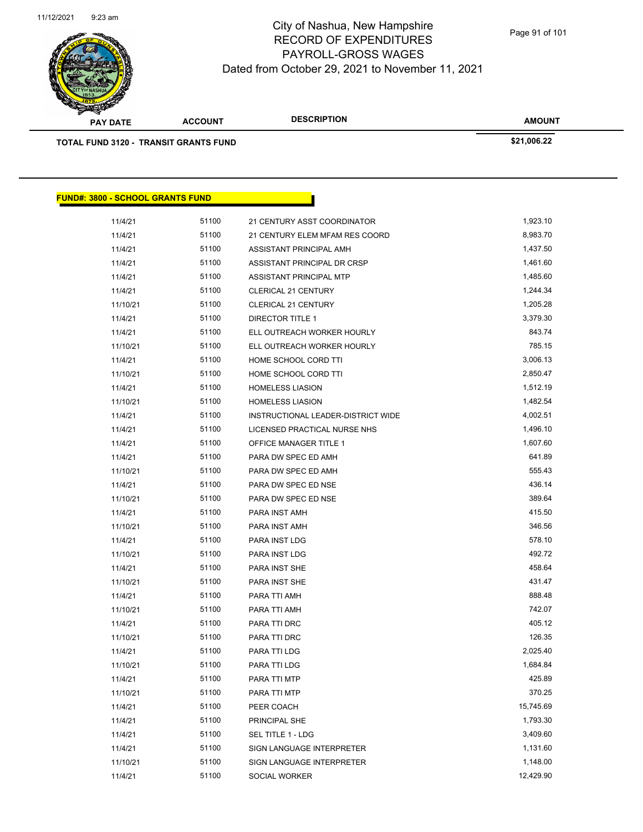

| $\rightarrow$<br><b>PAY DATE</b>             | <b>ACCOUNT</b> | <b>DESCRIPTION</b> | <b>AMOUNT</b> |
|----------------------------------------------|----------------|--------------------|---------------|
| <b>TOTAL FUND 3120 - TRANSIT GRANTS FUND</b> |                |                    | \$21,006.22   |
|                                              |                |                    |               |
|                                              |                |                    |               |
| <b>FUND#: 3800 - SCHOOL GRANTS FUND</b>      |                |                    |               |

| 11/4/21  | 51100 | 21 CENTURY ASST COORDINATOR        | 1,923.10  |
|----------|-------|------------------------------------|-----------|
| 11/4/21  | 51100 | 21 CENTURY ELEM MFAM RES COORD     | 8,983.70  |
| 11/4/21  | 51100 | ASSISTANT PRINCIPAL AMH            | 1,437.50  |
| 11/4/21  | 51100 | ASSISTANT PRINCIPAL DR CRSP        | 1,461.60  |
| 11/4/21  | 51100 | ASSISTANT PRINCIPAL MTP            | 1,485.60  |
| 11/4/21  | 51100 | <b>CLERICAL 21 CENTURY</b>         | 1,244.34  |
| 11/10/21 | 51100 | <b>CLERICAL 21 CENTURY</b>         | 1,205.28  |
| 11/4/21  | 51100 | <b>DIRECTOR TITLE 1</b>            | 3,379.30  |
| 11/4/21  | 51100 | ELL OUTREACH WORKER HOURLY         | 843.74    |
| 11/10/21 | 51100 | ELL OUTREACH WORKER HOURLY         | 785.15    |
| 11/4/21  | 51100 | HOME SCHOOL CORD TTI               | 3,006.13  |
| 11/10/21 | 51100 | HOME SCHOOL CORD TTI               | 2,850.47  |
| 11/4/21  | 51100 | <b>HOMELESS LIASION</b>            | 1,512.19  |
| 11/10/21 | 51100 | <b>HOMELESS LIASION</b>            | 1,482.54  |
| 11/4/21  | 51100 | INSTRUCTIONAL LEADER-DISTRICT WIDE | 4,002.51  |
| 11/4/21  | 51100 | LICENSED PRACTICAL NURSE NHS       | 1,496.10  |
| 11/4/21  | 51100 | OFFICE MANAGER TITLE 1             | 1,607.60  |
| 11/4/21  | 51100 | PARA DW SPEC ED AMH                | 641.89    |
| 11/10/21 | 51100 | PARA DW SPEC ED AMH                | 555.43    |
| 11/4/21  | 51100 | PARA DW SPEC ED NSE                | 436.14    |
| 11/10/21 | 51100 | PARA DW SPEC ED NSE                | 389.64    |
| 11/4/21  | 51100 | PARA INST AMH                      | 415.50    |
| 11/10/21 | 51100 | PARA INST AMH                      | 346.56    |
| 11/4/21  | 51100 | PARA INST LDG                      | 578.10    |
| 11/10/21 | 51100 | PARA INST LDG                      | 492.72    |
| 11/4/21  | 51100 | PARA INST SHE                      | 458.64    |
| 11/10/21 | 51100 | PARA INST SHE                      | 431.47    |
| 11/4/21  | 51100 | PARA TTI AMH                       | 888.48    |
| 11/10/21 | 51100 | PARA TTI AMH                       | 742.07    |
| 11/4/21  | 51100 | PARA TTI DRC                       | 405.12    |
| 11/10/21 | 51100 | PARA TTI DRC                       | 126.35    |
| 11/4/21  | 51100 | PARA TTI LDG                       | 2,025.40  |
| 11/10/21 | 51100 | PARA TTI LDG                       | 1,684.84  |
| 11/4/21  | 51100 | PARA TTI MTP                       | 425.89    |
| 11/10/21 | 51100 | PARA TTI MTP                       | 370.25    |
| 11/4/21  | 51100 | PEER COACH                         | 15,745.69 |
| 11/4/21  | 51100 | PRINCIPAL SHE                      | 1,793.30  |
| 11/4/21  | 51100 | SEL TITLE 1 - LDG                  | 3,409.60  |
| 11/4/21  | 51100 | SIGN LANGUAGE INTERPRETER          | 1,131.60  |
| 11/10/21 | 51100 | SIGN LANGUAGE INTERPRETER          | 1,148.00  |
| 11/4/21  | 51100 | SOCIAL WORKER                      | 12,429.90 |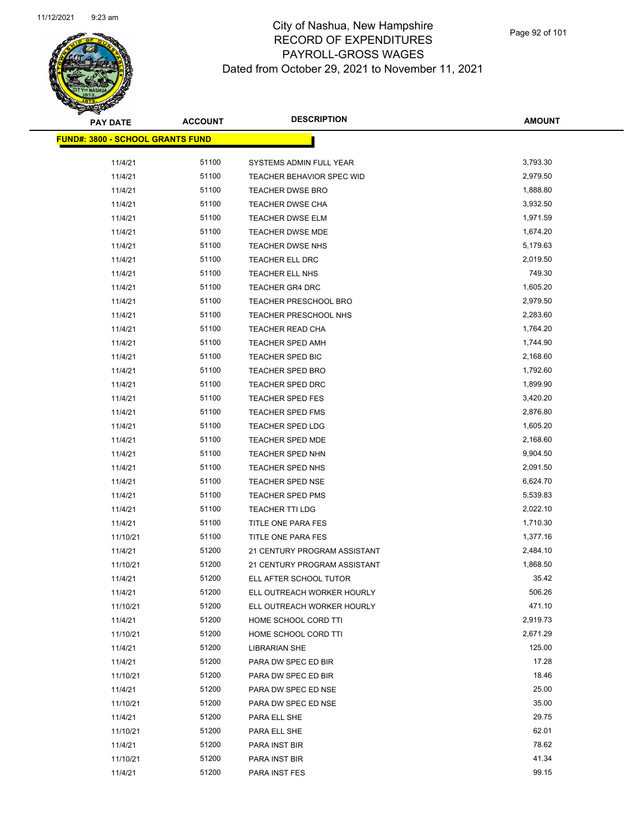

**AMOUNT**

 $\overline{\phantom{0}}$ 

| <u> FUND#: 3800 - SCHOOL GRANTS FUND</u> |       |                                  |          |
|------------------------------------------|-------|----------------------------------|----------|
| 11/4/21                                  | 51100 | SYSTEMS ADMIN FULL YEAR          | 3,793.30 |
| 11/4/21                                  | 51100 | <b>TEACHER BEHAVIOR SPEC WID</b> | 2,979.50 |
| 11/4/21                                  | 51100 | <b>TEACHER DWSE BRO</b>          | 1,888.80 |
| 11/4/21                                  | 51100 | TEACHER DWSE CHA                 | 3,932.50 |
| 11/4/21                                  | 51100 | <b>TEACHER DWSE ELM</b>          | 1,971.59 |
| 11/4/21                                  | 51100 | TEACHER DWSE MDE                 | 1,674.20 |
| 11/4/21                                  | 51100 | <b>TEACHER DWSE NHS</b>          | 5,179.63 |
| 11/4/21                                  | 51100 | TEACHER ELL DRC                  | 2,019.50 |
| 11/4/21                                  | 51100 | TEACHER ELL NHS                  | 749.30   |
| 11/4/21                                  | 51100 | <b>TEACHER GR4 DRC</b>           | 1,605.20 |
| 11/4/21                                  | 51100 | <b>TEACHER PRESCHOOL BRO</b>     | 2,979.50 |
| 11/4/21                                  | 51100 | TEACHER PRESCHOOL NHS            | 2,283.60 |
| 11/4/21                                  | 51100 | TEACHER READ CHA                 | 1,764.20 |
| 11/4/21                                  | 51100 | TEACHER SPED AMH                 | 1,744.90 |
| 11/4/21                                  | 51100 | TEACHER SPED BIC                 | 2,168.60 |
| 11/4/21                                  | 51100 | TEACHER SPED BRO                 | 1,792.60 |
| 11/4/21                                  | 51100 | <b>TEACHER SPED DRC</b>          | 1,899.90 |
| 11/4/21                                  | 51100 | <b>TEACHER SPED FES</b>          | 3,420.20 |
| 11/4/21                                  | 51100 | TEACHER SPED FMS                 | 2,876.80 |
| 11/4/21                                  | 51100 | <b>TEACHER SPED LDG</b>          | 1,605.20 |
| 11/4/21                                  | 51100 | <b>TEACHER SPED MDE</b>          | 2,168.60 |
| 11/4/21                                  | 51100 | TEACHER SPED NHN                 | 9,904.50 |
| 11/4/21                                  | 51100 | TEACHER SPED NHS                 | 2,091.50 |
| 11/4/21                                  | 51100 | TEACHER SPED NSE                 | 6,624.70 |
| 11/4/21                                  | 51100 | <b>TEACHER SPED PMS</b>          | 5,539.83 |
| 11/4/21                                  | 51100 | <b>TEACHER TTI LDG</b>           | 2,022.10 |
| 11/4/21                                  | 51100 | TITLE ONE PARA FES               | 1,710.30 |
| 11/10/21                                 | 51100 | TITLE ONE PARA FES               | 1,377.16 |
| 11/4/21                                  | 51200 | 21 CENTURY PROGRAM ASSISTANT     | 2,484.10 |
| 11/10/21                                 | 51200 | 21 CENTURY PROGRAM ASSISTANT     | 1,868.50 |
| 11/4/21                                  | 51200 | ELL AFTER SCHOOL TUTOR           | 35.42    |
| 11/4/21                                  | 51200 | ELL OUTREACH WORKER HOURLY       | 506.26   |
| 11/10/21                                 | 51200 | ELL OUTREACH WORKER HOURLY       | 471.10   |
| 11/4/21                                  | 51200 | HOME SCHOOL CORD TTI             | 2,919.73 |
| 11/10/21                                 | 51200 | HOME SCHOOL CORD TTI             | 2,671.29 |
| 11/4/21                                  | 51200 | <b>LIBRARIAN SHE</b>             | 125.00   |
| 11/4/21                                  | 51200 | PARA DW SPEC ED BIR              | 17.28    |
| 11/10/21                                 | 51200 | PARA DW SPEC ED BIR              | 18.46    |
| 11/4/21                                  | 51200 | PARA DW SPEC ED NSE              | 25.00    |
| 11/10/21                                 | 51200 | PARA DW SPEC ED NSE              | 35.00    |
| 11/4/21                                  | 51200 | PARA ELL SHE                     | 29.75    |
| 11/10/21                                 | 51200 | PARA ELL SHE                     | 62.01    |
| 11/4/21                                  | 51200 | PARA INST BIR                    | 78.62    |
| 11/10/21                                 | 51200 | PARA INST BIR                    | 41.34    |
| 11/4/21                                  | 51200 | PARA INST FES                    | 99.15    |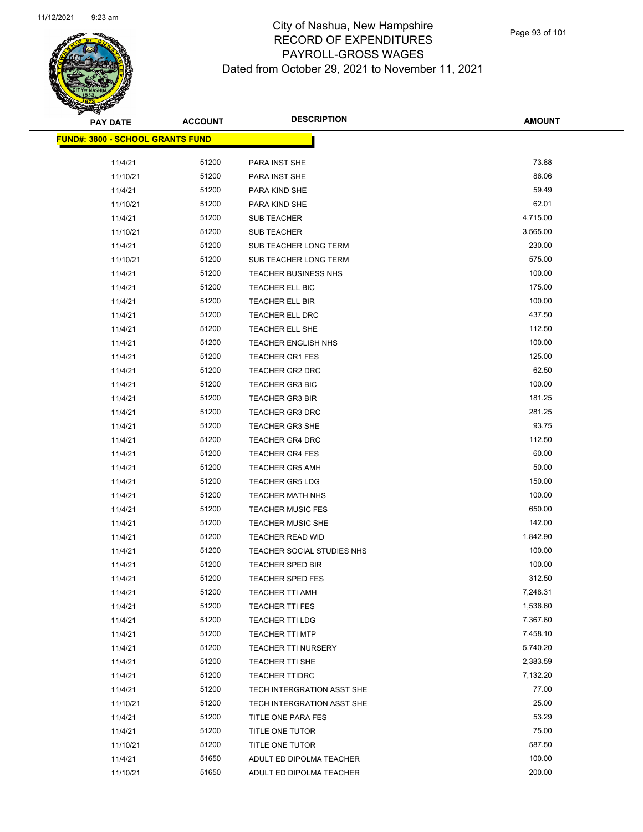

**AMOUNT**

| <u> FUND#: 3800 - SCHOOL GRANTS FUND</u> |       |                                   |          |
|------------------------------------------|-------|-----------------------------------|----------|
|                                          |       |                                   |          |
| 11/4/21                                  | 51200 | PARA INST SHE                     | 73.88    |
| 11/10/21                                 | 51200 | PARA INST SHE                     | 86.06    |
| 11/4/21                                  | 51200 | PARA KIND SHE                     | 59.49    |
| 11/10/21                                 | 51200 | PARA KIND SHE                     | 62.01    |
| 11/4/21                                  | 51200 | <b>SUB TEACHER</b>                | 4,715.00 |
| 11/10/21                                 | 51200 | <b>SUB TEACHER</b>                | 3,565.00 |
| 11/4/21                                  | 51200 | SUB TEACHER LONG TERM             | 230.00   |
| 11/10/21                                 | 51200 | SUB TEACHER LONG TERM             | 575.00   |
| 11/4/21                                  | 51200 | <b>TEACHER BUSINESS NHS</b>       | 100.00   |
| 11/4/21                                  | 51200 | TEACHER ELL BIC                   | 175.00   |
| 11/4/21                                  | 51200 | TEACHER ELL BIR                   | 100.00   |
| 11/4/21                                  | 51200 | TEACHER ELL DRC                   | 437.50   |
| 11/4/21                                  | 51200 | TEACHER ELL SHE                   | 112.50   |
| 11/4/21                                  | 51200 | <b>TEACHER ENGLISH NHS</b>        | 100.00   |
| 11/4/21                                  | 51200 | <b>TEACHER GR1 FES</b>            | 125.00   |
| 11/4/21                                  | 51200 | TEACHER GR2 DRC                   | 62.50    |
| 11/4/21                                  | 51200 | <b>TEACHER GR3 BIC</b>            | 100.00   |
| 11/4/21                                  | 51200 | <b>TEACHER GR3 BIR</b>            | 181.25   |
| 11/4/21                                  | 51200 | <b>TEACHER GR3 DRC</b>            | 281.25   |
| 11/4/21                                  | 51200 | <b>TEACHER GR3 SHE</b>            | 93.75    |
| 11/4/21                                  | 51200 | <b>TEACHER GR4 DRC</b>            | 112.50   |
| 11/4/21                                  | 51200 | <b>TEACHER GR4 FES</b>            | 60.00    |
| 11/4/21                                  | 51200 | <b>TEACHER GR5 AMH</b>            | 50.00    |
| 11/4/21                                  | 51200 | <b>TEACHER GR5 LDG</b>            | 150.00   |
| 11/4/21                                  | 51200 | <b>TEACHER MATH NHS</b>           | 100.00   |
| 11/4/21                                  | 51200 | <b>TEACHER MUSIC FES</b>          | 650.00   |
| 11/4/21                                  | 51200 | <b>TEACHER MUSIC SHE</b>          | 142.00   |
| 11/4/21                                  | 51200 | <b>TEACHER READ WID</b>           | 1,842.90 |
| 11/4/21                                  | 51200 | <b>TEACHER SOCIAL STUDIES NHS</b> | 100.00   |
| 11/4/21                                  | 51200 | <b>TEACHER SPED BIR</b>           | 100.00   |
| 11/4/21                                  | 51200 | <b>TEACHER SPED FES</b>           | 312.50   |
| 11/4/21                                  | 51200 | <b>TEACHER TTI AMH</b>            | 7,248.31 |
| 11/4/21                                  | 51200 | TEACHER TTI FES                   | 1,536.60 |
| 11/4/21                                  | 51200 | <b>TEACHER TTI LDG</b>            | 7,367.60 |
| 11/4/21                                  | 51200 | <b>TEACHER TTI MTP</b>            | 7,458.10 |
| 11/4/21                                  | 51200 | <b>TEACHER TTI NURSERY</b>        | 5,740.20 |
| 11/4/21                                  | 51200 | TEACHER TTI SHE                   | 2,383.59 |
| 11/4/21                                  | 51200 | <b>TEACHER TTIDRC</b>             | 7,132.20 |
| 11/4/21                                  | 51200 | TECH INTERGRATION ASST SHE        | 77.00    |
| 11/10/21                                 | 51200 | TECH INTERGRATION ASST SHE        | 25.00    |
| 11/4/21                                  | 51200 | TITLE ONE PARA FES                | 53.29    |
| 11/4/21                                  | 51200 | TITLE ONE TUTOR                   | 75.00    |
| 11/10/21                                 | 51200 | TITLE ONE TUTOR                   | 587.50   |
| 11/4/21                                  | 51650 | ADULT ED DIPOLMA TEACHER          | 100.00   |
| 11/10/21                                 | 51650 | ADULT ED DIPOLMA TEACHER          | 200.00   |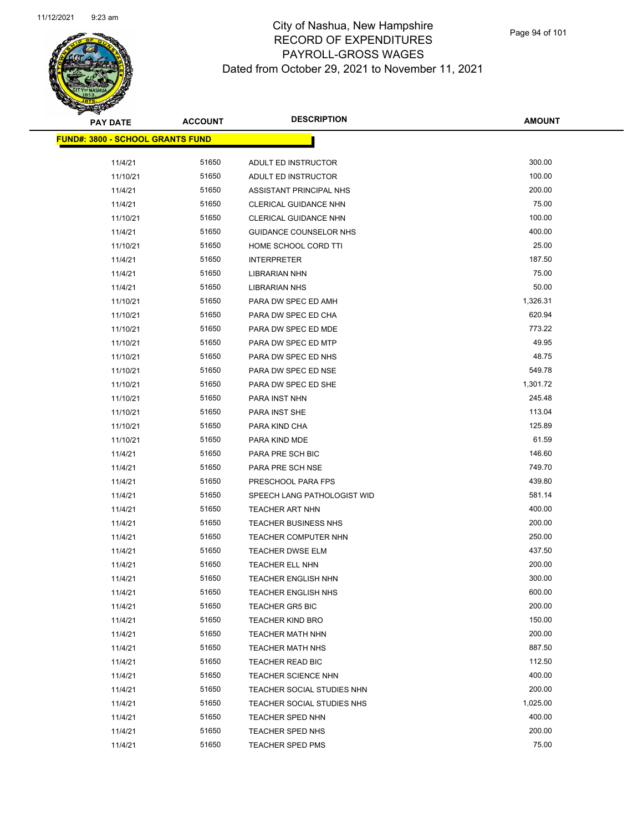

**AMOUNT**

| <u> FUND#: 3800 - SCHOOL GRANTS FUND</u> |       |                              |          |
|------------------------------------------|-------|------------------------------|----------|
|                                          |       |                              |          |
| 11/4/21                                  | 51650 | ADULT ED INSTRUCTOR          | 300.00   |
| 11/10/21                                 | 51650 | ADULT ED INSTRUCTOR          | 100.00   |
| 11/4/21                                  | 51650 | ASSISTANT PRINCIPAL NHS      | 200.00   |
| 11/4/21                                  | 51650 | CLERICAL GUIDANCE NHN        | 75.00    |
| 11/10/21                                 | 51650 | <b>CLERICAL GUIDANCE NHN</b> | 100.00   |
| 11/4/21                                  | 51650 | GUIDANCE COUNSELOR NHS       | 400.00   |
| 11/10/21                                 | 51650 | HOME SCHOOL CORD TTI         | 25.00    |
| 11/4/21                                  | 51650 | <b>INTERPRETER</b>           | 187.50   |
| 11/4/21                                  | 51650 | LIBRARIAN NHN                | 75.00    |
| 11/4/21                                  | 51650 | <b>LIBRARIAN NHS</b>         | 50.00    |
| 11/10/21                                 | 51650 | PARA DW SPEC ED AMH          | 1,326.31 |
| 11/10/21                                 | 51650 | PARA DW SPEC ED CHA          | 620.94   |
| 11/10/21                                 | 51650 | PARA DW SPEC ED MDE          | 773.22   |
| 11/10/21                                 | 51650 | PARA DW SPEC ED MTP          | 49.95    |
| 11/10/21                                 | 51650 | PARA DW SPEC ED NHS          | 48.75    |
| 11/10/21                                 | 51650 | PARA DW SPEC ED NSE          | 549.78   |
| 11/10/21                                 | 51650 | PARA DW SPEC ED SHE          | 1,301.72 |
| 11/10/21                                 | 51650 | PARA INST NHN                | 245.48   |
| 11/10/21                                 | 51650 | PARA INST SHE                | 113.04   |
| 11/10/21                                 | 51650 | PARA KIND CHA                | 125.89   |
| 11/10/21                                 | 51650 | PARA KIND MDE                | 61.59    |
| 11/4/21                                  | 51650 | PARA PRE SCH BIC             | 146.60   |
| 11/4/21                                  | 51650 | PARA PRE SCH NSE             | 749.70   |
| 11/4/21                                  | 51650 | PRESCHOOL PARA FPS           | 439.80   |
| 11/4/21                                  | 51650 | SPEECH LANG PATHOLOGIST WID  | 581.14   |
| 11/4/21                                  | 51650 | <b>TEACHER ART NHN</b>       | 400.00   |
| 11/4/21                                  | 51650 | <b>TEACHER BUSINESS NHS</b>  | 200.00   |
| 11/4/21                                  | 51650 | <b>TEACHER COMPUTER NHN</b>  | 250.00   |
| 11/4/21                                  | 51650 | <b>TEACHER DWSE ELM</b>      | 437.50   |
| 11/4/21                                  | 51650 | <b>TEACHER ELL NHN</b>       | 200.00   |
| 11/4/21                                  | 51650 | <b>TEACHER ENGLISH NHN</b>   | 300.00   |
| 11/4/21                                  | 51650 | <b>TEACHER ENGLISH NHS</b>   | 600.00   |
| 11/4/21                                  | 51650 | <b>TEACHER GR5 BIC</b>       | 200.00   |
| 11/4/21                                  | 51650 | <b>TEACHER KIND BRO</b>      | 150.00   |
| 11/4/21                                  | 51650 | <b>TEACHER MATH NHN</b>      | 200.00   |
| 11/4/21                                  | 51650 | <b>TEACHER MATH NHS</b>      | 887.50   |
| 11/4/21                                  | 51650 | TEACHER READ BIC             | 112.50   |
| 11/4/21                                  | 51650 | TEACHER SCIENCE NHN          | 400.00   |
| 11/4/21                                  | 51650 | TEACHER SOCIAL STUDIES NHN   | 200.00   |
| 11/4/21                                  | 51650 | TEACHER SOCIAL STUDIES NHS   | 1,025.00 |
| 11/4/21                                  | 51650 | <b>TEACHER SPED NHN</b>      | 400.00   |
| 11/4/21                                  | 51650 | TEACHER SPED NHS             | 200.00   |
| 11/4/21                                  | 51650 | <b>TEACHER SPED PMS</b>      | 75.00    |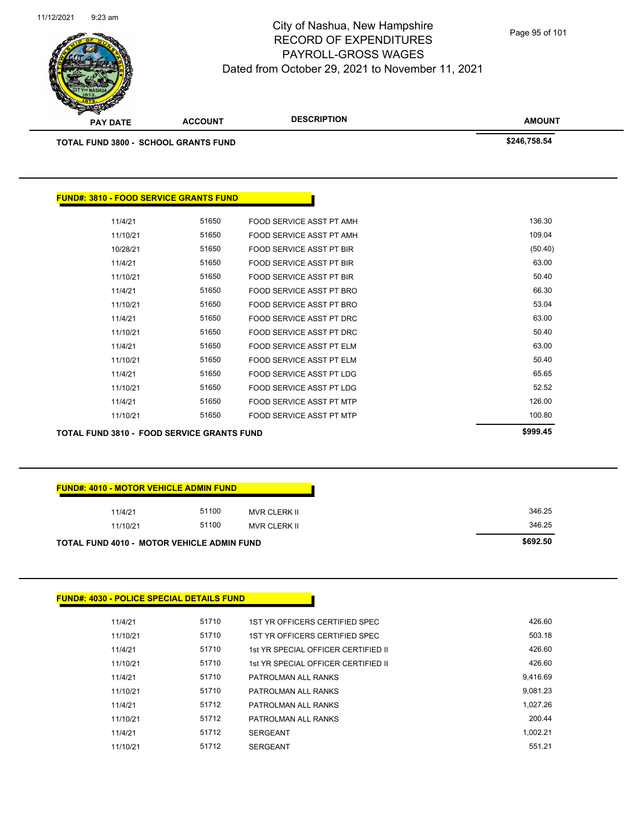

| <b>TOTAL FUND 3800 - SCHOOL GRANTS FUND</b>       |       |                                 | \$246,758.54 |
|---------------------------------------------------|-------|---------------------------------|--------------|
|                                                   |       |                                 |              |
| <b>FUND#: 3810 - FOOD SERVICE GRANTS FUND</b>     |       |                                 |              |
| 11/4/21                                           | 51650 | FOOD SERVICE ASST PT AMH        | 136.30       |
| 11/10/21                                          | 51650 | FOOD SERVICE ASST PT AMH        | 109.04       |
| 10/28/21                                          | 51650 | <b>FOOD SERVICE ASST PT BIR</b> | (50.40)      |
| 11/4/21                                           | 51650 | <b>FOOD SERVICE ASST PT BIR</b> | 63.00        |
| 11/10/21                                          | 51650 | <b>FOOD SERVICE ASST PT BIR</b> | 50.40        |
| 11/4/21                                           | 51650 | FOOD SERVICE ASST PT BRO        | 66.30        |
| 11/10/21                                          | 51650 | FOOD SERVICE ASST PT BRO        | 53.04        |
| 11/4/21                                           | 51650 | FOOD SERVICE ASST PT DRC        | 63.00        |
| 11/10/21                                          | 51650 | FOOD SERVICE ASST PT DRC        | 50.40        |
| 11/4/21                                           | 51650 | <b>FOOD SERVICE ASST PT ELM</b> | 63.00        |
| 11/10/21                                          | 51650 | <b>FOOD SERVICE ASST PT ELM</b> | 50.40        |
| 11/4/21                                           | 51650 | FOOD SERVICE ASST PT LDG        | 65.65        |
| 11/10/21                                          | 51650 | <b>FOOD SERVICE ASST PT LDG</b> | 52.52        |
| 11/4/21                                           | 51650 | <b>FOOD SERVICE ASST PT MTP</b> | 126.00       |
| 11/10/21                                          | 51650 | <b>FOOD SERVICE ASST PT MTP</b> | 100.80       |
| <b>TOTAL FUND 3810 - FOOD SERVICE GRANTS FUND</b> |       |                                 | \$999.45     |

| <b>FUND#: 4010 - MOTOR VEHICLE ADMIN FUND</b> |       |                     |  |  |
|-----------------------------------------------|-------|---------------------|--|--|
| 11/4/21                                       | 51100 | <b>MVR CLERK II</b> |  |  |
| 11/10/21                                      | 51100 | <b>MVR CLERK II</b> |  |  |

**TOTAL FUND 4010 - MOTOR VEHICLE ADMIN FUND \$692.50** 

## **FUND#: 4030 - POLICE SPECIAL DETAILS FUND**

| 11/4/21  | 51710 | 1ST YR OFFICERS CERTIFIED SPEC      | 426.60   |
|----------|-------|-------------------------------------|----------|
| 11/10/21 | 51710 | 1ST YR OFFICERS CERTIFIED SPEC      | 503.18   |
| 11/4/21  | 51710 | 1st YR SPECIAL OFFICER CERTIFIED II | 426.60   |
| 11/10/21 | 51710 | 1st YR SPECIAL OFFICER CERTIFIED II | 426.60   |
| 11/4/21  | 51710 | PATROLMAN ALL RANKS                 | 9.416.69 |
| 11/10/21 | 51710 | PATROLMAN ALL RANKS                 | 9.081.23 |
| 11/4/21  | 51712 | PATROLMAN ALL RANKS                 | 1.027.26 |
| 11/10/21 | 51712 | PATROLMAN ALL RANKS                 | 200.44   |
| 11/4/21  | 51712 | <b>SERGEANT</b>                     | 1.002.21 |
| 11/10/21 | 51712 | <b>SERGEANT</b>                     | 551.21   |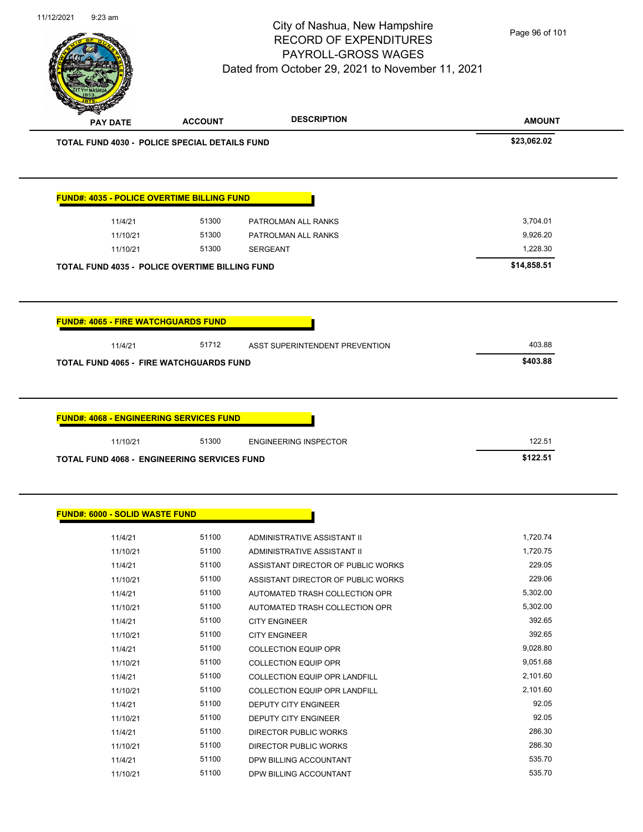

Page 96 of 101

|                                                |                                                                                                                                                                                                                                                                                                                                                                                                                                                                                                                    |                              | <b>AMOUNT</b> |
|------------------------------------------------|--------------------------------------------------------------------------------------------------------------------------------------------------------------------------------------------------------------------------------------------------------------------------------------------------------------------------------------------------------------------------------------------------------------------------------------------------------------------------------------------------------------------|------------------------------|---------------|
|                                                | <b>DESCRIPTION</b><br><b>ACCOUNT</b><br><b>PAY DATE</b><br><b>TOTAL FUND 4030 - POLICE SPECIAL DETAILS FUND</b><br><b>FUND#: 4035 - POLICE OVERTIME BILLING FUND</b><br>51300<br>11/4/21<br>PATROLMAN ALL RANKS<br>51300<br>11/10/21<br>PATROLMAN ALL RANKS<br>51300<br>11/10/21<br><b>SERGEANT</b><br><b>TOTAL FUND 4035 - POLICE OVERTIME BILLING FUND</b><br><b>FUND#: 4065 - FIRE WATCHGUARDS FUND</b><br>11/4/21<br>51712<br>ASST SUPERINTENDENT PREVENTION<br><b>TOTAL FUND 4065 - FIRE WATCHGUARDS FUND</b> | \$23,062.02                  |               |
|                                                |                                                                                                                                                                                                                                                                                                                                                                                                                                                                                                                    |                              |               |
|                                                |                                                                                                                                                                                                                                                                                                                                                                                                                                                                                                                    |                              |               |
|                                                |                                                                                                                                                                                                                                                                                                                                                                                                                                                                                                                    |                              | 3,704.01      |
|                                                |                                                                                                                                                                                                                                                                                                                                                                                                                                                                                                                    |                              | 9,926.20      |
|                                                |                                                                                                                                                                                                                                                                                                                                                                                                                                                                                                                    |                              | 1,228.30      |
|                                                |                                                                                                                                                                                                                                                                                                                                                                                                                                                                                                                    |                              |               |
|                                                |                                                                                                                                                                                                                                                                                                                                                                                                                                                                                                                    |                              | \$14,858.51   |
|                                                |                                                                                                                                                                                                                                                                                                                                                                                                                                                                                                                    |                              |               |
|                                                |                                                                                                                                                                                                                                                                                                                                                                                                                                                                                                                    |                              | 403.88        |
|                                                |                                                                                                                                                                                                                                                                                                                                                                                                                                                                                                                    |                              | \$403.88      |
| <b>FUND#: 4068 - ENGINEERING SERVICES FUND</b> |                                                                                                                                                                                                                                                                                                                                                                                                                                                                                                                    |                              |               |
| 11/10/21                                       | 51300                                                                                                                                                                                                                                                                                                                                                                                                                                                                                                              | <b>ENGINEERING INSPECTOR</b> | 122.51        |

## **FUND#: 6000 - SOLID WASTE FUND**

| 11/4/21  | 51100 | ADMINISTRATIVE ASSISTANT II          | 1,720.74 |
|----------|-------|--------------------------------------|----------|
| 11/10/21 | 51100 | ADMINISTRATIVE ASSISTANT II          | 1,720.75 |
| 11/4/21  | 51100 | ASSISTANT DIRECTOR OF PUBLIC WORKS   | 229.05   |
| 11/10/21 | 51100 | ASSISTANT DIRECTOR OF PUBLIC WORKS   | 229.06   |
| 11/4/21  | 51100 | AUTOMATED TRASH COLLECTION OPR       | 5,302.00 |
| 11/10/21 | 51100 | AUTOMATED TRASH COLLECTION OPR       | 5,302.00 |
| 11/4/21  | 51100 | <b>CITY ENGINEER</b>                 | 392.65   |
| 11/10/21 | 51100 | <b>CITY ENGINEER</b>                 | 392.65   |
| 11/4/21  | 51100 | <b>COLLECTION EQUIP OPR</b>          | 9,028.80 |
| 11/10/21 | 51100 | <b>COLLECTION EQUIP OPR</b>          | 9,051.68 |
| 11/4/21  | 51100 | <b>COLLECTION EQUIP OPR LANDFILL</b> | 2,101.60 |
| 11/10/21 | 51100 | COLLECTION EQUIP OPR LANDFILL        | 2,101.60 |
| 11/4/21  | 51100 | <b>DEPUTY CITY ENGINEER</b>          | 92.05    |
| 11/10/21 | 51100 | <b>DEPUTY CITY ENGINEER</b>          | 92.05    |
| 11/4/21  | 51100 | DIRECTOR PUBLIC WORKS                | 286.30   |
| 11/10/21 | 51100 | DIRECTOR PUBLIC WORKS                | 286.30   |
| 11/4/21  | 51100 | DPW BILLING ACCOUNTANT               | 535.70   |
| 11/10/21 | 51100 | DPW BILLING ACCOUNTANT               | 535.70   |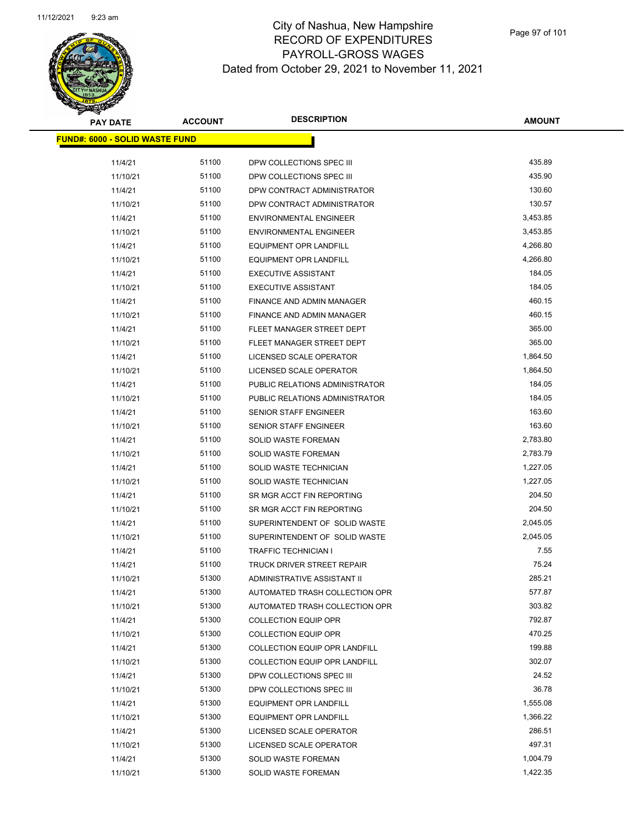

| <b>PAY DATE</b>                        | <b>ACCOUNT</b> | <b>DESCRIPTION</b>                   | <b>AMOUNT</b> |
|----------------------------------------|----------------|--------------------------------------|---------------|
| <u> FUND#: 6000 - SOLID WASTE FUND</u> |                |                                      |               |
|                                        |                |                                      |               |
| 11/4/21                                | 51100          | DPW COLLECTIONS SPEC III             | 435.89        |
| 11/10/21                               | 51100          | DPW COLLECTIONS SPEC III             | 435.90        |
| 11/4/21                                | 51100          | DPW CONTRACT ADMINISTRATOR           | 130.60        |
| 11/10/21                               | 51100          | DPW CONTRACT ADMINISTRATOR           | 130.57        |
| 11/4/21                                | 51100          | <b>ENVIRONMENTAL ENGINEER</b>        | 3,453.85      |
| 11/10/21                               | 51100          | <b>ENVIRONMENTAL ENGINEER</b>        | 3,453.85      |
| 11/4/21                                | 51100          | <b>EQUIPMENT OPR LANDFILL</b>        | 4,266.80      |
| 11/10/21                               | 51100          | <b>EQUIPMENT OPR LANDFILL</b>        | 4,266.80      |
| 11/4/21                                | 51100          | <b>EXECUTIVE ASSISTANT</b>           | 184.05        |
| 11/10/21                               | 51100          | <b>EXECUTIVE ASSISTANT</b>           | 184.05        |
| 11/4/21                                | 51100          | FINANCE AND ADMIN MANAGER            | 460.15        |
| 11/10/21                               | 51100          | FINANCE AND ADMIN MANAGER            | 460.15        |
| 11/4/21                                | 51100          | FLEET MANAGER STREET DEPT            | 365.00        |
| 11/10/21                               | 51100          | FLEET MANAGER STREET DEPT            | 365.00        |
| 11/4/21                                | 51100          | LICENSED SCALE OPERATOR              | 1,864.50      |
| 11/10/21                               | 51100          | LICENSED SCALE OPERATOR              | 1,864.50      |
| 11/4/21                                | 51100          | PUBLIC RELATIONS ADMINISTRATOR       | 184.05        |
| 11/10/21                               | 51100          | PUBLIC RELATIONS ADMINISTRATOR       | 184.05        |
| 11/4/21                                | 51100          | SENIOR STAFF ENGINEER                | 163.60        |
| 11/10/21                               | 51100          | SENIOR STAFF ENGINEER                | 163.60        |
| 11/4/21                                | 51100          | <b>SOLID WASTE FOREMAN</b>           | 2,783.80      |
| 11/10/21                               | 51100          | SOLID WASTE FOREMAN                  | 2,783.79      |
| 11/4/21                                | 51100          | SOLID WASTE TECHNICIAN               | 1,227.05      |
| 11/10/21                               | 51100          | SOLID WASTE TECHNICIAN               | 1,227.05      |
| 11/4/21                                | 51100          | SR MGR ACCT FIN REPORTING            | 204.50        |
| 11/10/21                               | 51100          | SR MGR ACCT FIN REPORTING            | 204.50        |
| 11/4/21                                | 51100          | SUPERINTENDENT OF SOLID WASTE        | 2,045.05      |
| 11/10/21                               | 51100          | SUPERINTENDENT OF SOLID WASTE        | 2,045.05      |
| 11/4/21                                | 51100          | TRAFFIC TECHNICIAN I                 | 7.55          |
| 11/4/21                                | 51100          | TRUCK DRIVER STREET REPAIR           | 75.24         |
| 11/10/21                               | 51300          | ADMINISTRATIVE ASSISTANT II          | 285.21        |
| 11/4/21                                | 51300          | AUTOMATED TRASH COLLECTION OPR       | 577.87        |
| 11/10/21                               | 51300          | AUTOMATED TRASH COLLECTION OPR       | 303.82        |
| 11/4/21                                | 51300          | <b>COLLECTION EQUIP OPR</b>          | 792.87        |
| 11/10/21                               | 51300          | <b>COLLECTION EQUIP OPR</b>          | 470.25        |
| 11/4/21                                | 51300          | <b>COLLECTION EQUIP OPR LANDFILL</b> | 199.88        |
| 11/10/21                               | 51300          | COLLECTION EQUIP OPR LANDFILL        | 302.07        |
| 11/4/21                                | 51300          | DPW COLLECTIONS SPEC III             | 24.52         |
| 11/10/21                               | 51300          | DPW COLLECTIONS SPEC III             | 36.78         |
| 11/4/21                                | 51300          | <b>EQUIPMENT OPR LANDFILL</b>        | 1,555.08      |
| 11/10/21                               | 51300          | EQUIPMENT OPR LANDFILL               | 1,366.22      |
| 11/4/21                                | 51300          | LICENSED SCALE OPERATOR              | 286.51        |
| 11/10/21                               | 51300          | LICENSED SCALE OPERATOR              | 497.31        |
| 11/4/21                                | 51300          | <b>SOLID WASTE FOREMAN</b>           | 1,004.79      |
| 11/10/21                               | 51300          | SOLID WASTE FOREMAN                  | 1,422.35      |
|                                        |                |                                      |               |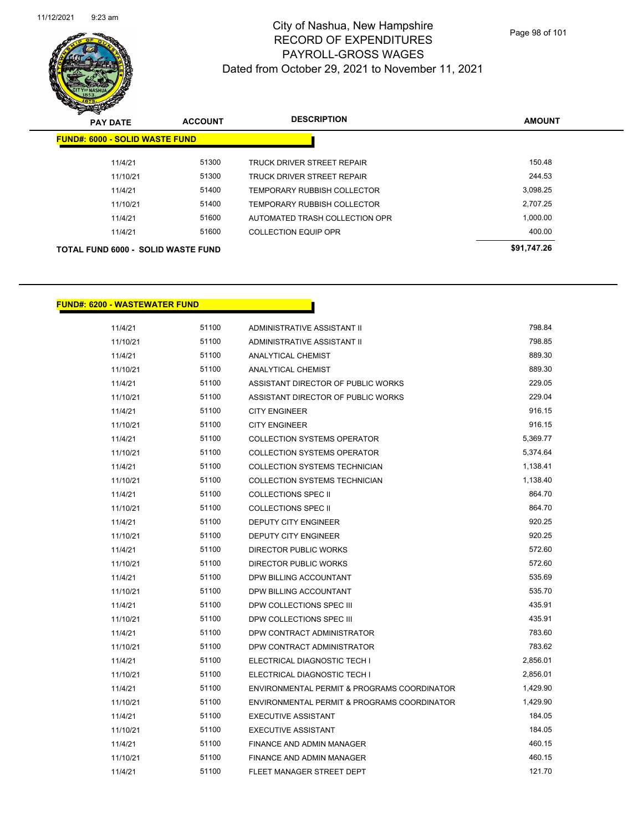

| <b>PAY DATE</b>                           | <b>ACCOUNT</b> | <b>DESCRIPTION</b>                 | <b>AMOUNT</b> |
|-------------------------------------------|----------------|------------------------------------|---------------|
| <b>FUND#: 6000 - SOLID WASTE FUND</b>     |                |                                    |               |
| 11/4/21                                   | 51300          | TRUCK DRIVER STREET REPAIR         | 150.48        |
| 11/10/21                                  | 51300          | <b>TRUCK DRIVER STREET REPAIR</b>  | 244.53        |
| 11/4/21                                   | 51400          | <b>TEMPORARY RUBBISH COLLECTOR</b> | 3.098.25      |
| 11/10/21                                  | 51400          | TEMPORARY RUBBISH COLLECTOR        | 2,707.25      |
| 11/4/21                                   | 51600          | AUTOMATED TRASH COLLECTION OPR     | 1,000.00      |
| 11/4/21                                   | 51600          | <b>COLLECTION EQUIP OPR</b>        | 400.00        |
| <b>TOTAL FUND 6000 - SOLID WASTE FUND</b> |                |                                    | \$91,747.26   |

#### **FUND#: 6200 - WASTEWATER FUND**

| 11/4/21  | 51100 | ADMINISTRATIVE ASSISTANT II                 | 798.84   |
|----------|-------|---------------------------------------------|----------|
| 11/10/21 | 51100 | ADMINISTRATIVE ASSISTANT II                 | 798.85   |
| 11/4/21  | 51100 | <b>ANALYTICAL CHEMIST</b>                   | 889.30   |
| 11/10/21 | 51100 | ANALYTICAL CHEMIST                          | 889.30   |
| 11/4/21  | 51100 | ASSISTANT DIRECTOR OF PUBLIC WORKS          | 229.05   |
| 11/10/21 | 51100 | ASSISTANT DIRECTOR OF PUBLIC WORKS          | 229.04   |
| 11/4/21  | 51100 | <b>CITY ENGINEER</b>                        | 916.15   |
| 11/10/21 | 51100 | <b>CITY ENGINEER</b>                        | 916.15   |
| 11/4/21  | 51100 | <b>COLLECTION SYSTEMS OPERATOR</b>          | 5,369.77 |
| 11/10/21 | 51100 | <b>COLLECTION SYSTEMS OPERATOR</b>          | 5,374.64 |
| 11/4/21  | 51100 | <b>COLLECTION SYSTEMS TECHNICIAN</b>        | 1,138.41 |
| 11/10/21 | 51100 | <b>COLLECTION SYSTEMS TECHNICIAN</b>        | 1,138.40 |
| 11/4/21  | 51100 | COLLECTIONS SPEC II                         | 864.70   |
| 11/10/21 | 51100 | <b>COLLECTIONS SPEC II</b>                  | 864.70   |
| 11/4/21  | 51100 | DEPUTY CITY ENGINEER                        | 920.25   |
| 11/10/21 | 51100 | <b>DEPUTY CITY ENGINEER</b>                 | 920.25   |
| 11/4/21  | 51100 | <b>DIRECTOR PUBLIC WORKS</b>                | 572.60   |
| 11/10/21 | 51100 | DIRECTOR PUBLIC WORKS                       | 572.60   |
| 11/4/21  | 51100 | DPW BILLING ACCOUNTANT                      | 535.69   |
| 11/10/21 | 51100 | DPW BILLING ACCOUNTANT                      | 535.70   |
| 11/4/21  | 51100 | DPW COLLECTIONS SPEC III                    | 435.91   |
| 11/10/21 | 51100 | DPW COLLECTIONS SPEC III                    | 435.91   |
| 11/4/21  | 51100 | DPW CONTRACT ADMINISTRATOR                  | 783.60   |
| 11/10/21 | 51100 | DPW CONTRACT ADMINISTRATOR                  | 783.62   |
| 11/4/21  | 51100 | ELECTRICAL DIAGNOSTIC TECH I                | 2,856.01 |
| 11/10/21 | 51100 | ELECTRICAL DIAGNOSTIC TECH I                | 2,856.01 |
| 11/4/21  | 51100 | ENVIRONMENTAL PERMIT & PROGRAMS COORDINATOR | 1,429.90 |
| 11/10/21 | 51100 | ENVIRONMENTAL PERMIT & PROGRAMS COORDINATOR | 1,429.90 |
| 11/4/21  | 51100 | <b>EXECUTIVE ASSISTANT</b>                  | 184.05   |
| 11/10/21 | 51100 | <b>EXECUTIVE ASSISTANT</b>                  | 184.05   |
| 11/4/21  | 51100 | FINANCE AND ADMIN MANAGER                   | 460.15   |
| 11/10/21 | 51100 | FINANCE AND ADMIN MANAGER                   | 460.15   |
| 11/4/21  | 51100 | FLEET MANAGER STREET DEPT                   | 121.70   |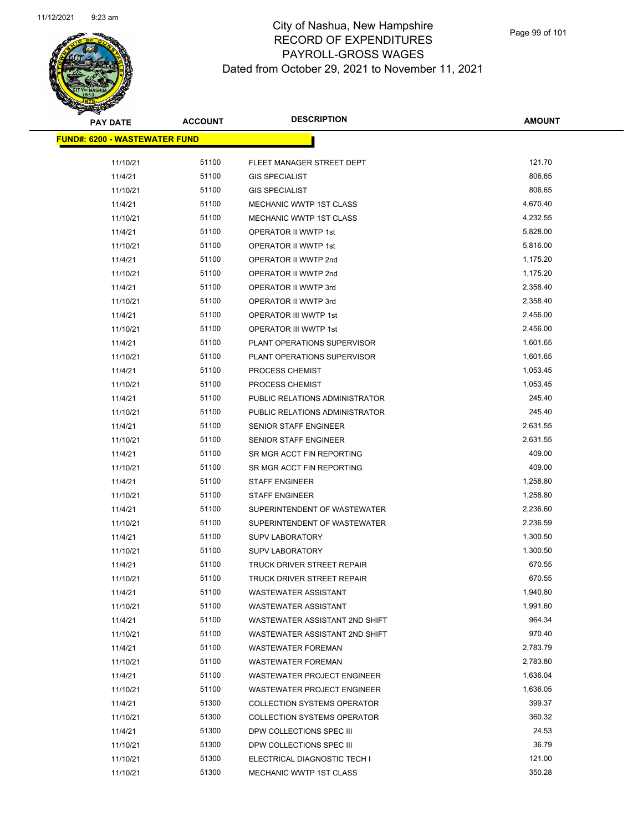

| <b>PAY DATE</b>                      | <b>ACCOUNT</b> | <b>DESCRIPTION</b>                 | <b>AMOUNT</b> |
|--------------------------------------|----------------|------------------------------------|---------------|
| <b>FUND#: 6200 - WASTEWATER FUND</b> |                |                                    |               |
|                                      |                |                                    |               |
| 11/10/21                             | 51100          | FLEET MANAGER STREET DEPT          | 121.70        |
| 11/4/21                              | 51100          | <b>GIS SPECIALIST</b>              | 806.65        |
| 11/10/21                             | 51100          | <b>GIS SPECIALIST</b>              | 806.65        |
| 11/4/21                              | 51100          | <b>MECHANIC WWTP 1ST CLASS</b>     | 4,670.40      |
| 11/10/21                             | 51100          | MECHANIC WWTP 1ST CLASS            | 4,232.55      |
| 11/4/21                              | 51100          | OPERATOR II WWTP 1st               | 5,828.00      |
| 11/10/21                             | 51100          | OPERATOR II WWTP 1st               | 5,816.00      |
| 11/4/21                              | 51100          | OPERATOR II WWTP 2nd               | 1,175.20      |
| 11/10/21                             | 51100          | OPERATOR II WWTP 2nd               | 1,175.20      |
| 11/4/21                              | 51100          | OPERATOR II WWTP 3rd               | 2,358.40      |
| 11/10/21                             | 51100          | OPERATOR II WWTP 3rd               | 2,358.40      |
| 11/4/21                              | 51100          | OPERATOR III WWTP 1st              | 2,456.00      |
| 11/10/21                             | 51100          | OPERATOR III WWTP 1st              | 2,456.00      |
| 11/4/21                              | 51100          | PLANT OPERATIONS SUPERVISOR        | 1,601.65      |
| 11/10/21                             | 51100          | PLANT OPERATIONS SUPERVISOR        | 1,601.65      |
| 11/4/21                              | 51100          | PROCESS CHEMIST                    | 1,053.45      |
| 11/10/21                             | 51100          | PROCESS CHEMIST                    | 1,053.45      |
| 11/4/21                              | 51100          | PUBLIC RELATIONS ADMINISTRATOR     | 245.40        |
| 11/10/21                             | 51100          | PUBLIC RELATIONS ADMINISTRATOR     | 245.40        |
| 11/4/21                              | 51100          | SENIOR STAFF ENGINEER              | 2,631.55      |
| 11/10/21                             | 51100          | <b>SENIOR STAFF ENGINEER</b>       | 2,631.55      |
| 11/4/21                              | 51100          | SR MGR ACCT FIN REPORTING          | 409.00        |
| 11/10/21                             | 51100          | SR MGR ACCT FIN REPORTING          | 409.00        |
| 11/4/21                              | 51100          | <b>STAFF ENGINEER</b>              | 1,258.80      |
| 11/10/21                             | 51100          | <b>STAFF ENGINEER</b>              | 1,258.80      |
| 11/4/21                              | 51100          | SUPERINTENDENT OF WASTEWATER       | 2,236.60      |
| 11/10/21                             | 51100          | SUPERINTENDENT OF WASTEWATER       | 2,236.59      |
| 11/4/21                              | 51100          | <b>SUPV LABORATORY</b>             | 1,300.50      |
| 11/10/21                             | 51100          | <b>SUPV LABORATORY</b>             | 1,300.50      |
| 11/4/21                              | 51100          | <b>TRUCK DRIVER STREET REPAIR</b>  | 670.55        |
| 11/10/21                             | 51100          | <b>TRUCK DRIVER STREET REPAIR</b>  | 670.55        |
| 11/4/21                              | 51100          | <b>WASTEWATER ASSISTANT</b>        | 1,940.80      |
| 11/10/21                             | 51100          | <b>WASTEWATER ASSISTANT</b>        | 1,991.60      |
| 11/4/21                              | 51100          | WASTEWATER ASSISTANT 2ND SHIFT     | 964.34        |
| 11/10/21                             | 51100          | WASTEWATER ASSISTANT 2ND SHIFT     | 970.40        |
| 11/4/21                              | 51100          | <b>WASTEWATER FOREMAN</b>          | 2,783.79      |
| 11/10/21                             | 51100          | WASTEWATER FOREMAN                 | 2,783.80      |
| 11/4/21                              | 51100          | <b>WASTEWATER PROJECT ENGINEER</b> | 1,636.04      |
| 11/10/21                             | 51100          | <b>WASTEWATER PROJECT ENGINEER</b> | 1,636.05      |
| 11/4/21                              | 51300          | <b>COLLECTION SYSTEMS OPERATOR</b> | 399.37        |
| 11/10/21                             | 51300          | <b>COLLECTION SYSTEMS OPERATOR</b> | 360.32        |
| 11/4/21                              | 51300          | DPW COLLECTIONS SPEC III           | 24.53         |
| 11/10/21                             | 51300          | DPW COLLECTIONS SPEC III           | 36.79         |
| 11/10/21                             | 51300          | ELECTRICAL DIAGNOSTIC TECH I       | 121.00        |
| 11/10/21                             | 51300          | MECHANIC WWTP 1ST CLASS            | 350.28        |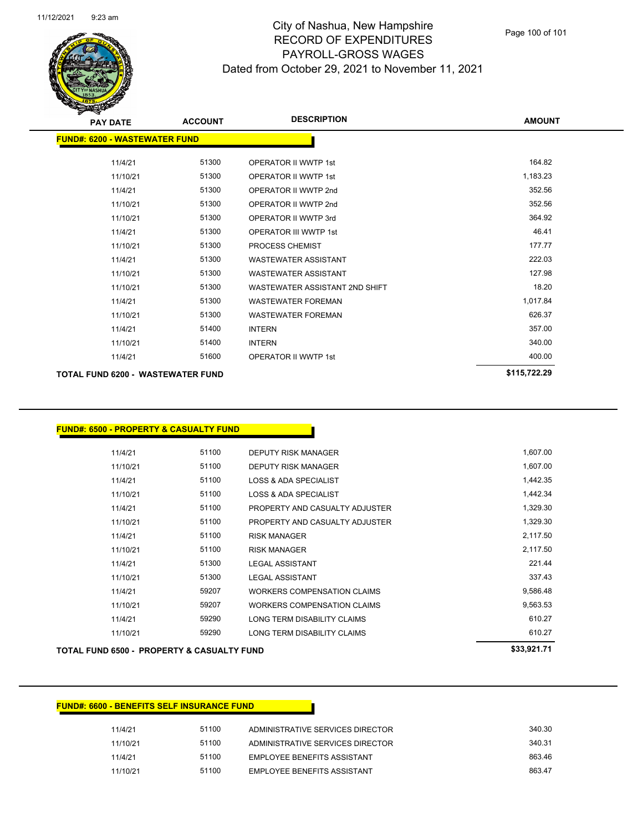

| <b>PAY DATE</b>                      | <b>ACCOUNT</b> | <b>DESCRIPTION</b>             | <b>AMOUNT</b> |
|--------------------------------------|----------------|--------------------------------|---------------|
| <b>FUND#: 6200 - WASTEWATER FUND</b> |                |                                |               |
| 11/4/21                              | 51300          | <b>OPERATOR II WWTP 1st</b>    | 164.82        |
| 11/10/21                             | 51300          | OPERATOR II WWTP 1st           | 1,183.23      |
| 11/4/21                              | 51300          | OPERATOR II WWTP 2nd           | 352.56        |
| 11/10/21                             | 51300          | OPERATOR II WWTP 2nd           | 352.56        |
| 11/10/21                             | 51300          | OPERATOR II WWTP 3rd           | 364.92        |
| 11/4/21                              | 51300          | <b>OPERATOR III WWTP 1st</b>   | 46.41         |
| 11/10/21                             | 51300          | <b>PROCESS CHEMIST</b>         | 177.77        |
| 11/4/21                              | 51300          | <b>WASTEWATER ASSISTANT</b>    | 222.03        |
| 11/10/21                             | 51300          | <b>WASTEWATER ASSISTANT</b>    | 127.98        |
| 11/10/21                             | 51300          | WASTEWATER ASSISTANT 2ND SHIFT | 18.20         |
| 11/4/21                              | 51300          | <b>WASTEWATER FOREMAN</b>      | 1,017.84      |
| 11/10/21                             | 51300          | <b>WASTEWATER FOREMAN</b>      | 626.37        |
| 11/4/21                              | 51400          | <b>INTERN</b>                  | 357.00        |
| 11/10/21                             | 51400          | <b>INTERN</b>                  | 340.00        |
| 11/4/21                              | 51600          | <b>OPERATOR II WWTP 1st</b>    | 400.00        |
| TOTAL FUND 6200 - WASTEWATER FUND    |                |                                | \$115,722.29  |

## **FUND#: 6500 - PROPERTY & CASUALTY FUND**

|          |       |                                    | <b>COO 004 74</b> |
|----------|-------|------------------------------------|-------------------|
| 11/10/21 | 59290 | LONG TERM DISABILITY CLAIMS        | 610.27            |
| 11/4/21  | 59290 | LONG TERM DISABILITY CLAIMS        | 610.27            |
| 11/10/21 | 59207 | <b>WORKERS COMPENSATION CLAIMS</b> | 9.563.53          |
| 11/4/21  | 59207 | <b>WORKERS COMPENSATION CLAIMS</b> | 9,586.48          |
| 11/10/21 | 51300 | <b>LEGAL ASSISTANT</b>             | 337.43            |
| 11/4/21  | 51300 | <b>LEGAL ASSISTANT</b>             | 221.44            |
| 11/10/21 | 51100 | <b>RISK MANAGER</b>                | 2,117.50          |
| 11/4/21  | 51100 | <b>RISK MANAGER</b>                | 2,117.50          |
| 11/10/21 | 51100 | PROPERTY AND CASUALTY ADJUSTER     | 1,329.30          |
| 11/4/21  | 51100 | PROPERTY AND CASUALTY ADJUSTER     | 1,329.30          |
| 11/10/21 | 51100 | <b>LOSS &amp; ADA SPECIALIST</b>   | 1,442.34          |
| 11/4/21  | 51100 | <b>LOSS &amp; ADA SPECIALIST</b>   | 1,442.35          |
| 11/10/21 | 51100 | <b>DEPUTY RISK MANAGER</b>         | 1,607.00          |
| 11/4/21  | 51100 | <b>DEPUTY RISK MANAGER</b>         | 1,607.00          |
|          |       |                                    |                   |

#### **TOTAL FUND 6500 - PROPERTY & CASUALTY FUND \$33,921.71**

## **FUND#: 6600 - BENEFITS SELF INSURANCE FUND**

| 11/4/21  | 51100 | ADMINISTRATIVE SERVICES DIRECTOR   | 340.30 |
|----------|-------|------------------------------------|--------|
| 11/10/21 | 51100 | ADMINISTRATIVE SERVICES DIRECTOR   | 340.31 |
| 11/4/21  | 51100 | <b>FMPLOYEE BENEEITS ASSISTANT</b> | 863.46 |
| 11/10/21 | 51100 | <b>FMPLOYEE BENEEITS ASSISTANT</b> | 863.47 |